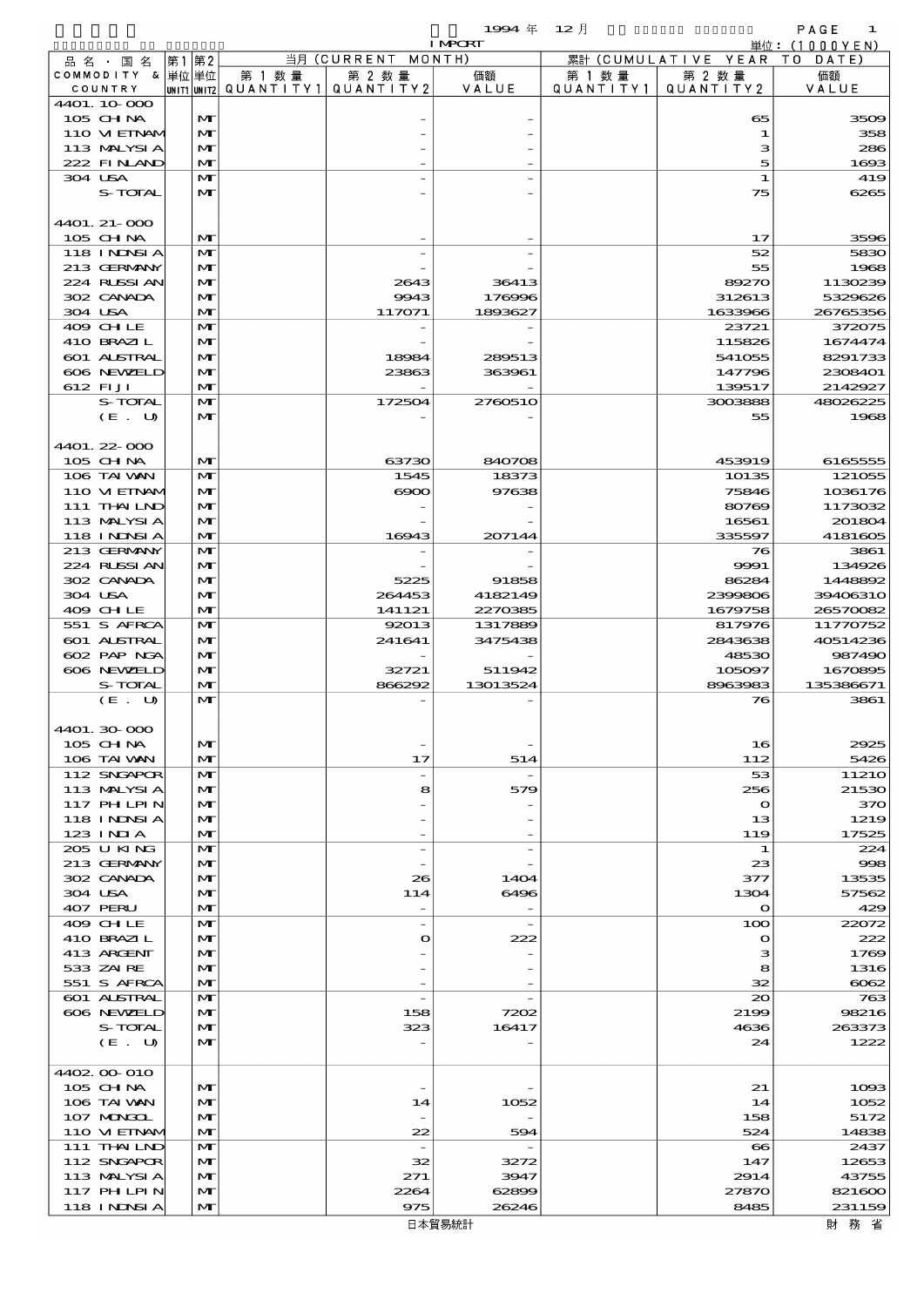$1994 \& 12 \cancel{7}$ 

|                             |    |                              |                                         |                          | <b>I MPORT</b> |         |                              | 単位: (1000YEN)     |
|-----------------------------|----|------------------------------|-----------------------------------------|--------------------------|----------------|---------|------------------------------|-------------------|
| 品 名 ・ 国 名                   | 第1 | 第2                           |                                         | 当月 (CURRENT MONTH)       |                |         | 累計 (CUMULATIVE YEAR TO DATE) |                   |
| COMMODITY & 単位単位            |    |                              | 第 1 数量                                  | 第 2 数量                   | 価額             | 第 1 数 量 | 第 2 数量                       | 価額                |
| COUNTRY                     |    |                              | UNIT1 UNIT2   QUANT   TY1   QUANT   TY2 |                          | VALUE          |         | QUANTITY1   QUANTITY2        | VALUE             |
| 4401.10.000<br>105 CH NA    |    | $\mathbf{M}$                 |                                         |                          |                |         | 65                           | 3509              |
| 110 VI EINAM                |    | M                            |                                         |                          |                |         | 1                            | 358               |
| 113 MALYSIA                 |    | M                            |                                         |                          |                |         | з                            | 286               |
| 222 FINAND                  |    | $\mathbf{M}$                 |                                         |                          |                |         | 5                            | 1693              |
| 304 USA                     |    | M                            |                                         |                          |                |         | 1                            | 419               |
| S-TOTAL                     |    | M                            |                                         |                          |                |         | 75                           | 6265              |
|                             |    |                              |                                         |                          |                |         |                              |                   |
| 4401. 21-000                |    |                              |                                         |                          |                |         |                              |                   |
| 105 CH NA                   |    | $\mathbf{M}$                 |                                         |                          |                |         | 17                           | 3596              |
| 118 I NDSI A<br>213 GERMANY |    | $\mathbf{M}$<br>M            |                                         |                          |                |         | 52<br>55                     | 5830<br>1968      |
| 224 RUSSIAN                 |    | M                            |                                         | 2643                     | 36413          |         | 89270                        | 1130239           |
| 302 CANADA                  |    | M                            |                                         | 9943                     | 176996         |         | 312613                       | 5329626           |
| 304 USA                     |    | M                            |                                         | 117071                   | 1893627        |         | 1633966                      | 26765356          |
| 409 CHLE                    |    | $\mathbf{M}$                 |                                         |                          |                |         | 23721                        | 372075            |
| 410 BRAZIL                  |    | M                            |                                         |                          |                |         | 115826                       | 1674474           |
| 601 ALSTRAL                 |    | M                            |                                         | 18984                    | 289513         |         | 541055                       | 8291733           |
| 606 NEWELD                  |    | M                            |                                         | 23863                    | 363961         |         | 147796                       | 2308401           |
| 612 FIJI                    |    | M                            |                                         |                          |                |         | 139517                       | 2142927           |
| S-TOTAL<br>(E. U)           |    | $\mathbf{M}$<br>$\mathbf{M}$ |                                         | 172504                   | 2760510        |         | 3003888<br>55                | 48026225<br>1968  |
|                             |    |                              |                                         |                          |                |         |                              |                   |
| 4401.22-000                 |    |                              |                                         |                          |                |         |                              |                   |
| 105 CH NA                   |    | $\mathbf{M}$                 |                                         | 63730                    | 840708         |         | 453919                       | 6165555           |
| 106 TAI VAN                 |    | $\mathbf{M}$                 |                                         | 1545                     | 18373          |         | 10135                        | 121055            |
| 110 VI EINAM                |    | M                            |                                         | $\infty$                 | 97638          |         | 75846                        | 1036176           |
| 111 THAILND                 |    | M                            |                                         |                          |                |         | 80769                        | 1173032           |
| 113 MALYSIA                 |    | $\mathbf{M}$                 |                                         |                          |                |         | 16561                        | 201804            |
| 118 I NDSI A                |    | M                            |                                         | 16943                    | 207144         |         | 335597                       | 4181605           |
| 213 GERMANY                 |    | $\mathbf{M}$                 |                                         |                          |                |         | 76                           | 3861              |
| 224 RUSSIAN<br>302 CANADA   |    | M<br>M                       |                                         | 5225                     | 91858          |         | 9991<br>86284                | 134926<br>1448892 |
| 304 USA                     |    | M                            |                                         | 264453                   | 4182149        |         | 2399806                      | 39406310          |
| 409 CHLE                    |    | M                            |                                         | 141121                   | 2270385        |         | 1679758                      | 26570082          |
| 551 S AFRCA                 |    | $\mathbf{M}$                 |                                         | 92013                    | 1317889        |         | 817976                       | 11770752          |
| 601 ALSTRAL                 |    | M                            |                                         | 241641                   | 3475438        |         | 2843638                      | 40514236          |
| 602 PAP NGA                 |    | M                            |                                         |                          |                |         | 48530                        | 987490            |
| 606 NEWELD                  |    | M                            |                                         | 32721                    | 511942         |         | 105097                       | 1670895           |
| S-TOTAL                     |    | M                            |                                         | 866292                   | 13013524       |         | 8963983                      | 135386671         |
| (E. U)                      |    | $\mathbf{M}$                 |                                         |                          |                |         | 76                           | 3861              |
| 4401.30-000                 |    |                              |                                         |                          |                |         |                              |                   |
| 105 CH NA                   |    | M                            |                                         |                          |                |         | 16                           | 2925              |
| 106 TAI VAN                 |    | M                            |                                         | 17                       | 514            |         | 112                          | 5426              |
| 112 SNGAPOR                 |    | M                            |                                         | $\overline{\phantom{a}}$ |                |         | 53                           | 11210             |
| 113 MALYSIA                 |    | M                            |                                         | 8                        | 579            |         | 256                          | 21530             |
| <b>117 PHLPIN</b>           |    | M                            |                                         |                          |                |         | $\bullet$                    | 370               |
| <b>118 INNSIA</b>           |    | M                            |                                         |                          |                |         | 13                           | 1219              |
| $123$ INIA                  |    | M                            |                                         |                          |                |         | 119                          | 17525             |
| 205 U KING                  |    | M                            |                                         | $\overline{\phantom{a}}$ | $\overline{a}$ |         | 1                            | 224               |
| 213 GERMANY<br>302 CANADA   |    | M<br>M                       |                                         | 26                       | 1404           |         | 23<br>377                    | 998<br>13535      |
| 304 USA                     |    | M                            |                                         | 114                      | 6496           |         | 1304                         | 57562             |
| 407 PERU                    |    | M                            |                                         | $\overline{\phantom{a}}$ |                |         | $\mathbf{o}$                 | 429               |
| 409 CHLE                    |    | M                            |                                         | $\overline{\phantom{a}}$ |                |         | 100                          | 22072             |
| 410 BRAZIL                  |    | M                            |                                         | $\mathbf o$              | 222            |         | $\mathbf o$                  | 222               |
| 413 ARGENT                  |    | M                            |                                         |                          |                |         | з                            | 1769              |
| 533 ZAIRE                   |    | M                            |                                         |                          |                |         | 8                            | 1316              |
| 551 S AFRCA                 |    | M                            |                                         |                          |                |         | 32                           | $\infty$          |
| 601 ALSTRAL                 |    | M                            |                                         | $\overline{\phantom{a}}$ |                |         | 20                           | 763               |
| 606 NEWELD<br>S-TOTAL       |    | M<br>$\mathbf{M}$            |                                         | 158<br>323               | 7202           |         | 2199                         | 98216<br>263373   |
| (E. U)                      |    | M                            |                                         |                          | 16417          |         | 4636<br>24                   | 1222              |
|                             |    |                              |                                         |                          |                |         |                              |                   |
| 4402 00 010                 |    |                              |                                         |                          |                |         |                              |                   |
| 105 CH NA                   |    | $\mathbf{M}$                 |                                         |                          |                |         | 21                           | 1093              |
| 106 TAI VAN                 |    | $\mathbf{M}$                 |                                         | 14                       | 1052           |         | 14                           | 1052              |
| 107 MONGOL                  |    | M                            |                                         |                          |                |         | 158                          | 5172              |
| 110 VIEINAM                 |    | M                            |                                         | 22                       | 594            |         | 524                          | 14838             |
| 111 THAILND                 |    | M                            |                                         | $\overline{\phantom{a}}$ |                |         | $\bf{8}$                     | 2437              |
| 112 SNGAPOR                 |    | M                            |                                         | 32                       | 3272           |         | 147                          | 12653             |
| 113 MALYSIA<br>117 PH LPIN  |    | M<br>M                       |                                         | 271<br>2264              | 3947<br>62899  |         | 2914<br>27870                | 43755<br>821600   |
| 118 I NDSI A                |    | M                            |                                         | 975                      | 26246          |         | 8485                         | 231159            |
|                             |    |                              |                                         |                          |                |         |                              |                   |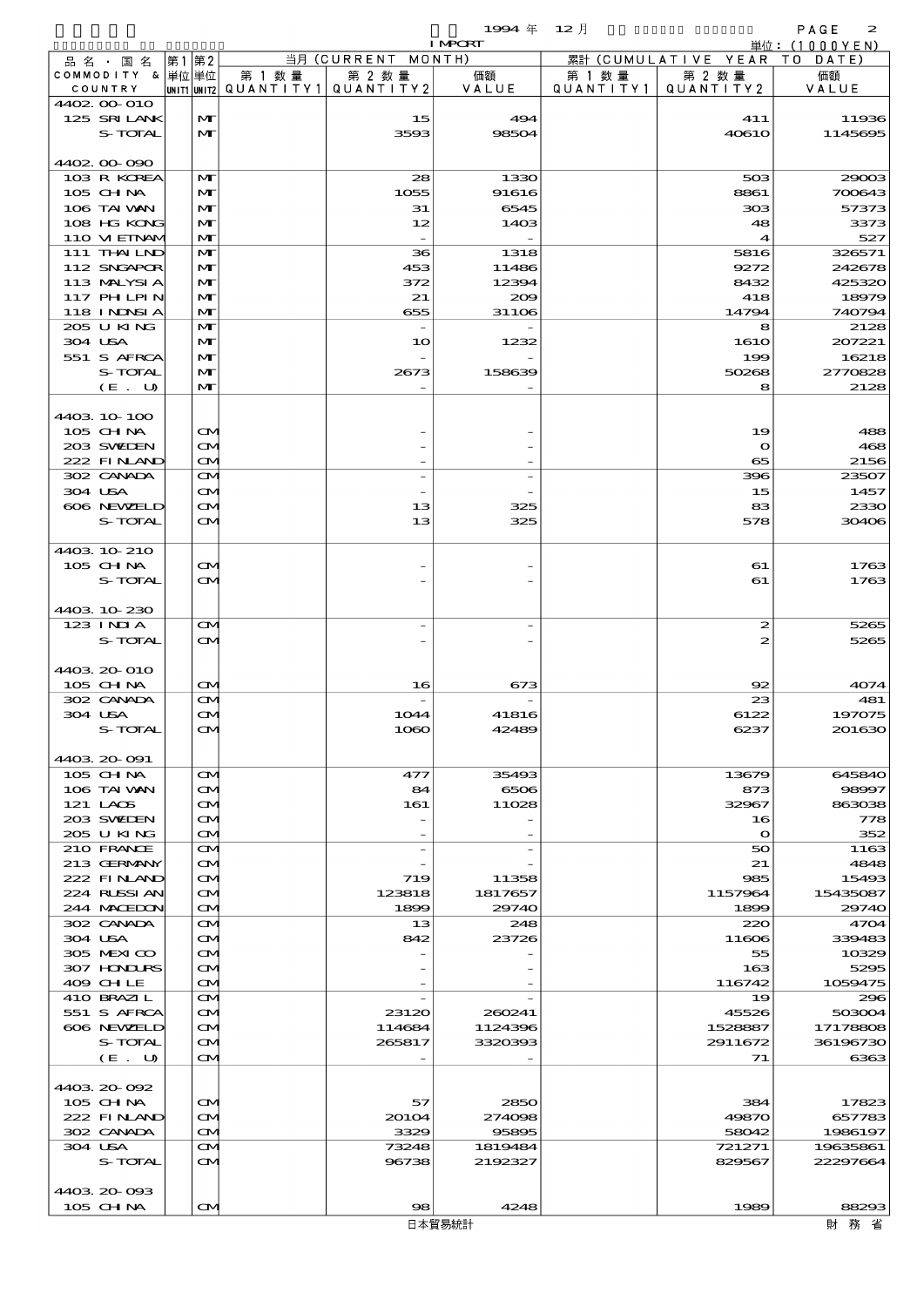$1994 \# 12 \exists$ 

|                            |                   |        |                                       | <b>I MPORT</b> |           |                              | 単位: (1000YEN)   |
|----------------------------|-------------------|--------|---------------------------------------|----------------|-----------|------------------------------|-----------------|
| 品名・国名                      | 第1 第2             |        | 当月 (CURRENT MONTH)                    |                |           | 累計 (CUMULATIVE YEAR TO DATE) |                 |
| COMMODITY & 単位単位           |                   | 第 1 数量 | 第 2 数量                                | 価額             | 第 1 数量    | 第 2 数量                       | 価額              |
| COUNTRY                    |                   |        | UNIT1 UNIT2  QUANT I TY1  QUANT I TY2 | VALUE          | QUANTITY1 | QUANTITY 2                   | VALUE           |
| 4402 00 010<br>125 SRILANK | M                 |        | 15                                    | 494            |           | 411                          | 11936           |
| S-TOTAL                    | $\mathbf{M}$      |        | 3593                                  | 98504          |           | 40610                        | 1145695         |
|                            |                   |        |                                       |                |           |                              |                 |
| 4402 00 090                |                   |        |                                       |                |           |                              |                 |
| 103 R KOREA                | M                 |        | 28                                    | 1330           |           | 503                          | 29003           |
| 105 CHNA                   | M                 |        | 1055                                  | 91616          |           | 8861                         | 700643          |
| 106 TAI VAN                | $\mathbf{M}$      |        | 31                                    | 6545           |           | 303                          | 57373           |
| 108 HG KONG                | M                 |        | 12                                    | 1403           |           | 48                           | 3373            |
| 110 VIEINAM                | M                 |        |                                       |                |           | $\blacktriangleleft$         | 527             |
| 111 THAILND                | M                 |        | 36                                    | 1318           |           | 5816                         | 326571          |
| 112 SNGAPOR                | M                 |        | 453                                   | 11486          |           | 9272                         | 242678          |
| 113 MALYSIA                | M                 |        | 372                                   | 12394          |           | 8432                         | 425320          |
| 117 PHLPIN                 | M                 |        | 21                                    | 200            |           | 418                          | 18979           |
| <b>118 INNSIA</b>          | M                 |        | 655                                   | 31106          |           | 14794                        | 740794          |
| 205 U KING<br>304 USA      | M<br>M            |        | 10                                    | 1232           |           | 8<br>1610                    | 2128<br>207221  |
| 551 S AFRCA                | M                 |        |                                       |                |           | 199                          | 16218           |
| S-TOTAL                    | M                 |        | 2673                                  | 158639         |           | 50268                        | 2770828         |
| (E. U)                     | M                 |        |                                       |                |           | 8                            | 2128            |
|                            |                   |        |                                       |                |           |                              |                 |
| 4403 10 100                |                   |        |                                       |                |           |                              |                 |
| 105 CH NA                  | ŒИ                |        |                                       |                |           | 19                           | 488             |
| 203 SWIEN                  | ŒИ                |        |                                       |                |           | $\mathbf o$                  | 468             |
| 222 FINAND                 | ŒM.               |        |                                       |                |           | 65                           | 2156            |
| 302 CANADA                 | ŒM)               |        |                                       |                |           | 396                          | 23507           |
| 304 USA                    | ŒИ                |        |                                       |                |           | 15                           | 1457            |
| 606 NEWELD                 | <b>CM</b>         |        | 13                                    | 325            |           | 83                           | 2330            |
| S-TOTAL                    | ŒМ                |        | 13                                    | 325            |           | 578                          | 30406           |
|                            |                   |        |                                       |                |           |                              |                 |
| 4403 10 210                |                   |        |                                       |                |           |                              |                 |
| 105 CH NA                  | ŒИ                |        |                                       |                |           | 61                           | 1763            |
| S-TOTAL                    | ŒИ                |        |                                       |                |           | 61                           | 1763            |
| 4403 10 230                |                   |        |                                       |                |           |                              |                 |
| $123$ INIA                 | $\mathbf{\Omega}$ |        |                                       |                |           | $\boldsymbol{z}$             | 5265            |
| S-TOTAL                    | ŒИ                |        |                                       |                |           | 2                            | 5265            |
|                            |                   |        |                                       |                |           |                              |                 |
| 4403 20 010                |                   |        |                                       |                |           |                              |                 |
| $105$ CHNA                 | ŒM)               |        | 16                                    | 673            |           | 92                           | 4074            |
| 302 CANADA                 | M                 |        |                                       |                |           | 23                           | 481             |
| 304 USA                    | ŒИ                |        | 1044                                  | 41816          |           | 6122                         | 197075          |
| S-TOTAL                    | $\mathbf \Omega$  |        | 1080                                  | 42489          |           | 6237                         | 201630          |
|                            |                   |        |                                       |                |           |                              |                 |
| 4403 20 091                |                   |        |                                       |                |           |                              |                 |
| 105 CHNA                   | ŒM.               |        | 477                                   | 35493          |           | 13679                        | 645840          |
| 106 TAI WAN                | ŒМ                |        | 84                                    | 6506           |           | 873                          | 98997           |
| 121 LAOS                   | <b>CM</b>         |        | 161                                   | 11028          |           | 32967                        | 863038          |
| 203 SWIDEN                 | ŒИ                |        |                                       |                |           | 16                           | 778             |
| 205 U KING<br>210 FRANCE   | ŒM.<br>ŒM.        |        | $\overline{a}$                        |                |           | $\bullet$<br>50              | 352<br>1163     |
| 213 GERMANY                | ŒМ                |        |                                       |                |           | 21                           | 4848            |
| 222 FINAND                 | ŒM)               |        | 719                                   | 11358          |           | 985                          | 15493           |
| 224 RUSSIAN                | M                 |        | 123818                                | 1817657        |           | 1157964                      | 15435087        |
| 244 MOEDON                 | ŒM.               |        | 1899                                  | 29740          |           | 1899                         | 29740           |
| 302 CANADA                 | ŒИ                |        | 13                                    | 248            |           | 220                          | 4704            |
| 304 USA                    | ŒИ                |        | 842                                   | 23726          |           | 11606                        | 339483          |
| 305 MEXICO                 | ŒM)               |        |                                       |                |           | 55                           | 10329           |
| 307 HONDURS                | ŒИ                |        |                                       |                |           | 163                          | 5295            |
| 409 CHLE                   | ŒM.               |        |                                       |                |           | 116742                       | 1059475         |
| 410 BRAZIL                 | ŒИ                |        |                                       |                |           | 19                           | 296             |
| 551 S AFRCA                | ŒM.               |        | 23120                                 | 260241         |           | 45526                        | 503004          |
| 606 NEWELD                 | M                 |        | 114684                                | 1124396        |           | 1528887                      | 17178808        |
| S-TOTAL                    | ŒМ                |        | 265817                                | 3320393        |           | 2911672                      | 36196730        |
| (E. U)                     | M                 |        |                                       |                |           | 71                           | 6363            |
|                            |                   |        |                                       |                |           |                              |                 |
| 4403 20 092                |                   |        |                                       |                |           |                              |                 |
| 105 CH NA<br>222 FINLAND   | M<br>ŒИ           |        | 57                                    | 2850<br>274098 |           | 384<br>49870                 | 17823<br>657783 |
| 302 CANADA                 | ŒM.               |        | 20104<br>3329                         | 95895          |           | 58042                        | 1986197         |
| 304 USA                    | ŒИ                |        | 73248                                 | 1819484        |           | 721271                       | 19635861        |
| S-TOTAL                    | ŒИ                |        | 96738                                 | 2192327        |           | 829567                       | 22297664        |
|                            |                   |        |                                       |                |           |                              |                 |
| 4403 20 093                |                   |        |                                       |                |           |                              |                 |
| $105$ CHNA                 | ŒM.               |        | 98                                    | 4248           |           | 1989                         | 88293           |
|                            |                   |        |                                       | 日本貿易統計         |           |                              | 財務省             |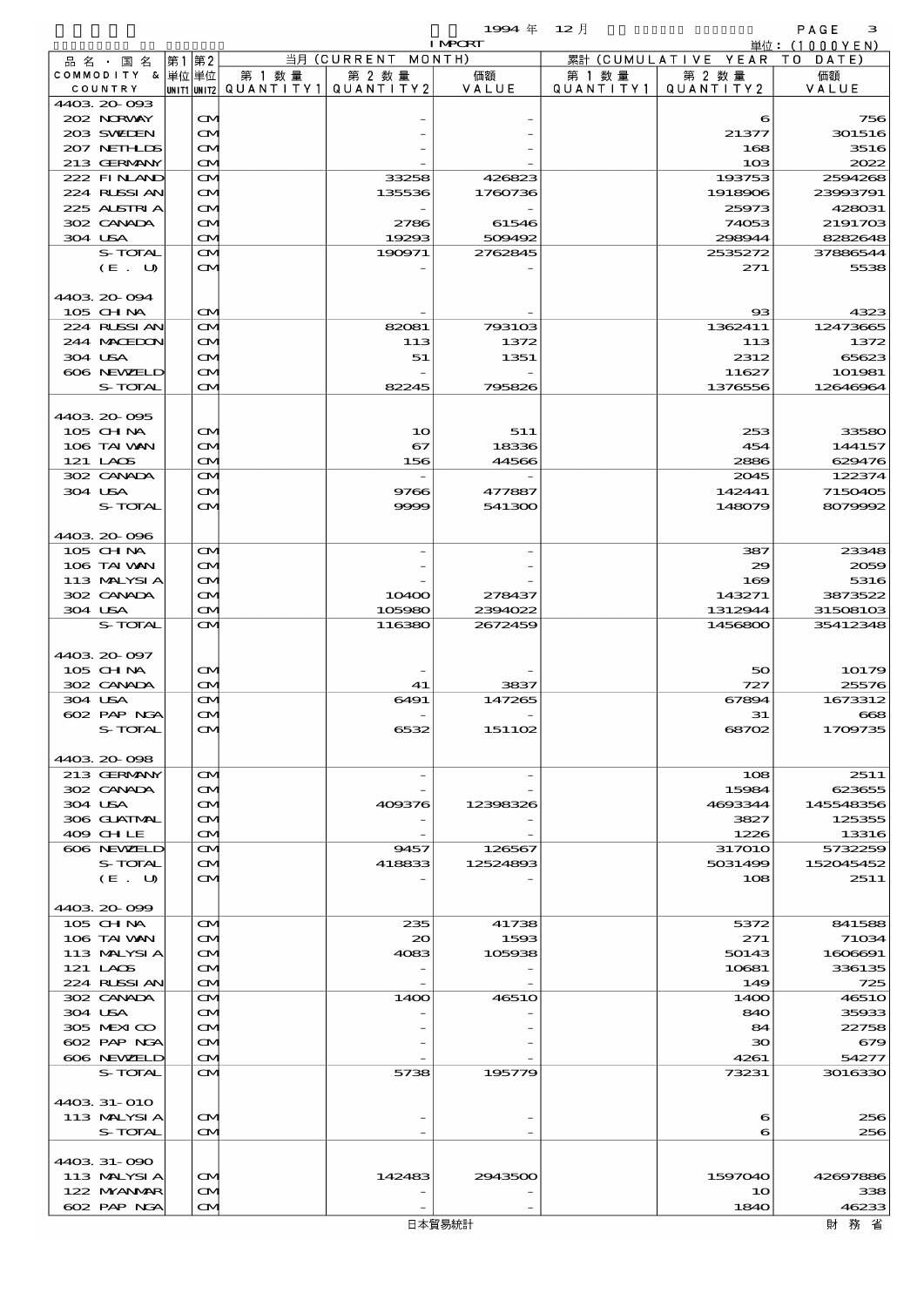品別国別表 輸 入 1994 12 確定 (Fixed Annual) 3

|                            |    |                                        |                                   |                    | <b>I MPORT</b>    |         |                              | 単位: $(1000YEN)$     |
|----------------------------|----|----------------------------------------|-----------------------------------|--------------------|-------------------|---------|------------------------------|---------------------|
| 品名・国名                      | 第1 | 第2                                     |                                   | 当月 (CURRENT MONTH) |                   |         | 累計 (CUMULATIVE YEAR TO DATE) |                     |
| COMMODITY & 単位単位           |    |                                        | 第 1 数量                            | 第 2 数量             | 価額                | 第 1 数 量 | 第 2 数量                       | 価額                  |
| COUNTRY                    |    |                                        | UNIT1 UNIT2 QUANTITY 1 QUANTITY 2 |                    | VALUE             |         | QUANTITY1   QUANTITY2        | VALUE               |
| 4403 20 093<br>202 NORWAY  |    | $\mathbf{\Omega}$                      |                                   |                    |                   |         | 6                            | 756                 |
| 203 SWIEN                  |    | $\mathbf{\Omega}$                      |                                   |                    |                   |         | 21377                        | 301516              |
| 207 NETHLIS                |    | $\mathbf{\Omega}$                      |                                   |                    |                   |         | 168                          | 3516                |
| 213 GERMANY                |    | $\mathbf{\Omega}$                      |                                   |                    |                   |         | 10 <sub>3</sub>              | 2022                |
| 222 FINAND                 |    | M                                      |                                   | 33258              | 426823            |         | 193753                       | 2594268             |
| 224 RUSSIAN                |    | $\mathbf{\Omega}$                      |                                   | 135536             | 1760736           |         | 1918906                      | 23993791            |
| 225 ALSTRIA                |    | $\mathbf{\Omega}$                      |                                   |                    |                   |         | 25973                        | 428031              |
| 302 CANADA                 |    | M                                      |                                   | 2786               | 61546             |         | 74053                        | 2191703             |
| 304 USA<br>S-TOTAL         |    | $\mathbf{\Omega}$<br>M                 |                                   | 19293<br>190971    | 509492<br>2762845 |         | 298944<br>2535272            | 8282648<br>37886544 |
| (E. U)                     |    | <b>CM</b>                              |                                   |                    |                   |         | 271                          | 5538                |
|                            |    |                                        |                                   |                    |                   |         |                              |                     |
| 4403 20 094                |    |                                        |                                   |                    |                   |         |                              |                     |
| 105 CH NA                  |    | $\mathbf{\Omega}$                      |                                   |                    |                   |         | $_{\rm ss}$                  | 4323                |
| 224 RLSSIAN                |    | M                                      |                                   | 82081              | 793103            |         | 1362411                      | 12473665            |
| 244 MACEDON                |    | $\mathbf{\Omega}$                      |                                   | 113                | 1372              |         | 113                          | 1372                |
| 304 USA                    |    | M                                      |                                   | 51                 | 1351              |         | 2312                         | 65623               |
| 606 NEWELD<br>S-TOTAL      |    | M<br>$\mathbf{\Omega}$                 |                                   | 82245              | 795826            |         | 11627<br>1376556             | 101981<br>12646964  |
|                            |    |                                        |                                   |                    |                   |         |                              |                     |
| 4403 20 095                |    |                                        |                                   |                    |                   |         |                              |                     |
| 105 CH NA                  |    | $\mathbf{\Omega}$                      |                                   | 10                 | 511               |         | 253                          | 33580               |
| 106 TAI VAN                |    | $\mathbf{\Omega}$                      |                                   | 67                 | 18336             |         | 454                          | 144157              |
| 121 LAOS                   |    | $\mathbf{\Omega}$                      |                                   | 156                | 44566             |         | 2886                         | 629476              |
| 302 CANADA                 |    | M                                      |                                   |                    |                   |         | 2045                         | 122374              |
| 304 USA                    |    | $\mathbf{\Omega}$                      |                                   | 9766               | 477887            |         | 142441                       | 7150405             |
| S-TOTAL                    |    | $\mathbf{\Omega}$                      |                                   | 9999               | 541300            |         | 148079                       | 8079992             |
| 4403 20 096                |    |                                        |                                   |                    |                   |         |                              |                     |
| 105 CH NA                  |    | M                                      |                                   |                    |                   |         | 387                          | 23348               |
| 106 TAI VAN                |    | $\mathbf{\Omega}$                      |                                   |                    |                   |         | 29                           | 2059                |
| 113 MALYSIA                |    | $\mathbf{\Omega}$                      |                                   |                    |                   |         | 169                          | 5316                |
| 302 CANADA                 |    | M                                      |                                   | 10400              | 278437            |         | 143271                       | 3873522             |
| 304 USA                    |    | M                                      |                                   | 105980             | 2394022           |         | 1312944                      | 31508103            |
| S-TOTAL                    |    | $\mathbf{\Omega}$                      |                                   | 116380             | 2672459           |         | 1456800                      | 35412348            |
|                            |    |                                        |                                   |                    |                   |         |                              |                     |
| 4403 20 097<br>105 CH NA   |    | $\mathbf{\Omega}$                      |                                   |                    |                   |         | 50                           | 10179               |
| 302 CANADA                 |    | $\mathbf{\Omega}$                      |                                   | 41                 | 3837              |         | 727                          | 25576               |
| 304 USA                    |    | M                                      |                                   | 6491               | 147265            |         | 67894                        | 1673312             |
| 602 PAP NGA                |    | $\mathbf{\Omega}$                      |                                   |                    |                   |         | 31                           | $_{668}$            |
| S-TOTAL                    |    | $\bf \alpha$                           |                                   | 6532               | 151102            |         | 68702                        | 1709735             |
|                            |    |                                        |                                   |                    |                   |         |                              |                     |
| 4403.20-098                |    |                                        |                                   |                    |                   |         |                              |                     |
| 213 GERMANY                |    | $\mathbf{\Omega}$                      |                                   |                    |                   |         | 108                          | 2511<br>623655      |
| 302 CANADA<br>304 USA      |    | $\mathbf{\Omega}$<br>$\mathbf{\Omega}$ |                                   | 409376             | 12398326          |         | 15984<br>4693344             | 145548356           |
| 306 GUATMAL                |    | M                                      |                                   |                    |                   |         | 3827                         | 125355              |
| 409 CHLE                   |    | $\mathbf{\Omega}$                      |                                   |                    |                   |         | 1226                         | 13316               |
| 606 NEWELD                 |    | <b>CM</b>                              |                                   | 9457               | 126567            |         | <b>317010</b>                | 5732259             |
| S-TOTAL                    |    | <b>CM</b>                              |                                   | 418833             | 12524893          |         | 5031499                      | 152045452           |
| (E. U)                     |    | $\mathbf{\Omega}$                      |                                   |                    |                   |         | 108                          | 2511                |
|                            |    |                                        |                                   |                    |                   |         |                              |                     |
| 4403 20 099<br>105 CH NA   |    | $\mathbf{\Omega}$                      |                                   | 235                | 41738             |         | 5372                         | 841588              |
| 106 TAI VAN                |    | $\mathbf{\Omega}$                      |                                   | $\infty$           | 1593              |         | 271                          | 71034               |
| 113 MALYSIA                |    | $\mathbf{\Omega}$                      |                                   | 4083               | 105938            |         | 50143                        | 1606691             |
| 121 LACS                   |    | M                                      |                                   |                    |                   |         | 10681                        | 336135              |
| 224 RUSSIAN                |    | $\mathbf{\Omega}$                      |                                   |                    |                   |         | 149                          | 725                 |
| 302 CANADA                 |    | ŒM.                                    |                                   | 14OO               | <b>46510</b>      |         | 1400                         | <b>46510</b>        |
| 304 USA                    |    | $\mathbf{\Omega}$                      |                                   |                    |                   |         | 840                          | 35933               |
| 305 MEXICO                 |    | M                                      |                                   |                    |                   |         | 84                           | 22758               |
| 602 PAP NGA                |    | M                                      |                                   |                    |                   |         | 30                           | 679                 |
| 606 NEWELD<br>S-TOTAL      |    | $\mathbf{\Omega}$<br><b>CM</b>         |                                   | 5738               | 195779            |         | 4261<br>73231                | 54277<br>3016330    |
|                            |    |                                        |                                   |                    |                   |         |                              |                     |
| 4403 31-010                |    |                                        |                                   |                    |                   |         |                              |                     |
| 113 MALYSIA                |    | <b>CM</b>                              |                                   |                    |                   |         | 6                            | 256                 |
| <b>S-TOTAL</b>             |    | $\mathbf{\Omega}$                      |                                   |                    |                   |         | 6                            | 256                 |
|                            |    |                                        |                                   |                    |                   |         |                              |                     |
| 4403 31-090                |    |                                        |                                   |                    |                   |         |                              |                     |
| 113 MALYSIA                |    | $\mathbf{\Omega}$                      |                                   | 142483             | 2943500           |         | 1597040                      | 42697886            |
| 122 MYANMAR<br>602 PAP NGA |    | M<br>M                                 |                                   |                    |                   |         | 10<br>1840                   | 338<br>46233        |
|                            |    |                                        |                                   |                    |                   |         |                              |                     |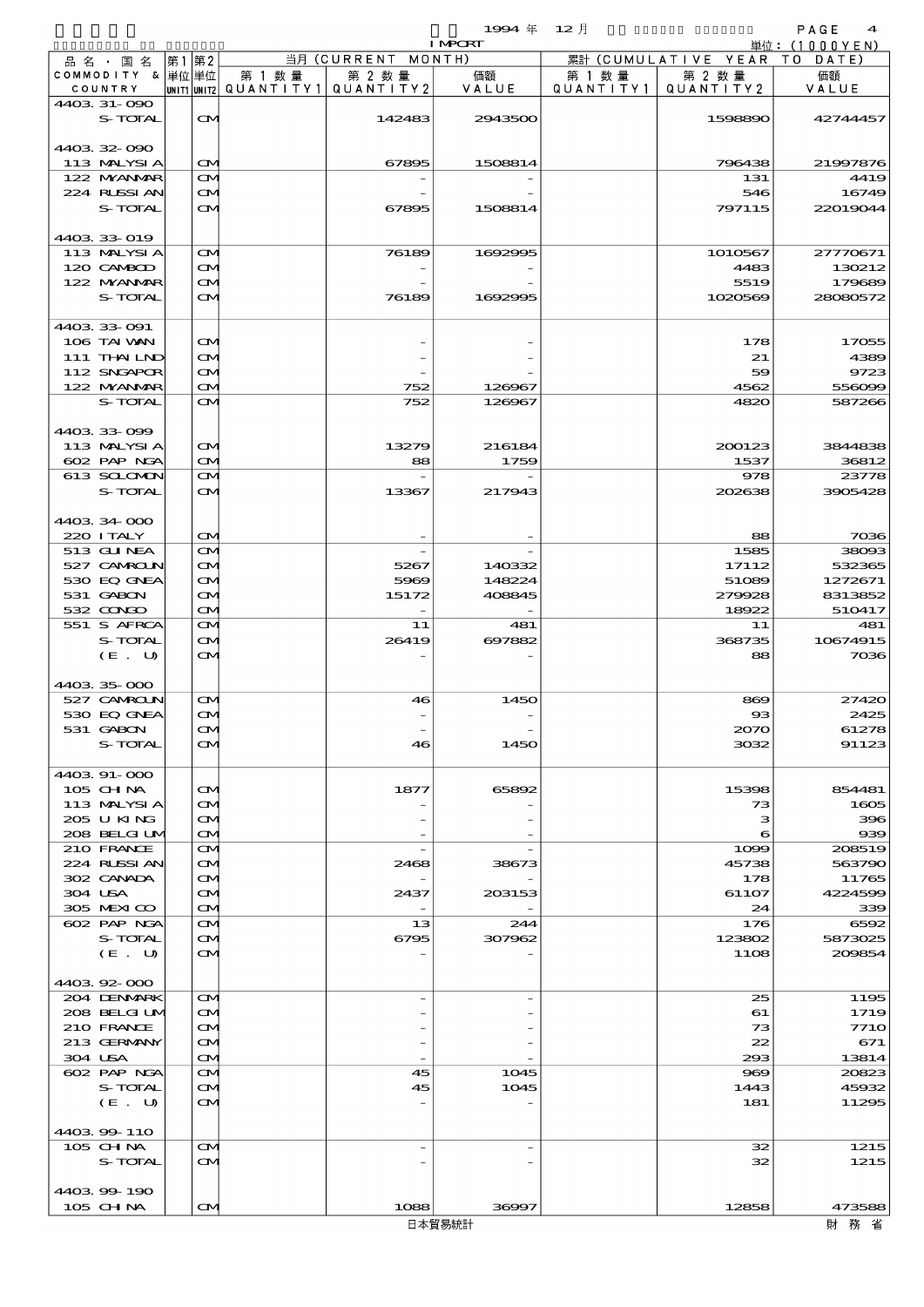|                                  |                                        |                          |                          | 1994 $#$       | $12$ 月    |                              | PAGE<br>$\boldsymbol{4}$ |
|----------------------------------|----------------------------------------|--------------------------|--------------------------|----------------|-----------|------------------------------|--------------------------|
|                                  | 第1 第2                                  |                          | 当月 (CURRENT MONTH)       | <b>I MPCRT</b> |           | 累計 (CUMULATIVE YEAR TO DATE) | 単位: (1000YEN)            |
| 品 名 ・ 国 名<br>COMMODITY & 単位単位    |                                        | 第 1 数 量                  | 第 2 数量                   | 価額             | 第 1 数 量   | 第 2 数量                       | 価額                       |
| COUNTRY                          |                                        | unit1 unit2  Q∪ANT   TY1 | QUANTITY 2               | VALUE          | QUANTITY1 | QUANTITY2                    | VALUE                    |
| 4403 31-090                      |                                        |                          |                          |                |           |                              |                          |
| S-TOTAL                          | $\mathbf{\alpha}$                      |                          | 142483                   | 2943500        |           | 1598890                      | 42744457                 |
|                                  |                                        |                          |                          |                |           |                              |                          |
| 440332-090                       |                                        |                          |                          |                |           |                              |                          |
| 113 MALYSIA                      | $\mathbf{\alpha}$                      |                          | 67895                    | 1508814        |           | 796438                       | 21997876                 |
| 122 MYANAR<br>224 RUSSI AN       | $\mathbf{\Omega}$<br>$\mathbf{\alpha}$ |                          |                          |                |           | 131<br>546                   | 4419<br>16749            |
| S-TOTAL                          | ŒМ                                     |                          | 67895                    | 1508814        |           | 797115                       | 22019044                 |
|                                  |                                        |                          |                          |                |           |                              |                          |
| 4403 33 019                      |                                        |                          |                          |                |           |                              |                          |
| 113 MALYSIA                      | $\mathbf{\alpha}$                      |                          | 76189                    | 1692995        |           | 1010567                      | 27770671                 |
| 120 CAMBOD                       | ŒИ                                     |                          |                          |                |           | 4483                         | 130212                   |
| 122 MYANAR                       | ŒИ                                     |                          |                          |                |           | 5519                         | 179689                   |
| S-TOTAL                          | ŒМ                                     |                          | 76189                    | 1692995        |           | 1020569                      | 28080572                 |
|                                  |                                        |                          |                          |                |           |                              |                          |
| 4403 33 091<br>106 TAI VAN       | $\mathbf{\alpha}$                      |                          |                          |                |           | 178                          | 17055                    |
| 111 THAILND                      | M                                      |                          |                          |                |           | 21                           | 4389                     |
| 112 SNGAPOR                      | $\mathbf{\alpha}$                      |                          |                          |                |           | 59                           | 9723                     |
| 122 MYANAR                       | <b>CM</b>                              |                          | 752                      | 126967         |           | 4562                         | 556099                   |
| S-TOTAL                          | M                                      |                          | 752                      | 126967         |           | 4820                         | 587266                   |
|                                  |                                        |                          |                          |                |           |                              |                          |
| 4403 33 099                      |                                        |                          |                          |                |           |                              |                          |
| 113 MALYSIA                      | $\mathbf{\alpha}$                      |                          | 13279                    | 216184         |           | 200123                       | 3844838                  |
| 602 PAP NGA                      | <b>CM</b>                              |                          | 88                       | 1759           |           | 1537                         | 36812                    |
| 613 SCLOMON                      | $\mathbf{\Omega}$                      |                          |                          |                |           | 978                          | 23778                    |
| S-TOTAL                          | $\mathbf{\alpha}$                      |                          | 13367                    | 217943         |           | 202638                       | 3905428                  |
|                                  |                                        |                          |                          |                |           |                              |                          |
| 4403 34 000<br>220 I TALY        | ŒМ                                     |                          |                          |                |           | 88                           | 7036                     |
| 513 GUNEA                        | $\mathbf{\Omega}$                      |                          |                          |                |           | 1585                         | 38093                    |
| 527 CAMROLN                      | ŒM)                                    |                          | 5267                     | 140332         |           | 17112                        | 532365                   |
| 530 EQ GNEA                      | ŒM)                                    |                          | 5969                     | 148224         |           | 51089                        | 1272671                  |
| 531 GABON                        | $\mathbf{\alpha}$                      |                          | 15172                    | 408845         |           | 279928                       | 8313852                  |
| $532$ $\alpha$ $\alpha$ $\alpha$ | $\mathbf{\Omega}$                      |                          | $\overline{\phantom{a}}$ |                |           | 18922                        | 510417                   |
| 551 S AFRCA                      | $\mathbf{\Omega}$                      |                          | 11                       | 481            |           | 11                           | 481                      |
| S-TOTAL                          | <b>CM</b>                              |                          | 26419                    | 697882         |           | 368735                       | 10674915                 |
| (E. U)                           | ŒМ                                     |                          |                          |                |           | 88                           | 7036                     |
|                                  |                                        |                          |                          |                |           |                              |                          |
| 4403 35 000<br>527 CAMROLN       | $\mathbf{\alpha}$                      |                          | 46                       | 1450           |           |                              | 27420                    |
| 530 EQ GNEA                      | $\rm \alpha$                           |                          |                          |                |           | 869<br>$\Omega$              | 2425                     |
| 531 GABON                        | ŒИ                                     |                          |                          |                |           | 2070                         | 61278                    |
| S-TOTAL                          | ŒИ                                     |                          | 46                       | 1450           |           | 3032                         | 91123                    |
|                                  |                                        |                          |                          |                |           |                              |                          |
| 4403 91-000                      |                                        |                          |                          |                |           |                              |                          |
| $105$ CHNA                       | <b>CM</b>                              |                          | 1877                     | 65892          |           | 15398                        | 854481                   |
| 113 MALYSIA                      | ŒИ                                     |                          |                          |                |           | 73                           | 1605                     |
| 205 U KING                       | $\mathbf{\alpha}$                      |                          |                          |                |           | з                            | 396                      |
| 208 BELGI UM                     | <b>CM</b>                              |                          |                          |                |           | 6                            | 939                      |
| 210 FRANCE                       | $\mathbf{\alpha}$                      |                          |                          |                |           | 1099                         | 208519                   |
| 224 RUSSIAN<br>302 CANADA        | ŒИ<br>ŒИ                               |                          | 2468                     | 38673          |           | 45738<br>178                 | 563790<br>11765          |
| 304 USA                          | $\mathbf{\alpha}$                      |                          | 2437                     | 203153         |           | 61107                        | 4224599                  |
| 305 MEXICO                       | <b>CM</b>                              |                          |                          |                |           | 24                           | 339                      |
| 602 PAP NGA                      | $\mathbf{\alpha}$                      |                          | 13                       | 244            |           | 176                          | 6592                     |
| S-TOTAL                          | ŒИ                                     |                          | 6795                     | 307962         |           | 123802                       | 5873025                  |
| (E. U)                           | ŒИ                                     |                          |                          |                |           | 11O <sub>8</sub>             | 209854                   |
|                                  |                                        |                          |                          |                |           |                              |                          |
| 440392000                        |                                        |                          |                          |                |           |                              |                          |
| 204 DENMARK                      | $\mathbf{\alpha}$                      |                          |                          |                |           | 25                           | 1195                     |
| 208 BELGI UM                     | <b>CM</b>                              |                          |                          |                |           | 61                           | 1719                     |
| 210 FRANCE                       | $\mathbf{\alpha}$                      |                          |                          |                |           | 73                           | <b>7710</b>              |
| 213 GERMANY                      | $\mathbf{\alpha}$                      |                          |                          |                |           | 22                           | 671                      |
| 304 USA<br>602 PAP NGA           | <b>CM</b>                              |                          | 45                       | 1045           |           | 293<br>969                   | 13814<br>20823           |
| S-TOTAL                          | $\mathbf{\alpha}$<br>ŒИ                |                          | 45                       | 1045           |           | 1443                         | 45932                    |
| (E. U)                           | $\mathbf{\alpha}$                      |                          |                          |                |           | 181                          | 11295                    |
|                                  |                                        |                          |                          |                |           |                              |                          |
| 4403 99 110                      |                                        |                          |                          |                |           |                              |                          |
| 105 CHNA                         | $\mathbf{\alpha}$                      |                          |                          |                |           | 32                           | 1215                     |
| S-TOTAL                          | $\mathbf{\alpha}$                      |                          |                          |                |           | 32                           | 1215                     |
|                                  |                                        |                          |                          |                |           |                              |                          |
| 4403 99 190                      |                                        |                          |                          |                |           |                              |                          |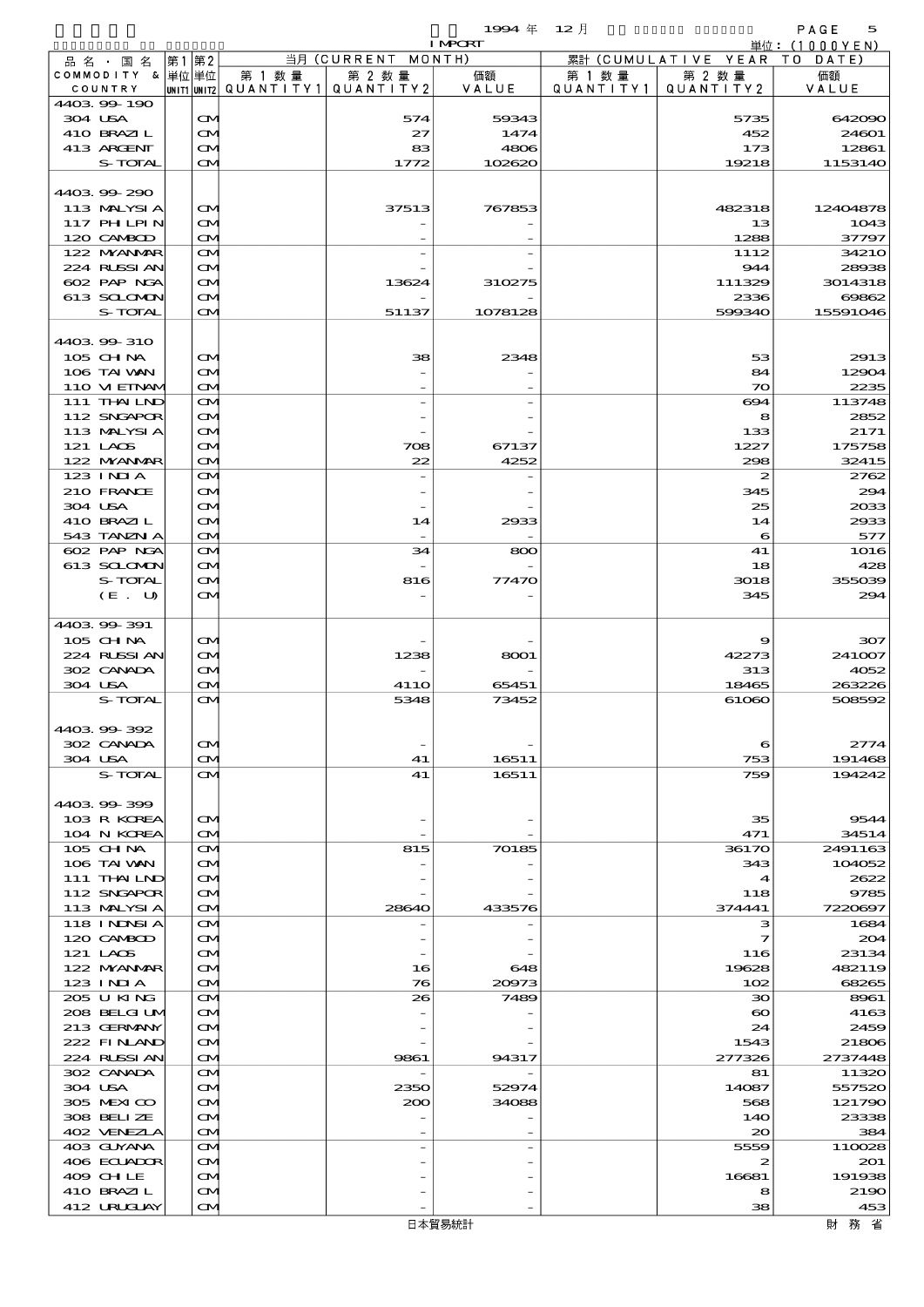$1$ 994  $\#$  12  $\bar{A}$  12  $\bar{A}$  12  $\bar{A}$   $\bar{B}$   $\bar{C}$   $\bar{C}$   $\bar{C}$ 

|                                  |    |                                        |        |                                          | <b>I MPORT</b> |           |                              | 単位: (1000YEN)    |
|----------------------------------|----|----------------------------------------|--------|------------------------------------------|----------------|-----------|------------------------------|------------------|
| 品名・国名                            | 第1 | 第2                                     |        | 当月 (CURRENT MONTH)                       |                |           | 累計 (CUMULATIVE YEAR TO DATE) |                  |
| COMMODITY & 単位単位                 |    |                                        | 第 1 数量 | 第 2 数量                                   | 価額             | 第 1 数量    | 第 2 数量                       | 価額               |
| COUNTRY                          |    |                                        |        | UNIT1 UNIT2  QUANT I TY 1   QUANT I TY 2 | VALUE          | QUANTITY1 | QUANTITY 2                   | VALUE            |
| 4403.99-190<br>304 USA           |    | $\mathbf{\Omega}$                      |        | 574                                      | 59343          |           | 5735                         | 642090           |
| 410 BRAZIL                       |    | $\mathbf{\Omega}$                      |        | 27                                       | 1474           |           | 452                          | 24601            |
| 413 ARGENT                       |    | M                                      |        | 83                                       | 4806           |           | 173                          | 12861            |
| S-TOTAL                          |    | $\mathbf{\Omega}$                      |        | 1772                                     | 102620         |           | 19218                        | 1153140          |
|                                  |    |                                        |        |                                          |                |           |                              |                  |
| 440399290                        |    |                                        |        |                                          |                |           |                              |                  |
| 113 MALYSIA                      |    | $\mathbf{\Omega}$                      |        | 37513                                    | 767853         |           | 482318                       | 12404878         |
| 117 PH LPIN<br>120 CAMBOD        |    | M<br>$\mathbf{\Omega}$                 |        |                                          |                |           | 13<br>1288                   | 1043<br>37797    |
| 122 NYANAR                       |    | ŒM.                                    |        |                                          |                |           | 1112                         | 34210            |
| 224 RUSSI AN                     |    | $\mathbf{\Omega}$                      |        |                                          |                |           | 944                          | 28938            |
| 602 PAP NGA                      |    | M                                      |        | 13624                                    | 310275         |           | 111329                       | 3014318          |
| 613 SCLOMON                      |    | M                                      |        |                                          |                |           | 2336                         | 69862            |
| S-TOTAL                          |    | $\mathbf{\alpha}$                      |        | 51137                                    | 1078128        |           | 599340                       | 15591046         |
|                                  |    |                                        |        |                                          |                |           |                              |                  |
| 4403.99-310                      |    |                                        |        |                                          |                |           |                              |                  |
| 105 CH NA                        |    | $\mathbf{\Omega}$                      |        | 38                                       | 2348           |           | 53                           | 2913             |
| 106 TAI VAN<br>110 VIEINAM       |    | ŒM.<br>$\mathbf{\Omega}$               |        |                                          |                |           | 84<br>$\infty$               | 12904<br>2235    |
| 111 THAILND                      |    | M                                      |        |                                          |                |           | 694                          | 113748           |
| 112 SNGAPOR                      |    | $\mathbf{\Omega}$                      |        |                                          |                |           | 8                            | 2852             |
| 113 MALYSI A                     |    | M                                      |        |                                          |                |           | 133                          | 2171             |
| 121 LAOS                         |    | ŒM.                                    |        | 708                                      | 67137          |           | 1227                         | 175758           |
| 122 MYANAR                       |    | $\mathbf{\Omega}$                      |        | 22                                       | 4252           |           | 298                          | 32415            |
| $123$ INIA                       |    | ŒM.                                    |        |                                          |                |           | $\boldsymbol{z}$             | 2762             |
| 210 FRANCE                       |    | $\mathbf{\Omega}$                      |        |                                          |                |           | 345                          | 294              |
| 304 USA<br>410 BRAZIL            |    | M                                      |        |                                          |                |           | 25<br>14                     | 2033<br>2933     |
| 543 TANZN A                      |    | M<br>$\mathbf{\Omega}$                 |        | 14                                       | 2933           |           | 6                            | 577              |
| 602 PAP NGA                      |    | M                                      |        | 34                                       | 800            |           | 41                           | 1016             |
| 613 SCLOMON                      |    | $\mathbf{\Omega}$                      |        |                                          |                |           | 18                           | 428              |
| S-TOTAL                          |    | M                                      |        | 816                                      | 77470          |           | 3018                         | 355039           |
| (E. U)                           |    | M                                      |        |                                          |                |           | 345                          | 294              |
|                                  |    |                                        |        |                                          |                |           |                              |                  |
| 4403 99 391                      |    |                                        |        |                                          |                |           |                              |                  |
| 105 CHNA                         |    | $\mathbf{\Omega}$                      |        |                                          |                |           | 9                            | 307              |
| 224 RUSSI AN<br>302 CANADA       |    | $\mathbf{\Omega}$<br>ŒM.               |        | 1238                                     | 8001           |           | 42273<br>313                 | 241007<br>4052   |
| 304 USA                          |    | $\mathbf{\Omega}$                      |        | <b>4110</b>                              | 65451          |           | 18465                        | 263226           |
| S-TOTAL                          |    | $\mathbf{\Omega}$                      |        | 5348                                     | 73452          |           | 61060                        | 508592           |
|                                  |    |                                        |        |                                          |                |           |                              |                  |
| 4403 99 392                      |    |                                        |        |                                          |                |           |                              |                  |
| 302 CANADA                       |    | M                                      |        |                                          |                |           | 6                            | 2774             |
| 304 USA                          |    | M                                      |        | 41                                       | 16511          |           | 753                          | 191468           |
| S-TOTAL                          |    | ŒM.                                    |        | 41                                       | 16511          |           | 759                          | 194242           |
| 4403.99-399                      |    |                                        |        |                                          |                |           |                              |                  |
| 103 R KOREA                      |    | $\mathbf{\Omega}$                      |        |                                          |                |           | 35                           | 9544             |
| 104 N KOREA                      |    | $\mathbf{\Omega}$                      |        |                                          |                |           | 471                          | 34514            |
| 105 CHNA                         |    | M                                      |        | 815                                      | 70185          |           | 36170                        | 2491163          |
| 106 TAI VAN                      |    | M                                      |        |                                          |                |           | 343                          | 104052           |
| $111$ THAILND                    |    | M                                      |        |                                          |                |           | 4                            | 2622             |
| 112 SNGAPOR                      |    | M                                      |        |                                          |                |           | 118                          | 9785             |
| 113 MALYSIA<br><b>118 INNSIA</b> |    | $\mathbf{\Omega}$                      |        | 28640                                    | 433576         |           | 374441<br>з                  | 7220697          |
| 120 CAMBOD                       |    | $\mathbf{\Omega}$<br>$\mathbf{\Omega}$ |        |                                          |                |           | 7                            | 1684<br>204      |
| 121 LAOS                         |    | M                                      |        |                                          |                |           | 116                          | 23134            |
| 122 MYANMAR                      |    | M                                      |        | 16                                       | 648            |           | 19628                        | 482119           |
| $123$ INIA                       |    | M                                      |        | 76                                       | 20973          |           | 102                          | 68265            |
| 205 U KING                       |    | M                                      |        | 26                                       | 7489           |           | 30                           | 8961             |
| 208 BELGI UM                     |    | $\mathbf{\Omega}$                      |        |                                          |                |           | $\boldsymbol{\infty}$        | 4163             |
| 213 GERMANY                      |    | Œ.                                     |        |                                          |                |           | 24                           | 2459             |
| 222 FINLAND                      |    | M                                      |        |                                          |                |           | 1543                         | 21806            |
| 224 RUSSI AN<br>302 CANADA       |    | $\mathbf{\Omega}$<br>$\mathbf{\Omega}$ |        | 9861                                     | 94317          |           | 277326<br>81                 | 2737448<br>11320 |
| 304 USA                          |    | M                                      |        | 2350                                     | 52974          |           | 14087                        | 557520           |
| 305 MEXICO                       |    | Œ.                                     |        | 200                                      | 34088          |           | 568                          | 121790           |
| 308 BELIZE                       |    | M                                      |        |                                          |                |           | 140                          | 23338            |
| 402 VENEZIA                      |    | M                                      |        |                                          |                |           | $\infty$                     | 384              |
| 403 GUYANA                       |    | M                                      |        |                                          |                |           | 5559                         | 110028           |
| 406 ECUADOR                      |    | $\mathbf{\Omega}$                      |        |                                          |                |           | 2                            | 201              |
| 409 CHLE                         |    | Œ.                                     |        |                                          |                |           | 16681                        | 191938           |
| 410 BRAZIL<br>412 URUCLAY        |    | M<br>ŒM.                               |        |                                          |                |           | 8<br>38                      | 2190<br>453      |
|                                  |    |                                        |        |                                          | 日本貿易統計         |           |                              | 財務省              |
|                                  |    |                                        |        |                                          |                |           |                              |                  |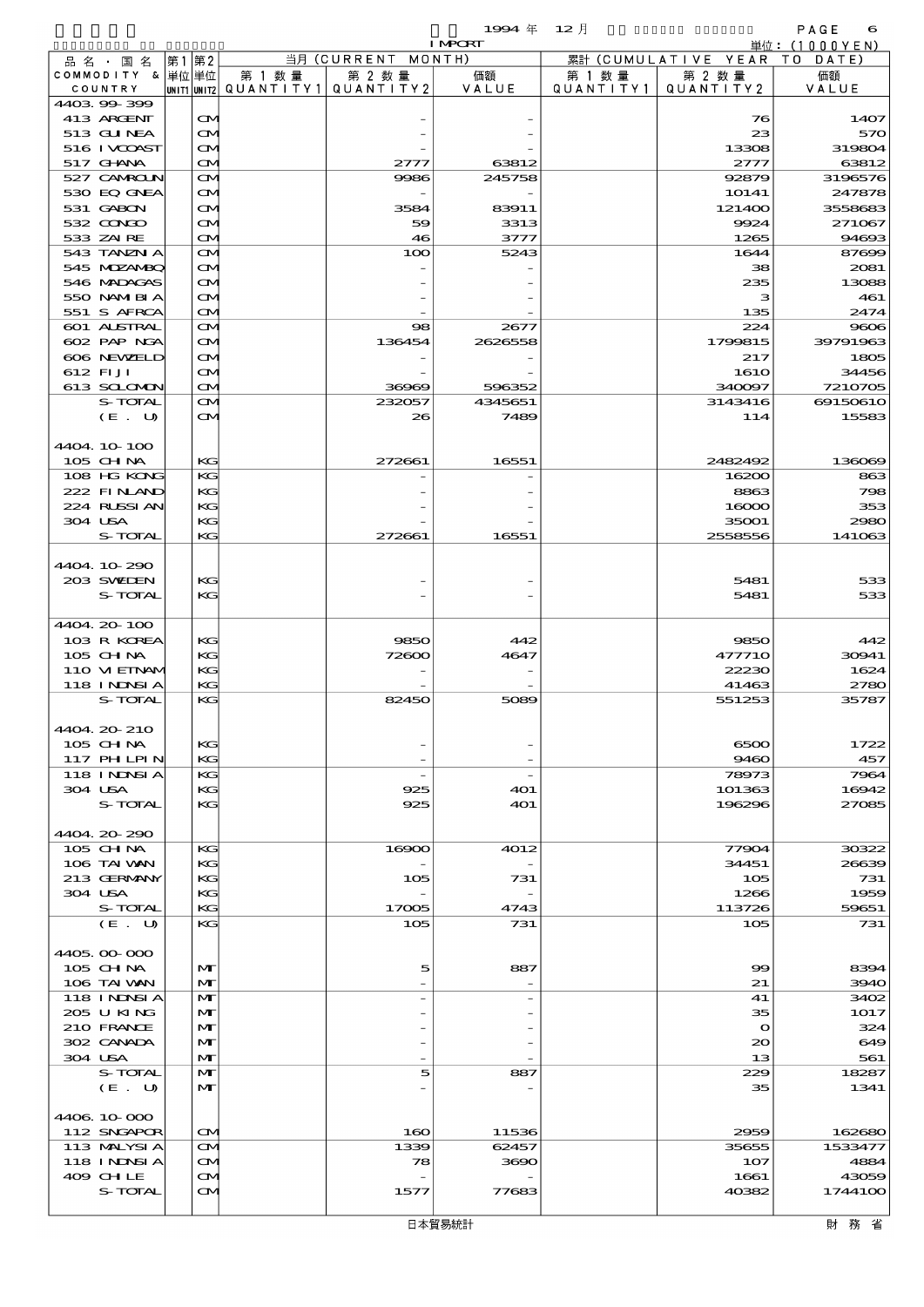|                                  |                   |        |                                                  | <b>I MPORT</b> |                      |                              | 単位: (1000 Y E N ) |
|----------------------------------|-------------------|--------|--------------------------------------------------|----------------|----------------------|------------------------------|-------------------|
| 品名・国名                            | 第1第2              |        | 当月 (CURRENT MONTH)                               |                |                      | 累計 (CUMULATIVE YEAR TO DATE) |                   |
| COMMODITY & 単位 単位<br>COUNTRY     |                   | 第 1 数量 | 第 2 数量<br> UNIT1 UNIT2  QUANT I TY1  QUANT I TY2 | 価額<br>VALUE    | 第 1 数 量<br>QUANTITY1 | 第 2 数量<br>QUANTITY 2         | 価額<br>VALUE       |
| 440399399                        |                   |        |                                                  |                |                      |                              |                   |
| 413 ARGENT                       | $\mathbf{\alpha}$ |        |                                                  |                |                      | 76                           | 1407              |
| 513 GUNEA                        | ŒИ                |        |                                                  |                |                      | 23                           | 57C               |
| 516 I VCOAST                     | ŒИ                |        |                                                  |                |                      | 13308                        | 319804            |
| 517 GHNA                         | ŒM)               |        | 2777                                             | 63812          |                      | 2777                         | 63812             |
| 527 CAMROUN<br>530 BQ GNEA       | ŒИ<br>ŒИ          |        | 9986                                             | 245758         |                      | 92879<br>10141               | 3196576<br>247878 |
| 531 GABON                        | ŒИ                |        | 3584                                             | 83911          |                      | 121400                       | 3558683           |
| 532 CONGO                        | ŒM)               |        | 59                                               | 3313           |                      | 9924                         | 271067            |
| 533 ZAIRE                        | ŒM)               |        | 46                                               | 3777           |                      | 1265                         | 94693             |
| 543 TANZN A                      | ŒИ                |        | 100                                              | 5243           |                      | 1644                         | 87699             |
| 545 MDZANBQ<br>546 MADAGAS       | ŒИ<br>ŒИ          |        |                                                  |                |                      | 38<br>235                    | 2081<br>13088     |
| 550 NAMIBIA                      | ŒM)               |        |                                                  |                |                      | з                            | 461               |
| 551 S AFRCA                      | ŒИ                |        |                                                  |                |                      | 135                          | 2474              |
| 601 ALSTRAL                      | ŒИ                |        | $\infty$                                         | 2677           |                      | 224                          | 9006              |
| 602 PAP NGA<br>606 NEWELD        | ŒИ                |        | 136454                                           | 2626558        |                      | 1799815                      | 39791963          |
| 612 FIJI                         | ŒИ<br>ŒM)         |        |                                                  |                |                      | 217<br><b>1610</b>           | 1805<br>34456     |
| 613 SCLOMON                      | ŒM)               |        | 36969                                            | 596352         |                      | 340097                       | 7210705           |
| S-TOTAL                          | ŒИ                |        | 232057                                           | 4345651        |                      | 3143416                      | 6915061C          |
| (E. U)                           | ŒИ                |        | 26                                               | 7489           |                      | 114                          | 15583             |
|                                  |                   |        |                                                  |                |                      |                              |                   |
| 4404 10 100<br>105 CH NA         | KG                |        | 272661                                           | 16551          |                      | 2482492                      | 136069            |
| 108 HG KONG                      | KG                |        |                                                  |                |                      | 16200                        | 863               |
| 222 FINAND                       | KG                |        |                                                  |                |                      | 8863                         | 798               |
| 224 RUSSI AN                     | KG                |        |                                                  |                |                      | 16000                        | 353               |
| 304 USA                          | KG                |        |                                                  |                |                      | 35001                        | 2980              |
| S-TOTAL                          | KG                |        | 272661                                           | 16551          |                      | 2558556                      | 141063            |
| 4404.10-290                      |                   |        |                                                  |                |                      |                              |                   |
| 203 SWIEN                        | KG                |        |                                                  |                |                      | 5481                         | 533               |
| S-TOTAL                          | KG                |        |                                                  |                |                      | 5481                         | 533               |
|                                  |                   |        |                                                  |                |                      |                              |                   |
| 4404.20-100                      |                   |        |                                                  |                |                      |                              |                   |
| 103 R KOREA<br>105 CH NA         | KG<br>KG          |        | 9850<br>72600                                    | 442<br>4647    |                      | 9850<br>477710               | 442<br>30941      |
| 110 VI EINAM                     | KG                |        |                                                  |                |                      | 22230                        | 1624              |
| 118 INNSI A                      | KG                |        |                                                  |                |                      | 41463                        | 2780              |
| S-TOTAL                          | KG                |        | 82450                                            | 5089           |                      | 551253                       | 35787             |
| 4404.20-210                      |                   |        |                                                  |                |                      |                              |                   |
| 105 CH NA                        | KG                |        |                                                  |                |                      | 6500                         | 1722              |
| 117 PHLPIN                       | KG                |        |                                                  |                |                      | 9460                         | 457               |
| <b>118 INNSIA</b>                | KG                |        |                                                  |                |                      | 78973                        | 7964              |
| 304 USA                          | KG                |        | 925                                              | 401            |                      | 101363                       | 16942             |
| S-TOTAL                          | KG                |        | 925                                              | 401            |                      | 196296                       | 27085             |
| 4404.20.290                      |                   |        |                                                  |                |                      |                              |                   |
| 105 CH NA                        | KG                |        | 16900                                            | 4012           |                      | 77904                        | 30322             |
| 106 TAI VAN                      | KG                |        |                                                  |                |                      | 34451                        | 26639             |
| 213 GERMANY                      | KG                |        | 105                                              | 731            |                      | 105                          | 731               |
| 304 USA<br>S-TOTAL               | KG<br>KG          |        | 17005                                            | 4743           |                      | 1266<br>113726               | 1959<br>59651     |
| (E. U)                           | KG                |        | 105                                              | 731            |                      | 105                          | 731               |
|                                  |                   |        |                                                  |                |                      |                              |                   |
| 4405,000,000                     |                   |        |                                                  |                |                      |                              |                   |
| $105$ CHNA                       | M                 |        | 5                                                | 887            |                      | 99                           | 8394              |
| 106 TAI VAN<br><b>118 INNSIA</b> | M<br>M            |        |                                                  |                |                      | 21<br>41                     | 394C<br>3402      |
| 205 U KING                       | M                 |        |                                                  |                |                      | 35                           | 1017              |
| 210 FRANCE                       | M                 |        |                                                  |                |                      | $\mathbf o$                  | 324               |
| 302 CANADA                       | $\mathbf{M}$      |        |                                                  |                |                      | 20                           | 649               |
| 304 USA                          | M                 |        |                                                  |                |                      | 13                           | 561               |
| S-TOTAL                          | M<br>M            |        | 5                                                | 887            |                      | 229<br>35                    | 18287<br>1341     |
| (E. U)                           |                   |        |                                                  |                |                      |                              |                   |
| 4406 10 000                      |                   |        |                                                  |                |                      |                              |                   |
| 112 SNGAPOR                      | $\mathbf{\Omega}$ |        | 160                                              | 11536          |                      | 2959                         | 162680            |
| 113 MALYSIA                      | ŒИ                |        | 1339                                             | 62457          |                      | 35655                        | 1533477           |
| <b>118 INNSIA</b><br>409 CHLE    | ŒИ                |        | 78                                               | 3690           |                      | 107<br>1661                  | 4884              |
| S-TOTAL                          | M<br>ŒM)          |        | 1577                                             | 77683          |                      | 40382                        | 43059<br>17441OC  |
|                                  |                   |        |                                                  |                |                      |                              |                   |

財務省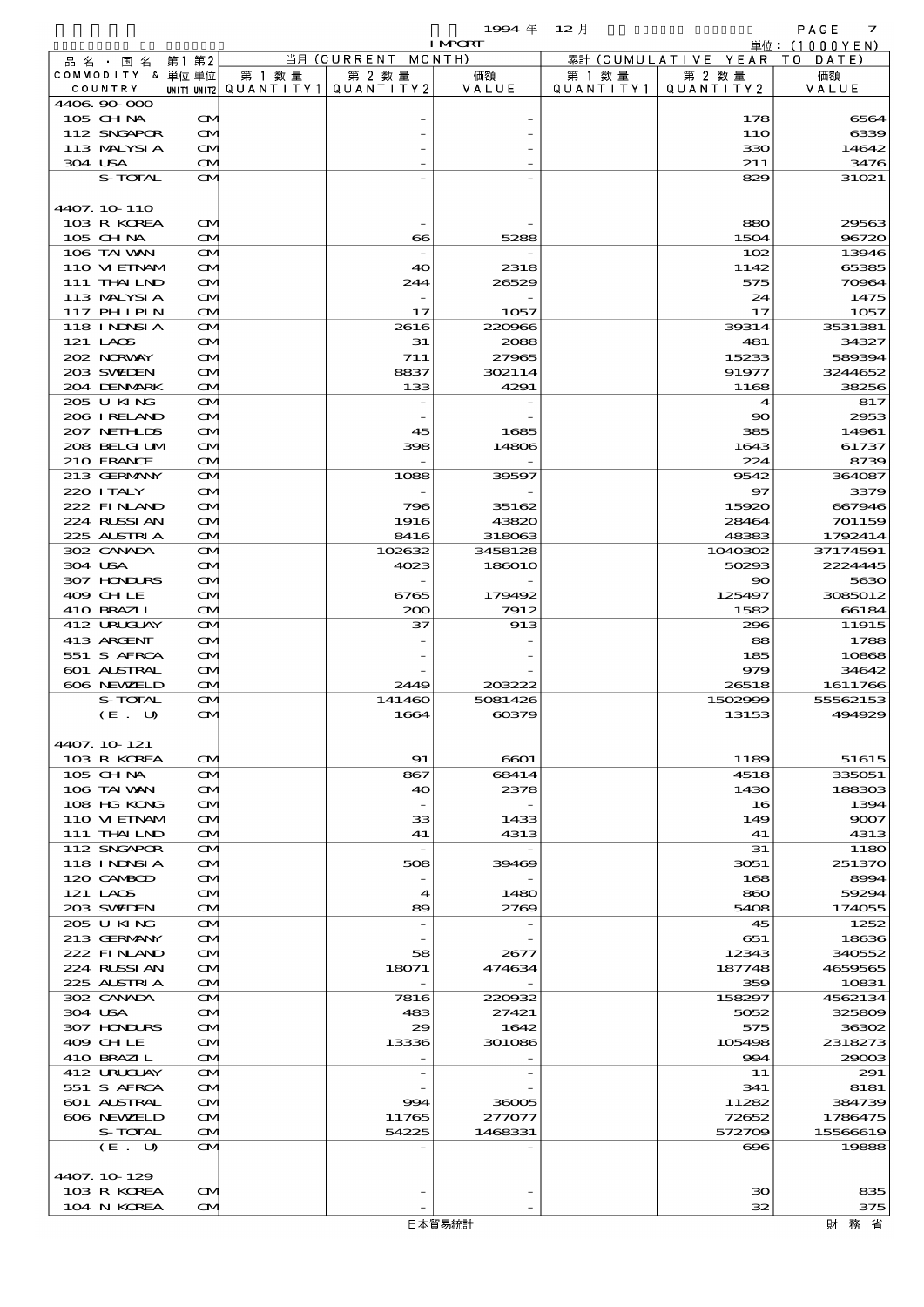|                   |       |                   |                         |                          | 1994年                    | $12$ 月                             |           | PAGE<br>$\overline{\mathbf{z}}$ |  |  |
|-------------------|-------|-------------------|-------------------------|--------------------------|--------------------------|------------------------------------|-----------|---------------------------------|--|--|
|                   |       |                   |                         |                          | <b>I MPCRI</b>           |                                    |           | 単位: $(1000YEN)$                 |  |  |
| 品名・国名             | 第1第2  |                   |                         | 当月 (CURRENT              | MONTH)                   | 累計 (CUMULATIVE YEAR<br>T O<br>DATE |           |                                 |  |  |
| COMMODITY &       | 単位 単位 |                   | 第 1 数量                  | 第 2 数量                   | 価額                       | 第 1 数量                             | 第 2 数量    | 価額                              |  |  |
| COUNTRY           |       |                   | UNIT1 UNIT2 QUANT I TY1 | QUANTITY 2               | VALUE                    | QUANTITY1                          | QUANTITY2 | VALUE                           |  |  |
| 4406.90-000       |       |                   |                         |                          |                          |                                    |           |                                 |  |  |
| 105 CH NA         |       | $\mathbf{\Omega}$ |                         |                          |                          |                                    | 178       | 6564                            |  |  |
| 112 SNGAPOR       |       | M                 |                         |                          |                          |                                    | 11O       | 6339                            |  |  |
| 113 MALYSIA       |       | ŒИ                |                         |                          |                          |                                    | 330       | 14642                           |  |  |
| 304 USA           |       | ŒИ                |                         |                          |                          |                                    | 211       | 3476                            |  |  |
| S-TOTAL           |       | ŒМ                |                         |                          |                          |                                    | 829       | 31021                           |  |  |
|                   |       |                   |                         |                          |                          |                                    |           |                                 |  |  |
| 4407.10.110       |       |                   |                         |                          |                          |                                    |           |                                 |  |  |
| 103 R KOREA       |       | M                 |                         |                          |                          |                                    | 880       | 29563                           |  |  |
| 105 CH NA         |       | M                 |                         | $\bf{66}$                | 5288                     |                                    | 1504      | 96720                           |  |  |
| 106 TAI VAN       |       | ŒИ                |                         |                          | $\overline{\phantom{0}}$ |                                    | 102       | 13946                           |  |  |
| 110 VI EINAM      |       | ŒИ                |                         | 40                       | 2318                     |                                    | 1142      | 65385                           |  |  |
| 111 THAILND       |       | <b>CM</b>         |                         | 244                      | 26529                    |                                    | 575       | 70964                           |  |  |
| 113 MALYSIA       |       | M                 |                         | $\overline{\phantom{0}}$ | $\overline{\phantom{0}}$ |                                    | 24        | 1475                            |  |  |
| <b>117 PHLPIN</b> |       | ŒИ                |                         | 17                       | 1057                     |                                    | 17        | 1057                            |  |  |
| <b>118 INNSIA</b> |       | ŒИ                |                         | 2616                     | 220966                   |                                    | 39314     | 3531381                         |  |  |
| $121$ LACS        |       | CМ                |                         | 31                       | 2088                     |                                    | 481       | 34327                           |  |  |
| 202 NORWAY        |       | ŒИ                |                         | 711                      | 27965                    |                                    | 15233     | 589394                          |  |  |
| 203 SWIEN         |       | ŒИ                |                         | 8837                     | 302114                   |                                    | 91977     | 3244652                         |  |  |
| 204 DENMARK       |       | ŒМ                |                         | 133                      | 4291                     |                                    | 1168      | 38256                           |  |  |
| 205 U KING        |       | ŒИ                |                         | $\overline{\phantom{a}}$ |                          |                                    | 4         | 817                             |  |  |
| 206 I RELAND      |       | M                 |                         |                          |                          |                                    | 90        | 2953                            |  |  |
| 207 NETHLIS       |       | ŒИ                |                         | 45                       | 1685                     |                                    | 385       | 14961                           |  |  |
| 208 BELGI UM      |       | ŒИ                |                         | 398                      | 14806                    |                                    | 1643      | 61737                           |  |  |
| 210 FRANCE        |       | ŒМ                |                         |                          | $\overline{\phantom{a}}$ |                                    | 224       | 8739                            |  |  |
| 213 GERMANY       |       | ŒИ                |                         | 1088                     | 39597                    |                                    | 9542      | 364087                          |  |  |
| 220 I TALY        |       | ŒИ                |                         |                          |                          |                                    | 97        | 3379                            |  |  |
| 222 FINLAND       |       | ŒМ                |                         | 796                      | 35162                    |                                    | 15920     | 667946                          |  |  |
| 224 RUSSIAN       |       | ŒМ                |                         | 1916                     | 43820                    |                                    | 28464     | 701159                          |  |  |
| 225 ALSTRIA       |       | M                 |                         | 8416                     | 318063                   |                                    | 48383     | 1792414                         |  |  |
| 302 CANADA        |       | ŒИ                |                         | 102632                   | 3458128                  |                                    | 1040302   | 37174591                        |  |  |
| 304 USA           |       | <b>CM</b>         |                         | 4023                     | 186010                   |                                    | 50293     | 2224445                         |  |  |
| 307 HINIURS       |       | ŒМ                |                         |                          |                          |                                    | 90        | 5630                            |  |  |
| 409 CHLE          |       | ŒМ                |                         | 6765                     | 179492                   |                                    | 125497    | 3085012                         |  |  |
| 410 BRAZIL        |       | M                 |                         | 200                      | 7912                     |                                    | 1582      | 66184                           |  |  |
| 412 URUCUAY       |       | M                 |                         | 37                       | 913                      |                                    | 296       | 11915                           |  |  |
| 413 ARGENT        |       | ŒИ                |                         |                          |                          |                                    | 88        | 1788                            |  |  |
| 551 S AFRCA       |       | ŒМ                |                         |                          |                          |                                    | 185       | 10868                           |  |  |
|                   |       |                   |                         |                          |                          |                                    |           |                                 |  |  |

| 2003 SVELEN       | CM.               | 8837   | 302114  | 91977        | 3244652            |
|-------------------|-------------------|--------|---------|--------------|--------------------|
| 204 DENMARK       | $\mathbf{\Omega}$ | 133    | 4291    | 1168         | 38256              |
| 205 U KING        | M                 |        |         |              | 817<br>4           |
| 206 I RELAND      | M                 |        |         | $\mathbf{S}$ | 2953               |
| 207 NETHLIS       | M                 | 45     | 1685    | 385          | 14961              |
| 208 BELGI UM      | $\mathbf{\Omega}$ | 398    | 14806   | 1643         | 61737              |
| 210 FRANCE        | $\mathbf{\Omega}$ |        |         | 224          | 8739               |
| 213 GERMANY       | M                 | 1088   | 39597   | 9542         | 364087             |
| 220 I TALY        |                   |        |         | 97           | 3379               |
|                   | M                 |        |         |              |                    |
| 222 FINLAND       | M                 | 796    | 35162   | 15920        | 667946             |
| 224 RUSSI AN      | $\mathbf{\Omega}$ | 1916   | 43820   | 28464        | 701159             |
| 225 ALSTRIA       | $\mathbf{\Omega}$ | 8416   | 318063  | 48383        | 1792414            |
| 302 CANADA        | $\mathbf{\Omega}$ | 102632 | 3458128 | 1040302      | 37174591           |
| 304 USA           | M                 | 4023   | 186010  | 50293        | 2224445            |
| 307 HONDURS       | $\mathbf{\Omega}$ |        |         | 90           | 5630               |
| 409 CHLE          | M                 | 6765   | 179492  | 125497       | 3085012            |
| 410 BRAZIL        | $\mathbf{\Omega}$ | 200    | 7912    | 1582         | 66184              |
| 412 URUCUAY       | $\mathbf{\Omega}$ | 37     | 913     | 296          | 11915              |
| 413 ARGENT        | M                 |        |         | 88           | 1788               |
| 551 S AFRCA       | M                 |        |         | 185          | 10868              |
| 601 ALSTRAL       | M                 |        |         | 979          | 34642              |
| 606 NEWELD        | $\mathbf{\Omega}$ | 2449   | 203222  | 26518        | 1611766            |
| S-TOTAL           | $\mathbf{\Omega}$ | 141460 | 5081426 | 1502999      | 55562153           |
| (E. U)            | <b>CM</b>         | 1664   | 60379   | 13153        | 494929             |
|                   |                   |        |         |              |                    |
| 4407. 10 121      |                   |        |         |              |                    |
|                   |                   |        |         |              |                    |
| 103 R KOREA       | $\mathbf{\Omega}$ | 91     | 6601    | 1189         | 51615              |
| 105 CH NA         | $\mathbf{\Omega}$ | 867    | 68414   | 4518         | 335051             |
| 106 TAI VAN       | M                 | 40     | 2378    | 1430         | 188303             |
| 108 HG KONG       | M                 |        |         | 16           | 1394               |
| 110 VIEINAM       | $\mathbf{\Omega}$ | 33     | 1433    | 149          | 9007               |
| 111 THAILND       | $\mathbf{\Omega}$ | 41     | 4313    | 41           | 4313               |
| 112 SNGAPOR       | M                 |        |         | 31           | 1180               |
| <b>118 INNSIA</b> | Œ4                | 508    | 39469   | 3051         | 251370             |
| 120 CAMBOD        | $\mathbf{\Omega}$ |        |         | 168          | 8994               |
| 121 LAOS          | $\mathbf{\Omega}$ | 4      | 1480    | 860          | 59294              |
| 203 SWIDEN        | $\mathbf{\Omega}$ | 89     | 2769    | 5408         | 174055             |
| 205 U KING        | M                 |        |         | 45           | 1252               |
| 213 GERMANY       | Œ4                |        |         | 651          | 18636              |
| 222 FINAND        | M                 | 58     | 2677    | 12343        | 340552             |
| 224 RUSSI AN      | $\mathbf{\Omega}$ | 18071  | 474634  | 187748       | 4659565            |
| 225 ALSTRIA       | $\mathbf{\Omega}$ |        |         | 359          | 10831              |
| 302 CANADA        | M                 | 7816   | 220032  | 158297       | 4562134            |
| 304 USA           | M                 | 483    | 27421   | 5052         | 32580 <sub>€</sub> |
| 307 HONDURS       | M                 | 29     | 1642    | 575          | 36302              |
| 409 CHLE          | M                 | 13336  | 301086  | 105498       | 2318273            |
|                   |                   |        |         |              |                    |
| 410 BRAZIL        | $\mathbf{\Omega}$ |        |         | 994          | 29003              |
| 412 URUCLAY       | ŒM.               |        |         | 11           | 291                |
| 551 S AFRCA       | Œ4                |        |         | 341          | 8181               |
| 601 ALSTRAL       | M                 | 994    | 36005   | 11282        | 384739             |
| 606 NEWELD        | M                 | 11765  | 277077  | 72652        | 1786475            |
| S-TOTAL           | $\mathbf{\Omega}$ | 54225  | 1468331 | 572709       | 15566619           |
| (E. U)            | $\mathbf{\alpha}$ |        |         | $\bf{cos}$   | 19888              |
|                   |                   |        |         |              |                    |
| 4407.10-129       |                   |        |         |              |                    |
| 103 R KOREA       | $\mathbf{\Omega}$ |        |         | 30           | 835                |
| 104 N KOREA       | $\mathbf{\Omega}$ |        |         | 32           | 375                |
|                   |                   |        | 日本貿易統計  |              | 財務省                |
|                   |                   |        |         |              |                    |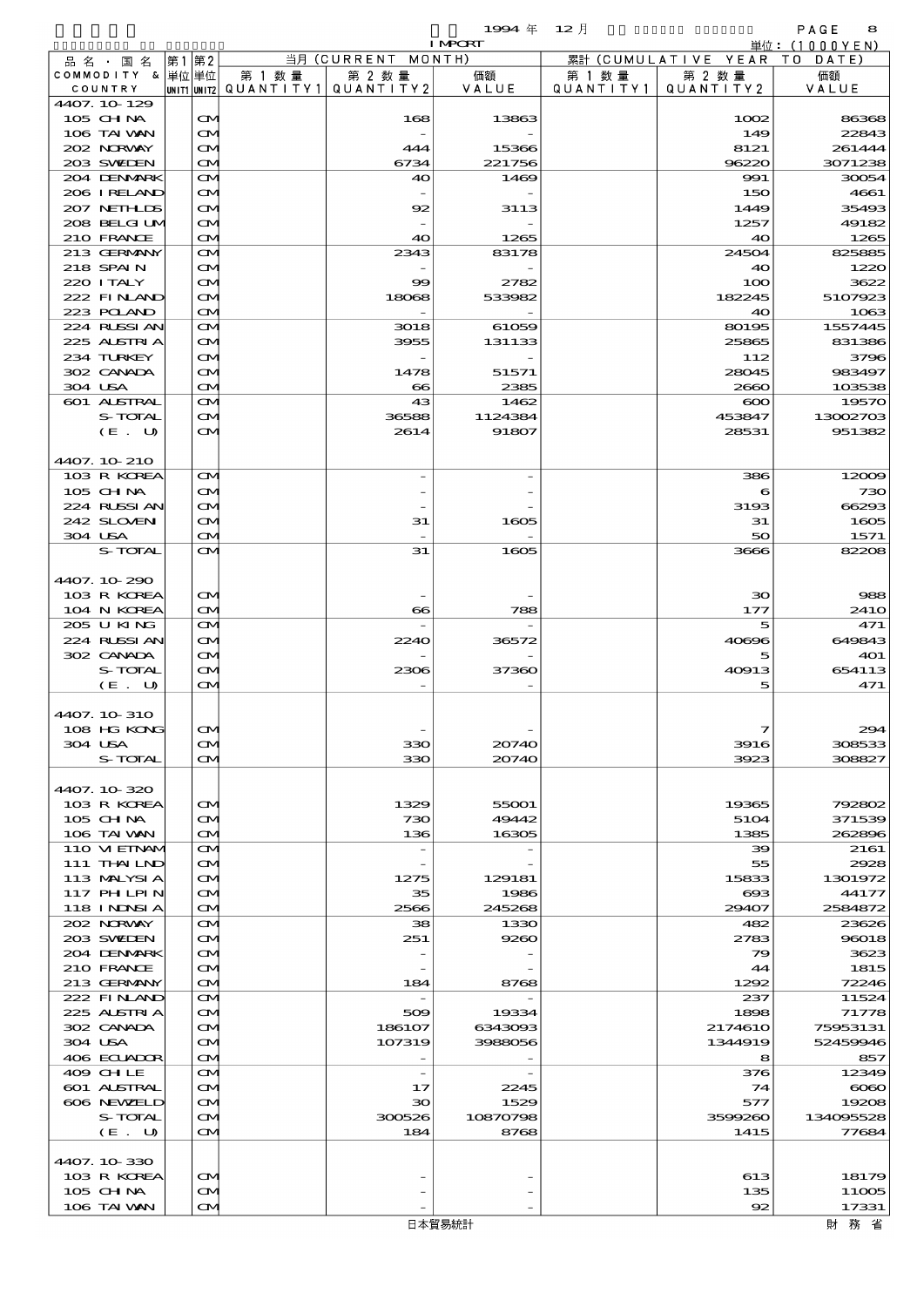COMPORT

|         |                                      |       |                   |                                                      | 当月 (CURRENT MONTH)       | 1.00 CM     |                      |                                                      | $F1L$ . (IUUUTEN) |
|---------|--------------------------------------|-------|-------------------|------------------------------------------------------|--------------------------|-------------|----------------------|------------------------------------------------------|-------------------|
|         | 品名・国名<br>COMMODITY & 単位単位<br>COUNTRY | 第1 第2 |                   | 第 1 数 量<br>UNIT1 UNIT2   QUANT I TY 1   QUANT I TY 2 | 第 2 数量                   | 価額<br>VALUE | 第 1 数 量<br>QUANTITY1 | 累計 (CUMULATIVE YEAR TO DATE)<br>第 2 数 量<br>QUANTITY2 | 価額<br>VALUE       |
|         | 4407.10-129<br>$105$ CHNA            |       | $\mathbf{\Omega}$ |                                                      | 168                      | 13863       |                      | 1002                                                 | 86368             |
|         | 106 TAI VAN                          |       | $\mathbf{\Omega}$ |                                                      |                          |             |                      | 149                                                  | 22843             |
|         | 202 NORWAY                           |       | <b>CM</b>         |                                                      | 444                      | 15366       |                      | 8121                                                 | 261444            |
|         | 203 SWIEN                            |       | $\mathbf{\Omega}$ |                                                      | 6734                     | 221756      |                      | 96220                                                | 3071238           |
|         | 204 DENMARK                          |       | $\mathbf{\Omega}$ |                                                      | 40                       | 1469        |                      | 991                                                  | 30054             |
|         | 206 IRELAND                          |       | $\mathbf{\Omega}$ |                                                      |                          |             |                      | 150                                                  | 4661              |
|         | 207 NETHLIDS                         |       | $\mathbf{\Omega}$ |                                                      | 92                       | 3113        |                      | 1449                                                 | 35493             |
|         | 208 BELGI UM                         |       | <b>CM</b>         |                                                      |                          |             |                      | 1257                                                 | 49182             |
|         | 210 FRANCE                           |       | $\mathbf{\Omega}$ |                                                      | 40                       | 1265        |                      | 40                                                   | 1265              |
|         | 213 GERMANY                          |       | $\mathbf{\Omega}$ |                                                      | 2343                     | 83178       |                      | 24504                                                | 825885            |
|         | 218 SPAIN                            |       | $\mathbf{\Omega}$ |                                                      |                          |             |                      | 40                                                   | 1220              |
|         | 220 I TALY                           |       | $\mathbf{\Omega}$ |                                                      | 99                       | 2782        |                      | 100                                                  | 3622              |
|         | 222 FINAND                           |       | <b>CM</b>         |                                                      | 18068                    | 533982      |                      | 182245                                               | 5107923           |
|         | 223 POLAND                           |       | $\mathbf{\Omega}$ |                                                      |                          |             |                      | 40                                                   | 1063              |
|         | 224 RUSSI AN                         |       | $\mathbf{\Omega}$ |                                                      | 3018                     | 61059       |                      | 80195                                                | 1557445           |
|         | 225 ALSTRIA                          |       | $\mathbf{\Omega}$ |                                                      | 3955                     | 131133      |                      | 25865                                                | 831386            |
|         | 234 TURKEY                           |       | <b>CM</b>         |                                                      |                          |             |                      | 112                                                  | 3796              |
|         | 302 CANADA                           |       | <b>CM</b>         |                                                      | 1478                     | 51571       |                      | 28045                                                | 983497            |
| 304 USA |                                      |       | <b>CM</b>         |                                                      | $\bf{8}$                 | 2385        |                      | 2660                                                 | 103538            |
|         | <b>601 ALSTRAL</b>                   |       | $\mathbf{\Omega}$ |                                                      | 43                       | 1462        |                      | $\infty$                                             | 19570             |
|         | S-TOTAL                              |       | $\mathbf{\Omega}$ |                                                      | 36588                    | 1124384     |                      | 453847                                               | 13002703          |
|         | (E. U)                               |       | $\mathbf{\alpha}$ |                                                      | 2614                     | 91807       |                      | 28531                                                | 951382            |
|         |                                      |       |                   |                                                      |                          |             |                      |                                                      |                   |
|         | 4407. 10 210                         |       |                   |                                                      |                          |             |                      |                                                      |                   |
|         | 103 R KOREA                          |       | $\mathbf{\Omega}$ |                                                      |                          |             |                      | 386                                                  | 12009             |
|         | $105$ CHNA                           |       | $\mathbf{\Omega}$ |                                                      |                          |             |                      | 6                                                    | 730               |
|         | 224 RUSSI AN                         |       | <b>CM</b>         |                                                      |                          |             |                      | 3193                                                 | 66293             |
|         | 242 SLOVEN                           |       | <b>CM</b>         |                                                      | 31                       | 1605        |                      | 31                                                   | 1605              |
| 304 USA |                                      |       | <b>CM</b>         |                                                      |                          |             |                      | 50                                                   | 1571              |
|         | S-TOTAL                              |       | $\mathbf{\alpha}$ |                                                      | 31                       | 1605        |                      | 3666                                                 | 82208             |
|         |                                      |       |                   |                                                      |                          |             |                      |                                                      |                   |
|         | 4407.10-290                          |       |                   |                                                      |                          |             |                      |                                                      |                   |
|         | 103 R KOREA                          |       | $\mathbf{\Omega}$ |                                                      |                          |             |                      | 30                                                   | 988               |
|         | 104 N KOREA                          |       | $\mathbf{\Omega}$ |                                                      | $\bf{8}$                 | 788         |                      | 177                                                  | 241O              |
|         | 205 U KING                           |       | $\mathbf{\Omega}$ |                                                      |                          |             |                      | 5                                                    | 471               |
|         | 224 RUSSI AN                         |       | $\mathbf{\Omega}$ |                                                      | 2240                     | 36572       |                      | 40696                                                | 649843            |
|         | 302 CANADA                           |       | <b>CM</b>         |                                                      |                          |             |                      | 5                                                    | 401               |
|         | S-TOTAL                              |       | <b>CM</b>         |                                                      | 2306                     | 37360       |                      | 40913                                                | 654113            |
|         | (E. U)                               |       | $\mathbf{\Omega}$ |                                                      |                          |             |                      | 5                                                    | 471               |
|         |                                      |       |                   |                                                      |                          |             |                      |                                                      |                   |
|         | 4407. 10 310                         |       |                   |                                                      |                          |             |                      |                                                      |                   |
|         | 108 HG KONG                          |       | M                 |                                                      |                          |             |                      | 7                                                    | 294               |
| 304 USA |                                      |       | CМ                |                                                      | 330                      | 20740       |                      | 3916                                                 | 308533            |
|         | S-TOTAL                              |       | $\mathbf{\Omega}$ |                                                      | 330                      | 20740       |                      | 3923                                                 | 308827            |
|         |                                      |       |                   |                                                      |                          |             |                      |                                                      |                   |
|         | 4407.10-320                          |       |                   |                                                      |                          |             |                      |                                                      |                   |
|         | 103 R KOREA                          |       | <b>CM</b>         |                                                      | 1329                     | 55001       |                      | 19365                                                | 792802            |
|         | $105$ CHNA                           |       | <b>CM</b>         |                                                      | 730                      | 49442       |                      | 5104                                                 | 371539            |
|         | 106 TAI VAN                          |       | $\mathbf{\Omega}$ |                                                      | 136                      | 16305       |                      | 1385                                                 | 262896            |
|         | 110 VI EINAM                         |       | $\mathbf{\Omega}$ |                                                      |                          |             |                      | 39                                                   | 2161              |
|         | 111 THAILND                          |       | $\mathbf{\Omega}$ |                                                      |                          |             |                      | 55                                                   | 2928              |
|         | 113 MALYSIA                          |       | <b>CM</b>         |                                                      | 1275                     | 129181      |                      | 15833                                                | 1301972           |
|         | 117 PHLPIN                           |       | <b>CM</b>         |                                                      | 35                       | 1986        |                      | $\bf{60}$                                            | 44177             |
|         | 118 I NDSI A                         |       | $\mathbf{\Omega}$ |                                                      | 2566                     | 245268      |                      | 29407                                                | 2584872           |
|         | 202 NORWAY                           |       | $\mathbf{\alpha}$ |                                                      | 38                       | 1330        |                      | 482                                                  | 23626             |
|         | 203 SVELEN                           |       | $\mathbf{\Omega}$ |                                                      | 251                      | 9260        |                      | 2783                                                 | 96018             |
|         | 204 DENMARK                          |       | <b>CM</b>         |                                                      | $\overline{\phantom{a}}$ |             |                      | 79                                                   | 3623              |
|         | 210 FRANCE                           |       | <b>CM</b>         |                                                      | $\overline{\phantom{a}}$ |             |                      | 44                                                   | 1815              |
|         | 213 GERMANY                          |       | $\mathbf{\Omega}$ |                                                      | 184                      | 8768        |                      | 1292                                                 | 72246             |
|         | 222 FINAND                           |       | $\mathbf{\alpha}$ |                                                      | $\overline{\phantom{a}}$ |             |                      | 237                                                  | 11524             |
|         | 225 ALSTRIA                          |       | $\mathbf{\Omega}$ |                                                      | 509                      | 19334       |                      | 1898                                                 | 71778             |
|         | 302 CANADA                           |       | <b>CM</b>         |                                                      | 186107                   | 6343093     |                      | 2174610                                              | 75953131          |
| 304 USA |                                      |       | <b>CM</b>         |                                                      | 107319                   | 3988056     |                      | 1344919                                              | 52459946          |
|         | 406 ECUADOR                          |       | $\mathbf{\Omega}$ |                                                      |                          |             |                      | 8                                                    | 857               |
|         | 409 CHLE                             |       | $\mathbf{\Omega}$ |                                                      | $\overline{\phantom{a}}$ |             |                      | 376                                                  | 12349             |
|         | <b>601 ALSTRAL</b>                   |       | $\mathbf{\Omega}$ |                                                      | 17                       | 2245        |                      | 74                                                   | $\infty$          |
|         | 606 NEWELD                           |       | <b>CM</b>         |                                                      | 30                       | 1529        |                      | 577                                                  | 19208             |
|         | S-TOTAL                              |       | <b>CM</b>         |                                                      | 300526                   | 10870798    |                      | 3599260                                              | 134095528         |
|         | (E. U)                               |       | $\mathbf{\Omega}$ |                                                      | 184                      | 8768        |                      | 1415                                                 | 77684             |
|         |                                      |       |                   |                                                      |                          |             |                      |                                                      |                   |
|         | 4407.10-330                          |       |                   |                                                      |                          |             |                      |                                                      |                   |
|         | 103 R KOREA                          |       | <b>CM</b>         |                                                      |                          |             |                      | 613                                                  | 18179             |
|         | $105$ CHNA                           |       | <b>CM</b>         |                                                      |                          |             |                      | 135                                                  | 11005             |
|         | 106 TAI VAN                          |       | $\mathbf{\Omega}$ |                                                      |                          |             |                      | $\mathbf{R}$                                         | 17331             |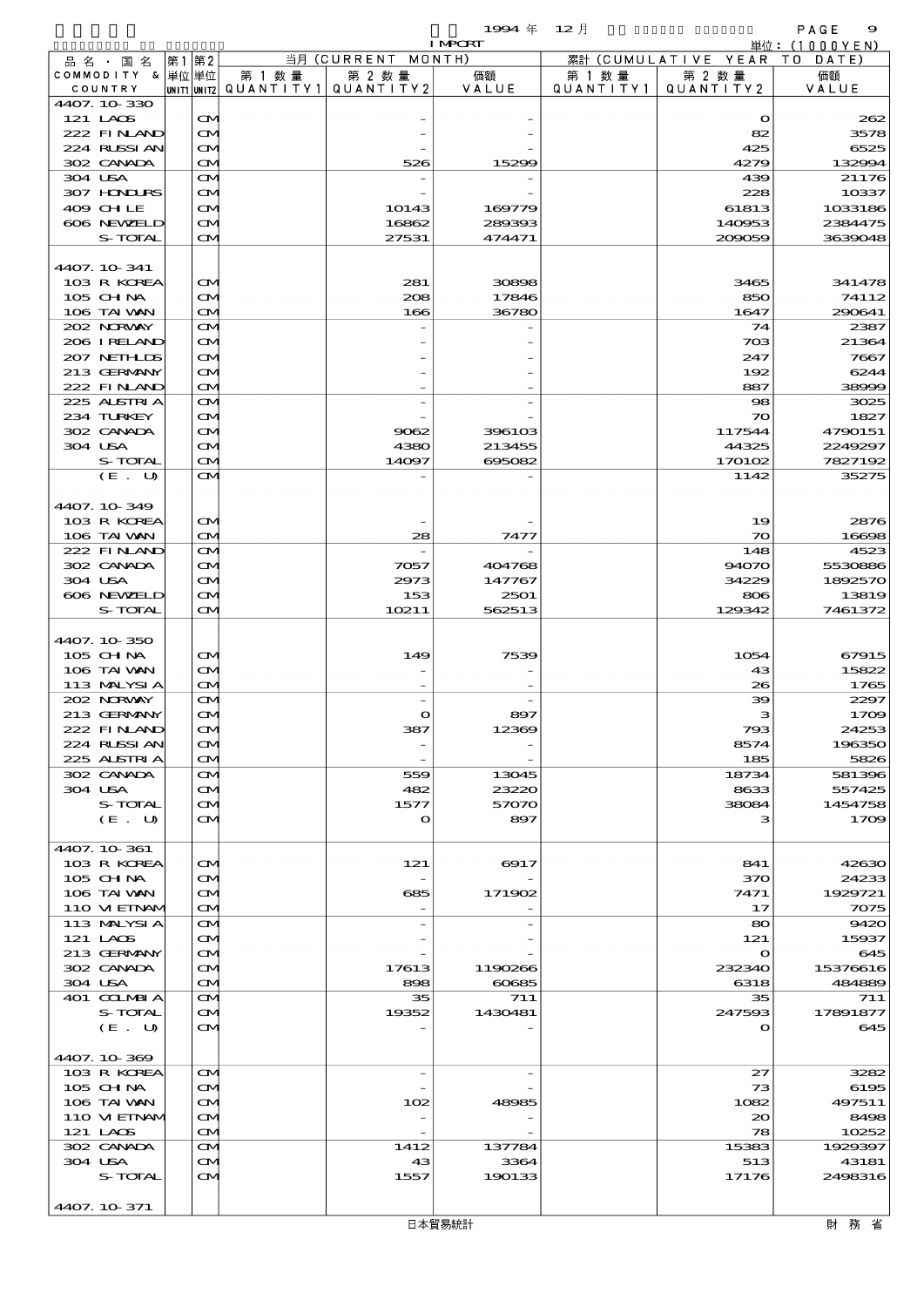$1994 \quad \text{if} \quad 12 \quad \text{if} \quad 9$ 

|                            |                                        |        |                                          | <b>I MPORT</b> |        |                              | 単位: (1000YEN)        |
|----------------------------|----------------------------------------|--------|------------------------------------------|----------------|--------|------------------------------|----------------------|
| 品名・国名                      | 第1第2                                   |        | 当月 (CURRENT MONTH)                       |                |        | 累計 (CUMULATIVE YEAR TO DATE) |                      |
| COMMODITY & 単位 単位          |                                        | 第 1 数量 | 第 2 数量                                   | 価額             | 第 1 数量 | 第 2 数量                       | 価額                   |
| COUNTRY                    |                                        |        | UNIT1  UNIT2   QUANT I TY1   QUANT I TY2 | VALUE          |        | QUANTITY1   QUANTITY2        | VALUE                |
| 4407.10-330                |                                        |        |                                          |                |        |                              |                      |
| 121 LAOS<br>222 FINAND     | ŒИ<br>$\mathbf{\alpha}$                |        |                                          |                |        | $\mathbf o$<br>82            | 262<br>3578          |
| 224 RUSSIAN                | <b>CM</b>                              |        |                                          |                |        | 425                          | 6525                 |
| 302 CANADA                 | <b>CM</b>                              |        | 526                                      | 15299          |        | 4279                         | 132994               |
| 304 USA                    | ŒИ                                     |        |                                          |                |        | 439                          | 21176                |
| 307 HONDURS                | ŒИ                                     |        |                                          |                |        | 228                          | 10337                |
| 409 CHLE                   | $\mathbf{\alpha}$                      |        | 10143                                    | 169779         |        | 61813                        | 1033186              |
| 606 NEWELD                 | ŒM.                                    |        | 16862                                    | 289393         |        | 140953                       | 2384475              |
| S-TOTAL                    | ŒМ                                     |        | 27531                                    | 474471         |        | 209059                       | 3639048              |
| 4407. 10-341               |                                        |        |                                          |                |        |                              |                      |
| 103 R KOREA                | $\mathbf{\alpha}$                      |        | 281                                      | 30898          |        | 3465                         | 341478               |
| 105 CH NA                  | ŒM.                                    |        | 208                                      | 17846          |        | 850                          | 74112                |
| 106 TAI VAN                | <b>CM</b>                              |        | 166                                      | 36780          |        | 1647                         | 290641               |
| 202 NORWAY                 | ŒИ                                     |        |                                          |                |        | 74                           | 2387                 |
| 206 I RELAND               | ŒИ                                     |        |                                          |                |        | 703                          | 21364                |
| 207 NETHLIS                | $\mathbf{\alpha}$                      |        |                                          |                |        | 247                          | 7667                 |
| 213 GERMANY                | M                                      |        |                                          |                |        | 192                          | 6244                 |
| 222 FINLAND<br>225 ALSTRIA | <b>CM</b><br>ŒИ                        |        |                                          |                |        | 887<br>98                    | 38996<br>3025        |
| 234 TURKEY                 | ŒИ                                     |        |                                          |                |        | 70                           | 1827                 |
| 302 CANADA                 | $\mathbf{\alpha}$                      |        | 9062                                     | 396103         |        | 117544                       | 4790151              |
| 304 USA                    | ŒM.                                    |        | 4380                                     | 213455         |        | 44325                        | 2249297              |
| S-TOTAL                    | $\mathbf{\Omega}$                      |        | 14097                                    | 695082         |        | 170102                       | 7827192              |
| (E. U)                     | $\mathbf{\alpha}$                      |        |                                          |                |        | 1142                         | 35275                |
|                            |                                        |        |                                          |                |        |                              |                      |
| 4407.10-349                |                                        |        |                                          |                |        |                              |                      |
| 103 R KOREA<br>106 TAI VAN | $\mathbf{\Omega}$<br><b>CM</b>         |        | 28                                       | 7477           |        | 19<br>$\infty$               | <b>2876</b><br>16696 |
| 222 FINAND                 | $\mathbf{\Omega}$                      |        |                                          |                |        | 148                          | 4523                 |
| 302 CANADA                 | $\mathbf{\alpha}$                      |        | 7057                                     | 404768         |        | 94070                        | 5530880              |
| 304 USA                    | $\mathbf{\alpha}$                      |        | 2973                                     | 147767         |        | 34229                        | 1892570              |
| 606 NEWELD                 | ŒM.                                    |        | 153                                      | 2501           |        | 806                          | 13819                |
| S-TOTAL                    | ŒМ                                     |        | 10211                                    | 562513         |        | 129342                       | 7461372              |
|                            |                                        |        |                                          |                |        |                              |                      |
| 4407.10-350<br>105 CH NA   | $\mathbf{\alpha}$                      |        | 149                                      | 7539           |        | 1054                         | 67915                |
| 106 TAI VAN                | $\mathbf{\Omega}$                      |        |                                          |                |        | 43                           | 15822                |
| 113 MALYSIA                | $\mathbf{\Omega}$                      |        |                                          |                |        | 26                           | 1765                 |
| 202 NORWAY                 | ŒM.                                    |        |                                          |                |        | 39                           | 2297                 |
| 213 GERMANY                | $\mathbf{\alpha}$                      |        | $\bullet$                                | 897            |        | з                            | 1700                 |
| 222 FINAND                 | $\infty$                               |        | 387                                      | 12369          |        | 793                          | 24253                |
| 224 RUSSI AN               | ŒИ                                     |        |                                          |                |        | 8574                         | 196350               |
| 225 ALSTRIA<br>302 CANADA  | ŒИ                                     |        |                                          |                |        | 185<br>18734                 | 5826                 |
| 304 USA                    | ŒИ<br>ŒИ                               |        | 559<br>482                               | 13045<br>23220 |        | 8633                         | 581396<br>557425     |
| S-TOTAL                    | ŒИ                                     |        | 1577                                     | 57070          |        | 38084                        | 1454758              |
| (E. U)                     | ŒИ                                     |        | $\mathbf o$                              | 897            |        | з                            | 1700                 |
|                            |                                        |        |                                          |                |        |                              |                      |
| 4407.10-361                |                                        |        |                                          |                |        |                              |                      |
| 103 R KOREA                | $\mathbf{\alpha}$                      |        | 121                                      | 6917           |        | 841                          | 42630                |
| 105 CH NA<br>106 TAI VAN   | $\mathbf{\alpha}$                      |        | 685                                      |                |        | 370<br>7471                  | 24233<br>1929721     |
| 110 VIEINAM                | ŒИ<br>ŒИ                               |        |                                          | 171902         |        | 17                           | <b>7075</b>          |
| 113 MALYSIA                | ŒИ                                     |        |                                          |                |        | 80                           | 9420                 |
| 121 LAOS                   | $\mathbf{\alpha}$                      |        |                                          |                |        | 121                          | 15937                |
| 213 GERMANY                | $\mathbf{\alpha}$                      |        |                                          |                |        | $\mathbf{o}$                 | 645                  |
| 302 CANADA                 | ŒИ                                     |        | 17613                                    | 1190266        |        | 232340                       | 15376616             |
| 304 USA                    | ŒИ                                     |        | 898                                      | 60685          |        | 6318                         | 484889               |
| 401 COLMBIA                | ŒИ                                     |        | 35                                       | 711            |        | 35                           | 711                  |
| S-TOTAL<br>(E. U)          | $\mathbf{\alpha}$<br>$\mathbf{\alpha}$ |        | 19352                                    | 1430481        |        | 247593<br>$\Omega$           | 17891877<br>645      |
|                            |                                        |        |                                          |                |        |                              |                      |
| 4407.10-369                |                                        |        |                                          |                |        |                              |                      |
| 103 R KOREA                | $\mathbf{\alpha}$                      |        | $\overline{\phantom{a}}$                 |                |        | 27                           | 3282                 |
| 105 CH NA                  | ŒИ                                     |        |                                          |                |        | 73                           | 6195                 |
| 106 TAI VAN                | ŒM.                                    |        | 102                                      | 48985          |        | 1082                         | 497511               |
| 110 VIEINAM<br>121 LAOS    | ŒИ                                     |        |                                          |                |        | 20<br>78                     | 8498<br>10252        |
| 302 CANADA                 | ŒИ<br>ŒИ                               |        | 1412                                     | 137784         |        | 15383                        | 1929397              |
| 304 USA                    | $\mathbf{\alpha}$                      |        | 43                                       | 3364           |        | 513                          | 43181                |
| S-TOTAL                    | ŒИ                                     |        | 1557                                     | 190133         |        | 17176                        | 2498316              |
|                            |                                        |        |                                          |                |        |                              |                      |

4407.10-371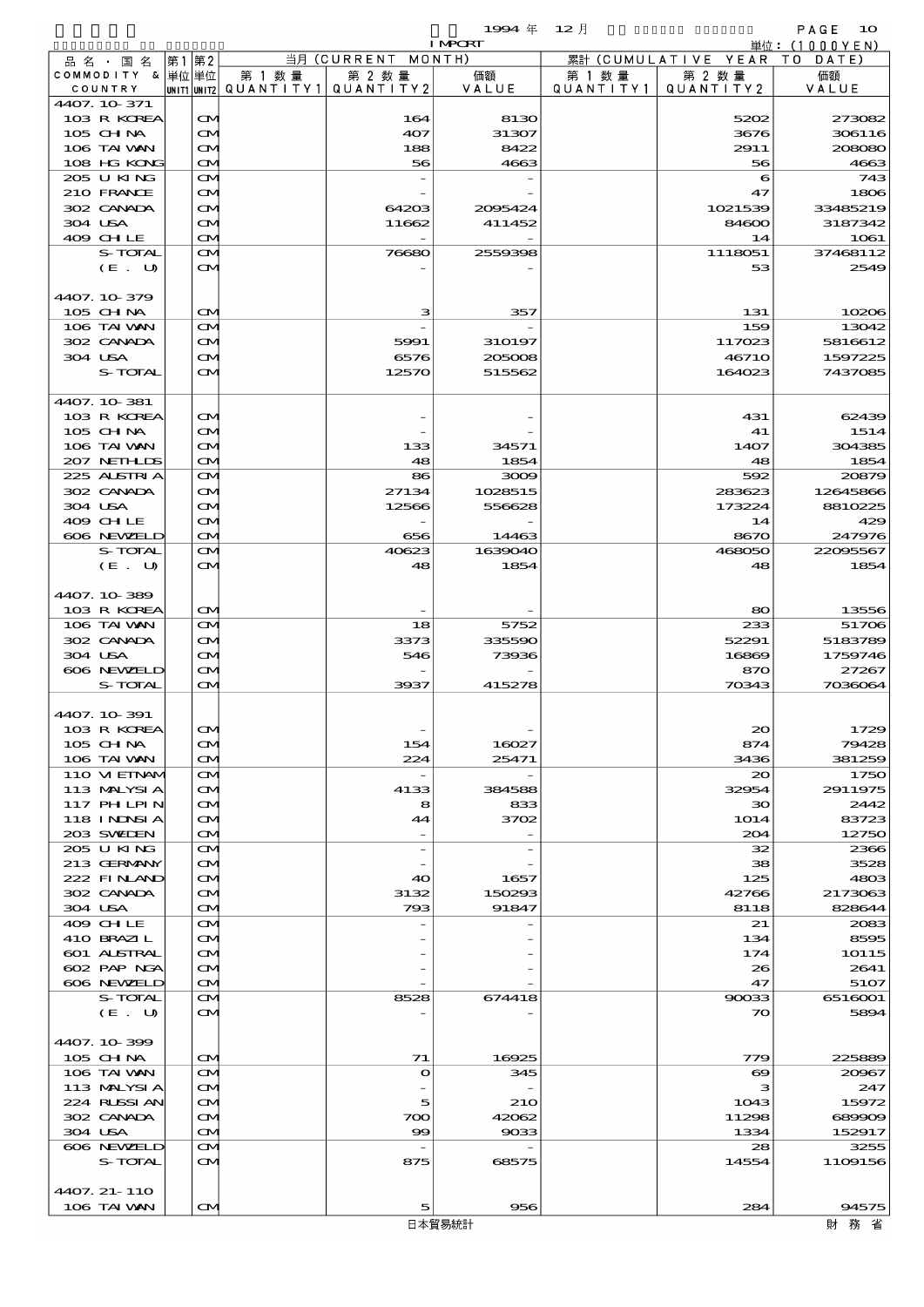$1994 \# 12 \n\AA$ 

|         |                   |      |                   |        |                                       | <b>I MPORT</b> |           |                              | 単位: (1000YEN) |
|---------|-------------------|------|-------------------|--------|---------------------------------------|----------------|-----------|------------------------------|---------------|
|         | 品名・国名             | 第1第2 |                   |        | 当月 (CURRENT MONTH)                    |                |           | 累計 (CUMULATIVE YEAR TO DATE) |               |
|         | COMMODITY & 単位単位  |      |                   | 第 1 数量 | 第 2 数量                                | 価額             | 第 1 数量    | 第 2 数量                       | 価額            |
|         | COUNTRY           |      |                   |        | UNIT1 UNIT2  QUANT   TY1  QUANT   TY2 | VALUE          | QUANTITY1 | QUANTITY 2                   | VALUE         |
|         | 4407.10-371       |      |                   |        |                                       |                |           |                              |               |
|         | 103 R KOREA       |      | M                 |        | 164                                   | 8130           |           | 5202                         | 273082        |
|         | 105 CHNA          |      | <b>CM</b>         |        | 407                                   | 31307          |           | 3676                         | 306116        |
|         | 106 TAI VAN       |      | M                 |        | 188                                   | 8422           |           | 2911                         | 208080        |
|         | 108 HG KONG       |      | M                 |        | 56                                    | 4663           |           | 56                           | 4663          |
|         | 205 U KING        |      | M                 |        |                                       |                |           | 6                            | 743           |
|         | 210 FRANCE        |      | M                 |        |                                       |                |           | 47                           | 1806          |
|         | 302 CANADA        |      | M                 |        | 64203                                 | 2095424        |           | 1021539                      | 33485219      |
|         | 304 USA           |      | M                 |        | 11662                                 | 411452         |           | 84600                        | 3187342       |
|         | 409 CHLE          |      | M                 |        |                                       |                |           | 14                           | 1061          |
|         | S-TOTAL           |      | <b>CM</b>         |        | 76680                                 | 2559398        |           | 1118051                      | 37468112      |
|         | (E. U)            |      | ŒМ                |        |                                       |                |           | 53                           | 2549          |
|         |                   |      |                   |        |                                       |                |           |                              |               |
|         | 4407.10-379       |      |                   |        |                                       |                |           |                              |               |
|         | 105 CHNA          |      | M                 |        | з                                     | 357            |           | 131                          | 10206         |
|         | 106 TAI VAN       |      | $\mathbf{\Omega}$ |        |                                       |                |           | 159                          | 13042         |
|         | 302 CANADA        |      | M                 |        | 5991                                  | 310197         |           | 117023                       | 5816612       |
| 304 USA |                   |      | M                 |        | 6576                                  | 205008         |           | 46710                        | 1597225       |
|         | S-TOTAL           |      | ŒМ                |        | 12570                                 | 515562         |           | 164023                       | 7437085       |
|         |                   |      |                   |        |                                       |                |           |                              |               |
|         | 4407.10.381       |      |                   |        |                                       |                |           |                              |               |
|         | 103 R KOREA       |      | ŒИ                |        |                                       |                |           | 431                          | 62439         |
|         | 105 CHNA          |      | <b>CM</b>         |        |                                       |                |           | 41                           | 1514          |
|         | 106 TAI VAN       |      | ŒИ                |        | 133                                   | 34571          |           | 1407                         | 304385        |
|         | 207 NETHLIS       |      | M                 |        | 48                                    | 1854           |           | 48                           | 1854          |
|         | 225 ALSTRIA       |      | M                 |        | 86                                    | 3009           |           | 592                          | 20879         |
|         | 302 CANADA        |      | M                 |        | 27134                                 | 1028515        |           | 283623                       | 12645866      |
|         | 304 USA           |      | M                 |        | 12566                                 | 556628         |           | 173224                       | 8810225       |
|         | 409 CHLE          |      | M                 |        |                                       |                |           | 14                           | 429           |
|         | 606 NEWELD        |      | M                 |        | 656                                   | 14463          |           | 8670                         | 247976        |
|         | S-TOTAL           |      | M                 |        | 40623                                 | 1639040        |           | 468050                       | 22095567      |
|         | (E. U)            |      | <b>CM</b>         |        | 48                                    | 1854           |           | 48                           | 1854          |
|         |                   |      |                   |        |                                       |                |           |                              |               |
|         | 4407.10-389       |      |                   |        |                                       |                |           |                              |               |
|         |                   |      |                   |        |                                       |                |           |                              |               |
|         | 103 R KOREA       |      | M                 |        |                                       |                |           | 80                           | 13556         |
|         | 106 TAI VAN       |      | $\mathbf{\Omega}$ |        | 18                                    | 5752           |           | 233                          | 51706         |
|         | 302 CANADA        |      | <b>CM</b>         |        | 3373                                  | 335590         |           | 52291                        | 5183789       |
| 304 USA |                   |      | M                 |        | 546                                   | 73936          |           | 16869                        | 1759746       |
|         | 606 NEWELD        |      | M                 |        |                                       |                |           | 870                          | 27267         |
|         | S-TOTAL           |      | <b>CM</b>         |        | 3937                                  | 415278         |           | 70343                        | 7036064       |
|         |                   |      |                   |        |                                       |                |           |                              |               |
|         | 4407. 10 391      |      |                   |        |                                       |                |           |                              |               |
|         | 103 R KOREA       |      |                   |        |                                       |                |           | 20                           | 1729          |
|         | 105 CH NA         |      | M                 |        | 154                                   | 16027          |           | 874                          | 79428         |
|         | 106 TAI VAN       |      | M                 |        | 224                                   | 25471          |           | 3436                         | 381259        |
|         | 110 VI EINAM      |      | M                 |        | $\overline{\phantom{a}}$              |                |           | 20                           | 1750          |
|         | 113 MALYSIA       |      | <b>CM</b>         |        | 4133                                  | 384588         |           | 32954                        | 2911975       |
|         | <b>117 PHLPIN</b> |      | M                 |        | 8                                     | 833            |           | 30                           | 2442          |
|         | <b>118 INNSIA</b> |      | ŒИ                |        | 44                                    | 3702           |           | 1014                         | 83723         |
|         | 203 SVELEN        |      | ŒИ                |        |                                       |                |           | 204                          | 12750         |
|         | 205 U KING        |      | M                 |        | $\overline{\phantom{a}}$              |                |           | 32                           | 2366          |
|         | 213 GERMANY       |      | <b>CM</b>         |        |                                       |                |           | 38                           | 3528          |
|         | 222 FINAND        |      | ŒИ                |        | 40                                    | 1657           |           | 125                          | 4803          |
|         | 302 CANADA        |      | ŒИ                |        | 3132                                  | 150293         |           | 42766                        | 2173063       |
|         | 304 USA           |      | ŒИ                |        | 793                                   | 91847          |           | 8118                         | 828644        |
|         | 409 CHLE          |      | M                 |        |                                       |                |           | 21                           | 2083          |
|         | 410 BRAZIL        |      | ŒИ                |        |                                       |                |           | 134                          | 8595          |
|         | 601 ALSTRAL       |      | Œ4                |        |                                       |                |           | 174                          | 10115         |
|         | 602 PAP NGA       |      | ŒИ                |        |                                       |                |           | 26                           | 2641          |
|         | 606 NEWELD        |      | M                 |        |                                       |                |           | 47                           | 5107          |
|         | S-TOTAL           |      | ŒИ                |        | 8528                                  | 674418         |           | 90033                        | 6516001       |
|         | (E. U)            |      | ŒИ                |        |                                       |                |           | 70                           | 5894          |
|         |                   |      |                   |        |                                       |                |           |                              |               |
|         | 4407.10-399       |      |                   |        |                                       |                |           |                              |               |
|         | $105$ CHNA        |      | ŒИ                |        | 71                                    | 16925          |           | 779                          | 225889        |
|         | 106 TAI VAN       |      | M                 |        | $\mathbf o$                           | 345            |           | $\boldsymbol{\infty}$        | 20967         |
|         | 113 MALYSIA       |      | M                 |        |                                       |                |           | з                            | 247           |
|         | 224 RUSSIAN       |      |                   |        | 5                                     |                |           |                              | 15972         |
|         | 302 CANADA        |      | M                 |        | 700                                   | 210<br>42062   |           | 1043<br>11298                |               |
|         |                   |      | ŒИ                |        |                                       |                |           |                              | 689909        |
|         | 304 USA           |      | M                 |        | 99                                    | 9033           |           | 1334                         | 152917        |
|         | 606 NEWELD        |      | M                 |        | $\overline{\phantom{a}}$              |                |           | 28                           | 3255          |
|         | S-TOTAL           |      | ŒИ                |        | 875                                   | 68575          |           | 14554                        | 1109156       |
|         |                   |      |                   |        |                                       |                |           |                              |               |
|         | 4407. 21-110      |      |                   |        |                                       |                |           |                              |               |
|         | 106 TAI VAN       |      | ŒИ                |        | 51                                    | 956            |           | 284                          | 94575         |
|         |                   |      |                   |        |                                       | 日本貿易統計         |           |                              | 財 務 省         |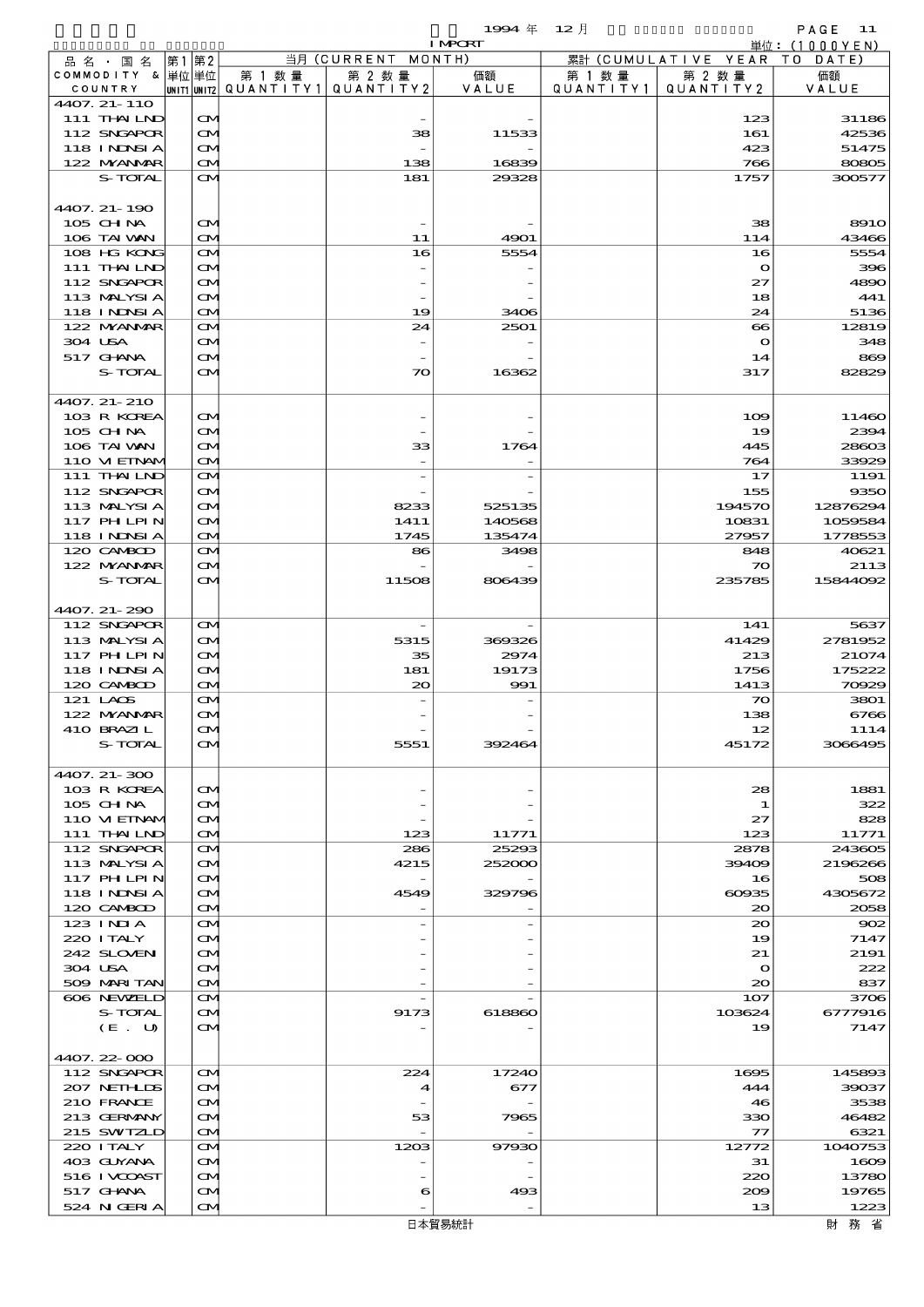$1994 \& 12 \quad \frac{1}{2}$ 

|                             |         |      |                                        |        |                                       | <b>I MPORT</b> |           |                              | 単位: (1000YEN)  |
|-----------------------------|---------|------|----------------------------------------|--------|---------------------------------------|----------------|-----------|------------------------------|----------------|
| 品名・国名                       |         | 第1第2 |                                        |        | 当月 (CURRENT MONTH)                    |                |           | 累計 (CUMULATIVE YEAR TO DATE) |                |
| COMMODITY & 単位単位            |         |      |                                        | 第 1 数量 | 第 2 数量                                | 価額             | 第 1 数 量   | 第 2 数量                       | 価額             |
| COUNTRY                     |         |      |                                        |        | UNIT1 UNIT2  QUANT   TY1  QUANT   TY2 | VALUE          | QUANTITY1 | QUANTITY 2                   | VALUE          |
| 4407. 21-110<br>111 THAILND |         |      |                                        |        |                                       |                |           |                              |                |
| 112 SNGAPOR                 |         |      | $\mathbf{\Omega}$<br>$\mathbf{\Omega}$ |        | 38                                    | 11533          |           | 123<br>161                   | 31186<br>42536 |
| 118 INNSI A                 |         |      | $\mathbf{\Omega}$                      |        |                                       |                |           | 423                          | 51475          |
| 122 NYANAR                  |         |      | $\mathbf{\Omega}$                      |        | 138                                   | 16839          |           | 766                          | 80805          |
|                             | S-TOTAL |      | $\mathbf{\Omega}$                      |        | 181                                   | 29328          |           | 1757                         | 300577         |
|                             |         |      |                                        |        |                                       |                |           |                              |                |
| 4407. 21-190                |         |      |                                        |        |                                       |                |           |                              |                |
| 105 CHNA                    |         |      | $\mathbf{\Omega}$                      |        |                                       |                |           | 38                           | <b>8910</b>    |
| 106 TAI VAN                 |         |      | $\mathbf{\Omega}$                      |        | 11                                    | 4901           |           | 114                          | 43466          |
| 108 HG KONG                 |         |      | $\mathbf{\Omega}$                      |        | 16                                    | 5554           |           | 16                           | 5554           |
| 111 THAILND                 |         |      | <b>CM</b>                              |        |                                       |                |           | $\mathbf o$                  | 396            |
| 112 SNGAPOR                 |         |      | M                                      |        |                                       |                |           | 27                           | 4890           |
| 113 MALYSIA                 |         |      | M                                      |        |                                       |                |           | 18                           | 441            |
| 118 I NDSI A                |         |      | $\mathbf{\Omega}$                      |        | 19                                    | 3406           |           | 24                           | 5136           |
| 122 NYANAR                  |         |      | $\mathbf{\Omega}$                      |        | 24                                    | 2501           |           | $\infty$                     | 12819          |
| 304 USA                     |         |      | M                                      |        |                                       |                |           | $\mathbf o$                  | 348            |
| 517 GHNA                    |         |      | $\mathbf{\Omega}$                      |        |                                       |                |           | 14                           | 869            |
|                             | S-TOTAL |      | <b>CM</b>                              |        | $\infty$                              | 16362          |           | 317                          | 82829          |
|                             |         |      |                                        |        |                                       |                |           |                              |                |
| 4407. 21-210<br>103 R KOREA |         |      | <b>CM</b>                              |        |                                       |                |           | 109                          | 11460          |
| 105 CHNA                    |         |      | M                                      |        |                                       |                |           | 19                           | 2394           |
| 106 TAI VAN                 |         |      | M                                      |        | 33                                    | 1764           |           | 445                          | 28603          |
| 110 VIEINAM                 |         |      | $\mathbf{\Omega}$                      |        |                                       |                |           | 764                          | 33929          |
| 111 THAILND                 |         |      | $\mathbf{\Omega}$                      |        |                                       |                |           | 17                           | 1191           |
| 112 SNGAPOR                 |         |      | $\mathbf{\Omega}$                      |        |                                       |                |           | 155                          | 9350           |
| 113 MALYSIA                 |         |      | M                                      |        | 8233                                  | 525135         |           | 194570                       | 12876294       |
| 117 PH LPIN                 |         |      | M                                      |        | 1411                                  | 140568         |           | 10831                        | 1059584        |
| 118 INNSI A                 |         |      | $\mathbf{\Omega}$                      |        | 1745                                  | 135474         |           | 27957                        | 1778553        |
| 120 CAMBOD                  |         |      | $\mathbf{\Omega}$                      |        | 86                                    | 3498           |           | 848                          | 40621          |
| 122 NYANAR                  |         |      | $\mathbf{\Omega}$                      |        |                                       |                |           | $\infty$                     | 2113           |
|                             | S-TOTAL |      | $\mathbf{\Omega}$                      |        | 11508                                 | 806439         |           | 235785                       | 15844092       |
|                             |         |      |                                        |        |                                       |                |           |                              |                |
| 4407. 21-290                |         |      |                                        |        |                                       |                |           |                              |                |
| 112 SNGAPOR                 |         |      | $\mathbf{\Omega}$                      |        | $\overline{\phantom{a}}$              |                |           | 141                          | 5637           |
| 113 MALYSIA                 |         |      | $\mathbf{\Omega}$                      |        | 5315                                  | 369326         |           | 41429                        | 2781952        |
| 117 PHLPIN                  |         |      | $\infty$                               |        | 35                                    | 2974           |           | 213                          | 21074          |
| 118 INNSI A                 |         |      | M                                      |        | 181                                   | 19173          |           | 1756                         | 175222         |
| 120 CAMBOD                  |         |      | $\mathbf{\Omega}$                      |        | 20                                    | 991            |           | 1413                         | 70929          |
| 121 LAOS                    |         |      | $\mathbf{\Omega}$                      |        |                                       |                |           | $\boldsymbol{\pi}$           | 3801           |
| 122 NYANAR                  |         |      | $\mathbf{\Omega}$                      |        |                                       |                |           | 138                          | 6766           |
| 410 BRAZIL                  |         |      | $\alpha$                               |        |                                       |                |           | 12                           | 1114           |
|                             | S-TOTAL |      | <b>CM</b>                              |        | 5551                                  | 392464         |           | 45172                        | 3066495        |
|                             |         |      |                                        |        |                                       |                |           |                              |                |
| 4407. 21-300                |         |      |                                        |        |                                       |                |           |                              |                |
| 103 R KOREA                 |         |      | $\mathbf{\Omega}$                      |        |                                       |                |           | 28                           | 1881           |
| 105 CH NA<br>110 VI EINAM   |         |      | Œ4<br>ŒM.                              |        |                                       |                |           | 1<br>27                      | 322<br>828     |
| 111 THAILND                 |         |      |                                        |        | 123                                   | 11771          |           | 123                          | 11771          |
| 112 SNGAPOR                 |         |      | <b>CM</b><br><b>CM</b>                 |        | 286                                   | 25293          |           | 2878                         | 243605         |
| 113 MALYSIA                 |         |      | $\mathbf{\Omega}$                      |        | 4215                                  | 252000         |           | 39409                        | 2196266        |
| 117 PH LPIN                 |         |      | M                                      |        |                                       |                |           | 16                           | 508            |
| 118 I NINSI A               |         |      | ŒM.                                    |        | 4549                                  | 329796         |           | 60935                        | 4305672        |
| 120 CAMBOD                  |         |      | <b>CM</b>                              |        |                                       |                |           | $\infty$                     | 2058           |
| 123 INIA                    |         |      | <b>CM</b>                              |        |                                       |                |           | 20                           | 902            |
| 220 I TALY                  |         |      | $\mathbf{\Omega}$                      |        |                                       |                |           | 19                           | 7147           |
| 242 SLOVEN                  |         |      | Œ4                                     |        |                                       |                |           | 21                           | 2191           |
| 304 USA                     |         |      | ŒM.                                    |        |                                       |                |           | $\mathbf o$                  | 222            |
| 509 MARI TAN                |         |      | M                                      |        |                                       |                |           | $\infty$                     | 837            |
| 606 NEWELD                  |         |      | <b>CM</b>                              |        |                                       |                |           | 107                          | 3706           |
|                             | S-TOTAL |      | $\mathbf{\Omega}$                      |        | 9173                                  | 618860         |           | 103624                       | 6777916        |
|                             | (E. U)  |      | M                                      |        |                                       |                |           | 19                           | 7147           |
|                             |         |      |                                        |        |                                       |                |           |                              |                |
| 4407.22-000                 |         |      |                                        |        |                                       |                |           |                              |                |
| 112 SNGAPOR                 |         |      | $\mathbf{\Omega}$                      |        | 224                                   | 17240          |           | 1695                         | 145893         |
| 207 NETHLIDS                |         |      | $\mathbf{\Omega}$                      |        | 4                                     | 677            |           | 444                          | 39037          |
| 210 FRANCE                  |         |      | M                                      |        |                                       |                |           | 46                           | 3538           |
| 213 GERMANY                 |         |      | ŒM.                                    |        | 53                                    | 7965           |           | 330                          | 46482          |
| 215 SWIZLD                  |         |      | <b>CM</b>                              |        |                                       |                |           | $\tau\tau$                   | 6321           |
| 220 I TALY                  |         |      | <b>CM</b>                              |        | 120B                                  | 97930          |           | 12772                        | 1040753        |
| 403 GUYANA<br>516 I VCOAST  |         |      | $\mathbf{\Omega}$<br>M                 |        |                                       |                |           | 31<br>220                    | 1609<br>13780  |
| 517 GHNA                    |         |      | ŒM.                                    |        | 6                                     | 493            |           | 209                          | 19765          |
|                             |         |      | ŒM)                                    |        |                                       |                |           | 13                           | 1223           |

財務省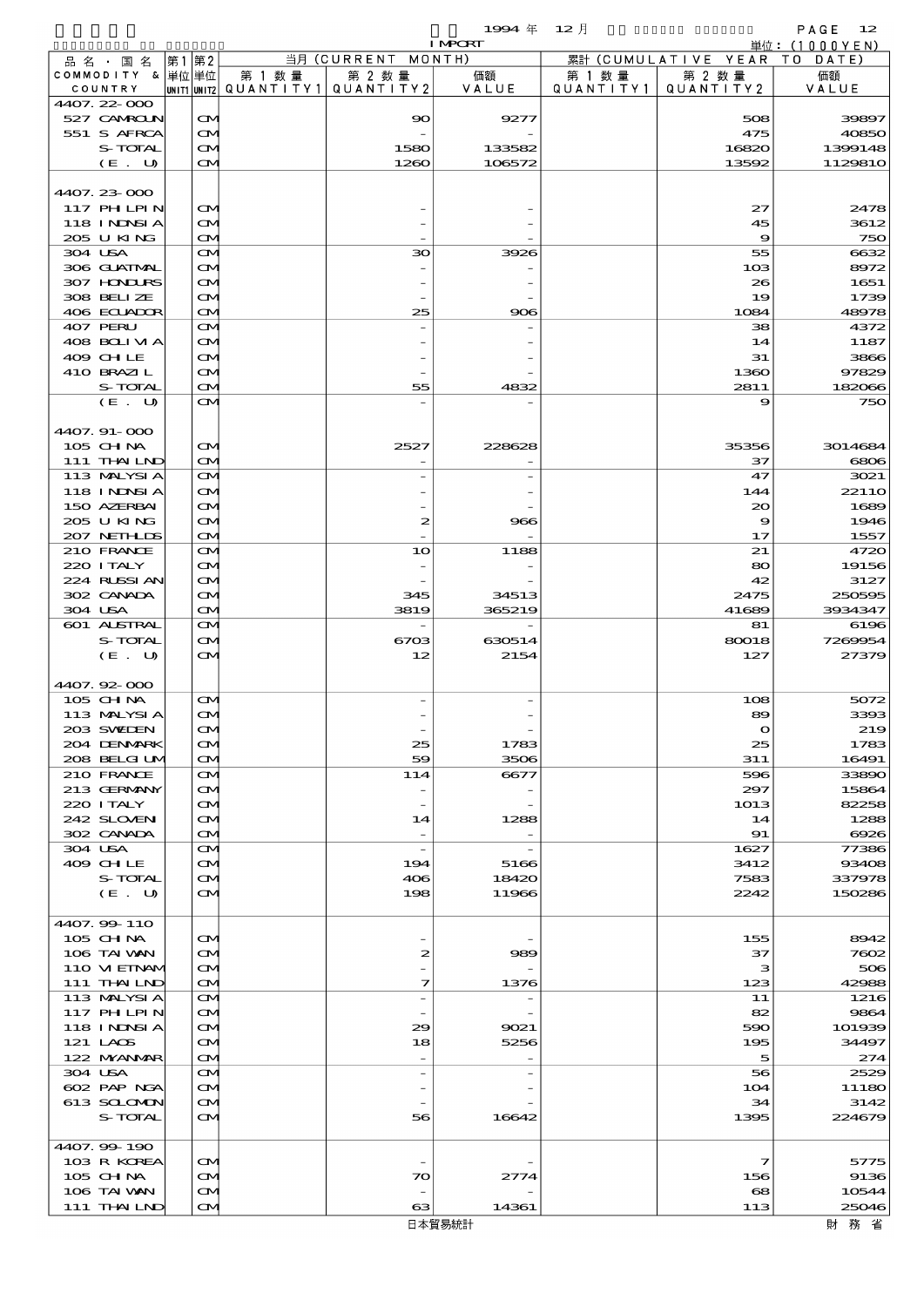|                               |                                       |        |                                       | 1994 $#$       | - 12 月    |                                | PAGE $12$      |
|-------------------------------|---------------------------------------|--------|---------------------------------------|----------------|-----------|--------------------------------|----------------|
|                               |                                       |        |                                       | <b>I MPORT</b> |           |                                | 単位: (1000YEN)  |
| 品 名 ・ 国 名<br>COMMODITY & 単位単位 | 第1 第2                                 | 第 1 数量 | 当月 (CURRENT MONTH)<br>第 2 数量          | 価額             | 第 1 数 量   | 累計 (CUMULATIVE YEAR)<br>第 2 数量 | TO DATE)<br>価額 |
| COUNTRY                       |                                       |        | unit1 unit2  Q∪ANT   TY1  Q∪ANT   TY2 | VALUE          | QUANTITY1 | QUANTITY 2                     | VALUE          |
| 4407.22-000                   |                                       |        |                                       |                |           |                                |                |
| 527 CAMROLN                   | $\mathbf{\alpha}$                     |        | $\boldsymbol{\infty}$                 | 9277           |           | 508                            | 39897          |
| 551 S AFRCA                   | M                                     |        |                                       |                |           | 475                            | 40850          |
| S-TOTAL                       | ŒM)                                   |        | 1580                                  | 133582         |           | 16820                          | 1399148        |
| (E. U)                        | ŒИ                                    |        | 1260                                  | 106572         |           | 13592                          | 1129810        |
| 4407.23-000                   |                                       |        |                                       |                |           |                                |                |
| 117 PHLPIN                    | M                                     |        |                                       |                |           | 27                             | 2478           |
| <b>118 INNSIA</b>             | ŒM)                                   |        |                                       |                |           | 45                             | 3612           |
| 205 U KING                    | ŒИ                                    |        |                                       |                |           | 9                              | 750            |
| 304 USA                       | ŒИ                                    |        | $30^{\circ}$                          | 3926           |           | 55                             | 6632           |
| 306 GUATMAL                   | ŒИ                                    |        |                                       |                |           | 10 <sub>3</sub>                | 8972           |
| 307 HONDURS<br>308 BELIZE     | M                                     |        |                                       |                |           | 26                             | 1651           |
| 406 ECUADOR                   | ŒИ<br>ŒM)                             |        | 25                                    | 906            |           | 19<br>1084                     | 1739<br>48978  |
| 407 PERU                      | ŒИ                                    |        |                                       |                |           | 38                             | 4372           |
| 408 BOLIVIA                   | ŒИ                                    |        |                                       |                |           | 14                             | 1187           |
| 409 CHLE                      | M                                     |        |                                       |                |           | 31                             | 3866           |
| 410 BRAZIL                    | ŒИ                                    |        |                                       |                |           | 1360                           | 97829          |
| S-TOTAL                       | ŒM)                                   |        | 55                                    | 4832           |           | 2811                           | 182066         |
| (E. U)                        | ŒИ                                    |        |                                       |                |           | 9                              | 750            |
| 4407.91-000                   |                                       |        |                                       |                |           |                                |                |
| 105 CHNA                      | M                                     |        | 2527                                  | 228628         |           | 35356                          | 3014684        |
| 111 THAILND                   | ŒM)                                   |        |                                       |                |           | 37                             | 6806           |
| 113 MALYSIA                   | ŒИ                                    |        |                                       |                |           | 47                             | 3021           |
| 118 INNSI A                   | ŒИ                                    |        |                                       |                |           | 144                            | 2211O          |
| 150 AZERBAI                   | ŒM.                                   |        |                                       |                |           | $\infty$                       | 1689           |
| 205 U KING                    | ŒИ                                    |        | $\boldsymbol{z}$                      | 966            |           | 9                              | 1946           |
| 207 NETHLIS                   | ŒM)                                   |        |                                       |                |           | 17                             | 1557           |
| 210 FRANCE                    | ŒИ                                    |        | 10                                    | 1188           |           | 21                             | 4720           |
| 220 I TALY<br>224 RUSSIAN     | ŒИ<br>ŒM)                             |        |                                       |                |           | 80<br>42                       | 19156<br>3127  |
| 302 CANADA                    | ŒИ                                    |        | 345                                   | 34513          |           | 2475                           | 250595         |
| 304 USA                       | ŒM)                                   |        | 3819                                  | 365219         |           | 41689                          | 3934347        |
| 601 ALSTRAL                   | ŒИ                                    |        |                                       |                |           | 81                             | 6196           |
| S-TOTAL                       | ŒИ                                    |        | 6703                                  | 630514         |           | 80018                          | 7269954        |
| (E. U)                        | ŒИ                                    |        | 12                                    | 2154           |           | 127                            | 27379          |
|                               |                                       |        |                                       |                |           |                                |                |
| 4407.92-000                   |                                       |        |                                       |                |           |                                |                |
| 105 CH NA<br>113 MALYSIA      | $\mathbf{\alpha}$<br>$\mathbf \Omega$ |        |                                       |                |           | 108<br>89                      | 5072<br>3393   |
| 203 SWIDEN                    | ŒM)                                   |        |                                       |                |           | $\mathbf{o}$                   | 219            |
| 204 DENMARK                   | M                                     |        | 25                                    | 1783           |           | 25                             | 1783           |
| 208 BELGI UM                  | ŒИ                                    |        | 59                                    | 3506           |           | 311                            | 16491          |
| 210 FRANCE                    | ŒИ                                    |        | 114                                   | 6677           |           | 596                            | 33890          |
| 213 GERMANY                   | ŒИ                                    |        |                                       |                |           | 297                            | 15864          |
| 220 I TALY                    | ŒM.                                   |        | $\qquad \qquad -$                     |                |           | 1013                           | 82258          |
| 242 SLOVEN<br>302 CANADA      | ŒИ                                    |        | 14<br>$\overline{\phantom{a}}$        | 1288           |           | 14<br>91                       | 1288<br>6926   |
| 304 USA                       | ŒИ<br>ŒИ                              |        |                                       |                |           | 1627                           | 77386          |
| 409 CHLE                      | ŒИ                                    |        | 194                                   | 5166           |           | 3412                           | 93408          |
| S-TOTAL                       | ŒM)                                   |        | 406                                   | 18420          |           | 7583                           | 337978         |
| (E. U)                        | ŒИ                                    |        | 198                                   | 11966          |           | 2242                           | 150286         |
|                               |                                       |        |                                       |                |           |                                |                |
| 4407.99-110                   |                                       |        |                                       |                |           |                                |                |
| 105 CH NA                     | ŒM)                                   |        |                                       |                |           | 155                            | 8942           |
| 106 TAI VAN<br>110 VIEINAM    | ŒM.<br>ŒИ                             |        | 2                                     | 989            |           | 37<br>з                        | 7602<br>506    |
| 111 THAILND                   | ŒИ                                    |        | $\mathcal{I}$                         | 1376           |           | 123                            | 42988          |
| 113 MALYSIA                   | ŒИ                                    |        | $\overline{\phantom{a}}$              |                |           | 11                             | 1216           |
| <b>117 PHLPIN</b>             | ŒИ                                    |        |                                       |                |           | 82                             | 9864           |
| 118 I NDSI A                  | ŒM.                                   |        | 29                                    | 9021           |           | 590                            | 101939         |
| 121 LAOS                      | ŒИ                                    |        | 18                                    | 5256           |           | 195                            | 34497          |
| 122 NYANAR                    | ŒИ                                    |        | $\overline{\phantom{a}}$              |                |           | 5                              | 274            |
| 304 USA                       | ŒИ                                    |        |                                       |                |           | 56                             | 2529           |
| 602 PAP NGA<br>613 SCLOMON    | ŒИ                                    |        |                                       |                |           | 104<br>34                      | 11180<br>3142  |
| S-TOTAL                       | ŒИ<br>ŒИ                              |        | 56                                    | 16642          |           | 1395                           | 224679         |
|                               |                                       |        |                                       |                |           |                                |                |
| 4407.99-190                   |                                       |        |                                       |                |           |                                |                |
| 103 R KOREA                   | ŒM)                                   |        |                                       |                |           | 7                              | 5775           |
| 105 CH NA                     | ŒM.                                   |        | 70                                    | 2774           |           | 156                            | 9136           |
| 106 TAI VAN                   | ŒИ                                    |        |                                       |                |           | $\mathbf{68}$                  | 10544          |
| 111 THAILND                   | M                                     |        | 63                                    | 14361          |           | 113                            | 25046          |

財務省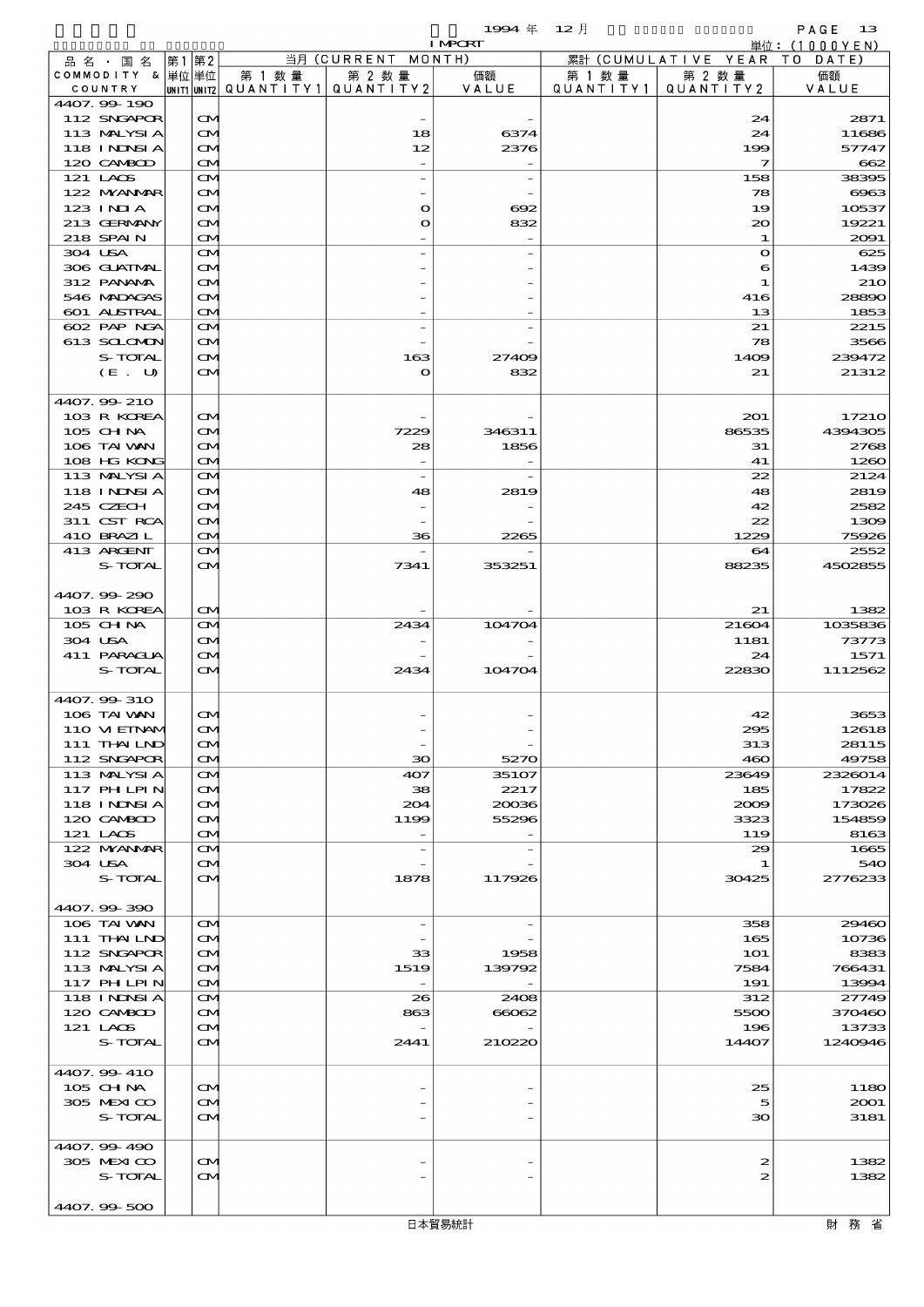$1994 \# 12$   $\frac{1}{2}$ 

|                                |                                        |         |                                       | <b>I MPORT</b> |           |                              | 単位: (1000YEN)    |
|--------------------------------|----------------------------------------|---------|---------------------------------------|----------------|-----------|------------------------------|------------------|
| 品名・国名                          | 第1 第2                                  |         | 当月 (CURRENT MONTH)                    |                |           | 累計 (CUMULATIVE YEAR TO DATE) |                  |
| COMMODITY & 単位単位               |                                        | 第 1 数 量 | 第 2 数量                                | 価額             | 第 1 数 量   | 第 2 数量                       | 価額               |
| COUNTRY<br>4407.99-190         |                                        |         | UNIT1 UNIT2  QUANT I TY1  QUANT I TY2 | VALUE          | QUANTITY1 | QUANTITY 2                   | VALUE            |
| 112 SNGAPOR                    | $\mathbf{\Omega}$                      |         |                                       |                |           | 24                           | 2871             |
| 113 MALYSIA                    | $\infty$                               |         | 18                                    | 6374           |           | 24                           | 11686            |
| 118 I NDSI A                   | $\mathbf{\infty}$                      |         | 12                                    | 2376           |           | 199                          | 57747            |
| 120 CAMBOD                     | $\mathbf{\Omega}$                      |         |                                       |                |           | $\overline{\mathbf{z}}$      | 662              |
| 121 LAOS                       | $\mathbf{\Omega}$                      |         |                                       |                |           | 158                          | 38395            |
| 122 MYANMAR                    | $\mathbf{\Omega}$                      |         |                                       |                |           | 78                           | $\cos$           |
| 123 INIA                       | $\mathbf{\Omega}$                      |         | $\mathbf o$                           | $\Theta$ 2     |           | 19                           | 10537            |
| 213 GERMANY<br>218 SPAIN       | M<br>$\mathbf{\Omega}$                 |         | O                                     | 832            |           | $\infty$<br>$\mathbf{1}$     | 19221<br>2091    |
| 304 USA                        | $\mathbf{\Omega}$                      |         |                                       |                |           | $\bullet$                    | 625              |
| 306 GUATMAL                    | M                                      |         |                                       |                |           | 6                            | 1439             |
| 312 PANAMA                     | $\mathbf{\alpha}$                      |         |                                       |                |           | $\mathbf 1$                  | <b>210</b>       |
| 546 MADACAS                    | M                                      |         |                                       |                |           | 416                          | 28890            |
| <b>601 ALSTRAL</b>             | $\mathbf{\Omega}$                      |         |                                       |                |           | 13                           | 1853             |
| 602 PAP NGA                    | M                                      |         |                                       |                |           | 21                           | 2215             |
| 613 SCLOMON<br>S-TOTAL         | M<br>$\mathbf{\infty}$                 |         | 163                                   | 27409          |           | 78<br>1409                   | 3566<br>239472   |
| (E. U)                         | ŒM)                                    |         | O                                     | 832            |           | 21                           | 21312            |
|                                |                                        |         |                                       |                |           |                              |                  |
| 4407.99-210                    |                                        |         |                                       |                |           |                              |                  |
| 103 R KOREA                    | $\mathbf{\Omega}$                      |         |                                       |                |           | 201                          | 17210            |
| 105 CHNA                       | $\mathbf{\alpha}$                      |         | 7229                                  | 346311         |           | 86535                        | 4394305          |
| 106 TAI WAN                    | M                                      |         | 28                                    | 1856           |           | 31                           | 2768             |
| 108 HG KONG                    | $\mathbf{\Omega}$                      |         |                                       |                |           | 41                           | 1260             |
| 113 MALYSIA                    | $\mathbf{\Omega}$                      |         | $\overline{\phantom{a}}$              |                |           | 22                           | 2124             |
| <b>118 INNSIA</b><br>245 CZECH | $\mathbf{\Omega}$<br>$\mathbf{\Omega}$ |         | 48                                    | 2819           |           | 48<br>42                     | 2819<br>2582     |
| 311 CST RCA                    | M                                      |         |                                       |                |           | 22                           | 1309             |
| 410 BRAZIL                     | $\mathbf{\Omega}$                      |         | 36                                    | 2265           |           | 1229                         | 75926            |
| 413 ARCENT                     | $\mathbf{\Omega}$                      |         |                                       |                |           | 64                           | 2552             |
| S-TOTAL                        | <b>CM</b>                              |         | 7341                                  | 353251         |           | 88235                        | 4502855          |
|                                |                                        |         |                                       |                |           |                              |                  |
| 4407.99-290                    |                                        |         |                                       |                |           |                              |                  |
| 103 R KOREA                    | $\mathbf{\Omega}$                      |         |                                       |                |           | 21                           | 1382             |
| 105 CH NA<br>304 USA           | $\mathbf{\infty}$<br>$\mathbf{\Omega}$ |         | 2434                                  | 104704         |           | 21604                        | 1035836<br>73773 |
| 411 PARAGUA                    | $\mathbf{\infty}$                      |         |                                       |                |           | 1181<br>24                   | 1571             |
| S-TOTAL                        | $\mathbf{\Omega}$                      |         | 2434                                  | 104704         |           | 22830                        | 1112562          |
|                                |                                        |         |                                       |                |           |                              |                  |
| 4407.99-310                    |                                        |         |                                       |                |           |                              |                  |
| 106 TAI VAN                    | $\mathbf{\Omega}$                      |         |                                       |                |           | 42                           | 3653             |
| 110 VI EINAN                   | $\mathbf \Omega$                       |         |                                       |                |           | 295                          | 12618            |
| 111 THAILND                    | $\mathbf{\Omega}$                      |         |                                       |                |           | 313                          | 28115            |
| 112 SNGAPOR<br>113 MALYSIA     | M<br>$\mathbf{\Omega}$                 |         | $\infty$<br>407                       | 5270<br>35107  |           | 460<br>23649                 | 49758<br>2326014 |
| 117 PHLPIN                     | $\mathbf{\Omega}$                      |         | 38                                    | 2217           |           | 185                          | 17822            |
| 118 I NDSI A                   | $\mathbf{\Omega}$                      |         | 204                                   | 20036          |           | 2009                         | 173026           |
| 120 CAMBOD                     | M                                      |         | 1199                                  | 55296          |           | 3323                         | 154859           |
| 121 LAOS                       | M                                      |         |                                       |                |           | 119                          | 8163             |
| 122 NYANAR                     | $\mathbf{\Omega}$                      |         |                                       |                |           | 29                           | 1665             |
| 304 USA                        | $\mathbf{\Omega}$                      |         |                                       |                |           | 1                            | 540              |
| S-TOTAL                        | M                                      |         | 1878                                  | 117926         |           | 30425                        | 2776233          |
|                                |                                        |         |                                       |                |           |                              |                  |
| 4407.99-390<br>106 TAI VAN     | $\mathbf{\Omega}$                      |         | $\overline{\phantom{a}}$              |                |           | 358                          | 29460            |
| 111 THAILND                    | $\mathbf{\Omega}$                      |         |                                       |                |           | 165                          | 10736            |
| 112 SNGAPOR                    | $\mathbf{\Omega}$                      |         | 33                                    | 1958           |           | <b>1O1</b>                   | 8383             |
| 113 MALYSIA                    | M                                      |         | 1519                                  | 139792         |           | 7584                         | 766431           |
| 117 PHLPIN                     | $\mathbf{\Omega}$                      |         |                                       |                |           | 191                          | 13994            |
| <b>118 INNSIA</b>              | $\mathbf{\Omega}$                      |         | 26                                    | 2408           |           | 312                          | 27749            |
| 120 CAMBOD                     | $\mathbf{\Omega}$                      |         | 863                                   | 66062          |           | 5500                         | 370460           |
| 121 LAOS<br>S-TOTAL            | $\mathbf{\Omega}$<br>ŒМ                |         | 2441                                  | 210220         |           | 196                          | 13733<br>1240946 |
|                                |                                        |         |                                       |                |           | 14407                        |                  |
| 4407.99-410                    |                                        |         |                                       |                |           |                              |                  |
| 105 CH NA                      | $\mathbf{\Omega}$                      |         |                                       |                |           | 25                           | 1180             |
| 305 MEXICO                     | $\mathbf{\Omega}$                      |         |                                       |                |           | 5                            | 2001             |
| S-TOTAL                        | ŒМ                                     |         |                                       |                |           | зо                           | 3181             |
|                                |                                        |         |                                       |                |           |                              |                  |
| 4407.99-490                    |                                        |         |                                       |                |           |                              |                  |
| 305 MEXICO                     | $\mathbf{\Omega}$                      |         |                                       |                |           | 2                            | 1382             |
| S-TOTAL                        | M                                      |         |                                       |                |           | 2                            | 1382             |
| 4407.99-500                    |                                        |         |                                       |                |           |                              |                  |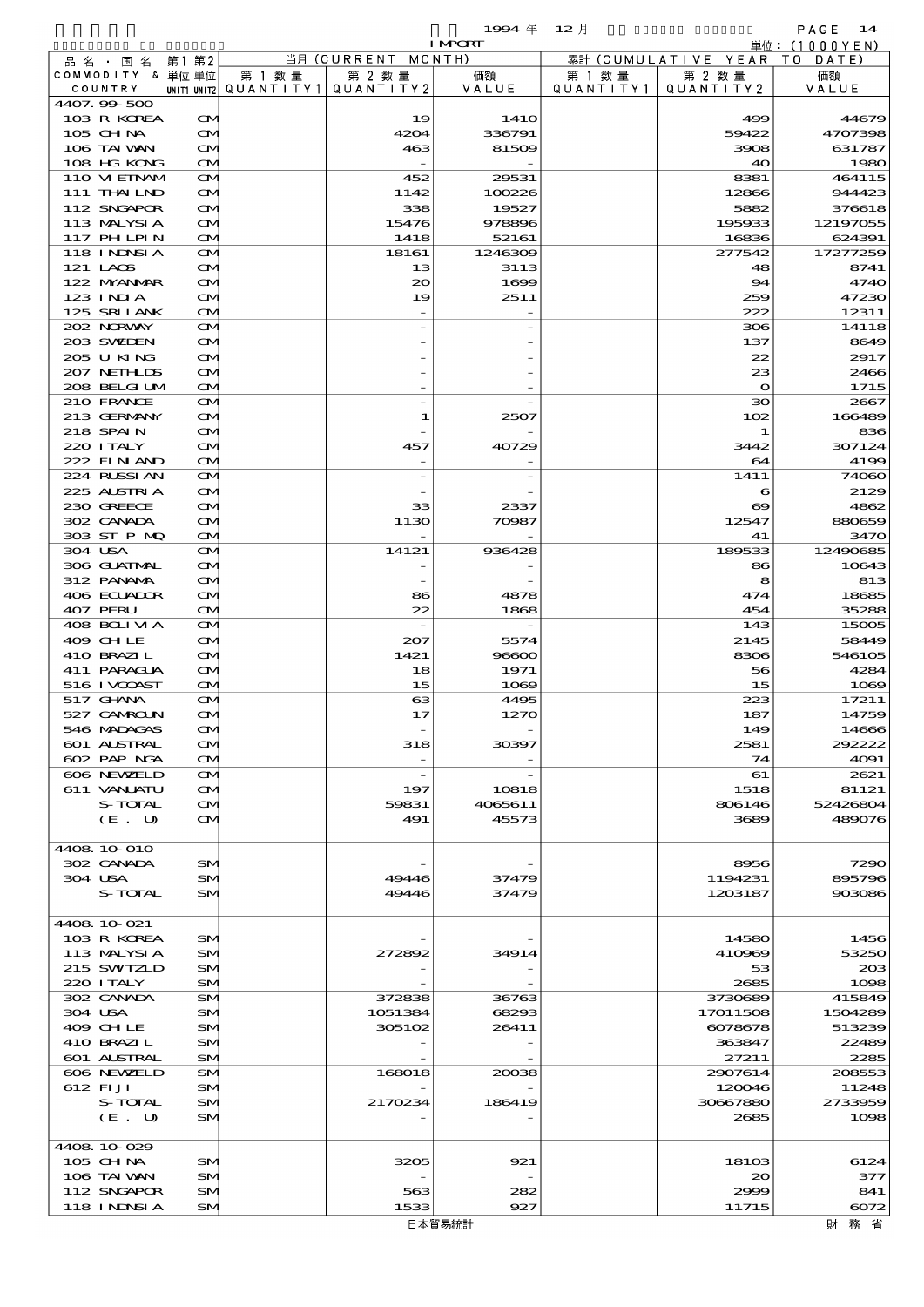$\begin{array}{lll} \textbf{1994} & \textbf{12} \end{array} \begin{array}{lll} \textbf{1994} & \textbf{12} \end{array} \begin{array}{lll} \textbf{12} & \textbf{13} \end{array} \begin{array}{lll} \textbf{13} & \textbf{14} \end{array}$ 

|                            |                                        |                          |                          | <b>I MPCRT</b>   |           |                       | 単位: $(1000YEN)$    |
|----------------------------|----------------------------------------|--------------------------|--------------------------|------------------|-----------|-----------------------|--------------------|
| 品名・国名                      | 第2<br> 第1                              |                          | 当月 (CURRENT              | MONTH)           |           | 累計 (CUMULATIVE YEAR   | T O<br>DATE        |
| COMMODITY & 単位単位           |                                        | 第 1 数 量                  | 第 2 数量                   | 価額               | 第 1 数 量   | 第 2 数量                | 価額                 |
| COUNTRY                    |                                        | UNIT1 UNIT2  Q∪ANT   TY1 | QUANTITY 2               | VALUE            | QUANTITY1 | QUANTITY 2            | VALUE              |
| 4407.99-500<br>103 R KOREA | $\mathbf{\Omega}$                      |                          | 19                       | 141O             |           | 499                   | 44679              |
| 105 CHNA                   | $\mathbf{\Omega}$                      |                          | 4204                     | 336791           |           | 59422                 | 4707398            |
| 106 TAI VAN                | $\mathbf{\Omega}$                      |                          | 463                      | 81509            |           | 3908                  | 631787             |
| 108 HG KONG                | M                                      |                          |                          |                  |           | 40                    | 1980               |
| 110 VIEINAM                | $\mathbf{\Omega}$                      |                          | 452                      | 29531            |           | 8381                  | 464115             |
| 111 THAILND                | $\mathbf{\Omega}$                      |                          | 1142                     | 100226           |           | 12866                 | 944423             |
| 112 SNGAPOR                | $\mathbf{\alpha}$                      |                          | 338                      | 19527            |           | 5882                  | 376618             |
| 113 MALYSIA                | $\mathbf{\infty}$                      |                          | 15476                    | 978896           |           | 195933                | 12197055           |
| 117 PHLPIN<br>118 INNSI A  | <b>CM</b><br>$\mathbf{\Omega}$         |                          | 1418<br>18161            | 52161<br>1246309 |           | 16836<br>277542       | 624391<br>17277259 |
| 121 LAOS                   | ŒM                                     |                          | 13                       | 3113             |           | 48                    | 8741               |
| 122 NYANAR                 | $\mathbf{\Omega}$                      |                          | $\infty$                 | 1699             |           | 94                    | 4740               |
| $123$ INIA                 | $\mathbf{\infty}$                      |                          | 19                       | 2511             |           | 259                   | 47230              |
| 125 SRILANK                | M                                      |                          |                          |                  |           | 222                   | 12311              |
| 202 NORWAY                 | $\mathbf{\Omega}$                      |                          |                          |                  |           | 306                   | 14118              |
| 203 SWIEN                  | $\mathbf{\Omega}$                      |                          |                          |                  |           | 137                   | 8649               |
| 205 U KING                 | $\mathbf{\Omega}$                      |                          |                          |                  |           | 22                    | 2917               |
| 207 NETHLIS                | $\mathbf{\infty}$                      |                          |                          |                  |           | 23                    | 2466               |
| 208 BELGI UM               | M                                      |                          |                          |                  |           | $\mathbf{o}$          | 1715               |
| 210 FRANCE<br>213 GERMANY  | $\mathbf{\Omega}$<br>ŒM                |                          | 1                        | 2507             |           | $\infty$<br>102       | 2667<br>166489     |
| 218 SPAIN                  | $\mathbf{\Omega}$                      |                          |                          |                  |           | 1                     | 836                |
| 220 I TALY                 | $\mathbf{\infty}$                      |                          | 457                      | 40729            |           | 3442                  | 307124             |
| 222 FINAND                 | M                                      |                          |                          |                  |           | 64                    | 4199               |
| 224 RLSSIAN                | $\mathbf{\Omega}$                      |                          |                          |                  |           | 1411                  | 74060              |
| 225 ALSTRIA                | $\mathbf{\Omega}$                      |                          |                          |                  |           | 6                     | 2129               |
| 230 GREECE                 | $\mathbf{\Omega}$                      |                          | 33                       | 2337             |           | $\boldsymbol{\infty}$ | 4862               |
| 302 CANADA                 | $\mathbf{\infty}$                      |                          | 1130                     | 70987            |           | 12547                 | 880659             |
| 303 ST P MQ                | <b>CM</b>                              |                          |                          |                  |           | 41                    | 3470               |
| 304 USA                    | $\mathbf{\Omega}$                      |                          | 14121                    | 936428           |           | 189533                | 12490685           |
| 306 GUATMAL<br>312 PANAMA  | $\mathbf{\Omega}$<br>$\mathbf{\Omega}$ |                          |                          |                  |           | 86<br>8               | 10643<br>813       |
| 406 ECUADOR                | $\mathbf{\Omega}$                      |                          | 86                       | 4878             |           | 474                   | 18685              |
| 407 PERU                   | <b>CM</b>                              |                          | 22                       | 1868             |           | 454                   | 35288              |
| 408 BOLIVIA                | $\mathbf{\Omega}$                      |                          |                          |                  |           | 143                   | 15005              |
| 409 CHLE                   | $\mathbf{\Omega}$                      |                          | 207                      | 5574             |           | 2145                  | 58449              |
| 410 BRAZIL                 | $\mathbf{\Omega}$                      |                          | 1421                     | 96600            |           | 8306                  | 546105             |
| 411 PARACLA                | $\mathbf{\infty}$                      |                          | 18                       | 1971             |           | 56                    | 4284               |
| 516 I VOOST                | $\mathbf{\Omega}$                      |                          | 15                       | 1069             |           | 15                    | 1069               |
| 517 GHNA                   | $\mathbf{\Omega}$                      |                          | $\boldsymbol{\alpha}$    | 4495             |           | 223                   | 17211              |
| 527 CAMROLN<br>546 MADAGAS | $\mathbf{\Omega}$<br>$\mathbf \Omega$  |                          | 17                       | 1270             |           | 187<br>149            | 14759<br>14666     |
| 601 ALSTRAL                | $\mathbf{\Omega}$                      |                          | 318                      | 30397            |           | 2581                  | 292222             |
| 602 PAP NGA                | M                                      |                          |                          |                  |           | 74                    | 4091               |
| 606 NEWELD                 | $\mathbf{\Omega}$                      |                          | $\overline{\phantom{a}}$ |                  |           | 61                    | 2621               |
| 611 VANJATU                | $\mathbf{\Omega}$                      |                          | 197                      | 10818            |           | 1518                  | 81121              |
| S-TOTAL                    | $\mathbf{\Omega}$                      |                          | 59831                    | 4065611          |           | 806146                | 52426804           |
| (E. U)                     | ŒM.                                    |                          | 491                      | 45573            |           | 3689                  | 489076             |
|                            |                                        |                          |                          |                  |           |                       |                    |
| 4408 10 010                |                                        |                          |                          |                  |           |                       |                    |
| 302 CANADA<br>304 USA      | SM<br>SM                               |                          |                          |                  |           | 8956<br>1194231       | 7290<br>895796     |
| S-TOTAL                    | SM                                     |                          | 49446<br>49446           | 37479<br>37479   |           | 1203187               | 903086             |
|                            |                                        |                          |                          |                  |           |                       |                    |
| 4408.10-021                |                                        |                          |                          |                  |           |                       |                    |
| 103 R KOREA                | SM                                     |                          |                          |                  |           | 14580                 | 1456               |
| 113 MALYSIA                | <b>SM</b>                              |                          | 272892                   | 34914            |           | 410969                | 53250              |
| 215 SWIZLD                 | SM                                     |                          |                          |                  |           | 53                    | 203                |
| 220 I TALY                 | <b>SM</b>                              |                          |                          |                  |           | 2685                  | 1098               |
| 302 CANADA                 | <b>SM</b>                              |                          | 372838                   | 36763            |           | 3730689               | 415849             |
| 304 USA                    | SM                                     |                          | 1051384                  | 68293            |           | 17011508              | 1504289            |
| 409 CHLE                   | SM.                                    |                          | 305102                   | 26411            |           | 6078678               | 513239             |
| 410 BRAZIL<br>601 ALSTRAL  | SM<br><b>SM</b>                        |                          |                          |                  |           | 363847<br>27211       | 22489<br>2285      |
| 606 NEWELD                 | <b>SM</b>                              |                          | 168018                   | 20038            |           | 2907614               | 208553             |
| 612 FIJI                   | SM                                     |                          |                          |                  |           | 120046                | 11248              |
| S-TOTAL                    | SM                                     |                          | 2170234                  | 186419           |           | 30667880              | 2733959            |
| (E. U)                     | SM                                     |                          |                          |                  |           | 2685                  | 1098               |
|                            |                                        |                          |                          |                  |           |                       |                    |
| 4408.10.029                |                                        |                          |                          |                  |           |                       |                    |
| 105 CHNA                   | SM                                     |                          | 3205                     | 921              |           | 18103                 | 6124               |
| 106 TAI VAN                | SM                                     |                          |                          |                  |           | 20                    | 377                |
| 112 SNGAPOR                | SM                                     |                          | 563                      | 282<br>927       |           | 2999                  | 841                |
| 118 I NDSI A               | SM.                                    |                          | 1533                     | 口 大警 甲纳非         |           | 11715                 | 6072<br>时 致 少      |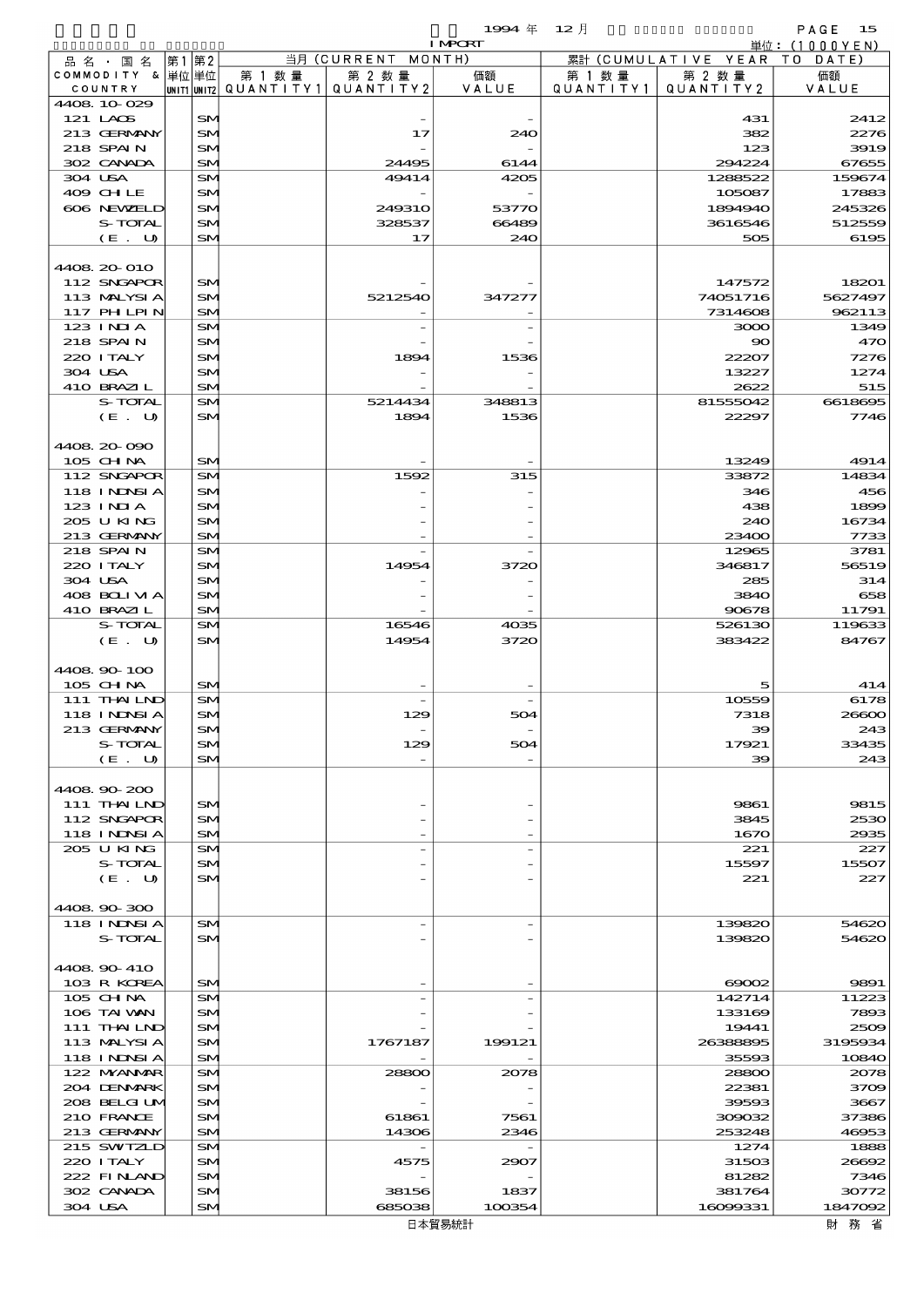|                                  |       |                        |         |                                                  | 19994年 12月     |                      |                              | PAGE<br>15      |
|----------------------------------|-------|------------------------|---------|--------------------------------------------------|----------------|----------------------|------------------------------|-----------------|
|                                  |       |                        |         |                                                  | <b>I MPORT</b> |                      |                              | 単位: (1000YEN)   |
| 品名・国名                            | 第1 第2 |                        |         | 当月 (CURRENT MONTH)                               |                |                      | 累計 (CUMULATIVE YEAR TO DATE) |                 |
| COMMODITY & 単位単位<br>COUNTRY      |       |                        | 第 1 数 量 | 第 2 数量<br> UNIT1 UNIT2  Q∪ANT   TY1  Q∪ANT   TY2 | 価額<br>VALUE    | 第 1 数 量<br>QUANTITY1 | 第 2 数量<br>QUANTITY 2         | 価額<br>VALUE     |
| 4408 10 029                      |       |                        |         |                                                  |                |                      |                              |                 |
| 121 LAOS                         |       | <b>SM</b>              |         |                                                  |                |                      | 431                          | 2412            |
| 213 GERMANY                      |       | <b>SM</b>              |         | 17                                               | 240            |                      | 382                          | 2276            |
| 218 SPAIN                        |       | <b>SM</b>              |         |                                                  |                |                      | 123                          | 3919            |
| 302 CANADA                       |       | <b>SM</b>              |         | 24495                                            | 6144           |                      | 294224                       | 67655           |
| 304 USA                          |       | <b>SM</b>              |         | 49414                                            | 4205           |                      | 1288522                      | 159674          |
| 409 CHLE                         |       | <b>SM</b>              |         |                                                  |                |                      | 105087                       | 17883           |
| 606 NEWELD                       |       | <b>SM</b>              |         | <b>249310</b>                                    | 53770          |                      | 1894940                      | 245326          |
| S-TOTAL                          |       | <b>SM</b>              |         | 328537                                           | 66489          |                      | 3616546                      | 512559          |
| (E. U)                           |       | <b>SM</b>              |         | 17                                               | 240            |                      | 505                          | 6195            |
| 4408 20 010                      |       |                        |         |                                                  |                |                      |                              |                 |
| 112 SNGAPOR                      |       | <b>SM</b>              |         |                                                  |                |                      | 147572                       | 18201           |
| 113 MALYSIA                      |       | <b>SM</b>              |         | 5212540                                          | 347277         |                      | 74051716                     | 5627497         |
| 117 PH LPIN                      |       | <b>SM</b>              |         |                                                  |                |                      | 7314608                      | 962113          |
| $123$ INIA                       |       | <b>SM</b>              |         |                                                  |                |                      | 3000                         | 1349            |
| 218 SPAIN                        |       | <b>SM</b>              |         |                                                  |                |                      | $\infty$                     | 47C             |
| 220 I TALY                       |       | <b>SM</b>              |         | 1894                                             | 1536           |                      | 22207                        | 727E            |
| 304 USA                          |       | <b>SM</b>              |         |                                                  |                |                      | 13227                        | 1274            |
| 410 BRAZIL                       |       | <b>SM</b>              |         |                                                  |                |                      | 2622                         | 515             |
| S-TOTAL                          |       | <b>SM</b>              |         | 5214434                                          | 348813         |                      | 81555042                     | 6618695         |
| (E. U)                           |       | <b>SM</b>              |         | 1894                                             | 1536           |                      | 22297                        | 7746            |
|                                  |       |                        |         |                                                  |                |                      |                              |                 |
| 4408 20 090                      |       |                        |         |                                                  |                |                      |                              |                 |
| $105$ CHNA                       |       | <b>SM</b>              |         |                                                  |                |                      | 13249                        | 4914            |
| 112 SNGAPOR<br><b>118 INDSIA</b> |       | <b>SM</b><br><b>SM</b> |         | 1592                                             | 315            |                      | 33872<br>346                 | 14834<br>456    |
| $123$ INIA                       |       | <b>SM</b>              |         |                                                  |                |                      | 438                          | 1895            |
| 205 U KING                       |       | <b>SM</b>              |         |                                                  |                |                      | 240                          | 16734           |
| 213 GERMANY                      |       | <b>SM</b>              |         |                                                  |                |                      | 23400                        | 7733            |
| 218 SPAIN                        |       | <b>SM</b>              |         |                                                  |                |                      | 12965                        | 3781            |
| 220 I TALY                       |       | <b>SM</b>              |         | 14954                                            | 3720           |                      | 346817                       | 56519           |
| 304 USA                          |       | <b>SM</b>              |         |                                                  |                |                      | 285                          | 314             |
| 408 BOLIVIA                      |       | <b>SM</b>              |         |                                                  |                |                      | 3840                         | 655             |
| 410 BRAZIL                       |       | <b>SM</b>              |         |                                                  |                |                      | 90678                        | 11791           |
| S-TOTAL                          |       | <b>SM</b>              |         | 16546                                            | 4035           |                      | 526130                       | 119633          |
| (E. U)                           |       | <b>SM</b>              |         | 14954                                            | 3720           |                      | 383422                       | 84767           |
| 4408 90 100                      |       |                        |         |                                                  |                |                      |                              |                 |
| 105 CHNA                         |       | <b>SM</b>              |         |                                                  |                |                      | 5                            | 414             |
| 111 THAILND                      |       | <b>SM</b>              |         |                                                  |                |                      | 10559                        | 6175            |
| 118 INNSI A                      |       | <b>SM</b>              |         | 129                                              | 504            |                      | 7318                         | 20000           |
| 213 GERMANY                      |       | SM.                    |         |                                                  |                |                      | 39                           | 243             |
| S-TOTAL                          |       | <b>SM</b>              |         | 129                                              | 504            |                      | 17921                        | 33435           |
| (E. U)                           |       | <b>SM</b>              |         |                                                  |                |                      | 39                           | 243             |
|                                  |       |                        |         |                                                  |                |                      |                              |                 |
| 4408.90-200                      |       |                        |         |                                                  |                |                      |                              |                 |
| 111 THAILND                      |       | SM                     |         |                                                  |                |                      | 9861                         | 9815            |
| 112 SNGAPOR                      |       | <b>SM</b>              |         |                                                  |                |                      | 3845                         | 2530            |
| <b>118 INDSIA</b>                |       | <b>SM</b>              |         |                                                  |                |                      | 1670                         | 2935            |
| 205 U KING<br>S-TOTAL            |       | <b>SM</b><br><b>SM</b> |         |                                                  |                |                      | 221<br>15597                 | 227<br>15507    |
| (E. U)                           |       | SM                     |         |                                                  |                |                      | 221                          | 227             |
|                                  |       |                        |         |                                                  |                |                      |                              |                 |
| 4408.90-300                      |       |                        |         |                                                  |                |                      |                              |                 |
| 118 I NDSI A                     |       | SM.                    |         |                                                  |                |                      | 139820                       | 54620           |
| S-TOTAL                          |       | <b>SM</b>              |         |                                                  |                |                      | 139820                       | 54620           |
|                                  |       |                        |         |                                                  |                |                      |                              |                 |
| 4408 90 410                      |       |                        |         |                                                  |                |                      |                              |                 |
| 103 R KOREA                      |       | <b>SM</b>              |         |                                                  |                |                      | $\infty$                     | 9891            |
| 105 CHNA                         |       | <b>SM</b>              |         |                                                  |                |                      | 142714                       | 11223           |
| 106 TAI VAN                      |       | <b>SM</b>              |         |                                                  |                |                      | 133169                       | 7893            |
| 111 THAILND                      |       | <b>SM</b>              |         |                                                  |                |                      | 19441                        | 2500<br>3195934 |
| 113 MALYSIA<br>118 I NDSI A      |       | <b>SM</b><br><b>SM</b> |         | 1767187                                          | 199121         |                      | 26388895<br>35593            | 10840           |
| 122 MYANMAR                      |       | <b>SM</b>              |         | 28800                                            | 2078           |                      | 28800                        | 2075            |
| 204 DENMARK                      |       | <b>SM</b>              |         |                                                  |                |                      | 22381                        | 3709            |
| 208 BELGI UM                     |       | <b>SM</b>              |         |                                                  |                |                      | 39593                        | 3667            |

| 113 MALYSIA  | <b>SM</b> | 1767187 | 199121 | 26388895 | 3195934  |
|--------------|-----------|---------|--------|----------|----------|
| 118 INNSI A  | SM        |         |        | 35593    | 10840    |
| 122 MYANMAR  | <b>SM</b> | 28800   | 2078   | 28800    | 2078     |
| 204 DENMARK  | <b>SM</b> |         |        | 22381    | 3709     |
| 208 BELGI UM | SM        |         |        | 39593    | 3667     |
| 210 FRANCE   | SM        | 61861   | 7561   | 300032   | 37386    |
| 213 GERMANY  | SM        | 14306   | 2346   | 253248   | 46953    |
| $215$ SWIZLD | <b>SM</b> |         |        | 1274     | 1888     |
| 220 I TALY   | SM        | 4575    | 2907   | 31503    | 20002    |
| $222$ FINAND | <b>SM</b> |         |        | 81282    | 7346     |
| 302 CANADA   | SM        | 38156   | 1837   | 381764   | 30772    |
| 304 USA      | SM        | 685038  | 100354 | 16099331 | 1847092  |
|              |           |         | 日本貿易統計 |          | 務 省<br>財 |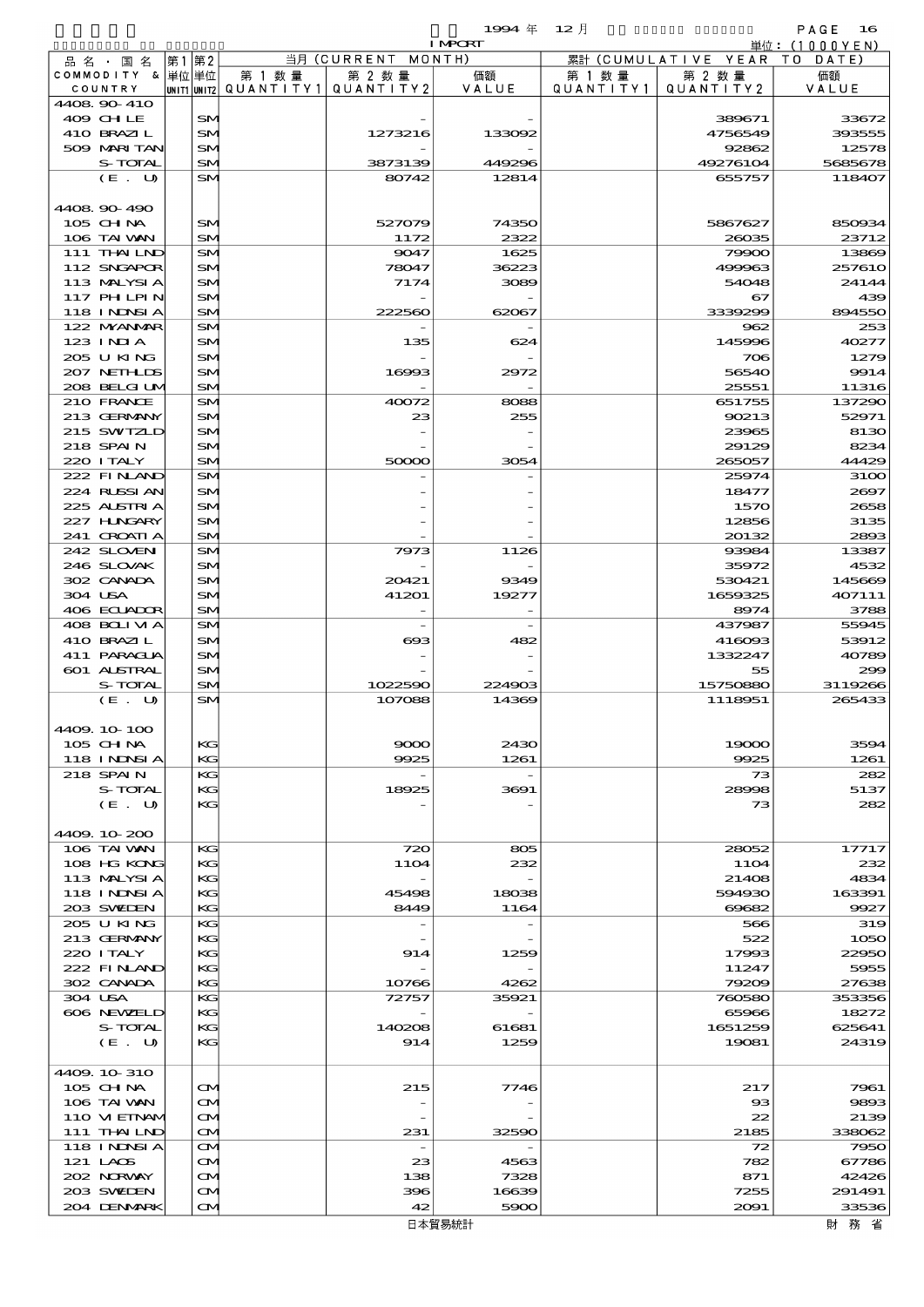$1$ <del>994</del>  $\#$  12  $\bar{e}$  12  $\bar{e}$  16

|                                        |                   |        |                                       | <b>I MPCRT</b> |           |                              | 単位: (1000 Y E N) |
|----------------------------------------|-------------------|--------|---------------------------------------|----------------|-----------|------------------------------|------------------|
| 品名・国名                                  | 第1 第2             |        | 当月 (CURRENT MONTH)                    |                |           | 累計 (CUMULATIVE YEAR TO DATE) |                  |
| COMMODITY & 単位単位                       |                   | 第 1 数量 | 第 2 数量                                | 価額             | 第 1 数 量   | 第 2 数量                       | 価額               |
| COUNTRY                                |                   |        | UNIT1 UNIT2  QUANT I TY1  QUANT I TY2 | VALUE          | QUANTITY1 | QUANTITY 2                   | VALUE            |
| 4408 90 410                            |                   |        |                                       |                |           |                              |                  |
| 409 CHLE                               | SM                |        |                                       |                |           | 389671                       | 33672            |
| 410 BRAZIL                             | SM                |        | 1273216                               | 133092         |           | 4756549                      | 393555           |
| 509 MARI TAN                           | SM                |        |                                       |                |           | 92862                        | 12578            |
| S-TOTAL                                | SM                |        | 3873139                               | 449296         |           | 49276104                     | 5685678          |
| (E. U)                                 | SM                |        | 80742                                 | 12814          |           | 655757                       | 118407           |
|                                        |                   |        |                                       |                |           |                              |                  |
| 4408 90 490                            |                   |        |                                       |                |           |                              |                  |
| 105 CHNA                               | SM                |        | 527079                                | 74350          |           | 5867627                      | 850934           |
| 106 TAI VAN                            | SM                |        | 1172                                  | 2322           |           | 28035                        | 23712            |
| 111 THAILND                            | SM                |        | 9047                                  | 1625           |           | 79900                        | 13869            |
| 112 SNGAPOR                            | SM                |        | 78047                                 | 36223          |           | 499963                       | <b>257610</b>    |
| 113 MALYSIA                            | SM                |        | 7174                                  | 3089           |           | 54048                        | 24144            |
| <b>117 PHLPIN</b><br><b>118 INDSIA</b> | SM<br>SM          |        | 222560                                | 62067          |           | 67<br>3339299                | 439<br>894550    |
| 122 NYANAR                             | SM                |        |                                       |                |           | 962                          | 253              |
| $123$ INIA                             | SM                |        | 135                                   | 624            |           | 145996                       | 40277            |
| 205 U KING                             | SM                |        |                                       |                |           | 706                          | 1279             |
| 207 NEIHLDS                            | SM                |        | 16993                                 | 2972           |           | 56540                        | 9914             |
| 208 BELGI UM                           | SM                |        |                                       |                |           | 25551                        | 11316            |
| 210 FRANCE                             | SM                |        | 40072                                 | 8088           |           | 651755                       | 137290           |
| 213 GERMANY                            | SM                |        | 23                                    | 255            |           | 90213                        | 52971            |
| 215 SWIZLD                             | SM                |        |                                       |                |           | 23965                        | 8130             |
| 218 SPAIN                              |                   |        |                                       |                |           |                              |                  |
|                                        | SM                |        |                                       |                |           | 29129                        | 8234             |
| 220 I TALY                             | SM                |        | 50000                                 | 3054           |           | 265057                       | 44429            |
| 222 FINAND                             | SM                |        |                                       |                |           | 25974                        | 3100             |
| 224 RUSSIAN                            | SM                |        |                                       |                |           | 18477                        | 2697             |
| 225 ALSTRIA                            | SM                |        |                                       |                |           | 1570                         | 2658             |
| 227 H.NGARY                            | SM                |        |                                       |                |           | 12856                        | 3135             |
| 241 CROATIA                            | SM                |        |                                       |                |           | 20132                        | 2893             |
| 242 SLOVEN                             | SM                |        | 7973                                  | 1126           |           | 93984                        | 13387            |
| 246 SLOVAK                             | SM                |        |                                       |                |           | 35972                        | 4532             |
| 302 CANADA                             | SM                |        | 20421                                 | 9349           |           | 530421                       | 145669           |
| 304 USA                                | SM                |        | 41201                                 | 19277          |           | 1659325                      | 407111           |
| 406 ECUADOR                            | SM                |        |                                       |                |           | 8974                         | 3788             |
| 408 BOLIVIA                            | SM                |        | $\overline{\phantom{a}}$              |                |           | 437987                       | 55945            |
| 410 BRAZIL                             | SM                |        | $\infty$                              | 482            |           | 416093                       | 53912            |
| 411 PARACLIA                           | SM                |        |                                       |                |           | 1332247                      | 40789            |
| 601 ALSTRAL                            | SM                |        |                                       |                |           | 55                           | 299              |
| S-TOTAL                                | SM                |        | 1022590                               | 224903         |           | 15750880                     | 3119266          |
| (E. U)                                 | SM                |        | 107088                                | 14369          |           | 1118951                      | 265433           |
|                                        |                   |        |                                       |                |           |                              |                  |
| 4409.10-100                            |                   |        |                                       |                |           |                              |                  |
| 105 CH NA                              | KG                |        | 9000                                  | 2430           |           | 19000                        | 3594             |
| <b>118 INNSIA</b>                      | KG                |        | 9925                                  | 1261           |           | 9925                         | 1261             |
| 218 SPAIN                              | KG                |        |                                       |                |           | 73                           | 282              |
| S-TOTAL                                | KG                |        | 18925                                 | 3691           |           | 28998                        | 5137             |
| (E. U)                                 | KG                |        |                                       |                |           | 73                           | 282              |
|                                        |                   |        |                                       |                |           |                              |                  |
| 4409.10-200                            |                   |        |                                       |                |           |                              |                  |
| 106 TAI VAN                            | KG                |        | 720                                   | 805            |           | 28052                        | 17717            |
| 108 HG KONG                            | KG                |        | <b>11O4</b>                           | 232            |           | <b>11O4</b>                  | 232              |
| 113 MALYSIA                            | KG                |        |                                       |                |           | 21408                        | 4834             |
| <b>118 INNSIA</b>                      | КC                |        | 45498                                 | 18038          |           | 594930                       | 163391           |
| 203 SWIEN                              | KG                |        | 8449                                  | 1164           |           | 69682                        | 9927             |
| 205 U KING                             | KG                |        |                                       |                |           | 566                          | 319              |
| 213 GERMANY                            | KG                |        |                                       |                |           | 522                          | 1050             |
| 220 I TALY                             | KG                |        | 914                                   | 1259           |           | 17993                        | 22950            |
| 222 FINAND                             | КC                |        |                                       |                |           | 11247                        | 5955             |
| 302 CANADA                             | KG                |        | 10766                                 | 4262           |           | 79209                        | 27638            |
| 304 USA                                | KG                |        | 72757                                 | 35921          |           | 760580                       | 353356           |
| 606 NEWELD                             | KG                |        |                                       |                |           | 65966                        | 18272            |
| S-TOTAL                                | KG                |        | 140208                                | 61681          |           | 1651259                      | 625641           |
| (E. U)                                 | КC                |        | 914                                   | 1259           |           | 19081                        | 24319            |
|                                        |                   |        |                                       |                |           |                              |                  |
| 4409.10.310                            |                   |        |                                       |                |           |                              |                  |
| 105 CHNA                               | $\mathbf{\alpha}$ |        | 215                                   | 7746           |           | 217                          | 7961             |
| 106 TAI VAN                            | M                 |        |                                       |                |           | $_{\rm ss}$                  | 9893             |
| 110 VIEINAM                            | ŒМ                |        |                                       |                |           | 22                           | 2139             |
| 111 THAILND                            | ŒИ                |        | 231                                   | 32590          |           | 2185                         | 338062           |
| <b>118 INNSIA</b>                      | ŒМ                |        | $\overline{\phantom{a}}$              |                |           | 72                           | 7950             |
| 121 LAOS                               | <b>CM</b>         |        | 23                                    | 4563           |           | 782                          | 67786            |
| 202 NORWAY                             | M                 |        | 138                                   | 7328           |           | 871                          | 42426            |
| 203 SWIDEN                             | ŒИ                |        | 396                                   | 16639          |           | 7255                         | 291491           |
| 204 DENMARK                            | <b>CM</b>         |        | 42                                    | 5900           |           | 2091                         | 33536            |
|                                        |                   |        |                                       |                |           |                              |                  |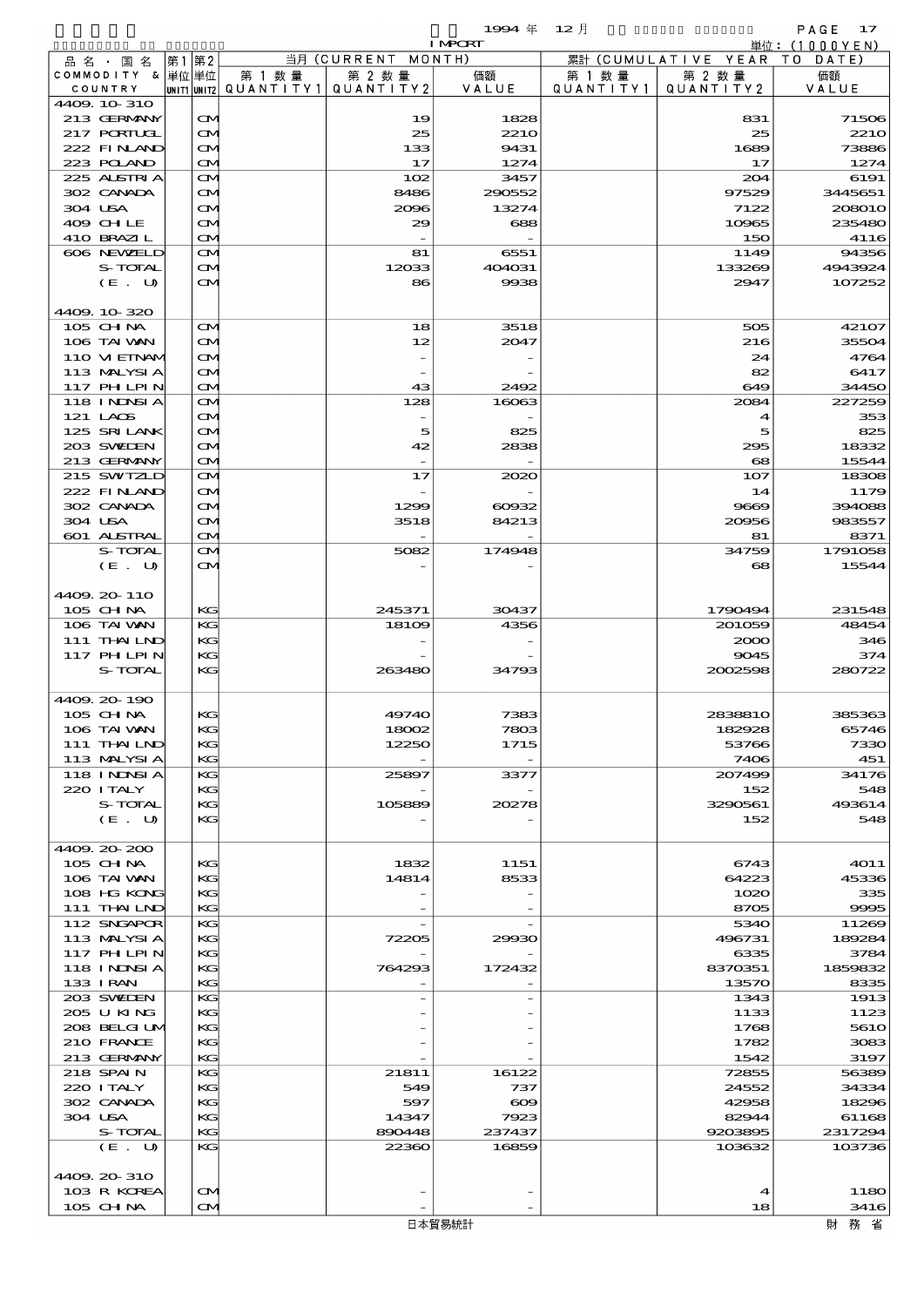品別国別表 輸 入 1994 12 確定 (Fixed Annual) 17 I MPORT

|                                          |      |                        |         |                                                                       | 1.000 COL     |                      |                                                      |                 |
|------------------------------------------|------|------------------------|---------|-----------------------------------------------------------------------|---------------|----------------------|------------------------------------------------------|-----------------|
| 品 名 ・ 国 名<br>COMMODITY & 単位単位<br>COUNTRY | 第1第2 |                        | 第 1 数 量 | 当月 (CURRENT MONTH)<br>第 2 数量<br>UNIT1 UNIT2 QUANT I TY 1 QUANT I TY 2 | 価額<br>VALUE   | 第 1 数 量<br>QUANTITY1 | 累計 (CUMULATIVE YEAR TO DATE)<br>第 2 数量<br>QUANTITY 2 | 価額<br>VALUE     |
| 4409.10-310                              |      |                        |         |                                                                       |               |                      |                                                      |                 |
| 213 GERMANY                              |      | $\mathbf{\infty}$      |         | 19                                                                    | 1828          |                      | 831                                                  | 71506           |
| 217 PORIUGI                              |      | M                      |         | 25                                                                    | <b>2210</b>   |                      | 25                                                   | <b>2210</b>     |
| 222 FINAND                               |      | M                      |         | 133                                                                   | 9431          |                      | 1689                                                 | 73886           |
| 223 POLAND                               |      | M                      |         | 17                                                                    | 1274          |                      | 17                                                   | 1274            |
| 225 ALSIRIA                              |      | M                      |         | 102                                                                   | 3457          |                      | 204                                                  | 6191            |
| 302 CANADA                               |      | M                      |         | 8486                                                                  | 290552        |                      | 97529                                                | 3445651         |
| 304 USA                                  |      | M                      |         | 2096                                                                  | 13274         |                      | 7122                                                 | 208010          |
| 409 CHLE                                 |      | M                      |         | 29                                                                    | 688           |                      | 10965                                                | 235480          |
| 410 BRAZIL                               |      | $\mathbf{\Omega}$      |         | $\overline{\phantom{a}}$                                              |               |                      | 150                                                  | 4116            |
| 606 NEWELD                               |      | M                      |         | 81                                                                    | 6551          |                      | 1149                                                 | 94356           |
| S-TOTAL                                  |      | M                      |         | 12033                                                                 | 404031        |                      | 133269                                               | 4943924         |
| (E. U)                                   |      | <b>CM</b>              |         | 86                                                                    | 9938          |                      | 2947                                                 | 107252          |
|                                          |      |                        |         |                                                                       |               |                      |                                                      |                 |
| 4409.10-320                              |      |                        |         |                                                                       |               |                      |                                                      |                 |
| 105 CHNA<br>106 TAI VAN                  |      | $\mathbf{\Omega}$<br>M |         | 18<br>12                                                              | 3518<br>2047  |                      | 505<br>216                                           | 42107<br>35504  |
| 110 VIEINAM                              |      | M                      |         |                                                                       |               |                      | 24                                                   | 4764            |
| 113 MALYSIA                              |      | M                      |         |                                                                       |               |                      | 82                                                   | 6417            |
| 117 PHLPIN                               |      | $\mathbf{\Omega}$      |         | 43                                                                    | 2492          |                      | 649                                                  | 34450           |
| <b>118 INNSIA</b>                        |      | M                      |         | 128                                                                   | 16063         |                      | 2084                                                 | 227259          |
| 121 LAOS                                 |      | M                      |         |                                                                       |               |                      | 4                                                    | 353             |
| 125 SRILANK                              |      | M                      |         | 5                                                                     | 825           |                      | 5                                                    | 825             |
| 203 SWIDEN                               |      | M                      |         | 42                                                                    | 2838          |                      | 295                                                  | 18332           |
| 213 GERMANY                              |      | $\mathbf{\Omega}$      |         |                                                                       |               |                      | $\mathbf{68}$                                        | 15544           |
| 215 SWIZLD                               |      | M                      |         | 17                                                                    | 2020          |                      | 107                                                  | 18308           |
| 222 FINAND                               |      | M                      |         |                                                                       |               |                      | 14                                                   | 1179            |
| 302 CANADA                               |      | M                      |         | 1299                                                                  | $\cos z$      |                      | 9669                                                 | 394088          |
| 304 USA                                  |      | M                      |         | 3518                                                                  | 84213         |                      | 20956                                                | 983557          |
| 601 ALSTRAL                              |      | $\mathbf{\Omega}$      |         | $\sim$                                                                |               |                      | 81                                                   | 8371            |
| S-TOTAL                                  |      | M                      |         | 5082                                                                  | 174948        |                      | 34759                                                | 1791058         |
| (E. U)                                   |      | ŒИ                     |         |                                                                       |               |                      | 68                                                   | 15544           |
|                                          |      |                        |         |                                                                       |               |                      |                                                      |                 |
| 4409.20-110                              |      |                        |         |                                                                       |               |                      |                                                      |                 |
| 105 CHNA                                 |      | KG                     |         | 245371                                                                | 30437<br>4356 |                      | 1790494                                              | 231548<br>48454 |
| 106 TAI VAN<br>111 THAILND               |      | KG<br>KG               |         | 18109                                                                 |               |                      | 201059<br>2000                                       | 346             |
| 117 PHLPIN                               |      | KG                     |         |                                                                       |               |                      | 9045                                                 | 374             |
| S-TOTAL                                  |      | KG                     |         | 263480                                                                | 34793         |                      | 2002598                                              | 280722          |
|                                          |      |                        |         |                                                                       |               |                      |                                                      |                 |
| 4409.20-190                              |      |                        |         |                                                                       |               |                      |                                                      |                 |
| 105 CHNA                                 |      | КG                     |         | 49740                                                                 | 7383          |                      | 2838810                                              | 385363          |
| 106 TAI VAN                              |      | KG                     |         | 18002                                                                 | 7803          |                      | 182928                                               | 65746           |
| 111 THAILND                              |      | KG                     |         | 12250                                                                 | 1715          |                      | 53766                                                | 7330            |
| 113 MALYSIA                              |      | KG                     |         |                                                                       |               |                      | 7406                                                 | 451             |
| 118 I NDSI A                             |      | KG                     |         | 25897                                                                 | 3377          |                      | 207499                                               | 34176           |
| 220 I TALY                               |      | KG                     |         |                                                                       |               |                      | 152                                                  | 548             |
| S-TOTAL                                  |      | KG                     |         | 105889                                                                | 20278         |                      | 3290561                                              | 493614          |
| (E. U)                                   |      | KG                     |         |                                                                       |               |                      | 152                                                  | 548             |
|                                          |      |                        |         |                                                                       |               |                      |                                                      |                 |
| 4409.20-200                              |      |                        |         |                                                                       |               |                      |                                                      |                 |
| 105 CH NA                                |      | KG                     |         | 1832                                                                  | 1151          |                      | 6743                                                 | <b>4011</b>     |
| 106 TAI VAN                              |      | KG                     |         | 14814                                                                 | 8533          |                      | 64223                                                | 45336           |
| 108 HG KONG<br>111 THAILND               |      | KG                     |         |                                                                       |               |                      | 1020                                                 | 335             |
| 112 SNGAPOR                              |      | KG<br>KG               |         |                                                                       |               |                      | 8705<br>5340                                         | 9995<br>11269   |
| 113 MALYSIA                              |      | KG                     |         | 72205                                                                 | 29930         |                      | 496731                                               | 189284          |
| 117 PHLPIN                               |      | KG                     |         |                                                                       |               |                      | 6335                                                 | 3784            |
| 118 I NDSI A                             |      | KG                     |         | 764293                                                                | 172432        |                      | 8370351                                              | 1859832         |
| 133 I RAN                                |      | KG                     |         |                                                                       |               |                      | 13570                                                | 8335            |
| 203 SWIDEN                               |      | KG                     |         |                                                                       |               |                      | 1343                                                 | 1913            |
| 205 U KING                               |      | KG                     |         |                                                                       |               |                      | 1133                                                 | 1123            |
| 208 BELGI UM                             |      | KG                     |         |                                                                       |               |                      | 1768                                                 | 5610            |
| 210 FRANCE                               |      | KG                     |         |                                                                       |               |                      | 1782                                                 | 3083            |
| 213 GERMANY                              |      | KG                     |         |                                                                       |               |                      | 1542                                                 | 3197            |
| 218 SPAIN                                |      | KG                     |         | 21811                                                                 | 16122         |                      | 72855                                                | 56389           |
| 220 I TALY                               |      | KG                     |         | 549                                                                   | 737           |                      | 24552                                                | 34334           |
| 302 CANADA                               |      | KG                     |         | 597                                                                   | $\infty$      |                      | 42958                                                | 18296           |
| 304 USA                                  |      | KG                     |         | 14347                                                                 | 7923          |                      | 82944                                                | 61168           |
| S-TOTAL                                  |      | KG                     |         | 890448                                                                | 237437        |                      | 9203895                                              | 2317294         |
| (E. U)                                   |      | KG                     |         | 22360                                                                 | 16859         |                      | 103632                                               | 103736          |
| 4409.20-310                              |      |                        |         |                                                                       |               |                      |                                                      |                 |
| 103 R KOREA                              |      | $\mathbf{\Omega}$      |         |                                                                       |               |                      | 4                                                    | 1180            |
| 105 CHNA                                 |      | M                      |         |                                                                       |               |                      | 18                                                   | 3416            |
|                                          |      |                        |         |                                                                       |               |                      |                                                      |                 |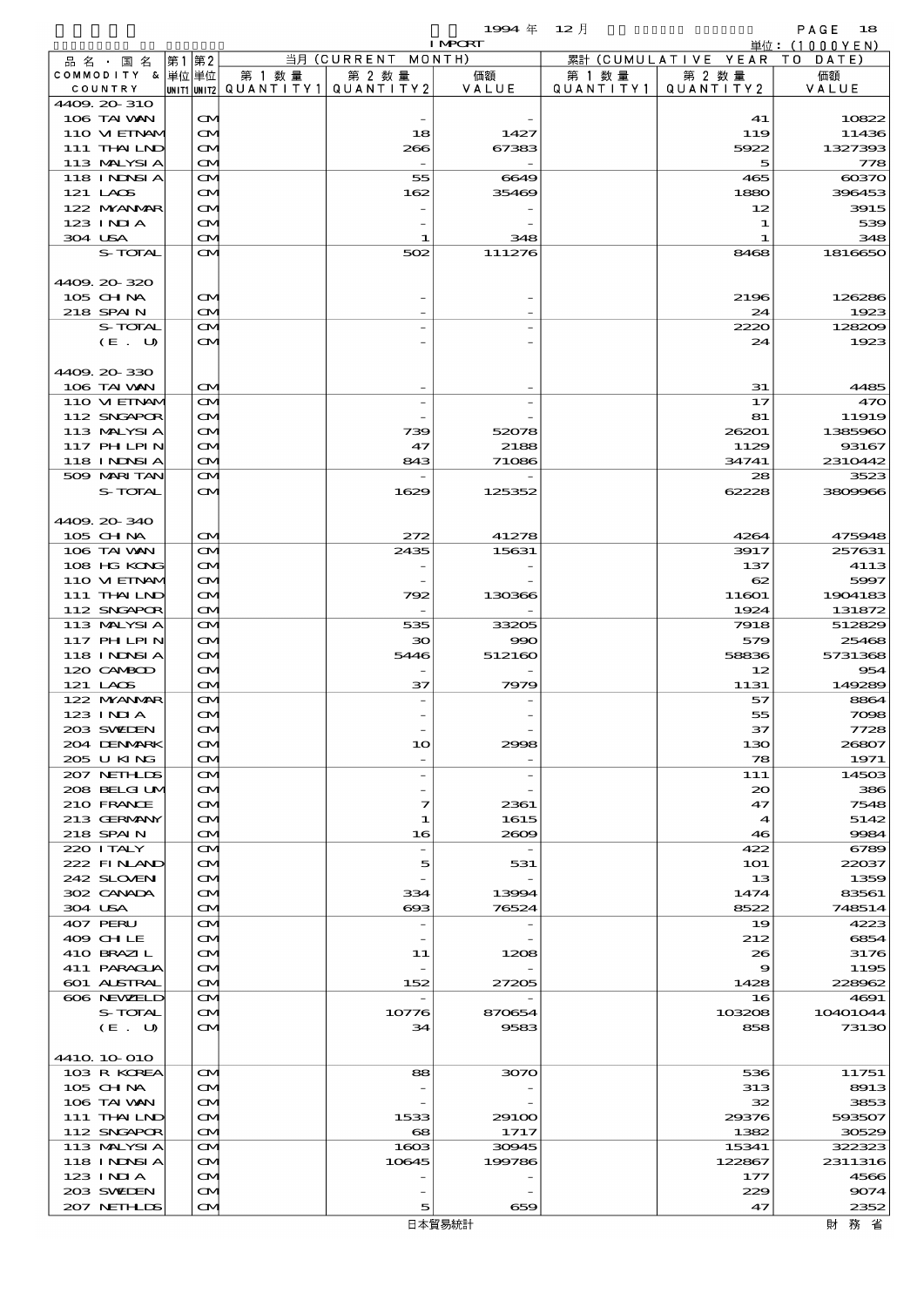COMPORT

| 品名・国名                      | 第1 第2                          |         | 当月 (CURRENT MONTH)              | 1.00 C.C.      |           | 累計 (CUMULATIVE YEAR TO DATE) | - 牢114 - マリ U U U Y E IN J |
|----------------------------|--------------------------------|---------|---------------------------------|----------------|-----------|------------------------------|----------------------------|
| COMMODITY & 单位单位           |                                | 第 1 数 量 | 第 2 数量                          | 価額             | 第 1 数 量   | 第 2 数 量                      | 価額                         |
| COUNTRY                    |                                |         | UNIT1 UNIT2 QUANTITY1 QUANTITY2 | VALUE          | QUANTITY1 | QUANTITY2                    | VALUE                      |
| 4409.20-310                |                                |         |                                 |                |           |                              |                            |
| 106 TAI VAN                | $\mathbf{\infty}$              |         |                                 |                |           | 41                           | 10822                      |
| 110 VIEINAM                | $\mathbf{\Omega}$              |         | 18                              | 1427           |           | 119                          | 11436                      |
| 111 THAILND                | $\mathbf{\Omega}$              |         | 266                             | 67383          |           | 5922                         | 1327393                    |
| 113 MALYSIA                | $\mathbf{\Omega}$              |         | $\overline{\phantom{a}}$        |                |           | 5                            | 778                        |
| 118 I NJNSI A              | $\mathbf{\Omega}$              |         | 55                              | 6649           |           | 465                          | $\cos 70$                  |
| 121 LAOS                   | $\mathbf{\Omega}$              |         | 162                             | 35469          |           | 1880                         | 396453                     |
| 122 MYANMAR                | $\mathbf{\Omega}$              |         |                                 |                |           | 12                           | 3915                       |
| 123 INIA                   | $\mathbf{\Omega}$              |         |                                 |                |           | 1                            | 539                        |
| 304 USA                    | M                              |         | 1                               | 348            |           | 1                            | 348                        |
| S-TOTAL                    | $\mathbf{\alpha}$              |         | 502                             | 111276         |           | 8468                         | 1816650                    |
|                            |                                |         |                                 |                |           |                              |                            |
| 4409.20-320                |                                |         |                                 |                |           |                              |                            |
| 105 CH NA                  | $\mathbf{\Omega}$              |         |                                 |                |           | 2196                         | 126286                     |
| 218 SPAIN                  | M                              |         |                                 |                |           | 24                           | 1923                       |
| S-TOTAL                    | $\mathbf{\alpha}$              |         |                                 |                |           | 2220                         | 128209                     |
| (E. U)                     | $\mathbf{\Omega}$              |         |                                 |                |           | 24                           | 1923                       |
|                            |                                |         |                                 |                |           |                              |                            |
| 4409.20-330                |                                |         |                                 |                |           |                              |                            |
| 106 TAI VAN                | $\mathbf{\Omega}$              |         |                                 |                |           | 31                           | 4485                       |
| 110 VIEINAM                | $\mathbf{\Omega}$              |         |                                 |                |           | 17                           | 470                        |
| 112 SNGAPOR                | $\mathbf{\Omega}$              |         |                                 |                |           | 81                           | 11919                      |
| 113 MALYSIA                | $\mathbf{\Omega}$              |         | 739                             | 52078          |           | 26201                        | 1385960                    |
| 117 PHLPIN                 | Œ.                             |         | 47                              | 2188           |           | 1129                         | 93167                      |
| 118 I NJNSI A              | $\mathbf{\Omega}$              |         | 843                             | 71086          |           | 34741                        | 2310442                    |
| 509 MARI TAN               | <b>CM</b>                      |         |                                 |                |           | 28                           | 3523                       |
| S-TOTAL                    | <b>CM</b>                      |         | 1629                            | 125352         |           | 62228                        | 3809966                    |
|                            |                                |         |                                 |                |           |                              |                            |
| 4409.20-340                | <b>CM</b>                      |         | 272                             | 41278          |           | 4264                         |                            |
| 105 CH NA<br>106 TAI VAN   | $\mathbf{\Omega}$              |         | 2435                            | 15631          |           | 3917                         | 475948<br>257631           |
|                            |                                |         |                                 |                |           |                              |                            |
| 108 HG KONG                | M                              |         |                                 |                |           | 137<br>62                    | 4113                       |
| 110 VIEINAM                | $\mathbf{\Omega}$              |         |                                 |                |           |                              | 5997                       |
| 111 THAILND                | Œ.                             |         | 792                             | 130366         |           | 11601                        | 1904183                    |
| 112 SNGAPOR                | $\mathbf{\Omega}$              |         |                                 |                |           | 1924                         | 131872                     |
| 113 MALYSIA                | $\mathbf{\Omega}$              |         | 535                             | 33205          |           | 7918                         | 512829                     |
| 117 PHLPIN                 | M                              |         | 30<br>5446                      | 990            |           | 579                          | 25468                      |
| 118 I NDSI A<br>120 CAMBOD | $\mathbf{\Omega}$              |         |                                 | 512160         |           | 58836                        | 5731368                    |
| 121 LAOS                   | $\mathbf{\Omega}$<br><b>CM</b> |         | 37                              | 7979           |           | 12<br>1131                   | 954<br>149289              |
| 122 NYANAR                 | $\mathbf{\Omega}$              |         |                                 |                |           | 57                           | 8864                       |
| 123 INIA                   | $\mathbf{\infty}$              |         |                                 |                |           | 55                           | 7098                       |
| 203 SWIEN                  | M                              |         |                                 |                |           | 37                           | 7728                       |
| 204 DENMARK                |                                |         |                                 |                |           |                              |                            |
| 205 U KING                 | CM.<br>$\mathbf{\Omega}$       |         | 10                              | 2998           |           | 130<br>78                    | 26807<br>1971              |
| 207 NETHLIS                | M                              |         | $\overline{a}$                  |                |           | 111                          | 14503                      |
| 208 BELGI UM               | M                              |         |                                 |                |           | $\infty$                     | 386                        |
| 210 FRANCE                 | $\mathbf{\Omega}$              |         | 7                               | 2361           |           | 47                           | 7548                       |
| 213 GERMANY                | M                              |         | 1                               | 1615           |           | 4                            | 5142                       |
| 218 SPAIN                  | $\mathbf{\Omega}$              |         | 16                              | 2009           |           | 46                           | 9984                       |
| 220 I TALY                 | M                              |         |                                 |                |           | 422                          | 6789                       |
| 222 FINAND                 | M                              |         | 5                               | 531            |           | <b>1O1</b>                   | 22037                      |
| 242 SLOVEN                 | $\mathbf{\Omega}$              |         |                                 |                |           | 13                           | 1359                       |
| 302 CANADA                 |                                |         | 334                             |                |           | 1474                         | 83561                      |
| 304 USA                    | M<br>$\mathbf{\Omega}$         |         | $\boldsymbol{\alpha}$           | 13994<br>76524 |           | 8522                         | 748514                     |
| 407 PERU                   | M                              |         | $\overline{\phantom{0}}$        |                |           | 19                           | 4223                       |
| 409 CHLE                   | M                              |         |                                 |                |           | 212                          | 6854                       |
| 410 BRAZIL                 | $\mathbf{\Omega}$              |         | 11                              | 1208           |           | 26                           | 3176                       |
| 411 PARAGUA                | M                              |         |                                 |                |           | 9                            | 1195                       |
| 601 ALSTRAL                | $\mathbf{\Omega}$              |         | 152                             | 27205          |           | 1428                         | 228962                     |
| 606 NEWELD                 | $\mathbf{\Omega}$              |         |                                 |                |           | 16                           | 4691                       |
| S-TOTAL                    | M                              |         | 10776                           | 870654         |           | 103208                       | 10401044                   |
| (E. U)                     | $\mathbf{\alpha}$              |         | 34                              | 9583           |           | 858                          | 73130                      |
|                            |                                |         |                                 |                |           |                              |                            |
| 4410 10 010                |                                |         |                                 |                |           |                              |                            |
| 103 R KOREA                | $\mathbf{\alpha}$              |         | 88                              | 3070           |           | 536                          | 11751                      |
| $105$ CHNA                 | M                              |         |                                 |                |           | 313                          | 8913                       |
| 106 TAI VAN                | $\mathbf{\Omega}$              |         |                                 |                |           | 32                           | 3853                       |
| 111 THAILND                | M                              |         | 1533                            | 29100          |           | 29376                        | 593507                     |
| 112 SNGAPOR                | $\mathbf{\Omega}$              |         | 68                              | 1717           |           | 1382                         | 30529                      |
| 113 MALYSIA                | $\mathbf{\Omega}$              |         | 1603                            | 30945          |           | 15341                        | 322323                     |
| 118 I NDSI A               | M                              |         | 10645                           | 199786         |           | 122867                       | 2311316                    |
| $123$ INIA                 | $\mathbf{\Omega}$              |         |                                 |                |           | 177                          | 4566                       |
| 203 SWIDEN                 | ŒM                             |         |                                 |                |           | 229                          | 9074                       |
| 207 NETHLIS                | $\mathbf{\Omega}$              |         | 5                               | 659            |           | 47                           | 2352                       |
|                            |                                |         |                                 | 日本貿易統計         |           |                              | 財務省                        |
|                            |                                |         |                                 |                |           |                              |                            |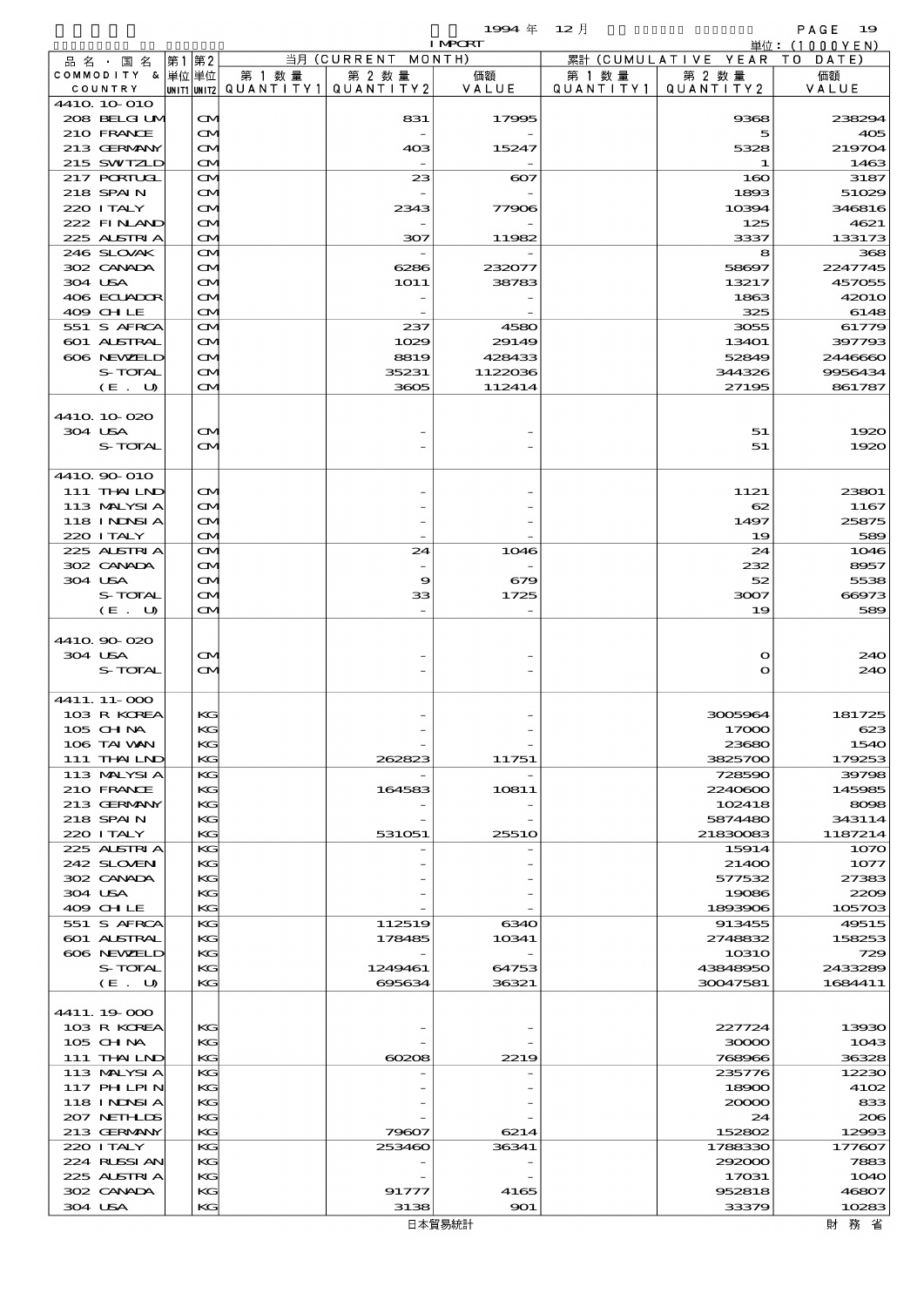|                   |       |                   |                                       |                    | 1994年          | $12$ 月    |                              | PAGE<br>- 19  |
|-------------------|-------|-------------------|---------------------------------------|--------------------|----------------|-----------|------------------------------|---------------|
|                   |       |                   |                                       |                    | <b>I MPCRT</b> |           |                              | 単位: (1000YEN) |
| 品名・国名             | 第1 第2 |                   |                                       | 当月 (CURRENT MONTH) |                |           | 累計 (CUMULATIVE YEAR TO DATE) |               |
| COMMODITY & 単位単位  |       |                   | 第 1 数量                                | 第 2 数量             | 価額             | 第 1 数 量   | 第 2 数量                       | 価額            |
| COUNTRY           |       |                   | unit1 unit2  Q∪ANT   TY1  Q∪ANT   TY2 |                    | VALUE          | QUANTITY1 | QUANTITY2                    | VALUE         |
| 4410 10 010       |       |                   |                                       |                    |                |           |                              |               |
| 208 BELGI UM      |       | $\mathbf{\Omega}$ |                                       | 831                | 17995          |           | 9368                         | 238294        |
| 210 FRANCE        |       | $\mathbf{\Omega}$ |                                       |                    |                |           | 5                            | 405           |
| 213 GERMANY       |       | M                 |                                       | 403                | 15247          |           | 5328                         | 219704        |
| 215 SWIZLD        |       | ŒM)               |                                       |                    |                |           | 1.                           | 1463          |
| $217$ PORIUGL     |       | M                 |                                       | 23                 | $_{\rm CO7}$   |           | 160                          | 3187          |
| 218 SPAIN         |       | M                 |                                       |                    |                |           | 1893                         | 51029         |
| 220 I TALY        |       | M                 |                                       | 2343               | 77906          |           | 10394                        | 346816        |
| 222 FINAND        |       | M                 |                                       |                    |                |           | 125                          | 4621          |
| 225 ALSTRIA       |       | ŒM)               |                                       | 307                | 11982          |           | 3337                         | 133173        |
| 246 SLOVAK        |       | M                 |                                       |                    |                |           | 8                            | 368           |
| 302 CANADA        |       | M                 |                                       | 6286               | 232077         |           | 58697                        | 2247745       |
| 304 USA           |       | M                 |                                       | 1O11               | 38783          |           | 13217                        | 457055        |
| 406 ECUADOR       |       |                   |                                       |                    |                |           | 1863                         | 42010         |
|                   |       | Œ4                |                                       |                    |                |           |                              |               |
| 409 CHLE          |       | ŒM)               |                                       |                    |                |           | 325                          | 6148          |
| 551 S AFRCA       |       | M                 |                                       | 237                | 4580           |           | 3055                         | 61779         |
| 601 ALSTRAL       |       | M                 |                                       | 1029               | 29149          |           | 13401                        | 397793        |
| 606 NEWELD        |       | M                 |                                       | 8819               | 428433         |           | 52849                        | 2446660       |
| S-TOTAL           |       | M                 |                                       | 35231              | 1122036        |           | 344326                       | 9956434       |
| (E. U)            |       | ŒM)               |                                       | 3605               | 112414         |           | 27195                        | 861787        |
|                   |       |                   |                                       |                    |                |           |                              |               |
| 4410 10 020       |       |                   |                                       |                    |                |           |                              |               |
| 304 USA           |       | M                 |                                       |                    |                |           | 51                           | 1920          |
| S-TOTAL           |       | ŒM)               |                                       |                    |                |           | 51                           | 1920          |
|                   |       |                   |                                       |                    |                |           |                              |               |
| 4410 90 010       |       |                   |                                       |                    |                |           |                              |               |
| 111 THAILND       |       | M                 |                                       |                    |                |           | 1121                         | 23801         |
| 113 MALYSIA       |       | M                 |                                       |                    |                |           | 62                           | 1167          |
| <b>118 INNSIA</b> |       | ŒM.               |                                       |                    |                |           | 1497                         | 25875         |
| 220 I TALY        |       | ŒM)               |                                       |                    |                |           | 19                           | 589           |
| 225 ALSTRIA       |       | M                 |                                       | 24                 | 1046           |           | 24                           | 1046          |
| 302 CANADA        |       | M                 |                                       |                    |                |           | 232                          | 8957          |
| 304 USA           |       | M                 |                                       | 9                  | 679            |           | 52                           | 5538          |
|                   |       |                   |                                       |                    |                |           |                              |               |
| S-TOTAL           |       | M                 |                                       | 33                 | 1725           |           | 3007                         | 66973         |
| (E. U)            |       | ŒM)               |                                       |                    |                |           | 19                           | 589           |
|                   |       |                   |                                       |                    |                |           |                              |               |
| 4410 90 020       |       |                   |                                       |                    |                |           |                              |               |
| 304 USA           |       | M                 |                                       |                    |                |           | $\mathbf o$                  | 240           |
| S-TOTAL           |       | ŒM)               |                                       |                    |                |           | $\mathbf{o}$                 | 240           |
|                   |       |                   |                                       |                    |                |           |                              |               |
| 4411. 11-000      |       |                   |                                       |                    |                |           |                              |               |
| 103 R KOREA       |       | KG                |                                       |                    |                |           | 3005964                      | 181725        |
| 105 CH NA         |       | KG                |                                       |                    |                |           | 17000                        | 623           |
| 106 TAI VAN       |       | KC                |                                       |                    |                |           | 23680                        | 1540          |
| 111 THAILND       |       | KG                |                                       | 262823             | 11751          |           | 3825700                      | 179253        |
| 113 MALYSIA       |       | KG                |                                       |                    |                |           | 728590                       | 39798         |
| 210 FRANCE        |       | KC                |                                       | 164583             | 10811          |           | 2240600                      | 145985        |
| 213 GERMANY       |       | KG                |                                       |                    |                |           | 102418                       | 8098          |
| 218 SPAIN         |       | KG                |                                       |                    |                |           | 5874480                      | 343114        |
| 220 I TALY        |       | KG                |                                       | 531051             | <b>25510</b>   |           | 21830083                     | 1187214       |
| 225 ALSTRIA       |       | KG                |                                       |                    |                |           | 15914                        | 1070          |
| 242 SLOVEN        |       | KC                |                                       |                    |                |           | 21400                        | 1077          |
| 302 CANADA        |       | KG                |                                       |                    |                |           | 577532                       | 27383         |
|                   |       |                   |                                       |                    |                |           |                              |               |
| 304 USA           |       | KG                |                                       |                    |                |           | 19086                        | 2209          |
| 409 CHLE          |       | KG                |                                       |                    |                |           | 1893906                      | 105703        |
| 551 S AFRCA       |       | KG                |                                       | 112519             | 6340           |           | 913455                       | 49515         |
| 601 ALSTRAL       |       | KC                |                                       | 178485             | 10341          |           | 2748832                      | 158253        |
| 606 NEWELD        |       | KG                |                                       |                    |                |           | 1031O                        | 729           |
| S-TOTAL           |       | KG                |                                       | 1249461            | 64753          |           | 43848950                     | 2433289       |
| (E. U)            |       | KG                |                                       | 695634             | 36321          |           | 30047581                     | 1684411       |
|                   |       |                   |                                       |                    |                |           |                              |               |
| 4411.19.000       |       |                   |                                       |                    |                |           |                              |               |
| 103 R KOREA       |       | КG                |                                       |                    |                |           | 227724                       | 13930         |
| 105 CHNA          |       | KG                |                                       |                    |                |           | 30000                        | 1043          |
| 111 THAILND       |       | KG                |                                       | 60208              | 2219           |           | 768966                       | 36328         |
| 113 MALYSIA       |       | KG                |                                       |                    |                |           | 235776                       | 12230         |
| 117 PHLPIN        |       | KC                |                                       |                    |                |           | 18900                        | 4102          |
| <b>118 INNSIA</b> |       | KG                |                                       |                    |                |           | 20000                        | 833           |
| 207 NETHLIDS      |       | KG                |                                       |                    |                |           | 24                           | 206           |
| 213 GERMANY       |       | KG                |                                       | 79607              | 6214           |           | 152802                       | 12993         |
| 220 I TALY        |       | KG                |                                       | 253460             | 36341          |           | 1788330                      | 177607        |
| 224 RUSSI AN      |       | KG                |                                       |                    |                |           | 292000                       | 7883          |
| 225 ALSTRIA       |       | KG                |                                       |                    |                |           | 17031                        | 1040          |
| 302 CANADA        |       | KG                |                                       | 91777              | 4165           |           | 952818                       | 46807         |
| 304 USA           |       | KG                |                                       | 3138               | 901            |           | 33379                        | 10283         |
|                   |       |                   |                                       |                    |                |           |                              |               |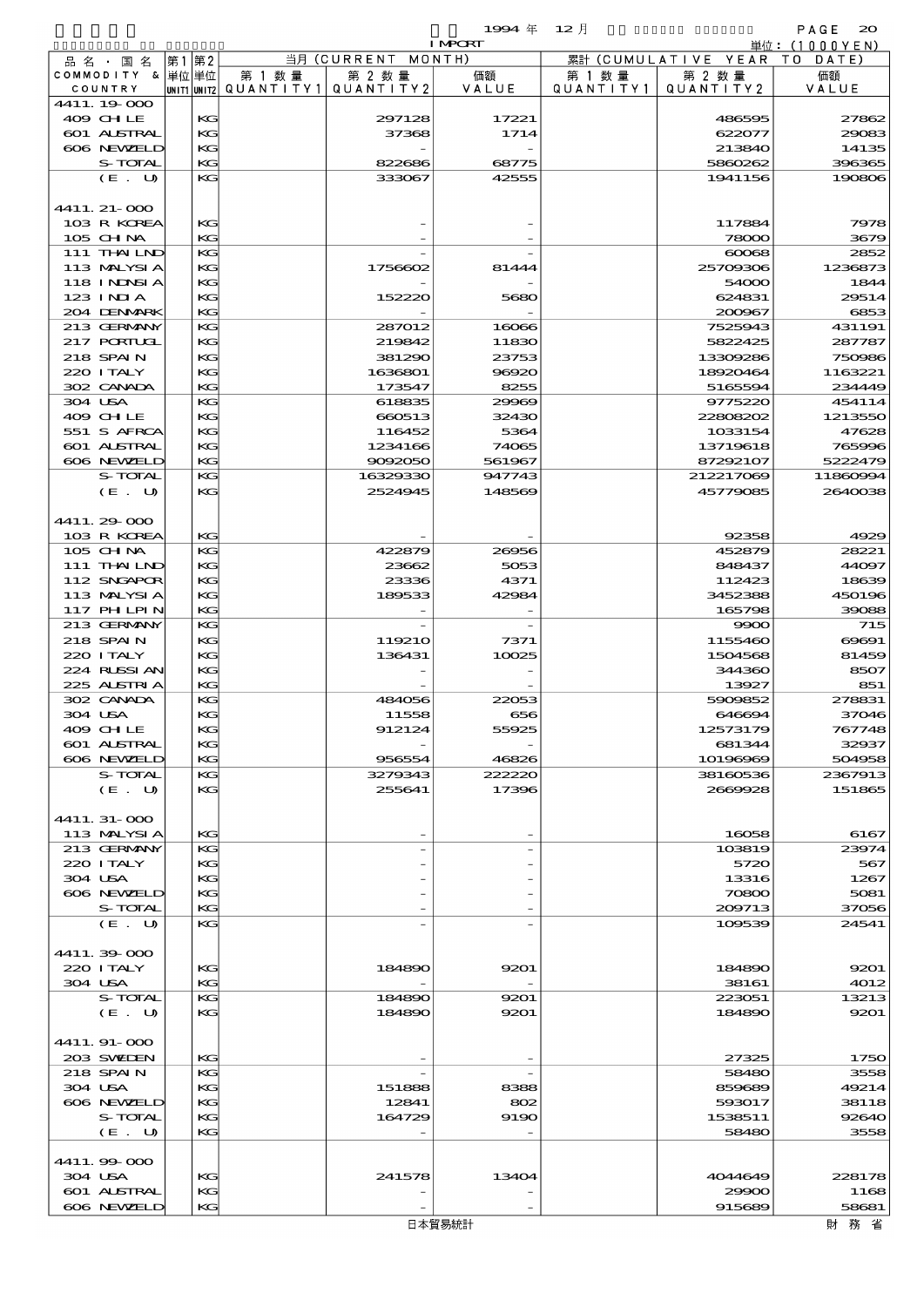|                             |             |                      |                       | 1994 $#$       | $12$ 月               |                      | PAGE<br>$\infty$ |
|-----------------------------|-------------|----------------------|-----------------------|----------------|----------------------|----------------------|------------------|
|                             |             |                      |                       | <b>I MPCRT</b> |                      |                      | 単位:(1000YEN)     |
| 品名・国名                       | 第1 第2       |                      | 当月 (CURRENT MONTH)    |                |                      | 累計 (CUMULATIVE YEAR  | T O<br>DATE      |
| COMMODITY & 単位単位<br>COUNTRY | UNIT1 UNIT2 | 第 1 数 量<br>QUANTITY1 | 第 2 数 量<br>QUANTITY 2 | 価額<br>VALUE    | 第 1 数 量<br>QUANTITY1 | 第 2 数 量<br>QUANTITY2 | 価額<br>VALUE      |
| 4411.19.000                 |             |                      |                       |                |                      |                      |                  |
| 409 CHLE                    | KG          |                      | 297128                | 17221          |                      | 486595               | 27862            |
| 601 ALSTRAL                 | KG          |                      | 37368                 | 1714           |                      | 622077               | 29083            |
| 606 NEWELD                  | KG          |                      |                       |                |                      | 213840               | 14135            |
| S-TOTAL                     | KG          |                      | 822686                | 68775          |                      | 5860262              | 396365           |
| (E. U)                      | KG          |                      | 333067                | 42555          |                      | 1941156              | 190806           |
|                             |             |                      |                       |                |                      |                      |                  |
| 4411. 21-000<br>103 R KOREA | KG          |                      |                       |                |                      | 117884               | 7978             |
| 105 CHNA                    | KG          |                      |                       |                |                      | 78000                | 3679             |
| 111 THAILND                 | KG          |                      |                       |                |                      | $\infty$             | 2852             |
| 113 MALYSIA                 | KG          |                      | 1756602               | 81444          |                      | 25709306             | 1236873          |
| <b>118 INNSIA</b>           | KG          |                      |                       |                |                      | 54000                | 1844             |
| $123$ INIA                  | KG          |                      | 152220                | 5680           |                      | 624831               | 29514            |
| 204 DENMRK                  | KG          |                      |                       |                |                      | 200967               | 6853             |
| 213 GERMANY                 | KG          |                      | 287012                | 16066          |                      | 7525943              | 431191           |
| 217 PORTUGL                 | KG          |                      | 219842                | 11830          |                      | 5822425              | 287787           |
| 218 SPAIN                   | KG          |                      | 381290                | 23753          |                      | 13309286             | 750986           |
| 220 I TALY                  | KG          |                      | 1636801               | 96920          |                      | 18920464             | 1163221          |
| 302 CANADA<br>304 USA       | KG<br>KG    |                      | 173547<br>618835      | 8255<br>29969  |                      | 5165594<br>9775220   | 234449<br>454114 |
| 409 CHLE                    | KG          |                      | 660513                | 32430          |                      | 22808202             | 1213550          |
| 551 S AFRCA                 | KG          |                      | 116452                | 5364           |                      | 1033154              | 47628            |
| 601 ALSTRAL                 | KG          |                      | 1234166               | 74065          |                      | 13719618             | 765996           |
| 606 NEWELD                  | KG          |                      | 9092050               | 561967         |                      | 87292107             | 5222479          |
| S-TOTAL                     | KG          |                      | 16329330              | 947743         |                      | 212217069            | 11860994         |
| (E. U)                      | KG          |                      | 2524945               | 148569         |                      | 45779085             | 2640038          |
|                             |             |                      |                       |                |                      |                      |                  |
| 4411.29-000                 |             |                      |                       |                |                      |                      |                  |
| 103 R KOREA                 | KG          |                      |                       |                |                      | 92358                | 4929             |
| 105 CH NA                   | KG          |                      | 422879                | 26956          |                      | 452879               | 28221            |
| 111 THAIND                  | KG          |                      | 23662                 | 5053           |                      | 848437               | 44097            |
| 112 SNGAPOR                 | KG          |                      | 23336                 | 4371           |                      | 112423               | 18639            |
| 113 MALYSIA                 | KG          |                      | 189533                | 42984          |                      | 3452388              | 450196           |
| <b>117 PHLPIN</b>           | KG          |                      |                       |                |                      | 165798               | 39088            |
| 213 GERMANY                 | KG          |                      |                       |                |                      | 9900                 | 715              |
| 218 SPAIN<br>220 I TALY     | KG<br>KG    |                      | 119210<br>136431      | 7371<br>10025  |                      | 1155460<br>1504568   | 60001<br>81459   |
| 224 RUSSI AN                | KG          |                      |                       |                |                      | 344360               | 8507             |
| 225 ALSTRIA                 | KG          |                      |                       |                |                      | 13927                | 851              |
| 302 CANADA                  | KG          |                      | 484056                | 22053          |                      | 5909852              | 278831           |
| 304 USA                     | KG          |                      | 11558                 | 656            |                      | 646694               | 37046            |
| 409 CHLE                    | KG          |                      | 912124                | 55925          |                      | 12573179             | 767748           |
| 601 ALSTRAL                 | KG          |                      |                       |                |                      | 681344               | 32937            |
| 606 NEWELD                  | KG          |                      | 956554                | 46826          |                      | 10196969             | 504958           |
| S-TOTAL                     | KG          |                      | 3279343               | 222220         |                      | 38160536             | 2367913          |
| (E. U)                      | KG          |                      | 255641                | 17396          |                      | 2669928              | 151865           |
|                             |             |                      |                       |                |                      |                      |                  |
| 4411.31-000                 |             |                      |                       |                |                      |                      |                  |
| 113 MALYSIA<br>213 GERMANY  | KG<br>KG    |                      |                       |                |                      | 16058<br>103819      | 6167<br>23974    |
| 220 I TALY                  | KG          |                      |                       |                |                      | 5720                 | 567              |
| 304 USA                     | KG          |                      |                       |                |                      | 13316                | 1267             |
| 606 NEWELD                  | KG          |                      |                       |                |                      | 70800                | 5081             |
| S-TOTAL                     | KG          |                      |                       |                |                      | 209713               | 37056            |
| (E. U)                      | KG          |                      |                       |                |                      | 109539               | 24541            |
|                             |             |                      |                       |                |                      |                      |                  |
| 4411.39-000                 |             |                      |                       |                |                      |                      |                  |
| 220 I TALY                  | KG          |                      | 184890                | 9201           |                      | 184890               | 9201             |
| 304 USA                     | KG          |                      |                       |                |                      | 38161                | 4012             |
| S-TOTAL                     | KG          |                      | 184890                | 9201           |                      | 223051               | 13213            |
| (E. U)                      | KG          |                      | 184890                | 9201           |                      | 184890               | 9201             |
|                             |             |                      |                       |                |                      |                      |                  |
| 4411.91-000                 |             |                      |                       |                |                      |                      |                  |
| 203 SWIEN<br>218 SPAIN      | KG<br>KG    |                      |                       |                |                      | 27325<br>58480       | 1750<br>3558     |
| 304 USA                     | KG          |                      | 151888                | 8388           |                      | 859689               | 49214            |
| 606 NEWELD                  | KG          |                      | 12841                 | 802            |                      | 593017               | 38118            |
| S-TOTAL                     | KG          |                      | 164729                | 9190           |                      | 1538511              | 92640            |
| (E. U)                      | KG          |                      |                       |                |                      | 58480                | 3558             |
|                             |             |                      |                       |                |                      |                      |                  |
| 4411.99 000                 |             |                      |                       |                |                      |                      |                  |
| 304 USA                     | KG          |                      | 241578                | 13404          |                      | 4044649              | 228178           |
| 601 ALSTRAL                 | KG          |                      |                       |                |                      | 29900                | 1168             |
| 606 NEWELD                  | KG          |                      |                       |                |                      | 915689               | 58681            |

606 NEWELD KG  $\begin{vmatrix} \n\kappa & \n\end{vmatrix}$  -  $\begin{vmatrix} -1 & \kappa \end{vmatrix}$  915689 58681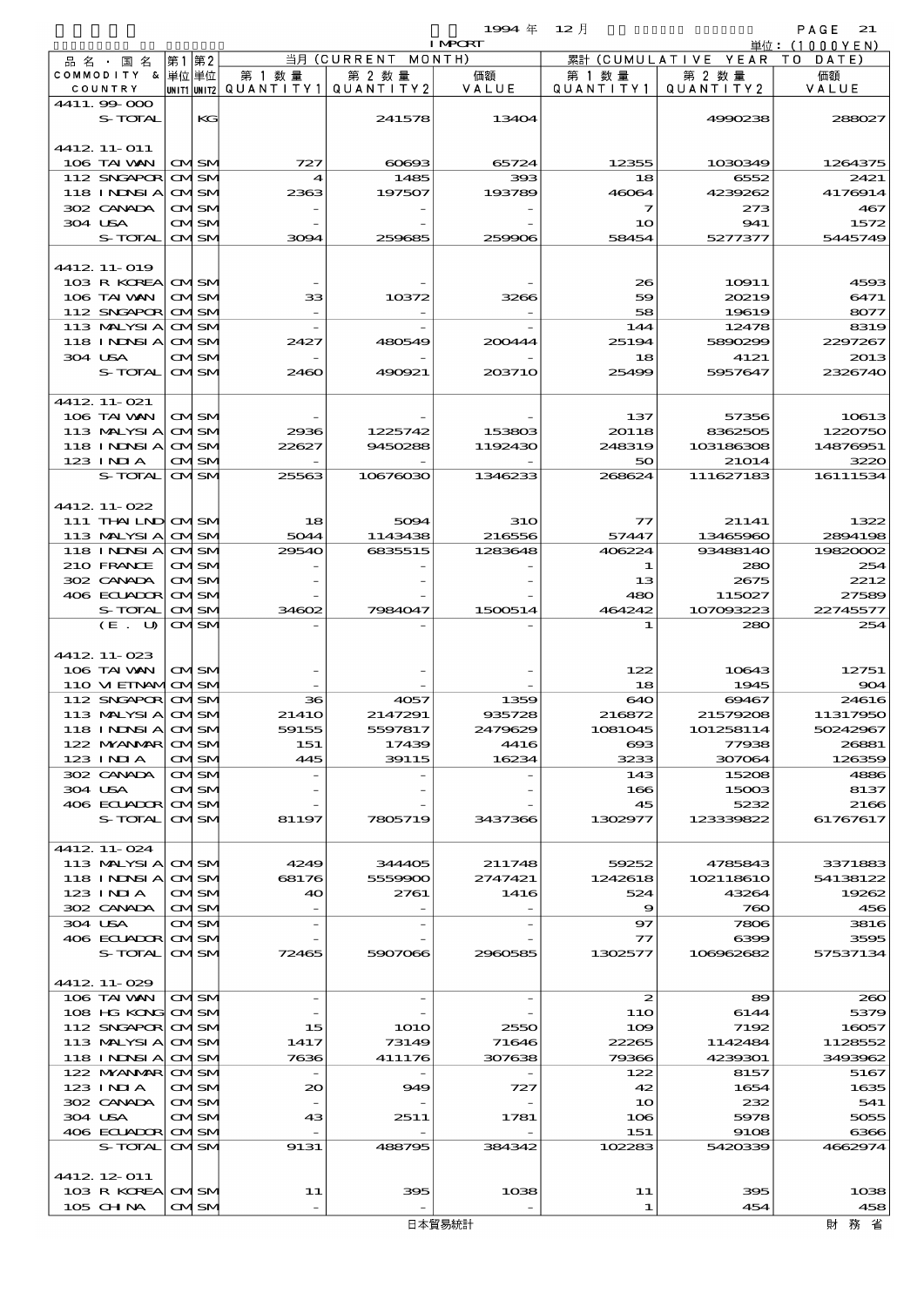|                              |      |                             |                                                   | 19994年 12月         | PAGE<br>21               |                                  |                              |                 |
|------------------------------|------|-----------------------------|---------------------------------------------------|--------------------|--------------------------|----------------------------------|------------------------------|-----------------|
|                              |      |                             |                                                   |                    | <b>I MPORT</b><br>MONTH) |                                  |                              | 単位: (1000YEN)   |
| 品名・国名<br>COMMODITY & 単位単位    | 第1第2 |                             |                                                   | 当月(CURRENT         |                          |                                  | 累計 (CUMULATIVE YEAR TO DATE) |                 |
| COUNTRY                      |      |                             | 第 1 数 量<br> unit1 unit2  Q∪ANT   TY1  Q∪ANT   TY2 | 第 2 数量             | 価額<br>VALUE              | 第 1 数 量<br>QUANTITY1   QUANTITY2 | 第 2 数量                       | 価額<br>VALUE     |
| 4411.99 000                  |      |                             |                                                   |                    |                          |                                  |                              |                 |
| S-TOTAL                      |      | KG                          |                                                   | 241578             | 13404                    |                                  | 4990238                      | 288027          |
| 4412 11-011                  |      |                             |                                                   |                    |                          |                                  |                              |                 |
| 106 TAI WAN                  |      | <b>CMISM</b>                | 727                                               | $\cos\!\alpha$     | 65724                    | 12355                            | 1030349                      | 1264375         |
| 112 SNGAPOR                  |      | <b>CMISM</b>                | 4                                                 | 1485               | 393                      | 18                               | 6552                         | 2421            |
| <b>118 INDSIA</b>            |      | <b>CMISM</b>                | 2363                                              | 197507             | 193789                   | 46064                            | 4239262                      | 4176914         |
| 302 CANADA                   |      | <b>CMSM</b>                 |                                                   |                    |                          | 7                                | 273                          | 467             |
| 304 USA                      |      | <b>CMSM</b>                 |                                                   |                    |                          | 10                               | 941                          | 1572            |
| S-TOTAL                      |      | <b>CMISM</b>                | 3094                                              | 259685             | 259906                   | 58454                            | 5277377                      | 5445749         |
| 4412 11-019                  |      |                             |                                                   |                    |                          |                                  |                              |                 |
| 103 R KOREA                  |      | <b>CMISM</b>                |                                                   |                    |                          | 26                               | 10911                        | 4593            |
| 106 TAI WAN                  |      | <b>CMISM</b>                | 33                                                | 10372              | 3266                     | 59                               | 20219                        | 6471            |
| 112 SNGAPOR                  |      | <b>CMSM</b>                 |                                                   |                    |                          | 58                               | 19619                        | 8077            |
| 113 MALYSIA                  |      | <b>CMISM</b>                |                                                   |                    |                          | 144                              | 12478                        | 8319            |
| 118 I NINSI A                |      | <b>CMISM</b>                | 2427                                              | 480549             | 200444                   | 25194                            | 5890299                      | 2297267         |
| 304 USA                      |      | <b>CMSM</b>                 |                                                   |                    |                          | 18                               | 4121                         | 2013            |
| S-TOTAL                      |      | <b>CMISM</b>                | 2460                                              | 490921             | 203710                   | 25499                            | 5957647                      | 2326740         |
| 4412 11-021                  |      |                             |                                                   |                    |                          |                                  |                              |                 |
| 106 TAI WAN                  |      | <b>CMSM</b>                 |                                                   |                    |                          | 137                              | 57356                        | 10613           |
| 113 MALYSIA                  |      | <b>CMSM</b>                 | 2936                                              | 1225742            | 153803                   | 20118                            | 8362505                      | 1220750         |
| 118 INNSI A                  |      | <b>CMISM</b>                | 22627                                             | 9450288            | 1192430                  | 248319                           | 103186308                    | 14876951        |
| $123$ INJA                   |      | CMSM                        |                                                   |                    |                          | 50                               | 21014                        | 3220            |
| S-TOTAL                      |      | <b>CMISM</b>                | 25563                                             | 10676030           | 1346233                  | 268624                           | 111627183                    | 16111534        |
|                              |      |                             |                                                   |                    |                          |                                  |                              |                 |
| 4412 11-022                  |      |                             |                                                   |                    |                          |                                  |                              |                 |
| 111 THAILND CMSM             |      |                             | 18                                                | 5094               | <b>31O</b>               | $\tau\tau$<br>57447              | 21141                        | 1322<br>2894198 |
| 113 MALYSIA<br>118 I NINSI A |      | <b>CMISM</b><br><b>CMSM</b> | 5044<br>29540                                     | 1143438<br>6835515 | 216556<br>1283648        | 406224                           | 13465960<br>93488140         | 19820002        |
| 210 FRANCE                   |      | <b>CMISM</b>                |                                                   |                    |                          | 1                                | 280                          | 254             |
| 302 CANADA                   |      | <b>CMSM</b>                 |                                                   |                    |                          | 13                               | 2675                         | 2212            |
| 406 ECUADOR OM SM            |      |                             |                                                   |                    |                          | 480                              | 115027                       | 27589           |
| S-TOTAL                      |      | <b>CMISM</b>                | 34602                                             | 7984047            | 1500514                  | 464242                           | 107003223                    | 22745577        |
| (E. U)                       |      | <b>CMSM</b>                 |                                                   |                    |                          | 1                                | 280                          | 254             |
|                              |      |                             |                                                   |                    |                          |                                  |                              |                 |
| 4412 11-023                  |      |                             |                                                   |                    |                          |                                  |                              |                 |
| 106 TAI VAN                  |      | <b>CMSM</b>                 |                                                   |                    |                          | 122                              | 10643                        | 12751           |
| 110 VI EINAMICMSM            |      |                             |                                                   |                    |                          | 18                               | 1945                         | 904             |
| 112 SNGAPOR CMSM             |      |                             | 36                                                | 4057               | 1359                     | 640                              | 69467                        | 24616           |
| 113 MALYSIA                  |      | <b>CMISM</b>                | 2141O                                             | 2147291            | 935728                   | 216872                           | 21579208                     | 11317950        |
| <b>118 INNSIA</b>            |      | <b>CMISM</b>                | 59155                                             | 5597817            | 2479629                  | 1081045                          | 101258114                    | 50242967        |
| 122 MYANMAR CMISM            |      |                             | 151                                               | 17439              | 4416                     | $\infty$                         | 77938                        | 26881           |
| 123 INIA<br>302 CANADA       |      | <b>CMISM</b><br>CMSM        | 445                                               | 39115              | 16234                    | 3233<br>143                      | 307064<br>15208              | 126359<br>4886  |
| 304 USA                      |      | CMISM                       |                                                   |                    |                          | 166                              | 15003                        | 8137            |
| 406 ECUADOR CMSM             |      |                             |                                                   |                    |                          | 45                               | 5232                         | 2166            |
| S-TOTAL                      |      | <b>CMISM</b>                | 81197                                             | 7805719            | 3437366                  | 1302977                          | 123339822                    | 61767617        |
|                              |      |                             |                                                   |                    |                          |                                  |                              |                 |
| 4412 11-024                  |      |                             |                                                   |                    |                          |                                  |                              |                 |
| 113 MALYSI A CMSM            |      |                             | 4249                                              | 344405             | 211748                   | 59252                            | 4785843                      | 3371883         |
| 118 I NDSI A                 |      | <b>CMSM</b>                 | 68176<br>40                                       | 5559900            | 2747421                  | 1242618<br>524                   | 102118610                    | 54138122        |
| $123$ INIA<br>302 CANADA     |      | <b>CMSM</b><br><b>CMISM</b> |                                                   | 2761               | 1416                     | 9                                | 43264<br>760                 | 19262<br>456    |
| 304 USA                      |      | CMISM                       |                                                   |                    |                          | 97                               | 7806                         | 3816            |
| 406 ECUADOR                  |      | <b>CMISM</b>                |                                                   |                    |                          | 77                               | 6399                         | 3595            |
| S-TOTAL                      |      | <b>CMSM</b>                 | 72465                                             | 5907066            | 2960585                  | 1302577                          | 106962682                    | 57537134        |
|                              |      |                             |                                                   |                    |                          |                                  |                              |                 |

4412.11-029

4412.12-011

106 TAIWAN CM SM - - - - 2 89 260  $108 \text{ HG} \text{ KOR}$   $\text{ON} \text{ SNI}$   $\text{N}$   $\text{N}$   $\text{N}$   $\text{N}$   $\text{N}$   $\text{N}$   $\text{N}$   $\text{N}$   $\text{N}$   $\text{N}$   $\text{N}$   $\text{N}$   $\text{N}$   $\text{N}$   $\text{N}$   $\text{N}$   $\text{N}$   $\text{N}$   $\text{N}$   $\text{N}$   $\text{N}$   $\text{N}$   $\text{N}$   $\text{N$ 112 SNGAPOR OM SM 115 1010 2550 109 7192 16057 113 MALYSIA QVISM 1417 73149 71646 22265 1142484 1128552 118 INDNSIA CM SM 7636 411176 307638 79366 4239301 3493962 122 MANMAR CM SM - - - 122 8157 5167 123 INDIA  $\overline{OMSM}$  20 949 727 42 1654 1635  $302 \text{ CANDA}$   $\boxed{\text{OMSM}}$  -  $\boxed{\text{OMSM}}$  -  $\boxed{\text{OMSM}}$  -  $\boxed{\text{OMSM}}$  -  $\boxed{\text{OMSM}}$  -  $\boxed{\text{OMSM}}$  -  $\boxed{\text{OMSM}}$  -  $\boxed{\text{OMSM}}$  -  $\boxed{\text{OMSM}}$  -  $\boxed{\text{OMSM}}$  -  $\boxed{\text{OMSM}}$  -  $\boxed{\text{OMSM}}$  -  $\boxed{\text{OMSM}}$  -  $\boxed{\text{OMSM}}$  -  $\boxed{\text{OMSM}}$  -  $\boxed{\text{OMSM}}$  -  $304 \text{ USA}$   $\boxed{\text{OMSM}}$   $43$   $2511$   $1781$   $106$   $5978$   $5055$ 109 ECUADOR OM SM 43 2511 1781 108 5978 5055<br>106 ECUADOR OM SM - - - - - 151 9108 6396<br>5-TOTAL OM SM 9131 488735 384342 102283 5420339 4632374 S-TOTAL CM SM 9131 488795 384342 102283 5420339 4662974

103 R KOREA CM SM 11 395 1038 11 395 1038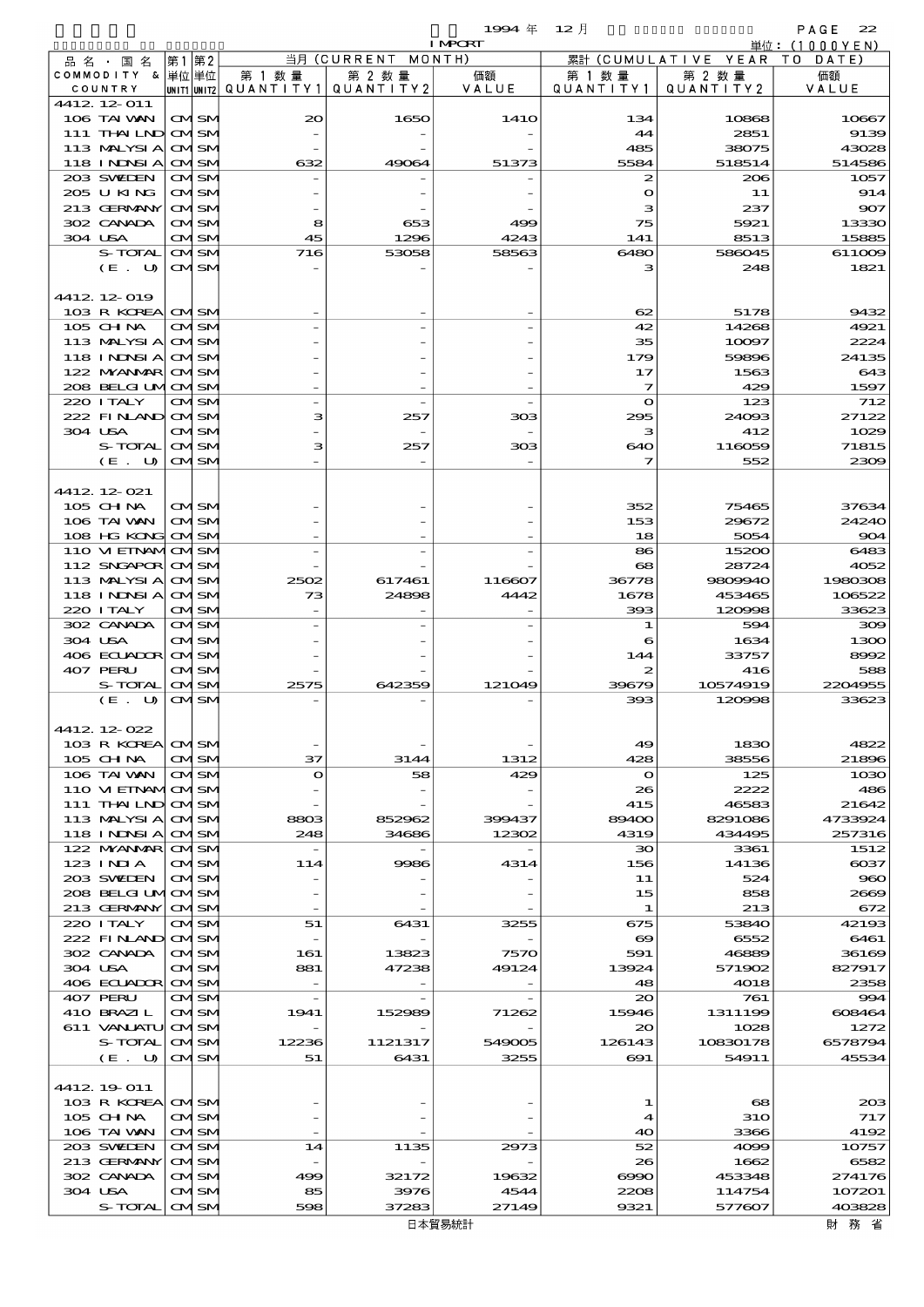|                               |                                  |      |                              |                          |                              | 1994年          | - 12 月                         |                            | PAGE<br>22        |
|-------------------------------|----------------------------------|------|------------------------------|--------------------------|------------------------------|----------------|--------------------------------|----------------------------|-------------------|
|                               |                                  |      |                              |                          |                              | <b>I MPORT</b> |                                |                            | 単位: $(1000YEN)$   |
| 品名・国名<br>COMMODITY &   単位  単位 |                                  | 第1第2 |                              | 第 1 数量                   | 当月 (CURRENT MONTH)<br>第 2 数量 | 価額             | 累計<br>第 1 数 量                  | (CUMULATIVE YEAR<br>第 2 数量 | T O<br>DATE<br>価額 |
| COUNTRY                       |                                  |      |                              | UNIT1 UNIT2  Q∪ANT   TY1 | QUANTITY 2                   | VALUE          | QUANTITY1                      | QUANTITY 2                 | VALUE             |
| 4412 12 011                   |                                  |      |                              |                          |                              |                |                                |                            |                   |
|                               | 106 TAI VAN                      |      | <b>CMISM</b>                 | $\infty$                 | 1650                         | 141O           | 134                            | 10868                      | 10667             |
|                               | 111 THAILND                      |      | <b>CMSM</b>                  |                          |                              |                | 44                             | 2851                       | 9139              |
|                               | 113 MALYSIA                      |      | <b>CMSM</b>                  |                          |                              |                | 485                            | 38075                      | 43028             |
|                               | 118 I NJNSI A<br>203 SWIDEN      |      | <b>CMISM</b><br><b>CMSM</b>  | 632                      | 49064                        | 51373          | 5584<br>2                      | 518514<br>206              | 514586<br>1057    |
|                               | 205 U KING                       |      | <b>CMISM</b>                 |                          |                              |                | $\mathbf o$                    | 11                         | 914               |
|                               | 213 GERMANY                      |      | <b>CMISM</b>                 |                          |                              |                | з                              | 237                        | 907               |
|                               | 302 CANADA                       |      | <b>CMSM</b>                  | 8                        | 653                          | 499            | 75                             | 5921                       | 13330             |
| 304 USA                       |                                  |      | <b>CMSM</b>                  | 45                       | 1296                         | 4243           | 141                            | 8513                       | 15885             |
|                               | S-TOTAL                          |      | <b>CMSM</b>                  | 716                      | 53058                        | 58563          | 6480                           | 586045                     | 611009            |
|                               | (E. U)                           |      | <b>CMISM</b>                 |                          |                              |                | з                              | 248                        | 1821              |
| 4412 12 019                   |                                  |      |                              |                          |                              |                |                                |                            |                   |
|                               | 103 R KOREA                      |      | <b>CMISM</b>                 |                          |                              |                | 62                             | 5178                       | 9432              |
| $105$ CHNA                    |                                  |      | <b>CMSM</b>                  |                          |                              |                | 42                             | 14268                      | 4921              |
|                               | 113 MALYSIA                      |      | <b>CMSM</b>                  |                          |                              |                | 35                             | 10097                      | 2224              |
|                               | 118 INNSI A                      |      | <b>CMSM</b>                  |                          |                              |                | 179                            | 59896                      | 24135             |
|                               | 122 MYANAR                       |      | <b>CMISM</b>                 |                          |                              |                | 17                             | 1563                       | 643               |
|                               | 208 BELGI UMOMSM                 |      |                              |                          |                              |                | 7                              | 429                        | 1597              |
| 220 I TALY                    | 222 FINAND CMSM                  |      | <b>CMSM</b>                  | з                        | 257                          | 303            | $\mathbf o$<br>295             | 123<br>24093               | 712<br>27122      |
| 304 USA                       |                                  |      | <b>CMISM</b>                 |                          |                              |                | з                              | 412                        | 1029              |
|                               | S-TOTAL                          |      | <b>CMSM</b>                  | з                        | 257                          | 308            | 640                            | 116059                     | 71815             |
|                               | (E. U)                           |      | <b>CMSM</b>                  |                          |                              |                | 7                              | 552                        | 2309              |
|                               |                                  |      |                              |                          |                              |                |                                |                            |                   |
| 4412 12 021                   |                                  |      |                              |                          |                              |                |                                |                            |                   |
| 105 CHNA                      |                                  |      | <b>CMISM</b>                 |                          |                              |                | 352                            | 75465                      | 37634             |
|                               | 106 TAI WAN                      |      | <b>CMSM</b>                  |                          |                              |                | 153                            | 29672                      | 24240             |
|                               | 108 HG KONG<br>110 VI EINAMICMSM |      | <b>CMISM</b>                 |                          |                              |                | 18<br>86                       | 5054<br>15200              | 904<br>6483       |
|                               | 112 SNGAPOR                      |      | <b>CMISM</b>                 |                          |                              |                | 68                             | 28724                      | 4052              |
|                               | 113 MALYSIA                      |      | <b>CMISM</b>                 | 2502                     | 617461                       | 116607         | 36778                          | 9809940                    | 1980308           |
|                               | 118 I NJNSI A                    |      | <b>CMISM</b>                 | 73                       | 24898                        | 4442           | 1678                           | 453465                     | 106522            |
| 220 I TALY                    |                                  |      | <b>CMISM</b>                 |                          |                              |                | 393                            | 120998                     | 33623             |
| 302 CANADA                    |                                  |      | <b>CMSM</b>                  |                          |                              |                | 1                              | 594                        | 300               |
| 304 USA                       |                                  |      | <b>CMISM</b>                 |                          |                              |                | 6                              | 1634                       | 1300              |
| 407 PERU                      | 406 ECUADOR                      |      | <b>CMISM</b><br><b>CMISM</b> |                          |                              |                | 144<br>2                       | 33757<br>416               | 8992<br>588       |
|                               | S-TOTAL                          |      | <b>CMISM</b>                 | 2575                     | 642359                       | 121049         | 39679                          | 10574919                   | 2201955           |
|                               | (E. U)                           |      | <b>CMSM</b>                  |                          |                              |                | 393                            | 120008                     | 33623             |
|                               |                                  |      |                              |                          |                              |                |                                |                            |                   |
| 4412 12 022                   |                                  |      |                              |                          |                              |                |                                |                            |                   |
|                               | 103 R KOREA                      |      | <b>CMISM</b>                 |                          |                              |                | 49                             | 1830                       | 4822              |
| 105 CHNA                      | 106 TAI WAN                      |      | <b>CMSM</b><br><b>CMSM</b>   | 37<br>$\mathbf o$        | 3144<br>58                   | 1312<br>429    | 428<br>$\mathbf o$             | 38556<br>125               | 21896<br>1030     |
|                               | 110 VIEINAMOMSM                  |      |                              |                          |                              |                | 26                             | 2222                       | 486               |
|                               | 111 THAILND                      |      | <b>CMSM</b>                  |                          |                              |                | 415                            | 46583                      | 21642             |
|                               | 113 MALYSIA                      |      | <b>CMISM</b>                 | 8803                     | 852962                       | 399437         | 89400                          | 8291086                    | 4733924           |
|                               | <b>118 INNSIA</b>                |      | <b>CMSM</b>                  | 248                      | 34686                        | 12302          | 4319                           | 434495                     | 257316            |
|                               | 122 MYANMAR                      |      | <b>CMSM</b>                  |                          |                              |                | зо                             | 3361                       | 1512              |
| 123 INIA                      |                                  |      | <b>CMISM</b>                 | 114                      | 9986                         | 4314           | 156                            | 14136<br>524               | $\cos$            |
|                               | 203 SWIDEN<br>208 BELGI UMOMSM   |      | <b>CMISM</b>                 |                          |                              |                | 11<br>15                       | 858                        | 960<br>2669       |
|                               | 213 GERMANY                      |      | <b>CMSM</b>                  |                          |                              |                | 1                              | 213                        | 672               |
| 220 I TALY                    |                                  |      | <b>CMISM</b>                 | 51                       | 6431                         | 3255           | 675                            | 53840                      | 42193             |
|                               | 222 FINAND                       |      | <b>CMSM</b>                  |                          |                              |                | $\boldsymbol{\infty}$          | 6552                       | 6461              |
|                               | 302 CANADA                       |      | <b>CMISM</b>                 | 161                      | 13823                        | 7570           | 591                            | 46889                      | 36169             |
| 304 USA                       |                                  |      | CMSM                         | 881                      | 47238                        | 49124          | 13924                          | 571902                     | 827917            |
| 407 PERU                      | 406 ECUADOR                      |      | <b>CMISM</b><br><b>CMSM</b>  | $\overline{\phantom{a}}$ | $\overline{\phantom{a}}$     |                | 48<br>$\infty$                 | 4018<br>761                | 2358<br>994       |
| 410 BRAZIL                    |                                  |      | <b>CMSM</b>                  | 1941                     | 152989                       | 71262          | 15946                          | 1311199                    | 608464            |
|                               | 611 VANLATU                      |      | <b>CMSM</b>                  |                          |                              |                | 20                             | 1028                       | 1272              |
|                               | S-TOTAL                          |      | <b>CMSM</b>                  | 12236                    | 1121317                      | 549005         | 126143                         | 10830178                   | 6578794           |
|                               | (E. U)                           |      | <b>CMISM</b>                 | 51                       | 6431                         | 3255           | $\infty$                       | 54911                      | 45534             |
|                               |                                  |      |                              |                          |                              |                |                                |                            |                   |
| 4412 19 011                   |                                  |      |                              |                          |                              |                |                                |                            |                   |
| $105$ CHNA                    | 103 R KOREA                      |      | <b>CMISM</b><br><b>CMISM</b> |                          |                              |                | 1<br>4                         | 68<br><b>31O</b>           | 20B<br>717        |
|                               | 106 TAI VAN                      |      | <b>CMISM</b>                 |                          |                              |                | 40                             | 3366                       | 4192              |
|                               | 203 SWIDEN                       |      | <b>CMISM</b>                 | 14                       | 1135                         | 2973           | 52                             | 4099                       | 10757             |
|                               | 213 GERMANY                      |      | <b>CMISM</b>                 |                          |                              |                | 26                             | 1662                       | 6582              |
|                               | 302 CANADA                       |      | <b>CMSM</b>                  | 499                      | 32172                        | 19632          | $\bullet\bullet\bullet\bullet$ | 453348                     | 274176            |
| 304 USA                       |                                  |      | <b>CMISM</b>                 | 85                       | 3976                         | 4544           | 2208                           | 114754                     | 107201            |
|                               | S-TOTAL                          |      | <b>CMISM</b>                 | 598                      | 37283                        | 27149          | 9321                           | 577607                     | 403828            |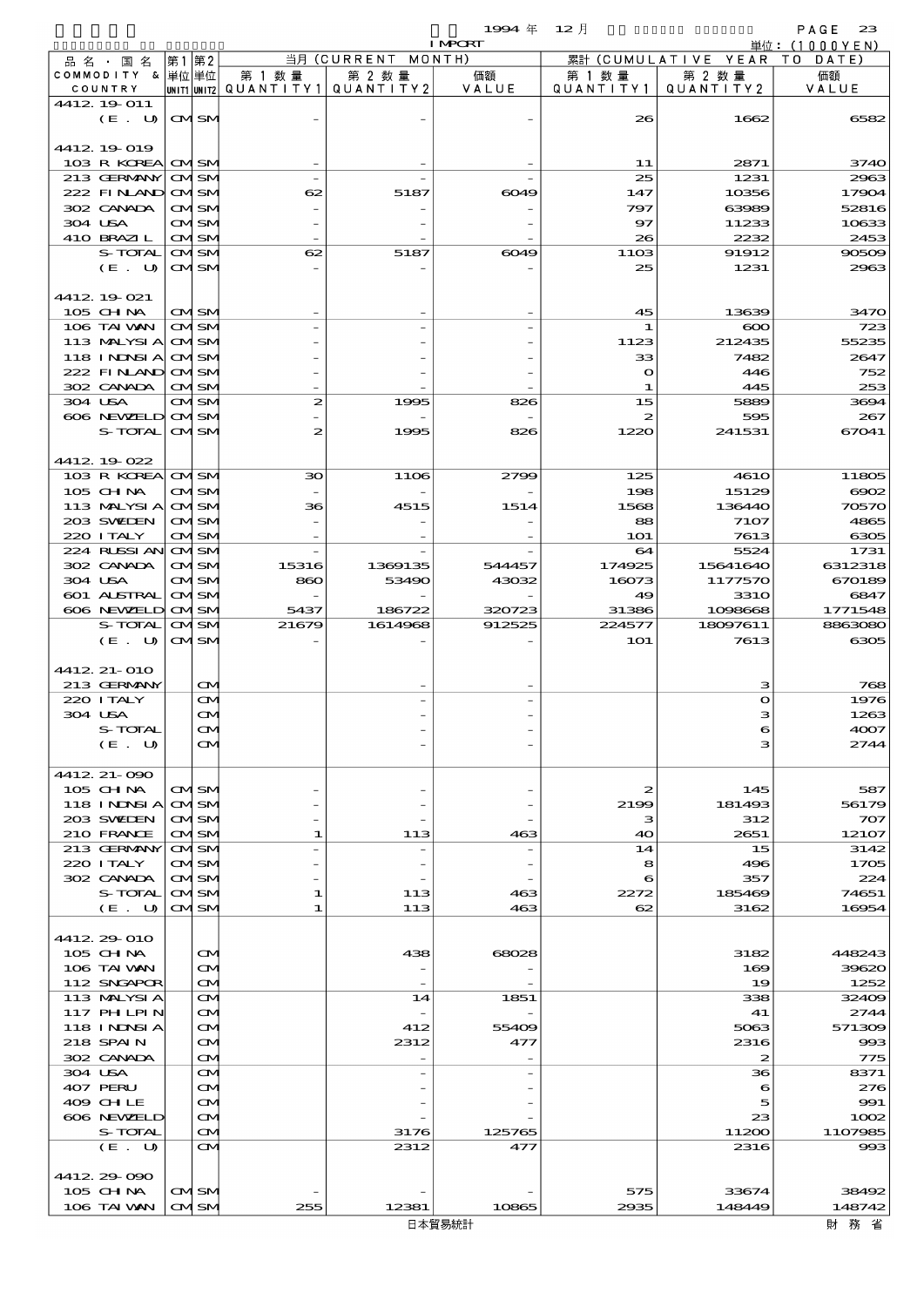$1994 \; \text{#} \quad 12 \; \text{]}$  PAGE 23

|                             |                                        |                                                  |                          | <b>I MPORT</b> |                      |                        | 単位: (1000 Y E N)                    |
|-----------------------------|----------------------------------------|--------------------------------------------------|--------------------------|----------------|----------------------|------------------------|-------------------------------------|
| 品名・国名                       | 第1 第2                                  |                                                  | 当月 (CURRENT MONTH)       |                |                      | 累計 (CUMULATIVE YEAR TO | DATE)                               |
| COMMODITY & 単位単位<br>COUNTRY |                                        | 第 1 数量<br> UNIT1 UNIT2  Q∪ANT   TY1  Q∪ANT   TY2 | 第 2 数量                   | 価額<br>VALUE    | 第 1 数 量<br>QUANTITY1 | 第 2 数量<br>QUANTITY 2   | 価額<br>VALUE                         |
| 4412 19 011                 |                                        |                                                  |                          |                |                      |                        |                                     |
| (E. U)                      | <b>CMISM</b>                           |                                                  |                          |                | 26                   | 1662                   | 6582                                |
|                             |                                        |                                                  |                          |                |                      |                        |                                     |
| 4412 19 019                 |                                        |                                                  |                          |                |                      |                        |                                     |
| 103 R KOREA<br>213 GERMANY  | <b>CMISM</b><br><b>CMSM</b>            |                                                  |                          |                | 11<br>25             | 2871<br>1231           | 3740<br>2963                        |
| 222 FINAND                  | <b>CMISM</b>                           | 62                                               | 5187                     | 6049           | 147                  | 10356                  | 17904                               |
| 302 CANADA                  | <b>CMSM</b>                            |                                                  |                          |                | 797                  | 63989                  | 52816                               |
| 304 USA                     | <b>CMISM</b>                           |                                                  |                          |                | 97                   | 11233                  | 10633                               |
| 410 BRAZIL                  | <b>CMISM</b>                           |                                                  |                          |                | 26                   | 2232                   | 2453                                |
| S-TOTAL                     | <b>CMISM</b>                           | 62                                               | 5187                     | 6049           | 1103                 | 91912                  | 90509                               |
| (E. U)                      | <b>CMSM</b>                            |                                                  |                          |                | 25                   | 1231                   | 2963                                |
| 4412. 19 021                |                                        |                                                  |                          |                |                      |                        |                                     |
| 105 CH NA                   | <b>CMISM</b>                           |                                                  |                          |                | 45                   | 13639                  | 3470                                |
| 106 TAI VAN                 | <b>CMSM</b>                            |                                                  |                          |                | 1                    | $\infty$               | 723                                 |
| 113 MALYSIA                 | <b>CMISM</b>                           |                                                  |                          |                | 1123                 | 212435                 | 55235                               |
| 118 INDSIA                  | <b>CMSM</b>                            |                                                  |                          |                | 33                   | 7482                   | 2647                                |
| 222 FINLAND<br>302 CANADA   | <b>CMISM</b><br><b>CMISM</b>           |                                                  |                          |                | $\mathbf o$<br>1     | 446<br>445             | 752<br>253                          |
| 304 USA                     | <b>CMISM</b>                           | $\boldsymbol{z}$                                 | 1995                     | 826            | 15                   | 5889                   | 3694                                |
| 606 NEWELD                  | <b>CMISM</b>                           |                                                  |                          |                | 2                    | 595                    | 267                                 |
| S-TOTAL                     | <b>CMSM</b>                            | $\boldsymbol{z}$                                 | 1995                     | 826            | 1220                 | 241531                 | 67041                               |
|                             |                                        |                                                  |                          |                |                      |                        |                                     |
| 4412 19022                  |                                        |                                                  |                          |                |                      |                        |                                     |
| 103 R KOREA<br>$105$ CHNA   | <b>CMSM</b><br><b>CMISM</b>            | 30                                               | <b>1106</b>              | 2799           | 125<br>198           | <b>4610</b><br>15129   | 11805<br>6002                       |
| 113 MALYSIA                 | <b>CMSM</b>                            | 36                                               | 4515                     | 1514           | 1568                 | 136440                 | 70570                               |
| 203 SWIDEN                  | <b>CMISM</b>                           |                                                  |                          |                | 88                   | 7107                   | 4865                                |
| 220 I TALY                  | <b>CMISM</b>                           |                                                  |                          |                | <b>1O1</b>           | 7613                   | 6305                                |
| 224 RUSSI AN                | <b>CMISM</b>                           |                                                  |                          |                | 64                   | 5524                   | 1731                                |
| 302 CANADA                  | <b>CMISM</b>                           | 15316                                            | 1369135                  | 544457         | 174925               | 15641640               | 6312318                             |
| 304 USA<br>601 ALSTRAL      | <b>CMISM</b><br><b>CMISM</b>           | 860                                              | 53490                    | 43032          | 16073<br>49          | 1177570<br><b>3310</b> | 670189<br>6847                      |
| 606 NEWELD                  | <b>CMSM</b>                            | 5437                                             | 186722                   | 320723         | 31386                | 1098668                | 1771548                             |
| S-TOTAL                     | <b>CMSM</b>                            | 21679                                            | 1614968                  | 912525         | 224577               | 18097611               | 8863080                             |
|                             |                                        |                                                  |                          |                |                      |                        |                                     |
| (E. U)                      | <b>CMSM</b>                            |                                                  |                          |                | <b>1O1</b>           | 7613                   |                                     |
|                             |                                        |                                                  |                          |                |                      |                        |                                     |
| 4412 21-010                 |                                        |                                                  |                          |                |                      |                        |                                     |
| 213 GERMANY                 | $\mathbf{\Omega}$                      |                                                  |                          |                |                      | з                      |                                     |
| 220 I TALY                  | $\mathbf{\infty}$                      |                                                  |                          |                |                      | $\mathbf o$            |                                     |
| 304 USA<br>S-TOTAL          | $\mathbf{\alpha}$<br>$\mathbf{\Omega}$ |                                                  |                          |                |                      | з                      |                                     |
| (E. U)                      | M                                      |                                                  |                          |                |                      | з                      | 2744                                |
|                             |                                        |                                                  |                          |                |                      |                        | 6305<br>768<br>1976<br>1263<br>4007 |
| 4412 21-090                 |                                        |                                                  |                          |                |                      |                        |                                     |
| $105$ CHNA                  | <b>CMSM</b>                            |                                                  |                          |                | 2                    | 145                    |                                     |
| 118 I NDSI A<br>203 SWIDEN  | <b>CMSM</b><br><b>CMSM</b>             |                                                  |                          |                | 2199<br>з            | 181493<br>312          | 587<br>56179<br>707                 |
| 210 FRANCE                  | <b>CMISM</b>                           | 1                                                | 113                      | 463            | 40                   | 2651                   |                                     |
| 213 GERMANY                 | <b>CMISM</b>                           |                                                  | $\overline{\phantom{0}}$ |                | 14                   | 15                     | 12107<br>3142                       |
| 220 I TALY                  | <b>CMSM</b>                            |                                                  |                          |                | 8                    | 496                    | 1705                                |
| 302 CANADA                  | <b>CMISM</b>                           |                                                  |                          |                | 6                    | 357                    | 224                                 |
| S-TOTAL                     | <b>CMISM</b>                           | 1<br>1                                           | 113                      | 463<br>463     | 2272<br>62           | 185469                 | 74651<br>16954                      |
| (E. U)                      | <b>CMISM</b>                           |                                                  | 113                      |                |                      | 3162                   |                                     |
| 4412 29 010                 |                                        |                                                  |                          |                |                      |                        |                                     |
| 105 CHNA                    | $\mathbf{\Omega}$                      |                                                  | 438                      | 68028          |                      | 3182                   | 448243                              |
| 106 TAI VAN                 | ŒM.                                    |                                                  |                          |                |                      | 169                    | 39620                               |
| 112 SNGAPOR                 | <b>CM</b>                              |                                                  |                          |                |                      | 19                     | 1252                                |
| 113 MALYSIA                 | <b>CM</b>                              |                                                  | 14                       | 1851           |                      | 338<br>41              | 32409                               |
| 117 PHLPIN<br>118 I NDSI A  | <b>CM</b><br>ŒИ                        |                                                  | 412                      | 55409          |                      | 5063                   | 2744<br>571309                      |
| 218 SPAIN                   | ŒM.                                    |                                                  | 2312                     | 477            |                      | 2316                   | 993                                 |
| 302 CANADA                  | <b>CM</b>                              |                                                  |                          |                |                      | 2                      | 775                                 |
| 304 USA                     | <b>CM</b>                              |                                                  |                          |                |                      | 36                     | 8371                                |
| 407 PERU                    | <b>CM</b>                              |                                                  |                          |                |                      | 6                      | 276                                 |
| 409 CH LE<br>606 NEWELD     | M<br>ŒM.                               |                                                  |                          |                |                      | 5<br>23                | 991                                 |
| S-TOTAL                     | <b>CM</b>                              |                                                  | 3176                     | 125765         |                      | 11200                  | 1002<br>1107985                     |
| (E. U)                      | ŒИ                                     |                                                  | 2312                     | 477            |                      | 2316                   | 993                                 |
|                             |                                        |                                                  |                          |                |                      |                        |                                     |
| 4412 29 090                 |                                        |                                                  |                          |                |                      |                        |                                     |
| 105 CH NA<br>106 TAI VAN    | <b>CMSM</b><br><b>CMISM</b>            | 255                                              | 12381                    | 10865          | 575<br>2935          | 33674<br>148449        | 38492<br>148742                     |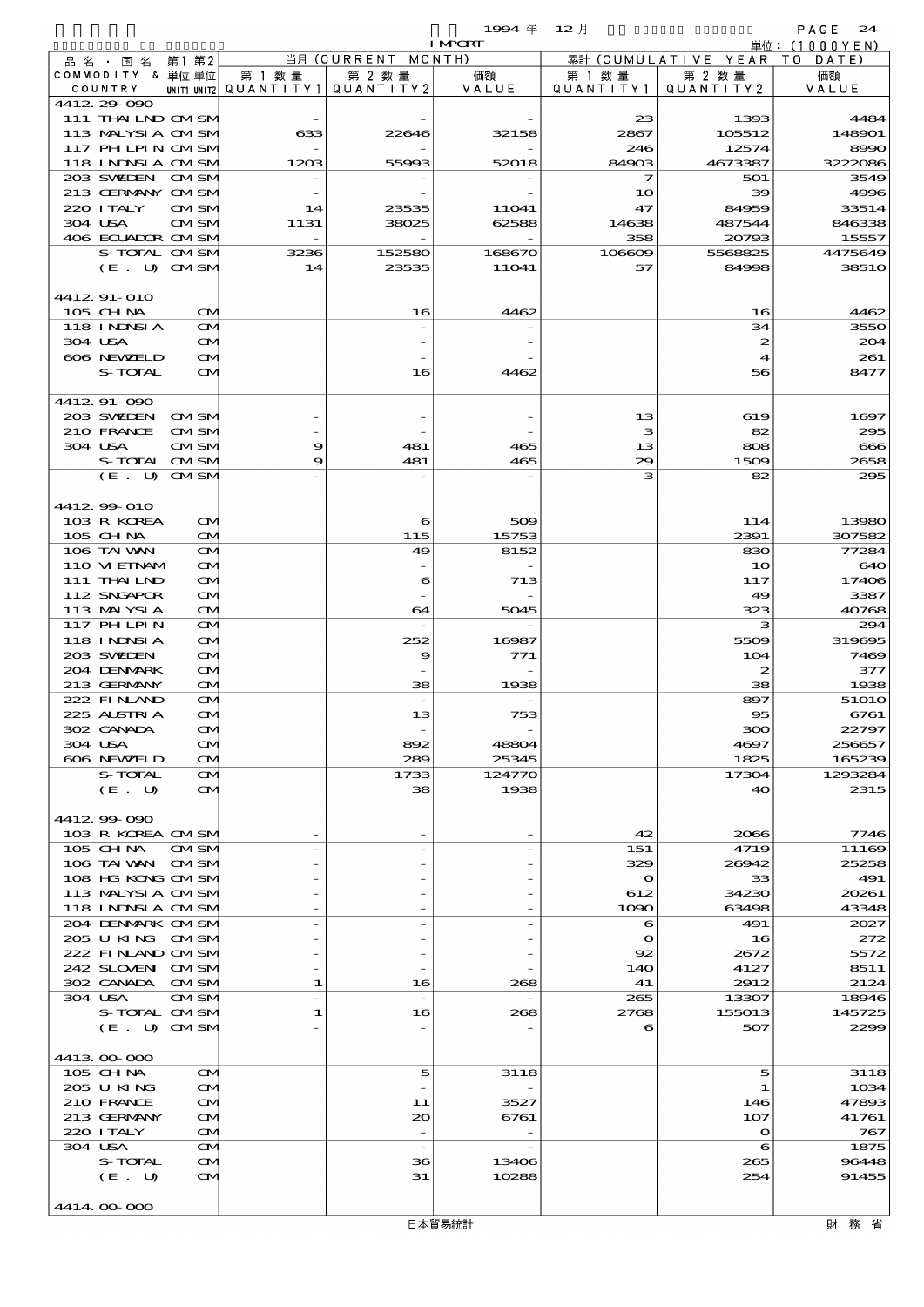$\begin{array}{lll} \textbf{1994} & \textbf{4} & \textbf{12} & \textbf{5} & \textbf{24} \\ \textbf{1993} & \textbf{281} & \textbf{291} & \textbf{201} & \textbf{210} & \textbf{221} \\ \textbf{21} & \textbf{22} & \textbf{231} & \textbf{241} & \textbf{251} & \textbf{261} & \textbf{272} & \textbf{282} & \textbf{293} \\ \end{array}$ 

|         |                            |      |                              |            |                                 | <b>I MPCRT</b>  |                    |                         | 単位: (1000YEN)    |
|---------|----------------------------|------|------------------------------|------------|---------------------------------|-----------------|--------------------|-------------------------|------------------|
|         | 品 名 ・ 国 名                  | 第1第2 |                              |            | 当月 (CURRENT                     | MONTH)          |                    | 累計 (CUMULATIVE YEAR TO  | DATE             |
|         | COMMODITY & 単位単位           |      |                              | 第 1 数 量    | 第 2 数量                          | 価額              | 第 1 数量             | 第 2 数量                  | 価額               |
|         | COUNTRY                    |      |                              |            | UNIT1 UNIT2 QUANTITY1 QUANTITY2 | VALUE           | QUANTITY1          | QUANTITY2               | VALUE            |
|         | 4412 29 090                |      |                              |            |                                 |                 |                    |                         |                  |
|         | 111 THAILND CMSM           |      |                              |            |                                 |                 | 23                 | 1393                    | 4484             |
|         | 113 MALYSIA                |      | <b>CMISM</b>                 | 633        | 22646                           | 32158           | 2867               | 105512                  | 148901           |
|         | <b>117 PHLPIN</b>          |      | <b>CMISM</b>                 |            |                                 |                 | 246                | 12574                   | 8990             |
|         | 118 INDSIA                 |      | <b>CMISM</b>                 | 1203       | 55993                           | 52018           | 84903              | 4673387                 | 3222086          |
|         | 203 SWIEN                  |      | <b>CMSM</b>                  |            |                                 |                 | 7                  | 501                     | 3549             |
|         | 213 GERMANY                |      | <b>CMISM</b>                 |            |                                 |                 | 10                 | 39                      | 4996             |
|         | 220 I TALY                 |      | <b>CMISM</b>                 | 14         | 23535                           | 11041           | 47                 | 84959                   | 33514            |
|         | 304 USA                    |      | <b>CMSM</b>                  | 1131       | 38025                           | 62588           | 14638              | 487544                  | 846338           |
|         | 406 ECUADOR                |      | <b>CMISM</b>                 |            |                                 |                 | 358                | 20793<br>5568825        | 15557            |
|         | S-TOTAL<br>(E. U)          |      | <b>CMISM</b><br><b>CMISM</b> | 3236<br>14 | 152580<br>23535                 | 168670<br>11041 | 106609<br>57       | 84998                   | 4475649<br>3851O |
|         |                            |      |                              |            |                                 |                 |                    |                         |                  |
|         | 4412 91-010                |      |                              |            |                                 |                 |                    |                         |                  |
|         | 105 CHNA                   |      | M                            |            | 16                              | 4462            |                    | 16                      | 4462             |
|         | 118 I NDSI A               |      | $\mathbf{\Omega}$            |            |                                 |                 |                    | 34                      | 3550             |
|         | 304 USA                    |      | M                            |            |                                 |                 |                    | 2                       | 204              |
|         | 606 NEWELD                 |      | M                            |            |                                 |                 |                    | 4                       | 261              |
|         | S-TOTAL                    |      | M                            |            | 16                              | 4462            |                    | 56                      | 8477             |
|         |                            |      |                              |            |                                 |                 |                    |                         |                  |
|         | 4412 91-090                |      |                              |            |                                 |                 |                    |                         |                  |
|         | 203 SWIEN                  |      | <b>CMISM</b>                 |            |                                 |                 | 13                 | 619                     | 1697             |
|         | 210 FRANCE                 |      | <b>CMISM</b>                 |            |                                 |                 | з                  | 82                      | 295              |
| 304 USA |                            |      | <b>CMSM</b>                  | 9          | 481                             | 465             | 13                 | 808                     | 666              |
|         | S-TOTAL                    |      | <b>CMISM</b>                 | 9          | 481                             | 465             | 29                 | 1509                    | 2658             |
|         | $(E_U U)$                  |      | <b>CMSM</b>                  |            |                                 |                 | з                  | 82                      | 295              |
|         |                            |      |                              |            |                                 |                 |                    |                         |                  |
|         | 4412 99 010                |      |                              |            |                                 |                 |                    |                         |                  |
|         | 103 R KOREA                |      | M                            |            | 6                               | 509             |                    | 114                     | 13980            |
|         | $105$ CHNA                 |      | M                            |            | 115                             | 15753           |                    | 2391                    | 307582           |
|         | 106 TAI VAN                |      | M                            |            | 49                              | 8152            |                    | 830                     | 77284            |
|         | 110 VIEINAM                |      | M                            |            |                                 |                 |                    | 10                      | 640              |
|         | 111 THAILND                |      | M                            |            | 6                               | 713             |                    | 117                     | 17406            |
|         | 112 SNGAPOR                |      | M                            |            |                                 |                 |                    | 49                      | 3387             |
|         | 113 MALYSIA                |      | M                            |            | 64                              | 5045            |                    | 323                     | 40768            |
|         | 117 PHLPIN                 |      | $\mathbf{\Omega}$            |            |                                 |                 |                    | з                       | 294              |
|         | 118 INNSIA                 |      | M                            |            | 252                             | 16987           |                    | 5509                    | 319695           |
|         | 203 SWIEN                  |      | M                            |            | 9                               | 771             |                    | 104                     | 7469             |
|         | 204 DENMARK                |      | M                            |            |                                 |                 |                    | 2                       | 377              |
|         | 213 GERMANY                |      | M                            |            | 38                              | 1938            |                    | 38                      | 1938             |
|         | 222 FINAND                 |      | M                            |            | $\overline{\phantom{a}}$        |                 |                    | 897                     | 51O1O            |
|         | 225 ALSTRIA                |      | M                            |            | 13                              | 753             |                    | $\overline{\textbf{5}}$ | 6761             |
|         | 302 CANADA                 |      | $\bf \alpha$                 |            |                                 |                 |                    | ဆာ                      | 22797            |
|         | 304 USA                    |      | M                            |            | 892                             | 48804           |                    | 4697                    | 256657           |
|         | 606 NEWELD                 |      | M                            |            | 289                             | 25345           |                    | 1825                    | 165239           |
|         | S-TOTAL                    |      | ŒИ                           |            | 1733                            | 124770          |                    | 17304                   | 1293284          |
|         | (E. U)                     |      | ŒМ                           |            | 38                              | 1938            |                    | 40                      | 2315             |
|         |                            |      |                              |            |                                 |                 |                    |                         |                  |
|         | 441299090                  |      |                              |            |                                 |                 |                    |                         |                  |
|         | 103 R KOREA CMSM           |      |                              |            |                                 |                 | 42                 | 2066                    | 7746             |
|         | 105 CH NA                  |      | CMISM                        |            |                                 |                 | 151                | 4719                    | 11169            |
|         | 106 TAI VAN<br>108 HG KONG |      | <b>CMISM</b>                 |            |                                 |                 | 329<br>$\mathbf o$ | 26942                   | 25258<br>491     |
|         | 113 MALYSIA                |      | <b>CMISM</b>                 |            |                                 |                 |                    | 33                      | 20261            |
|         | 118 I NDSI A               |      | <b>CMSM</b><br><b>CMISM</b>  |            |                                 |                 | 612<br>1090        | 34230<br>63498          | 43348            |
|         |                            |      |                              |            |                                 |                 |                    |                         |                  |
|         | 204 DENMARK<br>205 U KING  |      | <b>CMISM</b><br><b>CMISM</b> |            |                                 |                 | 6<br>$\mathbf{o}$  | 491<br>16               | 2027<br>272      |
|         | 222 FINAND OMSM            |      |                              |            |                                 |                 | 92                 | 2672                    | 5572             |
|         | 242 SLOVEN                 |      | <b>CMSM</b>                  |            |                                 |                 | 140                | 4127                    | 8511             |
|         | 302 CANADA                 |      | <b>CMSM</b>                  | 1          | 16                              | 268             | 41                 | 2912                    | 2124             |
|         | 304 USA                    |      | CMSM                         |            | $\overline{\phantom{a}}$        |                 | 265                | 13307                   | 18946            |
|         | S-TOTAL                    |      | <b>CMSM</b>                  | 1          | 16                              | 268             | 2768               | 155013                  | 145725           |
|         | (E. U)                     |      | <b>CMSM</b>                  |            |                                 |                 | 6                  | 507                     | 2299             |
|         |                            |      |                              |            |                                 |                 |                    |                         |                  |
|         | 4413 00 000                |      |                              |            |                                 |                 |                    |                         |                  |
|         | 105 CHNA                   |      | <b>CM</b>                    |            | 5                               | 3118            |                    | 5                       | 3118             |
|         | 205 U KING                 |      | M                            |            |                                 |                 |                    | 1                       | 1034             |
|         | 210 FRANCE                 |      | M                            |            | 11                              | 3527            |                    | 146                     | 47893            |
|         | 213 GERMANY                |      | M                            |            | 20                              | 6761            |                    | 107                     | 41761            |
|         | 220 I TALY                 |      | M                            |            |                                 |                 |                    | $\Omega$                | 767              |
|         | 304 USA                    |      | M                            |            | $\overline{\phantom{a}}$        |                 |                    | 6                       | 1875             |
|         | S-TOTAL                    |      | M                            |            | 36                              | 13406           |                    | 265                     | 96448            |
|         | (E. U)                     |      | <b>CM</b>                    |            | 31                              | 10288           |                    | 254                     | 91455            |
|         |                            |      |                              |            |                                 |                 |                    |                         |                  |
|         | 4414 00 000                |      |                              |            |                                 |                 |                    |                         |                  |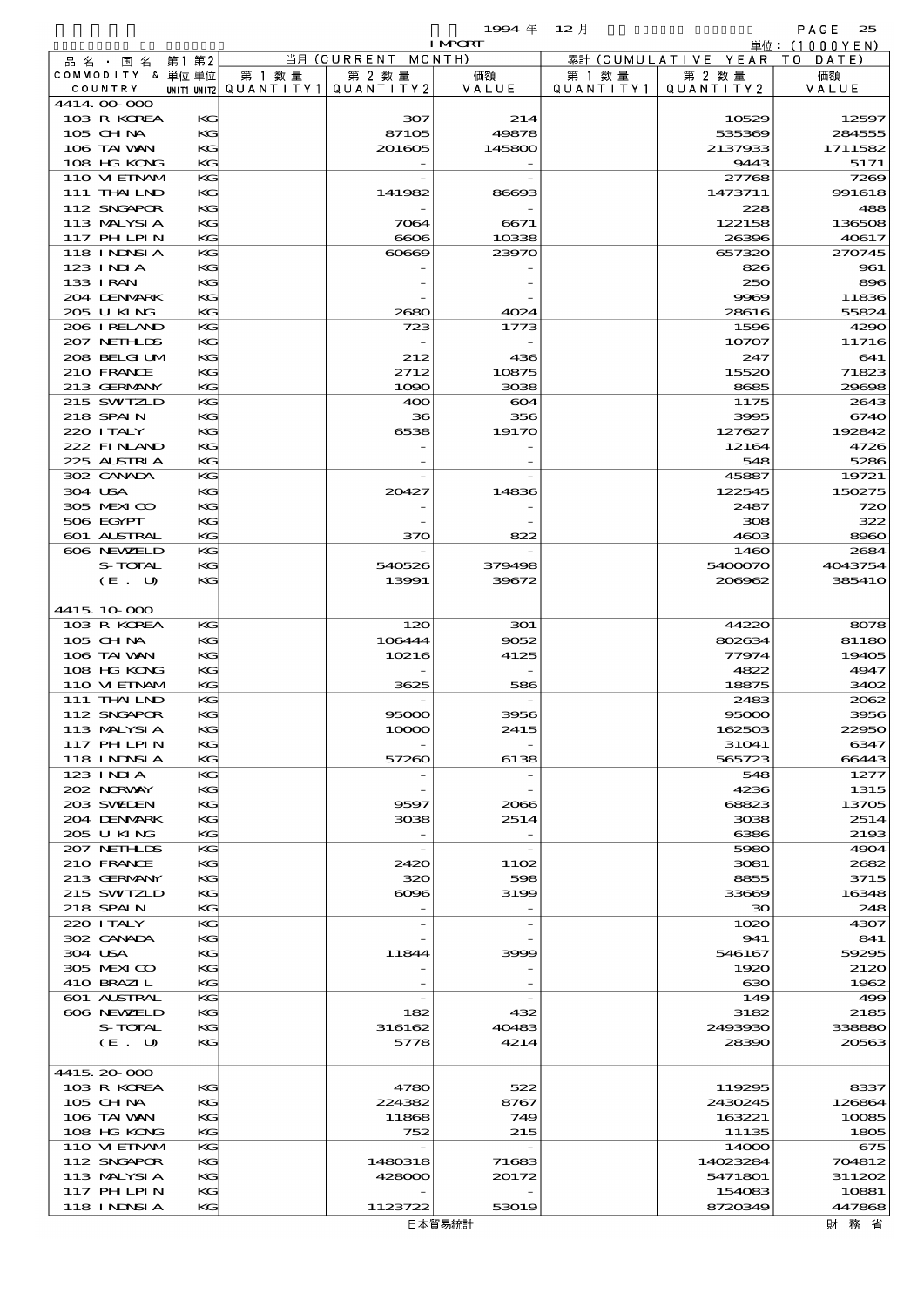$1$ 994  $\#$  12  $\bar{e}$  and  $\bar{e}$  and  $\bar{e}$  and  $\bar{e}$  and  $\bar{e}$  and  $\bar{e}$  and  $\bar{e}$  and  $\bar{e}$  and  $\bar{e}$  and  $\bar{e}$  and  $\bar{e}$  and  $\bar{e}$  and  $\bar{e}$  and  $\bar{e}$  and  $\bar{e}$  and  $\bar{e}$  and  $\bar{e}$  and  $\$ 

|                            |    |          |                                       |                          | <b>I MPCRT</b> |                   |                              | 単位: (1000 Y E N) |
|----------------------------|----|----------|---------------------------------------|--------------------------|----------------|-------------------|------------------------------|------------------|
| 品名・国名                      | 第1 | 第2       |                                       | 当月(CURRENT               | MONTH)         |                   | 累計 (CUMULATIVE YEAR TO DATE) |                  |
| COMMODITY & 単位単位           |    |          | 第 1 数量                                | 第 2 数量                   | 価額             | 第 1 数 量           | 第 2 数量                       | 価額               |
| COUNTRY                    |    |          | unit1 unit2  Q∪ANT   TY1  Q∪ANT   TY2 |                          | VALUE          | Q U A N T I T Y 1 | QUANTITY 2                   | VALUE            |
| 4414.00-000<br>103 R KOREA |    | KG       |                                       | 307                      | 214            |                   | 10529                        | 12597            |
| 105 CHNA                   |    | KG       |                                       | 87105                    | 49878          |                   | 535369                       | 284555           |
| 106 TAI VAN                |    | KG       |                                       | 201605                   | 145800         |                   | 2137933                      | 1711582          |
| 108 HG KONG                |    | KG       |                                       |                          |                |                   | 9443                         | 5171             |
| 110 VIEINAM                |    | KG       |                                       |                          |                |                   | 27768                        | 7269             |
| 111 THAILND                |    | KG       |                                       | 141982                   | 86693          |                   | 1473711                      | 991618           |
| 112 SNGAPOR                |    | KG       |                                       |                          |                |                   | 228                          | 488              |
| 113 MALYSIA                |    | KG       |                                       | 7064                     | 6671           |                   | 122158                       | 136508           |
| 117 PHLPIN                 |    | KG       |                                       | 6006                     | 10338          |                   | 26396                        | 40617            |
| 118 I NDSI A<br>123 INIA   |    | KG<br>KG |                                       | 60669                    | 23970          |                   | 657320<br>826                | 270745<br>961    |
| 133 I RAN                  |    | KG       |                                       |                          |                |                   | 250                          | 896              |
| 204 DENMARK                |    | KG       |                                       |                          |                |                   | 9969                         | 11836            |
| 205 U KING                 |    | KG       |                                       | 2680                     | 4024           |                   | 28616                        | 55824            |
| 206 IRELAND                |    | KG       |                                       | 723                      | 1773           |                   | 1596                         | 4290             |
| 207 NETHLIS                |    | KG       |                                       |                          |                |                   | 10707                        | 11716            |
| 208 BELGI UM               |    | KG       |                                       | 212                      | 436            |                   | 247                          | 641              |
| 210 FRANCE                 |    | KG       |                                       | 2712                     | 10875          |                   | 15520                        | 71823            |
| 213 GERMANY                |    | KG       |                                       | 1090                     | 3038           |                   | 8685                         | 29698            |
| 215 SWIZLD                 |    | KG       |                                       | 400                      | 604            |                   | 1175                         | 2643             |
| 218 SPAIN                  |    | KG       |                                       | 36                       | 356            |                   | 3995                         | 6740             |
| 220 I TALY<br>222 FINAND   |    | KG<br>KG |                                       | 6538                     | 19170          |                   | 127627<br>12164              | 192842<br>4726   |
| 225 ALSTRIA                |    | KG       |                                       |                          |                |                   | 548                          | 5286             |
| 302 CANADA                 |    | KG       |                                       |                          |                |                   | 45887                        | 19721            |
| 304 USA                    |    | KG       |                                       | 20427                    | 14836          |                   | 122545                       | 150275           |
| 305 MEXICO                 |    | KG       |                                       |                          |                |                   | 2487                         | 720              |
| 506 EGYPT                  |    | KG       |                                       |                          |                |                   | 308                          | 322              |
| <b>601 ALSTRAL</b>         |    | KG       |                                       | 370                      | 822            |                   | 4603                         | 8960             |
| 606 NEWELD                 |    | KG       |                                       |                          |                |                   | 1460                         | 2684             |
| S-TOTAL                    |    | KG       |                                       | 540526                   | 379498         |                   | 5400070                      | 4043754          |
| (E. U)                     |    | KG       |                                       | 13991                    | 39672          |                   | 206962                       | 385410           |
| 4415.10.000                |    |          |                                       |                          |                |                   |                              |                  |
| 103 R KOREA                |    | KG       |                                       | 120                      | 301            |                   | 44220                        | 8078             |
| $105$ CHNA                 |    | KG       |                                       | 106444                   | 9052           |                   | 802634                       | 81180            |
| 106 TAI VAN                |    | KG       |                                       | 10216                    | 4125           |                   | 77974                        | 19405            |
| 108 HG KONG                |    | KG       |                                       |                          |                |                   | 4822                         | 4947             |
| 110 VIEINAM                |    | KG       |                                       | 3625                     | 586            |                   | 18875                        | 3402             |
| 111 THAILND                |    | KG       |                                       |                          |                |                   | 2483                         | 2062             |
| 112 SNGAPOR                |    | KG       |                                       | 95000                    | 3956           |                   | 95000                        | 3956             |
| 113 MALYSIA                |    | KG       |                                       | 10000                    | 2415           |                   | 162503                       | 22950            |
| 117 PH LPIN                |    | КG       |                                       |                          |                |                   | 31041                        | 6347             |
| 118 I NDSI A<br>123 INIA   |    | KG<br>KG |                                       | 57260                    | 6138           |                   | 565723<br>548                | 66443<br>1277    |
| 202 NORWAY                 |    | KG       |                                       |                          |                |                   | 4236                         | 1315             |
| 203 SWIEN                  |    | KG       |                                       | 9597                     | 2066           |                   | 68823                        | 13705            |
| 204 DENMARK                |    | KG       |                                       | 3038                     | 2514           |                   | 3038                         | 2514             |
| 205 U KING                 |    | KG       |                                       |                          |                |                   | 6386                         | 2193             |
| 207 NETHLIS                |    | KG       |                                       | $\overline{\phantom{a}}$ |                |                   | 5980                         | 4904             |
| 210 FRANCE                 |    | KG       |                                       | 2420                     | 1102           |                   | 3081                         | 2682             |
| 213 GERMANY                |    | KG       |                                       | 320                      | 598            |                   | 8855                         | 3715             |
| 215 SWIZLD                 |    | KG       |                                       | $\cos$                   | 3199           |                   | 33669                        | 16348            |
| 218 SPAIN                  |    | KG       |                                       |                          |                |                   | 30                           | 248              |
| 220 I TALY<br>302 CANADA   |    | KG<br>KG |                                       |                          |                |                   | 1020                         | 4307<br>841      |
| 304 USA                    |    | KG       |                                       | 11844                    | 3999           |                   | 941<br>546167                | 59295            |
| 305 MEXICO                 |    | KG       |                                       |                          |                |                   | 1920                         | 2120             |
| 410 BRAZIL                 |    | KG       |                                       |                          |                |                   | 630                          | 1962             |
| <b>601 ALSTRAL</b>         |    | KG       |                                       |                          |                |                   | 149                          | 499              |
| 606 NEWELD                 |    | KG       |                                       | 182                      | 432            |                   | 3182                         | 2185             |
| S-TOTAL                    |    | KG       |                                       | 316162                   | 40483          |                   | 2493930                      | 338880           |
| (E. U)                     |    | KG       |                                       | 5778                     | 4214           |                   | 28390                        | 20563            |
|                            |    |          |                                       |                          |                |                   |                              |                  |
| 4415.20-000                |    |          |                                       |                          |                |                   |                              |                  |
| 103 R KOREA<br>105 CHNA    |    | KG<br>KG |                                       | 4780<br>224382           | 522<br>8767    |                   | 119295<br>2430245            | 8337<br>126864   |
| 106 TAI VAN                |    | KG       |                                       | 11868                    | 749            |                   | 163221                       | 10085            |
| 108 HG KONG                |    | KG       |                                       | 752                      | 215            |                   | 11135                        | 1805             |
| 110 VIEINAM                |    | KG       |                                       |                          |                |                   | 14000                        | 675              |
| 112 SNGAPOR                |    | KG       |                                       | 1480318                  | 71683          |                   | 14023284                     | 704812           |
| 113 MALYSIA                |    | KG       |                                       | 428000                   | 20172          |                   | 5471801                      | 311202           |
| 117 PHLPIN                 |    | KG       |                                       |                          |                |                   | 154083                       | 10881            |
| 118 INNSI A                |    | KG       |                                       | 1123722                  | 53019          |                   | 8720349                      | 447868           |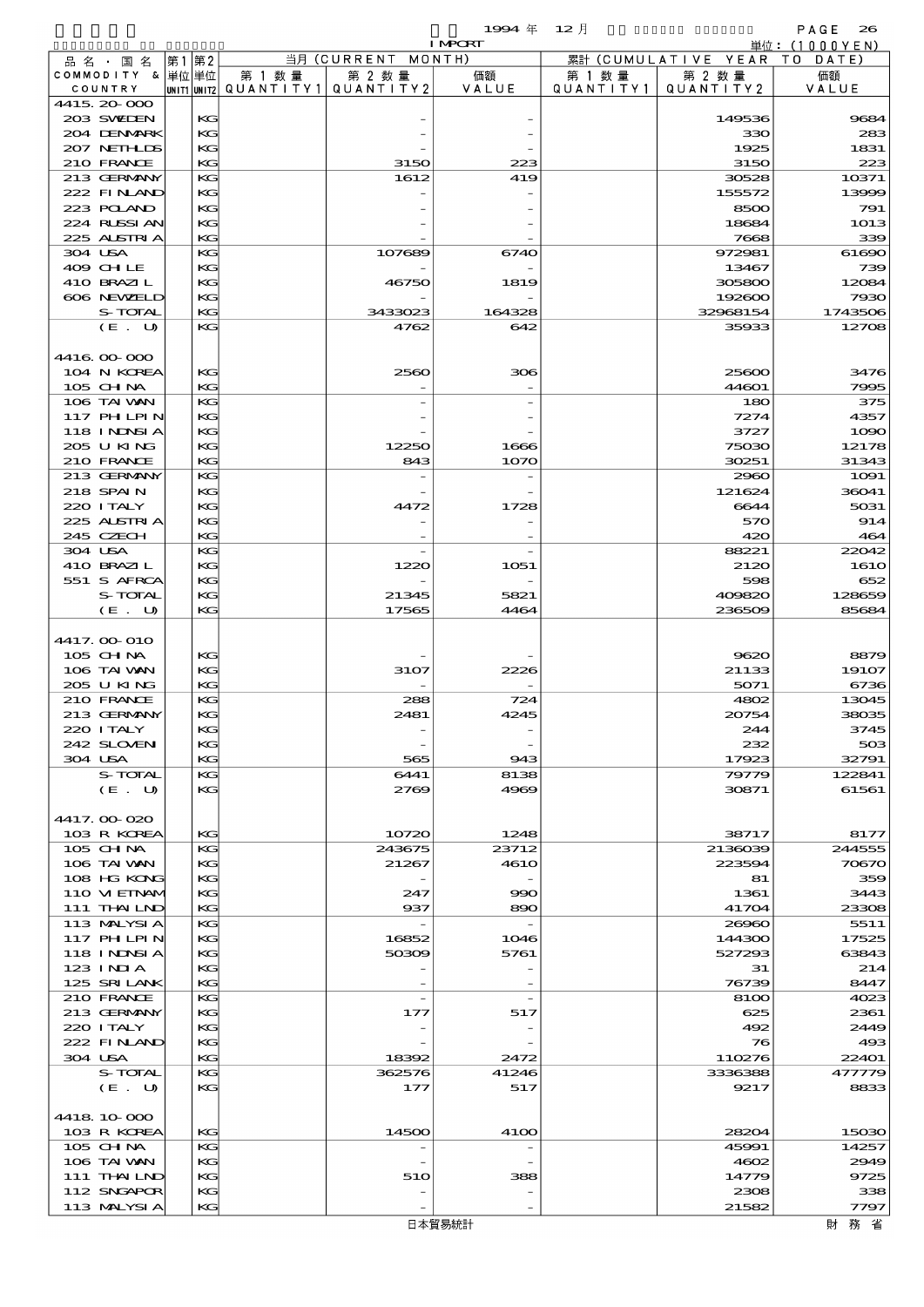|                            |    |             |           |                                 | 1994 $#$<br><b>I MPORT</b> | $12$ 月    |                  | PAGE<br>26                                     |
|----------------------------|----|-------------|-----------|---------------------------------|----------------------------|-----------|------------------|------------------------------------------------|
| 品名・国名                      | 第1 | 第2          |           | 当月 (CURRENT                     | MONTH)                     | 累計        | (CUMULATIVE YEAR | $\dot{\mathbb{H}}$ 位: (1000YEN)<br>T O<br>DATE |
| COMMODITY & 単位単位           |    |             | 第 1 数 量   | 第 2 数量                          | 価額                         | 第 1 数 量   | 第 2 数量           | 価額                                             |
| COUNTRY<br>4415 20 000     |    | UNIT1 UNIT2 | QUANTITY1 | QUANTITY2                       | VALUE                      | QUANTITY1 | QUANTITY 2       | VALUE                                          |
| 203 SWIDEN                 |    | KG          |           |                                 |                            |           | 149536           | 9684                                           |
| 204 DENMARK                |    | KG          |           |                                 |                            |           | 330              | 283                                            |
| 207 NETHLIS                |    | KG          |           |                                 |                            |           | 1925             | 1831                                           |
| 210 FRANCE<br>213 GERMANY  |    | KG<br>KG    |           | 3150<br>1612                    | 223<br>419                 |           | 3150<br>30528    | 223<br>10371                                   |
| 222 FINAND                 |    | KG          |           |                                 |                            |           | 155572           | 13999                                          |
| 223 POLAND                 |    | KG          |           |                                 |                            |           | 8500             | 791                                            |
| 224 RUSSI AN               |    | KG          |           |                                 |                            |           | 18684            | 1013                                           |
| 225 ALSTRIA                |    | KG          |           |                                 |                            |           | 7668             | 339                                            |
| 304 USA                    |    | KG          |           | 107689                          | 6740                       |           | 972981           | 61690                                          |
| 409 CHLE                   |    | KG<br>KG    |           |                                 |                            |           | 13467            | 739                                            |
| 410 BRAZIL<br>606 NEWELD   |    | KG          |           | 46750                           | 1819                       |           | 305800<br>192600 | 12084<br>7930                                  |
| S-TOTAL                    |    | KG          |           | 3433023                         | 164328                     |           | 32968154         | 1743506                                        |
| (E. U)                     |    | KG          |           | 4762                            | 642                        |           | 35933            | 12708                                          |
|                            |    |             |           |                                 |                            |           |                  |                                                |
| 4416 00 000                |    |             |           |                                 |                            |           |                  |                                                |
| 104 N KOREA                |    | KG          |           | 2560                            | 306                        |           | 25600            | 3476                                           |
| $105$ CHNA<br>106 TAI VAN  |    | KG<br>KG    |           |                                 |                            |           | 44601<br>180     | 7995<br>375                                    |
| 117 PHLPIN                 |    | KG          |           |                                 |                            |           | 7274             | 4357                                           |
| 118 I NDNSI A              |    | KG          |           |                                 |                            |           | 3727             | 1000                                           |
| 205 U KING                 |    | KG          |           | 12250                           | 1666                       |           | 75030            | 12178                                          |
| 210 FRANCE                 |    | KG          |           | 843                             | 1070                       |           | 30251            | 31343                                          |
| 213 GERMANY                |    | KG          |           |                                 |                            |           | 2960             | 1091                                           |
| 218 SPAIN<br>220 I TALY    |    | KG<br>KG    |           | 4472                            | 1728                       |           | 121624<br>6644   | 36041<br>5031                                  |
| 225 ALSTRIA                |    | KG          |           |                                 |                            |           | 570              | 914                                            |
| 245 CZECH                  |    | KG          |           |                                 |                            |           | 420              | 464                                            |
| 304 USA                    |    | KG          |           |                                 |                            |           | 88221            | 22042                                          |
| 410 BRAZIL                 |    | KG          |           | 1220                            | 1051                       |           | 2120             | <b>1610</b>                                    |
| 551 S AFRCA                |    | KG          |           |                                 |                            |           | 598              | 652                                            |
| S-TOTAL                    |    | KG          |           | 21345                           | 5821                       |           | 409820           | 128659                                         |
| (E. U)                     |    | KG          |           | 17565                           | 4464                       |           | 236509           | 85684                                          |
| 4417. OO O1O               |    |             |           |                                 |                            |           |                  |                                                |
| $105$ CHNA                 |    | KG          |           |                                 |                            |           | 9620             | 8879                                           |
| 106 TAI VAN                |    | KG          |           | 3107                            | 2226                       |           | 21133            | 19107                                          |
| 205 U KING                 |    | KG          |           |                                 |                            |           | 5071             | 6736                                           |
| 210 FRANCE                 |    | KG<br>KG    |           | 288                             | 724                        |           | 4802             | 13045                                          |
| 213 GERMANY<br>220 I TALY  |    | KG          |           | 2481                            | 4245                       |           | 20754<br>244     | 38035<br>3745                                  |
| 242 SLOVEN                 |    | KG          |           |                                 |                            |           | 232              | 503                                            |
| 304 USA                    |    | KG          |           | 565                             | 943                        |           | 17923            | 32791                                          |
| S-TOTAL                    |    | KG          |           | 6441                            | 8138                       |           | 79779            | 122841                                         |
| (E. U)                     |    | KG          |           | 2769                            | 4969                       |           | 30871            | 61561                                          |
| 4417.00-020                |    |             |           |                                 |                            |           |                  |                                                |
| 103 R KOREA                |    | KG          |           | 10720                           | 1248                       |           | 38717            | 8177                                           |
| $105$ CHNA                 |    | KG          |           | 243675                          | 23712                      |           | 2136039          | 244555                                         |
| 106 TAI VAN                |    | KG          |           | 21267                           | <b>4610</b>                |           | 223594           | 70670                                          |
| 108 HG KONG                |    | KG          |           |                                 |                            |           | 81               | 359                                            |
| 110 VIEINAM                |    | KG          |           | 247                             | 990                        |           | 1361             | 3443                                           |
| 111 THAILND<br>113 MALYSIA |    | KG<br>KG    |           | 937<br>$\overline{\phantom{a}}$ | 890                        |           | 41704<br>26960   | 23308<br>5511                                  |
| 117 PHLPIN                 |    | KG          |           | 16852                           | 1046                       |           | 144300           | 17525                                          |
| 118 I NDSI A               |    | KG          |           | 50309                           | 5761                       |           | 527293           | 63843                                          |
| 123 INIA                   |    | KG          |           |                                 |                            |           | 31               | 214                                            |
| 125 SRILANK                |    | KG          |           |                                 |                            |           | 76739            | 8447                                           |
| 210 FRANCE                 |    | KG          |           |                                 |                            |           | 8100             | 4023                                           |
| 213 GERMANY<br>220 I TALY  |    | KG<br>KG    |           | 177                             | 517                        |           | 625<br>492       | 2361<br>2449                                   |
| 222 FINAND                 |    | KG          |           |                                 |                            |           | 76               | 493                                            |
| 304 USA                    |    | KG          |           | 18392                           | 2472                       |           | 110276           | 22401                                          |
| S-TOTAL                    |    | KG          |           | 362576                          | 41246                      |           | 3336388          | 477779                                         |
| (E. U)                     |    | KG          |           | 177                             | 517                        |           | 9217             | 8833                                           |
|                            |    |             |           |                                 |                            |           |                  |                                                |
| 4418 10 000<br>103 R KOREA |    | KG          |           | 14500                           | 4100                       |           | 28201            | 15030                                          |
| 105 CHNA                   |    | KG          |           |                                 |                            |           | 45991            | 14257                                          |
| 106 TAI VAN                |    | KG          |           |                                 |                            |           | 4602             | 2949                                           |
| 111 THAILND                |    | KG          |           | 510                             | 388                        |           | 14779            | 9725                                           |
| 112 SNGAPOR                |    | KG          |           |                                 |                            |           | 2308             | 338                                            |
| 113 MALYSIA                |    | KG          |           |                                 |                            |           | 21582            | 7797                                           |
|                            |    |             |           |                                 | 日本貿易統計                     |           |                  | 財務省                                            |

財務省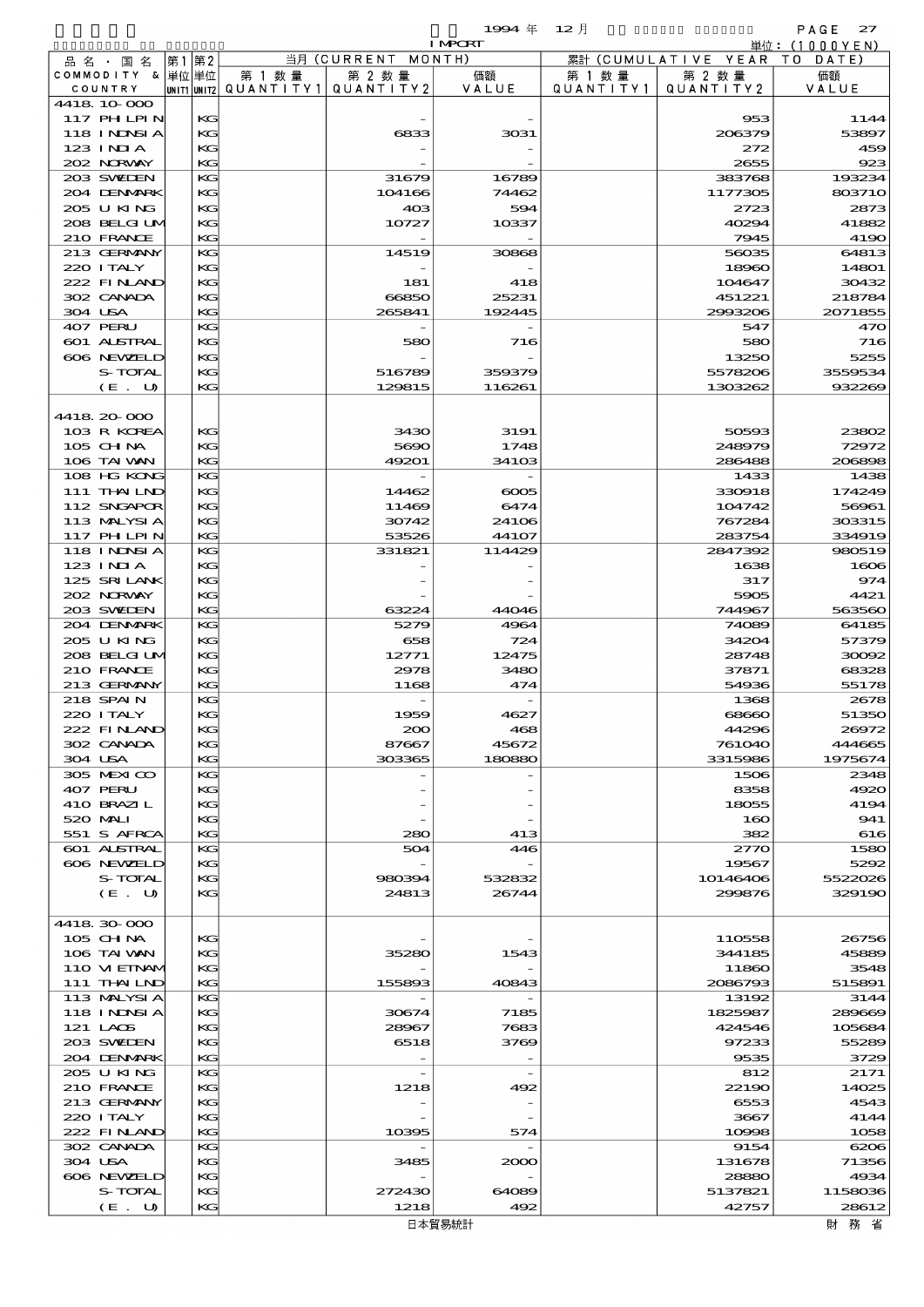$1$ <del>994</del>  $\#$  12  $\bar{e}$   $\qquad$  PAGE 27

| $155 + +$ | $\mathbf{1}$ |  |
|-----------|--------------|--|
| zг        |              |  |

|                   |       |                                 |                    | <b>I MPCRT</b> |           |                              | 単位: (1000 Y E N)                                                |
|-------------------|-------|---------------------------------|--------------------|----------------|-----------|------------------------------|-----------------------------------------------------------------|
| 品名・国名             | 第1 第2 |                                 | 当月 (CURRENT MONTH) |                |           | 累計 (CUMULATIVE YEAR TO DATE) |                                                                 |
| COMMODITY & 単位単位  |       | 第 1 数量                          | 第 2 数量             | 価額             | 第 1 数 量   | 第 2 数量                       | 価額                                                              |
| COUNTRY           |       | UNIT1 UNIT2 QUANTITY1 QUANTITY2 |                    | VALUE          | QUANTITY1 | QUANTITY 2                   | VALUE                                                           |
| 4418 10 000       |       |                                 |                    |                |           |                              |                                                                 |
| 117 PH LPIN       | КG    |                                 |                    |                |           | 953                          | 1144                                                            |
| 118 INNSI A       | KG    |                                 | 6833               | 3031           |           | 206379                       | 53897                                                           |
| $123$ INIA        | KG    |                                 |                    |                |           | 272                          | 459                                                             |
| 202 NORWAY        | KG    |                                 |                    |                |           | 2655                         | 923                                                             |
| 203 SWIEN         | KG    |                                 | 31679              | 16789          |           | 383768                       | 193234                                                          |
| 204 DENMARK       | KС    |                                 | 104166             | 74462          |           | 1177305                      | 803710                                                          |
| 205 U KING        | KG    |                                 | 40 <sup>3</sup>    | 594            |           | 2723                         | 2873                                                            |
| 208 BELGI UM      | KС    |                                 | 10727              | 10337          |           | 40294                        | 41882                                                           |
| 210 FRANCE        | KG    |                                 |                    |                |           | 7945                         | 4190                                                            |
| 213 GERMANY       | KG    |                                 | 14519              | 30868          |           | 56035                        | 64813                                                           |
| 220 I TALY        | КG    |                                 |                    |                |           | 18960                        | 14801                                                           |
| 222 FINAND        | KG    |                                 | 181                | 418            |           | 104647                       | 30432                                                           |
| 302 CANADA        | KС    |                                 | 66850              | 25231          |           | 451221                       | 218784                                                          |
| 304 USA           | KG    |                                 | 265841             | 192445         |           | 2993206                      | 2071855                                                         |
| 407 PERU          | KG    |                                 |                    |                |           | 547                          | 470                                                             |
| 601 ALSTRAL       | KС    |                                 | 580                | 716            |           | 580                          | 716                                                             |
| 606 NEWELD        | KG    |                                 |                    |                |           | 13250                        | 5255                                                            |
| S-TOTAL           | KG    |                                 | 516789             | 359379         |           | 5578206                      | 3559534                                                         |
| (E. U)            | KG    |                                 | 129815             | 116261         |           | 1303262                      | 932269                                                          |
|                   |       |                                 |                    |                |           |                              |                                                                 |
| 4418.20-000       |       |                                 |                    |                |           |                              |                                                                 |
| 103 R KOREA       | KG    |                                 | 3430               | 3191           |           | 50593                        | 23802                                                           |
| $105$ CHNA        | KС    |                                 | 5690               | 1748           |           | 248979                       | 72972                                                           |
| 106 TAI VAN       | KG    |                                 | 49201              | 34103          |           | 286488                       | 206898                                                          |
| 108 HG KONG       | KG    |                                 |                    |                |           | 1433                         | 1438                                                            |
| 111 THAILND       | KG    |                                 | 14462              | $\infty$       |           | 330918                       | 174249                                                          |
| 112 SNGAPOR       | KG    |                                 | 11469              | 6474           |           | 104742                       | 56961                                                           |
| 113 MALYSIA       | KС    |                                 | 30742              | 24106          |           | 767284                       | 303315                                                          |
| 117 PH LPIN       | KG    |                                 | 53526              | 44107          |           | 283754                       | 334919                                                          |
| 118 I NDSI A      | KG    |                                 | 331821             | 114429         |           | 2847392                      | 980519                                                          |
| $123$ INIA        | KG    |                                 |                    |                |           | 1638                         | 1606                                                            |
| 125 SRILANK       | KG    |                                 |                    |                |           | 317                          | 974                                                             |
| 202 NORWAY        | KС    |                                 |                    |                |           | 5905                         | 4421                                                            |
| 203 SWIEN         | KG    |                                 | 63224              | 44046          |           | 744967                       | 563560                                                          |
| 204 DENMARK       | KG    |                                 | 5279               | 4964           |           | 74089                        | 64185                                                           |
| 205 U KING        | KG    |                                 | 658                | 724            |           | 34204                        | 57379                                                           |
| 208 BELGI UM      | KG    |                                 | 12771              | 12475          |           | 28748                        | 30092                                                           |
| 210 FRANCE        | KС    |                                 | 2978               | 3480           |           | 37871                        | 68328                                                           |
| 213 GERMANY       | KG    |                                 | 1168               | 474            |           | 54936                        | 55178                                                           |
| 218 SPAIN         | KG    |                                 |                    |                |           | 1368                         | 2678                                                            |
| 220 I TALY        | KG    |                                 | 1959               | 4627           |           | 68660                        | 51350                                                           |
| 222 FINAND        | KG    |                                 | 200                | 468            |           | 44296                        | 26972                                                           |
| 302 CANADA        | KС    |                                 | 87667              | 45672          |           | 761040                       | 444665                                                          |
| 304 USA           | KG    |                                 | 303365             | 180880         |           | 3315986                      | 1975674                                                         |
| 305 MEXICO        | KG    |                                 |                    |                |           | 1506                         | 2348                                                            |
| 407 PERU          | KG    |                                 |                    |                |           | 8358                         | 4920                                                            |
| 410 BRAZIL        | KG    |                                 |                    |                |           | 18055                        | 4194                                                            |
| 520 MAI           | KС    |                                 |                    |                |           | 160                          | 941                                                             |
| 551 S AFRCA       | KG    |                                 | 280                | 413            |           | 382                          | 616                                                             |
| 601 ALSTRAL       | KG    |                                 | 504                | 446            |           | 2770                         | 1580                                                            |
| 606 NEWELD        | KG    |                                 |                    |                |           | 19567                        | 5292                                                            |
| S-TOTAL           | KG    |                                 | 980394             | 532832         |           | 10146406                     | 5522026                                                         |
| (E. U)            | КG    |                                 | 24813              | 26744          |           | 299876                       | 329190                                                          |
|                   |       |                                 |                    |                |           |                              |                                                                 |
| 4418.30.000       |       |                                 |                    |                |           |                              |                                                                 |
| 105 CH NA         | KG    |                                 |                    |                |           | 110558                       | 26756                                                           |
| 106 TAI VAN       | KG    |                                 | 35280              | 1543           |           | 344185                       | 45889                                                           |
| 110 VIEINAM       | KС    |                                 |                    |                |           | 11860                        | 3548                                                            |
| 111 THAILND       | KG    |                                 | 155893             | 40843          |           | 2086793                      | 515891                                                          |
| 113 MALYSIA       | KG    |                                 |                    |                |           | 13192                        | 3144                                                            |
| <b>118 INNSIA</b> | KG    |                                 | 30674              | 7185           |           | 1825987                      | 289669                                                          |
| 121 LAOS          | KG    |                                 | 28967              | 7683           |           | 424546                       | 105684                                                          |
| 203 SWIDEN        | KС    |                                 | 6518               | 3769           |           | 97233                        | 55289                                                           |
| 204 DENMARK       | KG    |                                 |                    |                |           | 9535                         | 3729                                                            |
| 205 U KING        | KG    |                                 |                    |                |           | 812                          | 2171                                                            |
| 210 FRANCE        | KG    |                                 | 1218               | 492            |           | 22190                        | 14025                                                           |
| 213 GERMANY       | KG    |                                 |                    |                |           | 6553                         | 4543                                                            |
| 220 I TALY        | KС    |                                 |                    |                |           | 3667                         | 4144                                                            |
| 222 FINLAND       | KG    |                                 | 10395              | 574            |           | 10998                        | 1058                                                            |
| 302 CANADA        | KG    |                                 |                    |                |           | 9154                         | 6206                                                            |
| 304 USA           | KG    |                                 | 3485               | 2000           |           | 131678                       | 71356                                                           |
| 606 NEWELD        | KG    |                                 |                    |                |           | 28880                        | 4934                                                            |
| S-TOTAL           | KС    |                                 | 272430             | 64089          |           | 5137821                      | 1158036                                                         |
| (E. U)            | KG    |                                 | 1218               | 492            |           | 42757                        | 28612                                                           |
|                   |       |                                 |                    | 日木智易統計         |           |                              | けみ みない はなし みんじょう みんじょう みんじょう みんじょう みんじょう みんじょう みんじょう みんじょう はんしゃ |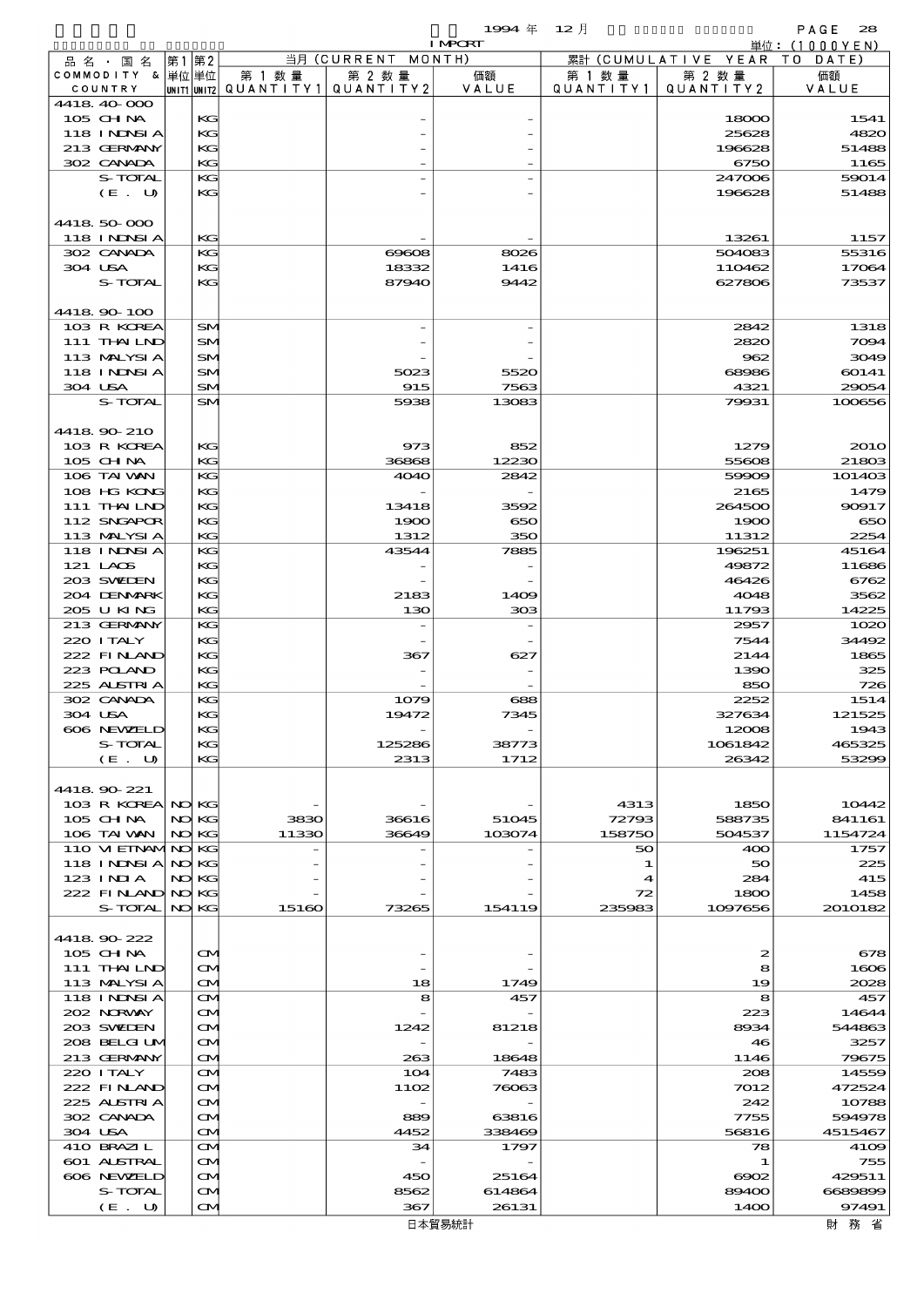|                                  |       |           |                          |                                     | 1994 $#$        | 12月       |                      | PAGE<br>28               |
|----------------------------------|-------|-----------|--------------------------|-------------------------------------|-----------------|-----------|----------------------|--------------------------|
| 品 名 ・ 国 名                        | 第1 第2 |           |                          | 当月 (CURRENT MONTH)                  | <b>I MPORT</b>  |           | 累計 (CUMULATIVE YEAR) | 単位:(1000YEN)<br>TO DATE) |
| COMMODITY & 単位単位                 |       |           | 第 1 数量                   | 第 2 数量                              | 価額              | 第 1 数 量   | 第 2 数量               | 価額                       |
| COUNTRY                          |       |           | unit1 unit2  Q∪ANT   TY1 | QUANTITY 2                          | VALUE           | QUANTITY1 | QUANTITY 2           | VALUE                    |
| 4418 40 000<br>105 CH NA         |       | KG        |                          |                                     |                 |           | 18000                | 1541                     |
| 118 INNSI A                      |       | KG        |                          |                                     |                 |           | 25628                | 4820                     |
| 213 GERMANY                      |       | КC        |                          |                                     |                 |           | 196628               | 51488                    |
| 302 CANADA                       |       | KG        |                          |                                     |                 |           | 6750                 | 1165                     |
| S-TOTAL                          |       | KG        |                          |                                     |                 |           | 247006               | 59014                    |
| (E. U)                           |       | KG        |                          |                                     |                 |           | 196628               | 51488                    |
| 4418 50 000                      |       |           |                          |                                     |                 |           |                      |                          |
| <b>118 INNSI A</b>               |       | KG        |                          |                                     |                 |           | 13261                | 1157                     |
| 302 CANADA                       |       | KG        |                          | $\Theta$ $\Theta$ $\Omega$ $\Theta$ | 8026            |           | 504083               | 55316                    |
| 304 USA                          |       | KG        |                          | 18332                               | 1416            |           | 110462               | 17064                    |
| S-TOTAL                          |       | KG        |                          | 87940                               | 9442            |           | 627806               | 73537                    |
|                                  |       |           |                          |                                     |                 |           |                      |                          |
| 4418 90 100<br>103 R KOREA       |       | SM        |                          |                                     |                 |           | 2842                 | 1318                     |
| 111 THAILND                      |       | SM        |                          |                                     |                 |           | 2820                 | 7094                     |
| 113 MALYSIA                      |       | SM        |                          |                                     |                 |           | 962                  | 3049                     |
| 118 I NDSI A                     |       | SM        |                          | 5023                                | 5520            |           | 68986                | 60141                    |
| 304 USA                          |       | SM        |                          | 915                                 | 7563            |           | 4321                 | 29054                    |
| S-TOTAL                          |       | SM        |                          | 5938                                | 13083           |           | 79931                | 100656                   |
|                                  |       |           |                          |                                     |                 |           |                      |                          |
| 4418 90 210<br>103 R KOREA       |       | KG        |                          | 973                                 | 852             |           | 1279                 | <b>2010</b>              |
| 105 CHNA                         |       | KG        |                          | 36868                               | 12230           |           | 55608                | 21803                    |
| 106 TAI VAN                      |       | КG        |                          | 4040                                | 2842            |           | 59909                | 101403                   |
| 108 HG KONG                      |       | KG        |                          |                                     |                 |           | 2165                 | 1479                     |
| 111 THAILND                      |       | KG        |                          | 13418                               | 3592            |           | 264500               | 90917                    |
| 112 SNGAPOR                      |       | KG        |                          | 1900                                | 650             |           | 1900                 | 650                      |
| 113 MALYSIA                      |       | KG        |                          | 1312                                | 350             |           | 11312                | 2254                     |
| 118 INNSI A<br>121 LAOS          |       | KG        |                          | 43544                               | 7885            |           | 196251               | 45164                    |
| 203 SWIDEN                       |       | KG<br>KG  |                          |                                     |                 |           | 49872<br>46426       | 11686<br>6762            |
| 204 DENMARK                      |       | KG        |                          | 2183                                | 1409            |           | 4048                 | 3562                     |
| 205 U KING                       |       | KG        |                          | 130                                 | 308             |           | 11793                | 14225                    |
| 213 GERMANY                      |       | КG        |                          |                                     |                 |           | 2957                 | 1020                     |
| 220 I TALY                       |       | KG        |                          |                                     |                 |           | 7544                 | 34492                    |
| 222 FINAND                       |       | KG        |                          | 367                                 | 627             |           | 2144                 | 1865                     |
| 223 POLAND<br>225 ALSTRIA        |       | KG<br>KG  |                          |                                     |                 |           | 1390<br>850          | 325                      |
| 302 CANADA                       |       | KG        |                          | 1079                                | 688             |           | 2252                 | 726<br>1514              |
| 304 USA                          |       | KG        |                          | 19472                               | 7345            |           | 327634               | 121525                   |
| 606 NEWELD                       |       | KG        |                          |                                     |                 |           | 12008                | 1943                     |
| S-TOTAL                          |       | KG        |                          | 125286                              | 38773           |           | 1061842              | 465325                   |
| (E. U)                           |       | KG        |                          | 2313                                | 1712            |           | 26342                | 53299                    |
|                                  |       |           |                          |                                     |                 |           |                      |                          |
| 4418 90 221<br>103 R KOREA NO KG |       |           |                          |                                     |                 | 4313      | 1850                 | 10442                    |
| $105$ CHNA                       |       | NO KG     | 3830                     | 36616                               | 51045           | 72793     | 588735               | 841161                   |
| 106 TAI VAN                      |       | NO KG     | 11330                    | 36649                               | 103074          | 158750    | 504537               | 1154724                  |
| 110 VI EINAMINO KG               |       |           |                          |                                     |                 | 50        | 400                  | 1757                     |
| 118 INNSI A                      |       | NO KG     |                          |                                     |                 | 1         | 50                   | 225                      |
| 123 INIA                         |       | NO KG     |                          |                                     |                 | 4         | 284                  | 415                      |
| 222 FINLAND                      |       | NO KG     |                          |                                     |                 | 72        | 1800                 | 1458                     |
| S-TOTAL                          |       | NO KG     | 15160                    | 73265                               | 154119          | 235983    | 1097656              | 2010182                  |
| 441890222                        |       |           |                          |                                     |                 |           |                      |                          |
| $105$ CHNA                       |       | M         |                          |                                     |                 |           | 2                    | 678                      |
| 111 THAILND                      |       | ŒИ        |                          |                                     |                 |           | 8                    | 1606                     |
| 113 MALYSIA                      |       | ŒИ        |                          | 18                                  | 1749            |           | 19                   | 2028                     |
| <b>118 INNSIA</b>                |       | ŒИ        |                          | 8                                   | 457             |           | 8                    | 457                      |
| 202 NORWAY                       |       | ŒИ        |                          |                                     |                 |           | 223                  | 14644                    |
| 203 SWIDEN                       |       | ŒИ        |                          | 1242                                | 81218           |           | 8934                 | 544863                   |
| 208 BELGI UM<br>213 GERMANY      |       | ŒИ<br>ŒИ  |                          | 263                                 | 18648           |           | 46<br>1146           | 3257<br>79675            |
| 220 I TALY                       |       | ŒИ        |                          | 104                                 | 7483            |           | 208                  | 14559                    |
| 222 FINAND                       |       | ŒИ        |                          | 1102                                | 76063           |           | 7012                 | 472524                   |
| 225 ALSTRIA                      |       | ŒИ        |                          |                                     |                 |           | 242                  | 10788                    |
| 302 CANADA                       |       | ŒИ        |                          | 889                                 | 63816           |           | 7755                 | 594978                   |
| 304 USA                          |       | <b>CM</b> |                          | 4452                                | 338469          |           | 56816                | 4515467                  |
| 410 BRAZIL                       |       | ŒИ        |                          | 34                                  | 1797            |           | 78                   | 4109                     |
| 601 ALSTRAL                      |       | ŒИ        |                          |                                     |                 |           | 1                    | 755                      |
| 606 NEWELD<br>S-TOTAL            |       | ŒИ<br>M   |                          | 450<br>8562                         | 25164<br>614864 |           | $\infty$<br>89400    | 429511<br>6689899        |
| (E. U)                           |       | M         |                          | 367                                 | 26131           |           | 1400                 | 97491                    |
|                                  |       |           |                          |                                     |                 |           |                      |                          |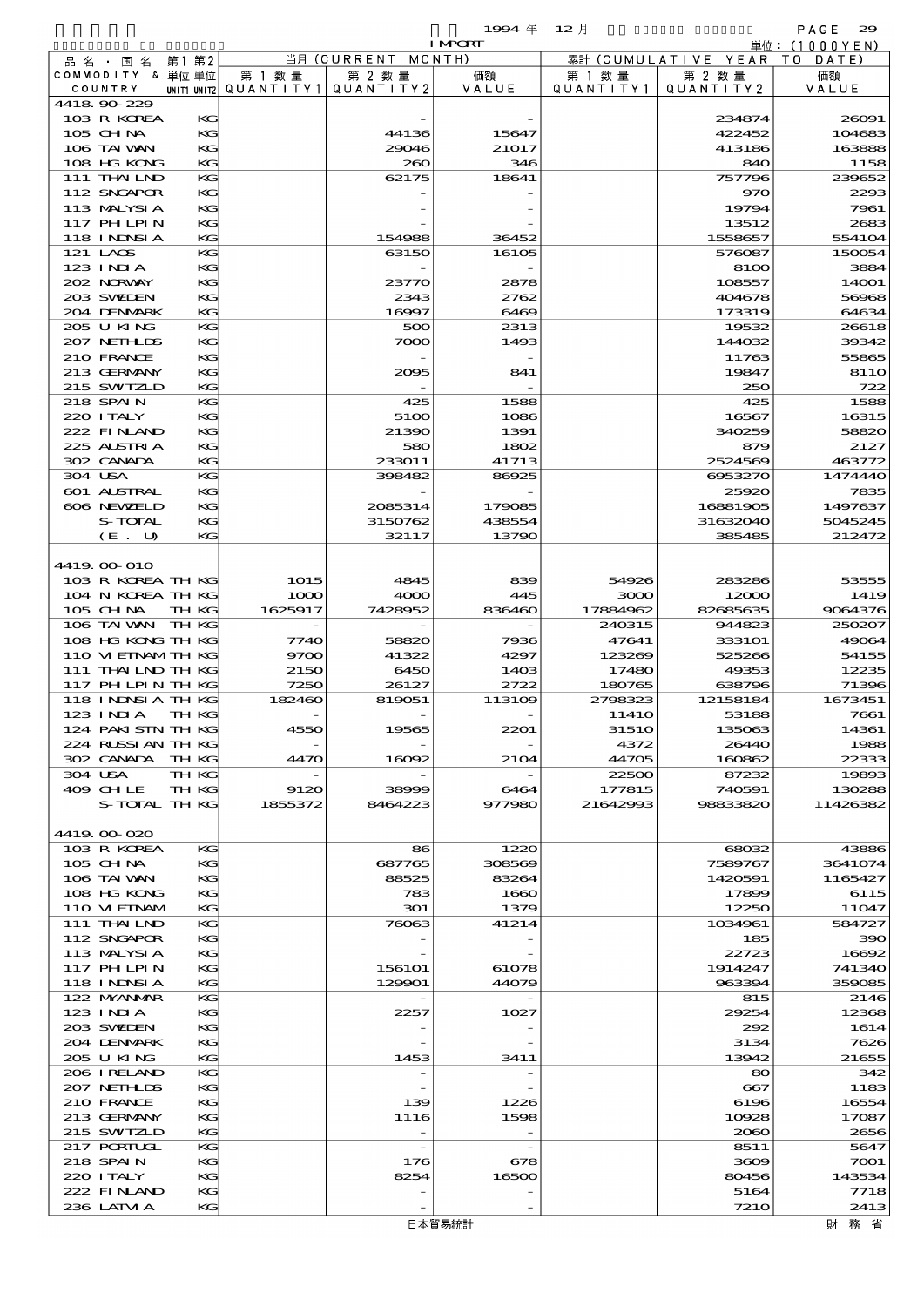$1$ 994  $\#$  12  $\bar{e}$  and  $\bar{e}$  and  $\bar{e}$  and  $\bar{e}$  and  $\bar{e}$  and  $\bar{e}$  and  $\bar{e}$  and  $\bar{e}$  and  $\bar{e}$  and  $\bar{e}$  and  $\bar{e}$  and  $\bar{e}$  and  $\bar{e}$  and  $\bar{e}$  and  $\bar{e}$  and  $\bar{e}$  and  $\bar{e}$  and  $\$ 

|                                        |                      |                                       |                       | <b>I MPCRT</b>   |                    |                        | 単位: (1000 Y E N)     |
|----------------------------------------|----------------------|---------------------------------------|-----------------------|------------------|--------------------|------------------------|----------------------|
| 品 名 ・ 国 名                              | 第1 第2                |                                       | 当月 (CURRENT<br>MONTH) |                  |                    | 累計 (CUMULATIVE YEAR TO | DATE)                |
| COMMODITY & 単位単位                       |                      | 第 1 数量                                | 第 2 数量                | 価額               | 第 1 数 量            | 第 2 数量                 | 価額                   |
| COUNTRY<br>4418.90-229                 |                      | UNIT1 UNIT2  QUANT   TY1  QUANT   TY2 |                       | VALUE            | QUANTITY1          | QUANTITY2              | VALUE                |
| 103 R KOREA                            | КG                   |                                       |                       |                  |                    | 234874                 | 26091                |
| 105 CHNA                               | KG                   |                                       | 44136                 | 15647            |                    | 422452                 | 104683               |
| 106 TAI VAN                            | KG                   |                                       | 29046                 | 21017            |                    | 413186                 | 163888               |
| 108 HG KONG                            | KG                   |                                       | 260                   | 346              |                    | 840                    | 1158                 |
| 111 THAILND                            | KG                   |                                       | 62175                 | 18641            |                    | 757796                 | 239652               |
| 112 SNGAPOR                            | KG                   |                                       |                       |                  |                    | 970                    | 2293                 |
| 113 MALYSIA<br><b>117 PHLPIN</b>       | KG                   |                                       |                       |                  |                    | 19794                  | 7961                 |
| <b>118 INDSIA</b>                      | KG<br>KG             |                                       | 154988                | 36452            |                    | 13512<br>1558657       | 2683<br>554104       |
| 121 LAOS                               | KG                   |                                       | 63150                 | 16105            |                    | 576087                 | 150054               |
| 123 INIA                               | KG                   |                                       |                       |                  |                    | 8100                   | 3884                 |
| 202 NORWAY                             | KG                   |                                       | 23770                 | 2878             |                    | 108557                 | 14001                |
| 203 SWIEN                              | KG                   |                                       | 2343                  | 2762             |                    | 404678                 | 56968                |
| 204 DENMARK                            | KG                   |                                       | 16997                 | 6469             |                    | 173319                 | 64634                |
| 205 U KING                             | KG                   |                                       | 500                   | 2313             |                    | 19532                  | 26618                |
| 207 NETHLIS                            | KG                   |                                       | 7000                  | 1493             |                    | 144032                 | 39342                |
| 210 FRANCE<br>213 GERMANY              | KG<br>KG             |                                       | 2095                  | 841              |                    | 11763<br>19847         | 55865<br><b>8110</b> |
| 215 SWIZLD                             | KG                   |                                       |                       |                  |                    | 250                    | 722                  |
| 218 SPAIN                              | KG                   |                                       | 425                   | 1588             |                    | 425                    | 1588                 |
| 220 I TALY                             | KG                   |                                       | 5100                  | 1086             |                    | 16567                  | 16315                |
| 222 FINAND                             | KG                   |                                       | 21390                 | 1391             |                    | 340259                 | 58820                |
| 225 ALSTRIA                            | KG                   |                                       | 580                   | 1802             |                    | 879                    | 2127                 |
| 302 CANADA                             | KG                   |                                       | 233011                | 41713            |                    | 2524569                | 463772               |
| 304 USA                                | KG                   |                                       | 398482                | 86925            |                    | 6953270                | 1474440              |
| 601 ALSTRAL                            | KG                   |                                       |                       |                  |                    | 25920                  | 7835                 |
| 606 NEWELD<br>S-TOTAL                  | KG<br>KG             |                                       | 2085314<br>3150762    | 179085<br>438554 |                    | 16881905<br>31632040   | 1497637<br>5045245   |
| $(E$ .<br>U                            | KG                   |                                       | 32117                 | 13790            |                    | 385485                 | 212472               |
|                                        |                      |                                       |                       |                  |                    |                        |                      |
| 4419.00-010                            |                      |                                       |                       |                  |                    |                        |                      |
| 103 R KOREA TH KG                      |                      | 1015                                  | 4845                  | 839              | 54926              | 283286                 | 53555                |
| 104 N KOREA                            | <b>TH KG</b>         | 1000                                  | 4000                  | 445              | 3000               | 12000                  | 1419                 |
| $105$ CHNA                             | TH KG                | 1625917                               | 7428952               | 836460           | 17884962           | 82685635               | 9064376              |
| 106 TAI VAN                            | <b>TH KG</b>         |                                       |                       |                  | 240315             | 944823                 | 250207               |
| 108 HG KONG TH KG<br>110 VI EINAMTH KG |                      | <b>7740</b>                           | 58820                 | 7936             | 47641              | 333101                 | 49064                |
| 111 THAILND TH KG                      |                      | 9700<br>2150                          | 41322<br>6450         | 4297<br>1403     | 123269<br>17480    | 525266<br>49353        | 54155<br>12235       |
| 117 PH LPIN                            | <b>TH KG</b>         | 7250                                  | 26127                 | 2722             | 180765             | 638796                 | 71396                |
| 118 INDSIA                             | <b>TH KG</b>         | 182460                                | 819051                | 113109           | 2798323            | 12158184               | 1673451              |
| 123 INIA                               | TH KG                |                                       |                       |                  | 1141O              | 53188                  | 7661                 |
| 124 PAKISTN                            | <b>TH KG</b>         | 4550                                  | 19565                 | 2201             | 31510              | 135063                 | 14361                |
| 224 RUSSI AN                           | TH KG                |                                       |                       |                  | 4372               | 26440                  | 1988                 |
| 302 CANADA                             | TH KG                | 4470                                  | 16092                 | 2104             | 44705              | 160862                 | 22333                |
| 304 USA                                | TH KG                |                                       |                       |                  | 22500              | 87232<br>740591        | 19893                |
| 409 CHLE<br>S-TOTAL                    | TH KG<br><b>THKG</b> | 9120<br>1855372                       | 38999<br>8464223      | 6464<br>977980   | 177815<br>21642993 | 98833820               | 130288<br>11426382   |
|                                        |                      |                                       |                       |                  |                    |                        |                      |
| 4419.00-020                            |                      |                                       |                       |                  |                    |                        |                      |
| 103 R KOREA                            | KG                   |                                       | 86                    | 1220             |                    | 68032                  | 43886                |
| 105 CH NA                              | KG                   |                                       | 687765                | 308569           |                    | 7589767                | 3641074              |
| 106 TAI VAN                            | KC                   |                                       | 88525                 | 83264            |                    | 1420591                | 1165427              |
| 108 HG KONG                            | КG                   |                                       | 783                   | 1660             |                    | 17899                  | 6115                 |
| 110 VIEINAM                            | KG<br>KG             |                                       | 301                   | 1379             |                    | 12250                  | 11047                |
| $111$ THAILND<br>112 SNGAPOR           | KG                   |                                       | 76063                 | 41214            |                    | 1034961<br>185         | 584727<br>390        |
| 113 MALYSIA                            | KG                   |                                       |                       |                  |                    | 22723                  | 16692                |
| 117 PHLPIN                             | KG                   |                                       | 156101                | 61078            |                    | 1914247                | 741340               |
| <b>118 INDSIA</b>                      | KG                   |                                       | 129901                | 44079            |                    | 963394                 | 359085               |
| 122 MYANMAR                            | КG                   |                                       |                       |                  |                    | 815                    | 2146                 |
| 123 INIA                               | KG                   |                                       | 2257                  | 1027             |                    | 29254                  | 12368                |
| 203 SWIDEN                             | KC                   |                                       |                       |                  |                    | 292                    | 1614                 |
| 204 DENMARK<br>205 U KING              | KG<br>KG             |                                       | 1453                  | 3411             |                    | 3134<br>13942          | 7626<br>21655        |
| 206 I RELAND                           | КG                   |                                       |                       |                  |                    | 80                     | 342                  |
| 207 NETHLIS                            | KG                   |                                       |                       |                  |                    | 667                    | 1183                 |
| 210 FRANCE                             | KC                   |                                       | 139                   | 1226             |                    | 6196                   | 16554                |
| 213 GERMANY                            | KG                   |                                       | 1116                  | 1598             |                    | 10928                  | 17087                |
| 215 SWIZLD                             | KG                   |                                       |                       |                  |                    | 2060                   | 2656                 |
| <b>217 PORTUGL</b>                     | KG                   |                                       |                       |                  |                    | 8511                   | 5647                 |
| 218 SPAIN                              | KG                   |                                       | 176                   | 678              |                    | 3609                   | 7001                 |
| 220 I TALY<br>222 FINAND               | KC<br>КG             |                                       | 8254                  | 16500            |                    | 80456                  | 143534<br>7718       |
| 236 LATM A                             | KC                   |                                       |                       |                  |                    | 5164<br><b>7210</b>    | 2413                 |
|                                        |                      |                                       |                       | 日本留見紘計           |                    |                        |                      |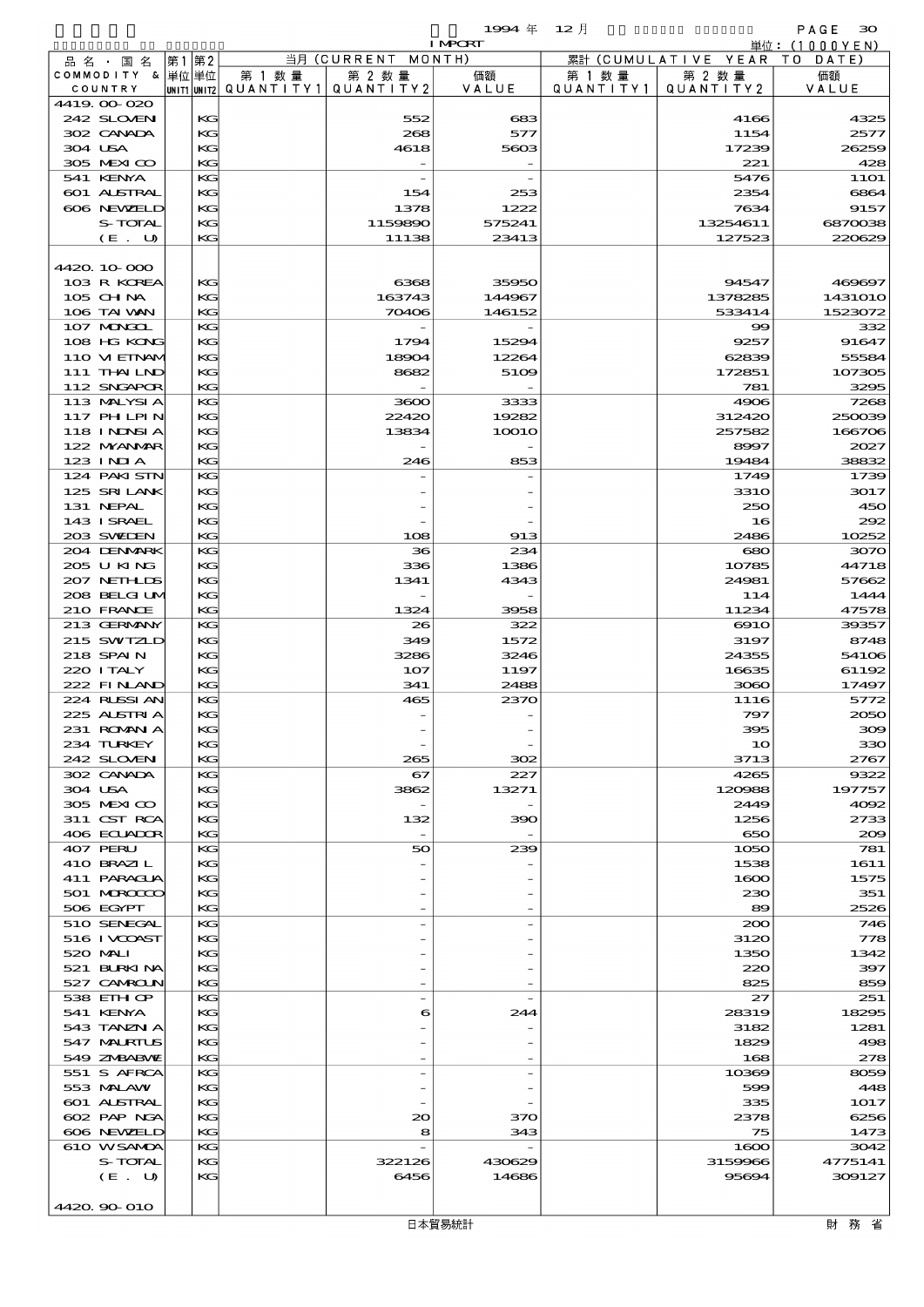$1994 \# 12$  and  $1994 \# 12$  and  $1994 \# 12$  and  $1999 \# 12$  and  $1999 \# 12$  and  $1999 \# 12$  and  $1999 \# 12$  and  $1999 \# 12$  and  $1999 \# 12$  and  $1999 \# 12$  and  $1999 \# 12$  and  $1999 \# 12$  and  $1999 \# 12$  and  $1999 \# 12$  a

|                             |       |          |        |                                                 | <b>I MPCRT</b> |           |                              | 単位: (1000 Y E N) |
|-----------------------------|-------|----------|--------|-------------------------------------------------|----------------|-----------|------------------------------|------------------|
| 品名・国名                       | 第1 第2 |          |        | 当月 (CURRENT MONTH)                              |                |           | 累計 (CUMULATIVE YEAR TO DATE) |                  |
| COMMODITY & 単位単位            |       |          | 第 1 数量 | 第 2 数量                                          | 価額             | 第 1 数 量   | 第 2 数量                       | 価額               |
| COUNTRY                     |       |          |        | $ $ UNIT1 $ $ UNIT2 $ $ QUANTITY1 $ $ QUANTITY2 | VALUE          | QUANTITY1 | QUANTITY2                    | VALUE            |
| 4419.00-020                 |       |          |        |                                                 |                |           |                              |                  |
| 242 SLOVEN<br>302 CANADA    |       | KG<br>KG |        | 552<br>268                                      | 683<br>577     |           | 4166<br>1154                 | 4325<br>2577     |
| 304 USA                     |       | KG       |        | 4618                                            | 5603           |           | 17239                        | 26259            |
| 305 MEXICO                  |       | KG       |        |                                                 |                |           | 221                          | 428              |
| 541 KENYA                   |       | KG       |        |                                                 |                |           | 5476                         | <b>11O1</b>      |
| 601 ALSTRAL                 |       | KG       |        | 154                                             | 253            |           | 2354                         | 6864             |
| 606 NEWELD                  |       | KG       |        | 1378                                            | 1222           |           | 7634                         | 9157             |
| S-TOTAL                     |       | KG       |        | 1159890                                         | 575241         |           | 13254611                     | 6870038          |
| (E. U)                      |       | KG       |        | 11138                                           | 23413          |           | 127523                       | 220629           |
|                             |       |          |        |                                                 |                |           |                              |                  |
| 4420 10 000                 |       |          |        |                                                 |                |           |                              |                  |
| 103 R KOREA                 |       | KG       |        | 6368                                            | 35950          |           | 94547                        | 469697           |
| 105 CH NA                   |       | KG       |        | 163743                                          | 144967         |           | 1378285                      | 1431010          |
| 106 TAI VAN<br>107 MONGOL   |       | KG<br>KG |        | 70406                                           | 146152         |           | 533414<br>$\infty$           | 1523072<br>332   |
| 108 HG KONG                 |       | KG       |        | 1794                                            | 15294          |           | 9257                         | 91647            |
| 110 VI EINAM                |       | KG       |        | 18904                                           | 12264          |           | 62839                        | 55584            |
| 111 THAILND                 |       | KG       |        | 8682                                            | 5109           |           | 172851                       | 107305           |
| 112 SNGAPOR                 |       | KG       |        |                                                 |                |           | 781                          | 3295             |
| 113 MALYSIA                 |       | KG       |        | 3600                                            | 3333           |           | 4906                         | 7268             |
| 117 PH LPIN                 |       | KG       |        | 22420                                           | 19282          |           | 312420                       | 250039           |
| 118 INNSI A                 |       | KG       |        | 13834                                           | <b>10010</b>   |           | 257582                       | 166706           |
| 122 NYANAR                  |       | KG       |        |                                                 |                |           | 8997                         | 2027             |
| $123$ INIA                  |       | KG       |        | 246                                             | 853            |           | 19484                        | 38832            |
| 124 PAKI STN                |       | KG       |        |                                                 |                |           | 1749                         | 1739             |
| 125 SRILANK                 |       | KG       |        |                                                 |                |           | 331O                         | 3017             |
| 131 NEPAL                   |       | KG       |        |                                                 |                |           | 250                          | 450              |
| 143 I SRAEL<br>203 SWIEN    |       | KG<br>KG |        | 108                                             | 913            |           | 16<br>2486                   | 292<br>10252     |
| 204 DENMARK                 |       | KG       |        | 36                                              | 234            |           | 680                          | 3070             |
| 205 U KING                  |       | KG       |        | 336                                             | 1386           |           | 10785                        | 44718            |
| 207 NETHLIS                 |       | KG       |        | 1341                                            | 4343           |           | 24981                        | 57662            |
| 208 BELGI UM                |       | KG       |        |                                                 |                |           | 114                          | 1444             |
| 210 FRANCE                  |       | KG       |        | 1324                                            | 3958           |           | 11234                        | 47578            |
| 213 GERMANY                 |       | KG       |        | 26                                              | 322            |           | $\Theta$ 10                  | 39357            |
| 215 SWIZLD                  |       | KG       |        | 349                                             | 1572           |           | 3197                         | 8748             |
| 218 SPAIN                   |       | KG       |        | 3286                                            | 3246           |           | 24355                        | 54106            |
| 220 I TALY                  |       | KG       |        | 107                                             | 1197           |           | 16635                        | 61192            |
| 222 FINAND                  |       | KG       |        | 341                                             | 2488           |           | 3080                         | 17497            |
| 224 RUSSI AN<br>225 ALSTRIA |       | KG       |        | 465                                             | 2370           |           | 1116                         | 5772             |
| 231 ROMANIA                 |       | KG<br>KG |        |                                                 |                |           | 797<br>395                   | 2050<br>309      |
| 234 TURKEY                  |       | КG       |        |                                                 |                |           | 10                           | 330              |
| 242 SLOVEN                  |       | KG       |        | 265                                             | 302            |           | 3713                         | 2767             |
| 302 CANADA                  |       | KG       |        | 67                                              | 227            |           | 4265                         | 9322             |
| 304 USA                     |       | KG       |        | 3862                                            | 13271          |           | 120988                       | 197757           |
| 305 MEXICO                  |       | KG       |        |                                                 |                |           | 2449                         | 4092             |
| 311 CST RCA                 |       | КG       |        | 132                                             | 390            |           | 1256                         | 2733             |
| 406 ECUADOR                 |       | KG       |        |                                                 |                |           | 650                          | 200              |
| 407 PERU                    |       | KG       |        | 50                                              | 239            |           | 1050                         | 781              |
| 410 BRAZIL                  |       | KG       |        |                                                 |                |           | 1538                         | 1611             |
| 411 PARACLA                 |       | KG       |        |                                                 |                |           | 1600                         | 1575             |
| 501 MERCECO                 |       | КG       |        |                                                 |                |           | 230                          | 351              |
| 506 EGYPT<br>510 SENEGAL    |       | KG<br>KG |        |                                                 |                |           | 89<br>200                    | 2526<br>746      |
| 516 I VCOAST                |       | КG       |        |                                                 |                |           | 3120                         | 778              |
| 520 MAI I                   |       | KG       |        |                                                 |                |           | 1350                         | 1342             |
| 521 BURKINA                 |       | КG       |        |                                                 |                |           | 220                          | 397              |
| 527 CAMROLN                 |       | KG       |        |                                                 |                |           | 825                          | 859              |
| 538 EIH OP                  |       | KG       |        |                                                 |                |           | 27                           | 251              |
| 541 KENYA                   |       | KG       |        | 6                                               | 244            |           | 28319                        | 18295            |
| 543 TANZN A                 |       | KG       |        |                                                 |                |           | 3182                         | 1281             |
| 547 MALRIUS                 |       | КG       |        |                                                 |                |           | 1829                         | 498              |
| 549 ZNBABVIE                |       | KG       |        |                                                 |                |           | 168                          | 278              |
| 551 S AFRCA                 |       | KG       |        |                                                 |                |           | 10369                        | 8059             |
| 553 MALAW                   |       | KG       |        |                                                 |                |           | 599                          | 448              |
| 601 ALSTRAL<br>602 PAP NGA  |       | KG<br>KG |        | $\infty$                                        | 370            |           | 335<br>2378                  | 1017<br>6256     |
| 606 NEWELD                  |       | KG       |        | 8                                               | 343            |           | 75                           | 1473             |
| 610 WSAMDA                  |       | KG       |        |                                                 |                |           | 1600                         | 3042             |
| S-TOTAL                     |       | КG       |        | 322126                                          | 430629         |           | 3159966                      | 4775141          |
| (E. U)                      |       | KG       |        | 6456                                            | 14686          |           | 95694                        | 309127           |
|                             |       |          |        |                                                 |                |           |                              |                  |
| 4420.90-010                 |       |          |        |                                                 |                |           |                              |                  |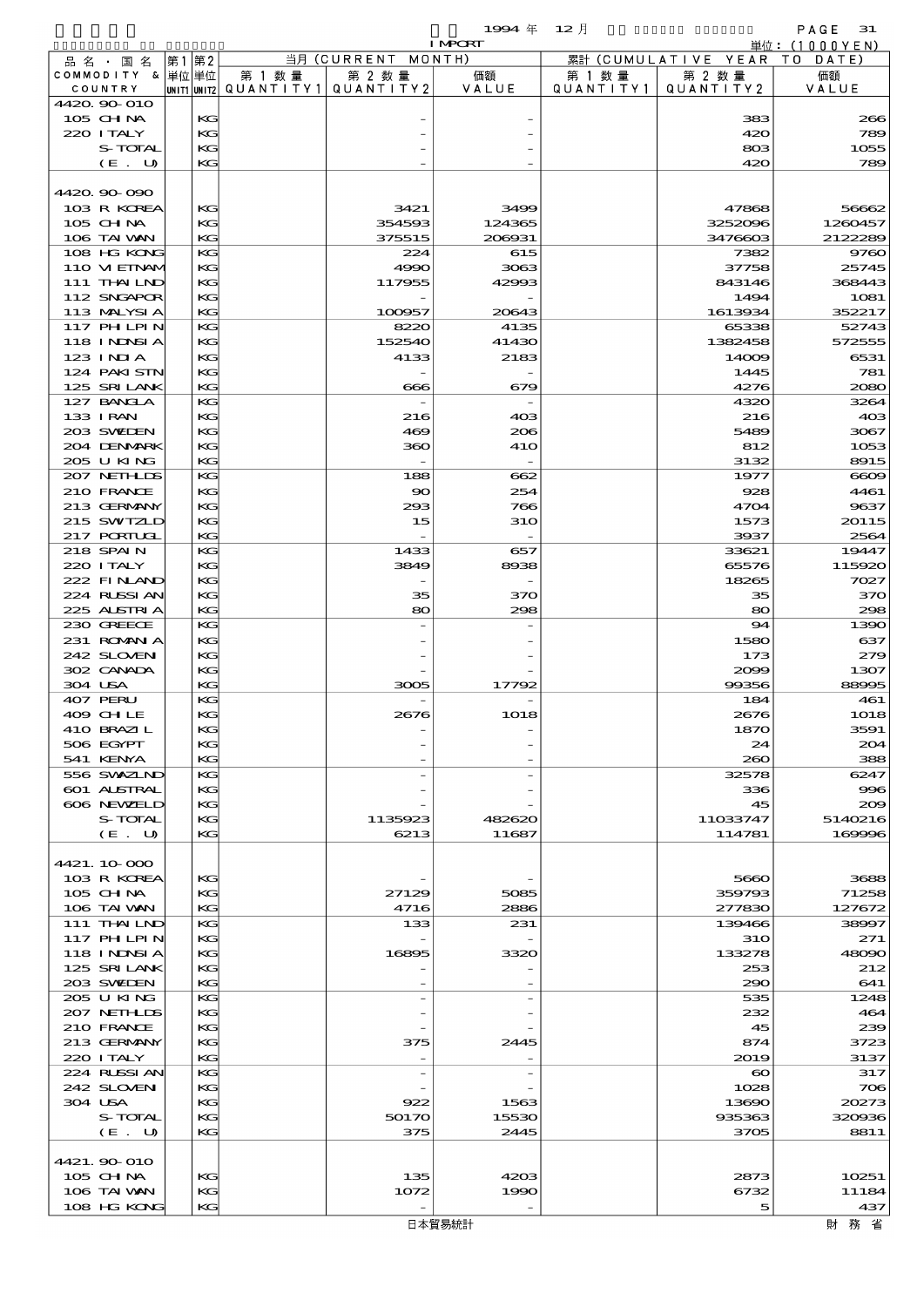$1994 \nleftrightarrow 12 \nparallel$  PAGE 31

|         |                             |      |          |                                                  |                    | <b>I MPCRT</b> |                     |                               | 単位: (1000 Y E N ) |
|---------|-----------------------------|------|----------|--------------------------------------------------|--------------------|----------------|---------------------|-------------------------------|-------------------|
|         | 品名・国名                       | 第1第2 |          |                                                  | 当月 (CURRENT MONTH) |                |                     | 累計 (CUMULATIVE YEAR TO DATE)  |                   |
|         | COMMODITY & 単位単位<br>COUNTRY |      |          | 第 1 数量<br> UNIT1 UNIT2  QUANT I TY1  QUANT I TY2 | 第 2 数量             | 価額<br>VALUE    | 第 1 数量<br>QUANTITY1 | 第 2 数量<br>QUANTITY 2          | 価額<br>VALUE       |
|         | 4420.90-010                 |      |          |                                                  |                    |                |                     |                               |                   |
|         | 105 CHNA                    |      | KG       |                                                  |                    |                |                     | 383                           | 266               |
|         | 220 I TALY                  |      | KG       |                                                  |                    |                |                     | 420                           | 789               |
|         | S-TOTAL                     |      | KG       |                                                  |                    |                |                     | 803                           | 1055              |
|         | (E. U)                      |      | KG       |                                                  |                    |                |                     | 420                           | 789               |
|         | 4420.90-090                 |      |          |                                                  |                    |                |                     |                               |                   |
|         | 103 R KOREA                 |      | KG       |                                                  | 3421               | 3499           |                     | 47868                         | 56662             |
|         | 105 CH NA                   |      | KG       |                                                  | 354593             | 124365         |                     | 3252096                       | 1260457           |
|         | 106 TAI VAN                 |      | KG       |                                                  | 375515             | 206931         |                     | 3476603                       | 2122289           |
|         | 108 HG KONG                 |      | KG       |                                                  | 224                | 615            |                     | 7382                          | 9760              |
|         | 110 VIEINAM<br>111 THAILND  |      | KG<br>KG |                                                  | 4990<br>117955     | 3063<br>42993  |                     | 37758<br>843146               | 25745<br>368443   |
|         | 112 SNGAPOR                 |      | KG       |                                                  |                    |                |                     | 1494                          | <b>1081</b>       |
|         | 113 MALYSIA                 |      | KG       |                                                  | 100957             | 20643          |                     | 1613934                       | 352217            |
|         | 117 PHLPIN                  |      | KG       |                                                  | 8220               | 4135           |                     | 65338                         | 52743             |
|         | 118 INNSI A                 |      | KG       |                                                  | 152540             | 41430          |                     | 1382458                       | 572555            |
|         | 123 INIA                    |      | KG       |                                                  | 4133               | 2183           |                     | 14009                         | 6531              |
|         | 124 PAKISTN<br>125 SRILANK  |      | KG<br>KG |                                                  | 666                | 679            |                     | 1445<br>4276                  | 781<br>2080       |
|         | 127 BANCLA                  |      | KG       |                                                  |                    |                |                     | 4320                          | 3264              |
|         | 133 I RAN                   |      | KG       |                                                  | 216                | 403            |                     | 216                           | 408               |
|         | 203 SWIEN                   |      | KG       |                                                  | 469                | 206            |                     | 5489                          | 3067              |
|         | 204 DENMARK                 |      | KG       |                                                  | 360                | 410            |                     | 812                           | 1053              |
|         | 205 U KING                  |      | KG       |                                                  |                    |                |                     | 3132                          | 8915              |
|         | 207 NETHLIS<br>210 FRANCE   |      | KG<br>KG |                                                  | 188<br>$\infty$    | 662<br>254     |                     | 1977<br>928                   | $\infty$<br>4461  |
|         | 213 GERMANY                 |      | KG       |                                                  | 293                | 766            |                     | 4704                          | 9637              |
|         | 215 SWIZLD                  |      | KG       |                                                  | 15                 | 310            |                     | 1573                          | 20115             |
|         | 217 PORTUGL                 |      | KG       |                                                  |                    |                |                     | 3937                          | 2564              |
|         | 218 SPAIN                   |      | KG       |                                                  | 1433               | 657            |                     | 33621                         | 19447             |
|         | 220 I TALY                  |      | KG       |                                                  | 3849               | 8938           |                     | 65576                         | 115920            |
|         | 222 FINAND<br>224 RUSSI AN  |      | KG<br>KG |                                                  | 35                 | 370            |                     | 18265<br>35                   | 7027<br>370       |
|         | 225 ALSTRIA                 |      | KG       |                                                  | 80                 | 298            |                     | 80                            | 298               |
|         | 230 GREECE                  |      | KG       |                                                  |                    |                |                     | 94                            | 1390              |
|         | 231 ROMNA                   |      | KG       |                                                  |                    |                |                     | 1580                          | 637               |
|         | 242 SLOVEN                  |      | KG       |                                                  |                    |                |                     | 173                           | 279               |
| 304 USA | 302 CANADA                  |      | KG<br>KG |                                                  | 3005               | 17792          |                     | 2099<br>99356                 | 1307<br>88995     |
|         | 407 PERU                    |      | KG       |                                                  |                    |                |                     | 184                           | 461               |
|         | 409 CHLE                    |      | KG       |                                                  | 2676               | 1018           |                     | 2676                          | 1018              |
|         | 410 BRAZIL                  |      | KG       |                                                  |                    |                |                     | 1870                          | 3591              |
|         | 506 EGYPT                   |      | KG       |                                                  |                    |                |                     | 24                            | 204               |
|         | 541 KENYA                   |      | KG       |                                                  |                    |                |                     | 260                           | 388               |
|         | 556 SVXZIND<br>601 ALSTRAL  |      | KG<br>KG |                                                  |                    |                |                     | 32578<br>336                  | 6247<br>996       |
|         | 606 NEWELD                  |      | KG       |                                                  |                    |                |                     | 45                            | 200               |
|         | S-TOTAL                     |      | KG       |                                                  | 1135923            | 482620         |                     | 11033747                      | 5140216           |
|         | (E. U)                      |      | KG       |                                                  | 6213               | 11687          |                     | 114781                        | 169996            |
|         |                             |      |          |                                                  |                    |                |                     |                               |                   |
|         | 4421.10.000<br>103 R KOREA  |      | KG       |                                                  |                    |                |                     | 5660                          | 3688              |
|         | $105$ CHNA                  |      | КC       |                                                  | 27129              | 5085           |                     | 359793                        | 71258             |
|         | 106 TAI VAN                 |      | KG       |                                                  | 4716               | 2886           |                     | 277830                        | 127672            |
|         | 111 THAILND                 |      | KG       |                                                  | 133                | 231            |                     | 139466                        | 38997             |
|         | 117 PH LPIN                 |      | KG       |                                                  |                    |                |                     | <b>31O</b>                    | 271               |
|         | 118 I NINSI A               |      | KG       |                                                  | 16895              | 3320           |                     | 133278                        | 48090             |
|         | 125 SRILANK<br>203 SVELEN   |      | KG<br>KG |                                                  |                    |                |                     | 253<br>290                    | 212<br>641        |
|         | 205 U KING                  |      | KG       |                                                  |                    |                |                     | 535                           | 1248              |
|         | 207 NETHLIDS                |      | KG       |                                                  |                    |                |                     | 232                           | 464               |
|         | 210 FRANCE                  |      | KG       |                                                  |                    |                |                     | 45                            | 239               |
|         | 213 GERMANY                 |      | KG       |                                                  | 375                | 2445           |                     | 874                           | 3723              |
|         | 220 I TALY<br>224 RUSSI AN  |      | KG<br>KG |                                                  |                    |                |                     | 2019<br>$\boldsymbol{\infty}$ | 3137<br>317       |
|         | 242 SLOVEN                  |      | KG       |                                                  |                    |                |                     | 1028                          | 706               |
| 304 USA |                             |      | KG       |                                                  | 922                | 1563           |                     | 13690                         | 20273             |
|         | S-TOTAL                     |      | KG       |                                                  | 50170              | 15530          |                     | 935363                        | 320036            |
|         | (E. U)                      |      | KG       |                                                  | 375                | 2445           |                     | 3705                          | 8811              |
|         |                             |      |          |                                                  |                    |                |                     |                               |                   |
|         | 4421.90 010<br>$105$ CHNA   |      | KG       |                                                  | 135                | 4203           |                     | 2873                          | 10251             |
|         | 106 TAI VAN                 |      | KG       |                                                  | 1072               | 1990           |                     | 6732                          | 11184             |
|         | 108 HG KONG                 |      | KG       |                                                  |                    |                |                     | 5                             | 437               |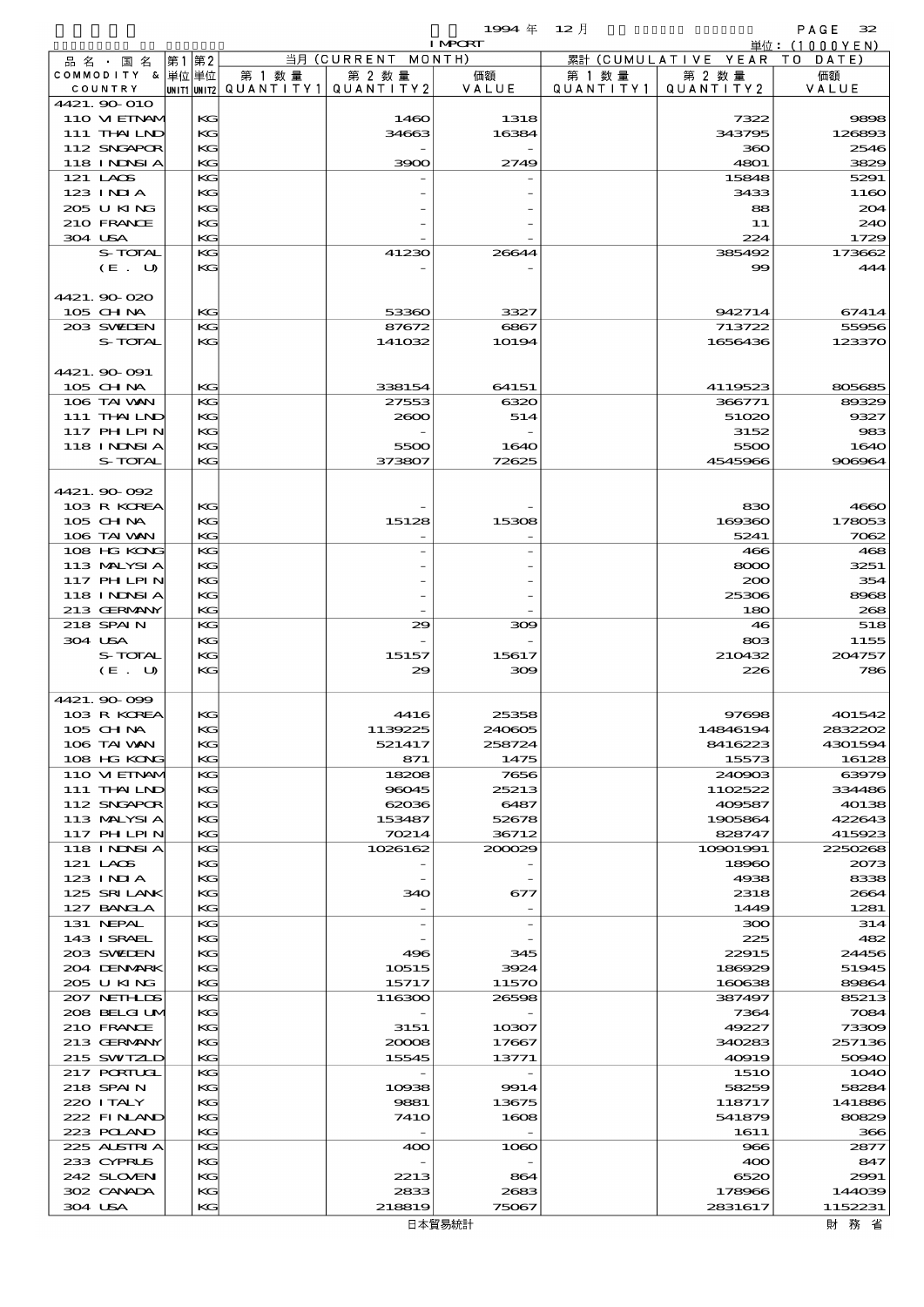|  |                             |          |                        |                              | $1994$ 年        | - 12 月               |                                        | PAGE<br>32        |
|--|-----------------------------|----------|------------------------|------------------------------|-----------------|----------------------|----------------------------------------|-------------------|
|  |                             |          |                        |                              | <b>I MPCRT</b>  |                      |                                        | 単位: (1000 Y E N)  |
|  | 品名·国名<br>COMMODITY & 単位単位   | 第1第2     | 第 1 数 量                | 当月 (CURRENT MONTH)<br>第 2 数量 | 価額              |                      | 累計 (CUMULATIVE YEAR TO DATE)<br>第 2 数量 | 価額                |
|  | COUNTRY                     |          | UNIT1 UNIT2 QUANTITY 1 | QUANTITY 2                   | VALUE           | 第 1 数 量<br>QUANTITY1 | QUANTITY 2                             | VALUE             |
|  | 4421.90-010                 |          |                        |                              |                 |                      |                                        |                   |
|  | 110 VIEINAM                 | KG       |                        | 1460                         | 1318            |                      | 7322                                   | 9898              |
|  | 111 THAILND                 | KG       |                        | 34663                        | 16384           |                      | 343795                                 | 126893            |
|  | 112 SNGAPOR                 | KG       |                        |                              |                 |                      | 360                                    | 2546              |
|  | 118 I NDSI A<br>121 LACS    | KG<br>KG |                        | 3900                         | 2749            |                      | 4801<br>15848                          | 3829<br>5291      |
|  | $123$ INIA                  | KG       |                        |                              |                 |                      | 3433                                   | 1160              |
|  | 205 U KING                  | KG       |                        |                              |                 |                      | 88                                     | 204               |
|  | 210 FRANCE                  | KG       |                        |                              |                 |                      | 11                                     | 240               |
|  | 304 USA                     | KG       |                        |                              |                 |                      | 224                                    | 1729              |
|  | S-TOTAL                     | KG       |                        | 41230                        | 26644           |                      | 385492                                 | 173662            |
|  | (E. U)                      | KG       |                        |                              |                 |                      | $\infty$                               | 444               |
|  |                             |          |                        |                              |                 |                      |                                        |                   |
|  | 4421.90-020<br>105 CH NA    | KG       |                        | 53360                        | 3327            |                      | 942714                                 | 67414             |
|  | 203 SWIDEN                  | KG       |                        | 87672                        | 6867            |                      | 713722                                 | 55956             |
|  | S-TOTAL                     | KG       |                        | 141032                       | 10194           |                      | 1656436                                | 123370            |
|  |                             |          |                        |                              |                 |                      |                                        |                   |
|  | 4421.90-091                 |          |                        |                              |                 |                      |                                        |                   |
|  | 105 CH NA                   | KG       |                        | 338154                       | 64151           |                      | 4119523                                | 805685            |
|  | 106 TAI VAN                 | KG       |                        | 27553                        | 6320            |                      | 366771                                 | 89329             |
|  | 111 THAILND<br>117 PHLPIN   | KG<br>KG |                        | 2600                         | 514             |                      | 51020<br>3152                          | 9327<br>983       |
|  | <b>118 INNSIA</b>           | KG       |                        | 5500                         | 1640            |                      | 5500                                   | 1640              |
|  | S-TOTAL                     | KG       |                        | 373807                       | 72625           |                      | 4545966                                | 906964            |
|  |                             |          |                        |                              |                 |                      |                                        |                   |
|  | 4421.90 092                 |          |                        |                              |                 |                      |                                        |                   |
|  | 103 R KOREA                 | KG       |                        |                              |                 |                      | 830                                    | 4660              |
|  | 105 CH NA                   | KG       |                        | 15128                        | 15308           |                      | 169360                                 | 178053            |
|  | 106 TAI VAN                 | KG       |                        |                              |                 |                      | 5241                                   | 7062              |
|  | 108 HG KONG                 | KG       |                        |                              |                 |                      | 466                                    | 468               |
|  | 113 MALYSIA<br>117 PHLPIN   | KG<br>KG |                        |                              |                 |                      | 8000<br>200                            | 3251<br>354       |
|  | <b>118 INNSIA</b>           | KG       |                        |                              |                 |                      | 25306                                  | 8968              |
|  | 213 GERMANY                 | KG       |                        |                              |                 |                      | 180                                    | 268               |
|  | 218 SPAIN                   | KG       |                        | 29                           | 309             |                      | 46                                     | 518               |
|  | 304 USA                     | KG       |                        |                              |                 |                      | 803                                    | 1155              |
|  | S-TOTAL                     | KG       |                        | 15157                        | 15617           |                      | 210432                                 | 204757            |
|  | (E. U)                      | KG       |                        | 29                           | 309             |                      | 226                                    | 786               |
|  |                             |          |                        |                              |                 |                      |                                        |                   |
|  | 4421.90-099<br>103 R KOREA  | KG       |                        | 4416                         | 25358           |                      | 97698                                  | 401542            |
|  | $105$ CHNA                  | KG       |                        | 1139225                      | 240605          |                      | 14846194                               | 2832202           |
|  | 106 TAI VAN                 | KG       |                        | 521417                       | 258724          |                      | 8416223                                | 4301594           |
|  | 108 HG KONG                 | KG       |                        | 871                          | 1475            |                      | 15573                                  | 16128             |
|  | 110 VI EINAM                | KG       |                        | 18208                        | 7656            |                      | 240903                                 | 63979             |
|  | 111 THAILND                 | KG       |                        | 96045                        | 25213           |                      | 1102522                                | 334486            |
|  | 112 SNGAPOR                 | KG       |                        | 62036                        | 6487            |                      | 409587                                 | 40138             |
|  | 113 MALYSIA                 | KG       |                        | 153487                       | 52678           |                      | 1905864                                | 422643            |
|  | 117 PHLPIN<br>118 I NJNSI A | KG<br>KG |                        | 70214<br>1026162             | 36712<br>200029 |                      | 828747<br>10901991                     | 415923<br>2250268 |
|  | 121 LAOS                    | KG       |                        |                              |                 |                      | 18960                                  | 2073              |
|  | 123 INIA                    | KG       |                        |                              |                 |                      | 4938                                   | 8338              |
|  | 125 SRILANK                 | KG       |                        | 340                          | 677             |                      | 2318                                   | 2664              |
|  | 127 BANCLA                  | KG       |                        |                              |                 |                      | 1449                                   | 1281              |
|  | 131 NEPAL                   | KG       |                        |                              |                 |                      | 300                                    | 314               |
|  | 143 ISRAEL                  | KG       |                        |                              |                 |                      | 225                                    | 482               |
|  | 203 SWIEN<br>204 DENMARK    | KG<br>KG |                        | 496<br>10515                 | 345<br>3924     |                      | 22915<br>186929                        | 24456<br>51945    |
|  | 205 U KING                  | KG       |                        | 15717                        | 11570           |                      | 160638                                 | 89864             |
|  | 207 NETHLIS                 | KG       |                        | 116300                       | 26598           |                      | 387497                                 | 85213             |
|  | 208 BELGI UM                | KG       |                        |                              |                 |                      | 7364                                   | 7084              |
|  | 210 FRANCE                  | KG       |                        | 3151                         | 10307           |                      | 49227                                  | 73309             |
|  | 213 GERMANY                 | KG       |                        | 20008                        | 17667           |                      | 340283                                 | 257136            |
|  | 215 SWIZLD                  | KG       |                        | 15545                        | 13771           |                      | 40919                                  | 50940             |
|  | 217 PORTUGL                 | KG       |                        |                              |                 |                      | <b>151O</b>                            | <b>1O4O</b>       |
|  | 218 SPAIN<br>220 I TALY     | KG<br>KG |                        | 10938<br>9881                | 9914<br>13675   |                      | 58259<br>118717                        | 58284<br>141886   |
|  | 222 FINAND                  | KG       |                        | <b>7410</b>                  | 1608            |                      | 541879                                 | 80829             |
|  | 223 POLAND                  | KG       |                        | $\overline{\phantom{a}}$     |                 |                      | 1611                                   | 366               |
|  | 225 ALSTRIA                 | KG       |                        | 400                          | 1060            |                      | 966                                    | 2877              |
|  | 233 CYPRUS                  | KG       |                        |                              |                 |                      | 400                                    | 847               |
|  | 242 SLOVEN                  | KG       |                        | 2213                         | 864             |                      | 6520                                   | 2991              |
|  | 302 CANADA                  | KG       |                        | 2833                         | 2683            |                      | 178966                                 | 144039            |
|  | 304 USA                     | KG       |                        | 218819                       | 75067           |                      | 2831617                                | 1152231           |

財務省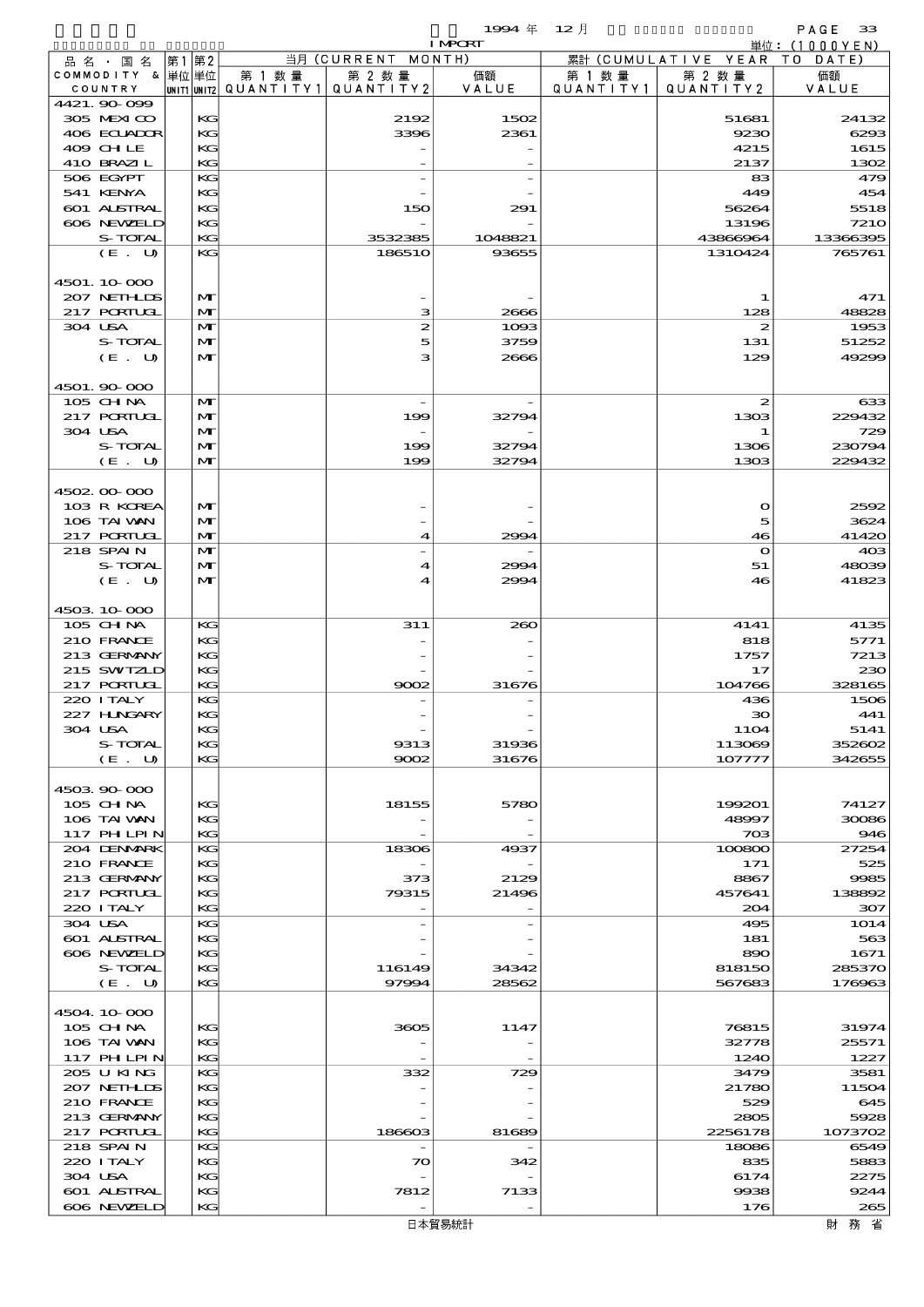|                               |       |              |                                       |                          | 1994 $#$       | 12月               |                              | PAGE<br>33       |
|-------------------------------|-------|--------------|---------------------------------------|--------------------------|----------------|-------------------|------------------------------|------------------|
|                               |       |              |                                       | 当月 (CURRENT MONTH)       | <b>I MPORT</b> |                   | 累計 (CUMULATIVE YEAR TO DATE) | 単位:(1000YEN)     |
| 品 名 ・ 国 名<br>COMMODITY & 単位単位 | 第1 第2 |              | 第 1 数量                                | 第 2 数量                   | 価額             | 第 1 数 量           | 第 2 数量                       | 価額               |
| COUNTRY                       |       |              | unit1 unit2  Q∪ANT   TY1  Q∪ANT   TY2 |                          | VALUE          | Q U A N T I T Y 1 | QUANTITY 2                   | VALUE            |
| 4421, 90, 099                 |       |              |                                       |                          |                |                   |                              |                  |
| 305 MEXICO                    |       | KG           |                                       | 2192                     | 1502           |                   | 51681                        | 24132            |
| 406 ECUADOR                   |       | KG           |                                       | 3396                     | 2361           |                   | 9230                         | 6293             |
| 409 CHLE<br>410 BRAZIL        |       | KG<br>KG     |                                       |                          |                |                   | 4215<br>2137                 | 1615<br>1302     |
| 506 EGYPT                     |       | KG           |                                       |                          |                |                   | 83                           | 479              |
| 541 KENYA                     |       | KG           |                                       |                          |                |                   | 449                          | 454              |
| 601 ALSTRAL                   |       | KG           |                                       | 150                      | 291            |                   | 56264                        | 5518             |
| 606 NEWELD                    |       | KG           |                                       |                          |                |                   | 13196                        | <b>7210</b>      |
| S-TOTAL                       |       | KG           |                                       | 3532385                  | 1048821        |                   | 43866964                     | 13366395         |
| (E. U)                        |       | KG           |                                       | 186510                   | 93655          |                   | 1310424                      | 765761           |
| 4501.10.000                   |       |              |                                       |                          |                |                   |                              |                  |
| 207 NETHLIS                   |       | M            |                                       |                          |                |                   | 1                            | 471              |
| 217 PORTUGL                   |       | $\mathbf{M}$ |                                       | з                        | 2666           |                   | 128                          | 48828            |
| 304 USA                       |       | M            |                                       | 2                        | 1093           |                   | 2                            | 1953             |
| S-TOTAL                       |       | M            |                                       | 5                        | 3759           |                   | 131                          | 51252            |
| (E. U)                        |       | M            |                                       | з                        | 2666           |                   | 129                          | 49299            |
|                               |       |              |                                       |                          |                |                   |                              |                  |
| 4501.90 000<br>105 CH NA      |       | M            |                                       |                          |                |                   | 2                            | 633              |
| 217 PORTUGL                   |       | M            |                                       | 199                      | 32794          |                   | 1303                         | 229432           |
| 304 USA                       |       | M            |                                       | $\overline{\phantom{a}}$ |                |                   | 1                            | 729              |
| S-TOTAL                       |       | M            |                                       | 199                      | 32794          |                   | 1306                         | 230794           |
| (E. U)                        |       | M            |                                       | 199                      | 32794          |                   | 1303                         | 229432           |
|                               |       |              |                                       |                          |                |                   |                              |                  |
| 4502.00.000                   |       |              |                                       |                          |                |                   |                              |                  |
| 103 R KOREA<br>106 TAI VAN    |       | M<br>M       |                                       |                          |                |                   | $\mathbf o$<br>5             | 2592<br>3624     |
| <b>217 PORTUGL</b>            |       | $\mathbf{M}$ |                                       | 4                        | 2994           |                   | 46                           | 41420            |
| 218 SPAIN                     |       | M            |                                       |                          |                |                   | $\mathbf o$                  | 40 <sup>3</sup>  |
| S-TOTAL                       |       | M            |                                       | 4                        | 2994           |                   | 51                           | 48039            |
| (E. U)                        |       | $\mathbf{M}$ |                                       | 4                        | 2994           |                   | 46                           | 41823            |
|                               |       |              |                                       |                          |                |                   |                              |                  |
| 4503 10 000                   |       |              |                                       |                          |                |                   |                              |                  |
| 105 CH NA                     |       | КG           |                                       | 311                      | 260            |                   | 4141                         | 4135             |
| 210 FRANCE<br>213 GERMANY     |       | KG<br>KG     |                                       |                          |                |                   | 818<br>1757                  | 5771<br>7213     |
| 215 SWIZLD                    |       | KG           |                                       |                          |                |                   | 17                           | 230              |
| <b>217 PORTUGL</b>            |       | KG           |                                       | 9002                     | 31676          |                   | 104766                       | 328165           |
| 220 ITALY                     |       | KG           |                                       |                          |                |                   | 436                          | 1506             |
| 227 H.NGARY                   |       | KG           |                                       |                          |                |                   | 30                           | 441              |
| 304 USA                       |       | KG           |                                       |                          |                |                   | <b>11O4</b>                  | 5141             |
| S-TOTAL<br>(E. U)             |       | KG<br>KG     |                                       | 9313<br>9002             | 31936          |                   | 113069<br>107777             | 352602<br>342655 |
|                               |       |              |                                       |                          | 31676          |                   |                              |                  |
| 4503 90 000                   |       |              |                                       |                          |                |                   |                              |                  |
| 105 CH NA                     |       | KG           |                                       | 18155                    | 5780           |                   | 199201                       | 74127            |
| 106 TAI VAN                   |       | KG           |                                       |                          |                |                   | 48997                        | 30086            |
| <b>117 PHLPIN</b>             |       | KG           |                                       |                          |                |                   | 703                          | 946              |
| 204 DENMARK                   |       | KG           |                                       | 18306                    | 4937           |                   | 100800                       | 27254            |
| 210 FRANCE<br>213 GERMANY     |       | KG<br>KG     |                                       | 373                      | 2129           |                   | 171<br>8867                  | 525<br>9985      |
| <b>217 PORTUGL</b>            |       | KG           |                                       | 79315                    | 21496          |                   | 457641                       | 138892           |
| 220 I TALY                    |       | KG           |                                       |                          |                |                   | 204                          | 307              |
| 304 USA                       |       | KG           |                                       |                          |                |                   | 495                          | 1014             |
| 601 ALSTRAL                   |       | KG           |                                       |                          |                |                   | 181                          | 563              |
| 606 NEWELD                    |       | KG           |                                       |                          |                |                   | 890                          | 1671             |
| S-TOTAL                       |       | KG           |                                       | 116149                   | 34342          |                   | 818150                       | 285370           |
| (E. U)                        |       | KG           |                                       | 97994                    | 28562          |                   | 567683                       | 176963           |
| 4504.10.000                   |       |              |                                       |                          |                |                   |                              |                  |
| $105$ CHNA                    |       | КG           |                                       | 3605                     | 1147           |                   | 76815                        | 31974            |
| 106 TAI VAN                   |       | KG           |                                       |                          |                |                   | 32778                        | 25571            |
| 117 PHLPIN                    |       | KG           |                                       |                          |                |                   | 1240                         | 1227             |
| 205 U KING                    |       | KG           |                                       | 332                      | 729            |                   | 3479                         | 3581             |
| 207 NETHLIS                   |       | KG           |                                       |                          |                |                   | 21780                        | 11504            |
| 210 FRANCE<br>213 GERMANY     |       | KG<br>KG     |                                       |                          |                |                   | 529<br>2805                  | 645<br>5928      |
| 217 PORTUGL                   |       | KG           |                                       | 186603                   | 81689          |                   | 2256178                      | 1073702          |
| 218 SPAIN                     |       | KG           |                                       |                          |                |                   | 18086                        | 6549             |
| 220 I TALY                    |       | KG           |                                       | $\infty$                 | 342            |                   | 835                          | 5883             |
| 304 USA                       |       | KG           |                                       |                          |                |                   | 6174                         | 2275             |
| 601 ALSTRAL                   |       | KG           |                                       | 7812                     | 7133           |                   | 9938                         | 9244             |
| 606 NEWELD                    |       | KG           |                                       |                          |                |                   | 176                          | 265              |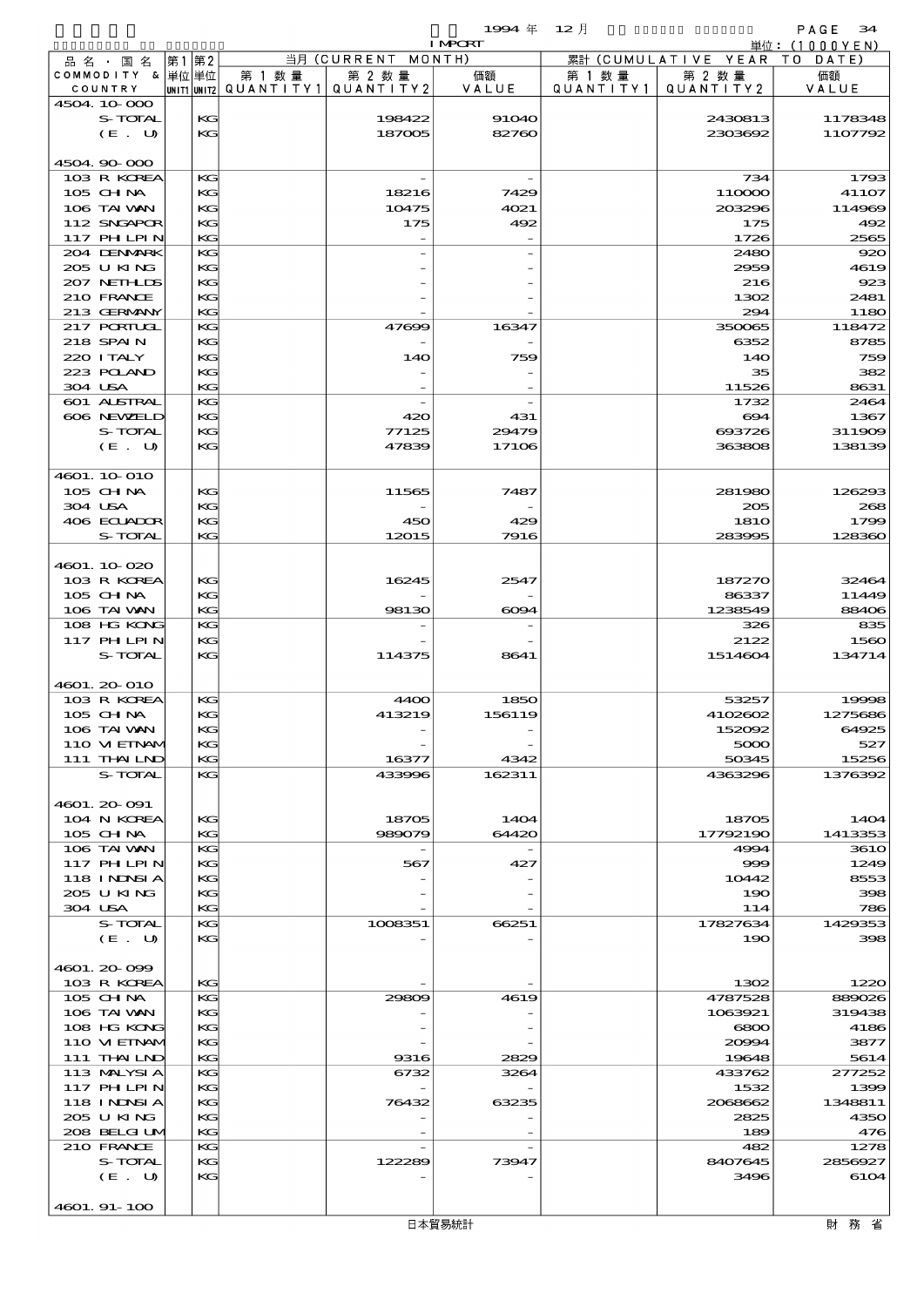$1994 \quad \text{if} \quad 12 \quad \text{[} \quad \text{?}$ 

|                            |    |          |                                                  |                    | <b>I MPORT</b> |           |                              | 単位:(1000YEN)   |
|----------------------------|----|----------|--------------------------------------------------|--------------------|----------------|-----------|------------------------------|----------------|
| 品名・国名                      | 第1 | 第2       |                                                  | 当月 (CURRENT MONTH) |                |           | 累計 (CUMULATIVE YEAR TO DATE) |                |
| COMMODITY & 単位単位           |    |          | 第 1 数量<br> unit1 unit2  QUANT   TY1  QUANT   TY2 | 第 2 数量             | 価額             | 第 1 数 量   | 第 2 数量                       | 価額             |
| COUNTRY<br>4504.10.000     |    |          |                                                  |                    | VALUE          | QUANTITY1 | QUANTITY 2                   | VALUE          |
| S-TOTAL                    |    | KG       |                                                  | 198422             | <b>91040</b>   |           | 2430813                      | 1178348        |
| (E. U)                     |    | KG       |                                                  | 187005             | 82760          |           | 2303692                      | 1107792        |
|                            |    |          |                                                  |                    |                |           |                              |                |
| 4504.90-000                |    |          |                                                  |                    |                |           |                              |                |
| 103 R KOREA                |    | KG       |                                                  |                    |                |           | 734                          | 1793           |
| 105 CH NA                  |    | KG       |                                                  | 18216              | 7429           |           | 110000                       | 41107          |
| 106 TAI VAN                |    | KG       |                                                  | 10475              | 4021           |           | 203296                       | 114969         |
| 112 SNGAPOR                |    | KG       |                                                  | 175                | 492            |           | 175                          | 492            |
| 117 PHLPIN<br>204 DENMARK  |    | KG<br>KG |                                                  |                    |                |           | 1726<br>2480                 | 2565<br>920    |
| 205 U KING                 |    | KG       |                                                  |                    |                |           | 2959                         | 4619           |
| 207 NETHLIS                |    | KG       |                                                  |                    |                |           | 216                          | 923            |
| 210 FRANCE                 |    | KG       |                                                  |                    |                |           | 1302                         | 2481           |
| 213 GERMANY                |    | KG       |                                                  |                    |                |           | 294                          | 1180           |
| 217 PORTUGL                |    | KG       |                                                  | 47699              | 16347          |           | 350065                       | 118472         |
| 218 SPAIN                  |    | KG       |                                                  |                    |                |           | 6352                         | 8785           |
| 220 I TALY                 |    | KG       |                                                  | 140                | 759            |           | 14O                          | 759            |
| 223 POLAND<br>304 USA      |    | KG<br>KG |                                                  |                    |                |           | 35<br>11526                  | 382<br>8631    |
| 601 ALSTRAL                |    | KG       |                                                  |                    |                |           | 1732                         | 2464           |
| 606 NEWELD                 |    | KG       |                                                  | 420                | 431            |           | 694                          | 1367           |
| S-TOTAL                    |    | KG       |                                                  | 77125              | 29479          |           | 693726                       | 311909         |
| (E. U)                     |    | KG       |                                                  | 47839              | 17106          |           | 363808                       | 138139         |
|                            |    |          |                                                  |                    |                |           |                              |                |
| 4601.10-010                |    |          |                                                  |                    |                |           |                              |                |
| 105 CHNA                   |    | KG       |                                                  | 11565              | 7487           |           | 281980                       | 126293         |
| 304 USA                    |    | KG       |                                                  |                    |                |           | 205                          | 268            |
| 406 ECUADOR                |    | KG<br>KG |                                                  | 450<br>12015       | 429<br>7916    |           | <b>1810</b><br>283995        | 1799<br>128360 |
| S-TOTAL                    |    |          |                                                  |                    |                |           |                              |                |
| 4601.10.020                |    |          |                                                  |                    |                |           |                              |                |
| 103 R KOREA                |    | KG       |                                                  | 16245              | 2547           |           | 187270                       | 32464          |
| $105$ CHNA                 |    | KG       |                                                  |                    |                |           | 86337                        | 11449          |
| 106 TAI VAN                |    | KG       |                                                  | 98130              | $\infty$ 94    |           | 1238549                      | 88406          |
| 108 HG KONG                |    | KG       |                                                  |                    |                |           | 326                          | 835            |
| 117 PHLPIN                 |    | KG       |                                                  |                    |                |           | 2122                         | 1560           |
| S-TOTAL                    |    | KG       |                                                  | 114375             | 8641           |           | 1514604                      | 134714         |
| 4601.20010                 |    |          |                                                  |                    |                |           |                              |                |
| 103 R KOREA                |    | KG       |                                                  | 4400               | 1850           |           | 53257                        | 19998          |
| 105 CH NA                  |    | KG       |                                                  | 413219             | 156119         |           | 4102602                      | 1275686        |
| 106 TAI VAN                |    | KG       |                                                  |                    |                |           | 152092                       | 64925          |
| 110 VI EINAM               |    | КG       |                                                  |                    |                |           | 5000                         | 527            |
| 111 THAILND                |    | KG       |                                                  | 16377              | 4342           |           | 50345                        | 15256          |
| S-TOTAL                    |    | KG       |                                                  | 433996             | 162311         |           | 4363296                      | 1376392        |
|                            |    |          |                                                  |                    |                |           |                              |                |
| 4601.20091<br>104 N KOREA  |    | КG       |                                                  | 18705              | 1404           |           |                              | 1404           |
| 105 CH NA                  |    | KG       |                                                  | 989079             | 64420          |           | 18705<br>17792190            | 1413353        |
| 106 TAI VAN                |    | KG       |                                                  |                    |                |           | 4994                         | <b>3610</b>    |
| <b>117 PHLPIN</b>          |    | KG       |                                                  | 567                | 427            |           | 999                          | 1249           |
| 118 I NJNSI A              |    | KG       |                                                  |                    |                |           | 10442                        | 8553           |
| 205 U KING                 |    | KG       |                                                  |                    |                |           | 190                          | 398            |
| 304 USA                    |    | KG       |                                                  |                    |                |           | 114                          | 786            |
| S-TOTAL                    |    | KG       |                                                  | 1008351            | 66251          |           | 17827634                     | 1429353        |
| (E. U)                     |    | KG       |                                                  |                    |                |           | 190                          | 398            |
| 4601.20099                 |    |          |                                                  |                    |                |           |                              |                |
| 103 R KOREA                |    | KG       |                                                  |                    |                |           | 1302                         | 1220           |
| 105 CHNA                   |    | KG       |                                                  | 29809              | 4619           |           | 4787528                      | 889026         |
| 106 TAI VAN                |    | KG       |                                                  |                    |                |           | 1063921                      | 319438         |
| 108 HG KONG                |    | KG       |                                                  |                    |                |           | 6800                         | 4186           |
| 110 VI EINAM               |    | KG       |                                                  |                    |                |           | 20994                        | 3877           |
| 111 THAILND                |    | KG       |                                                  | 9316               | 2829           |           | 19648                        | 5614           |
| 113 MALYSIA<br>117 PH LPIN |    | KG<br>KG |                                                  | 6732               | 3264           |           | 433762<br>1532               | 277252<br>1399 |
| 118 I NINSI A              |    | KG       |                                                  | 76432              | 63235          |           | 2068662                      | 1348811        |
| 205 U KING                 |    | KG       |                                                  |                    |                |           | 2825                         | 4350           |
| 208 BELGI UM               |    | KG       |                                                  |                    |                |           | 189                          | 476            |
| 210 FRANCE                 |    | KG       |                                                  |                    |                |           | 482                          | 1278           |
| S-TOTAL                    |    | KG       |                                                  | 122289             | 73947          |           | 8407645                      | 2856927        |
| (E. U)                     |    | KG       |                                                  |                    |                |           | 3496                         | 6104           |
|                            |    |          |                                                  |                    |                |           |                              |                |

4601. 91-100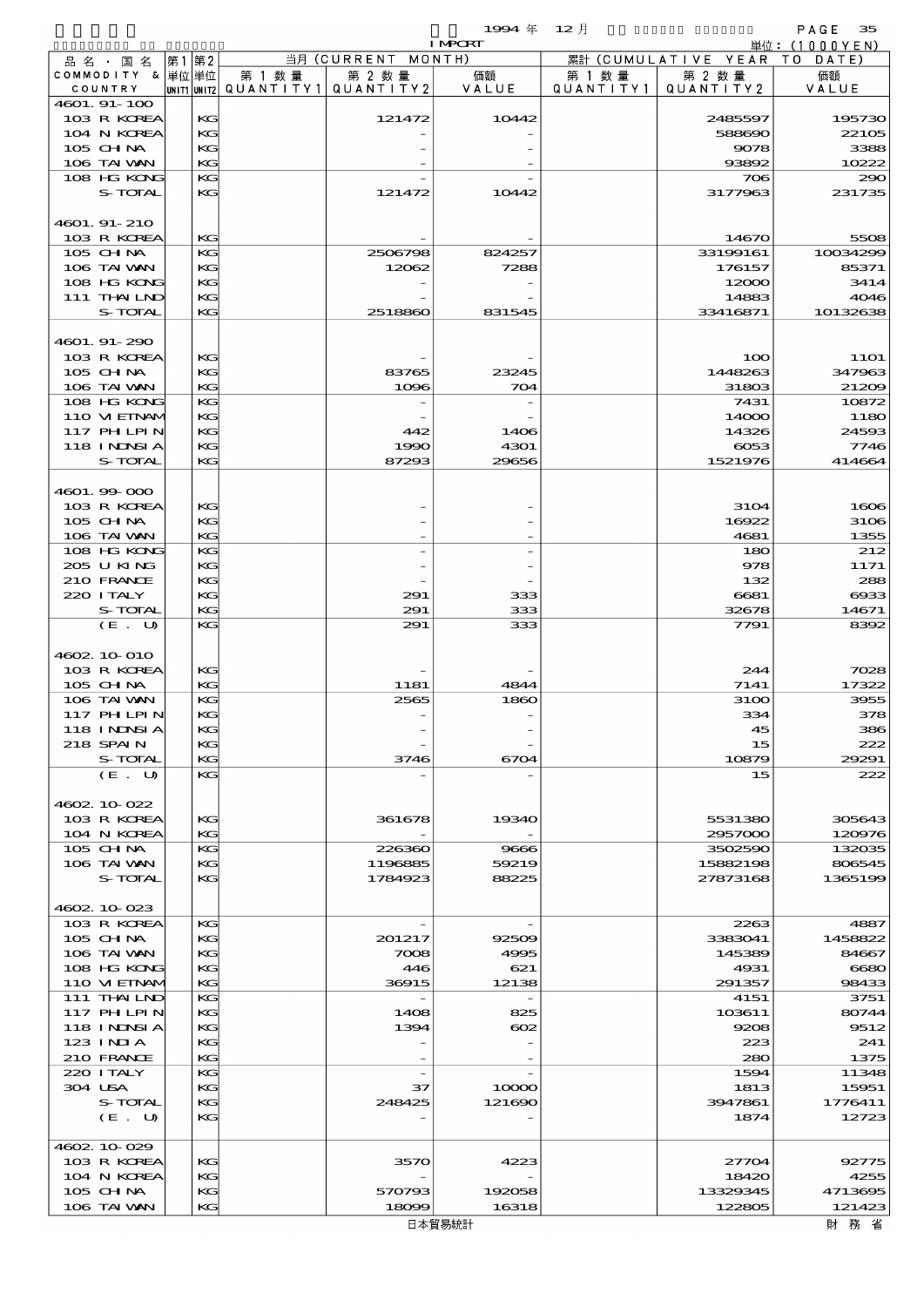$1994 \nleftrightarrow 12 \nparallel$  PAGE 35

|                             |          |        |                                       | <b>I MPORT</b> |           |                              | 単位: (1000YEN)         |
|-----------------------------|----------|--------|---------------------------------------|----------------|-----------|------------------------------|-----------------------|
| 品 名 ・ 国 名                   | 第1 第2    |        | 当月 (CURRENT MONTH)                    |                |           | 累計 (CUMULATIVE YEAR TO DATE) |                       |
| COMMODITY & 単位単位            |          | 第 1 数量 | 第 2 数量                                | 価額             | 第 1 数量    | 第 2 数量                       | 価額                    |
| COUNTRY                     |          |        | UNIT1 UNIT2  QUANT   TY1  QUANT   TY2 | VALUE          | QUANTITY1 | QUANTITY 2                   | VALUE                 |
| 4601. 91-100<br>103 R KOREA | KG       |        | 121472                                | 10442          |           | 2485597                      | 195730                |
| 104 N KOREA                 | KG       |        |                                       |                |           | 588690                       | 22105                 |
| 105 CH NA                   | KG       |        |                                       |                |           | 9078                         | 3388                  |
| 106 TAI VAN                 | KG       |        |                                       |                |           | 93892                        | 10222                 |
| 108 HG KONG                 | KG       |        |                                       |                |           | 706                          | 290                   |
| S-TOTAL                     | KG       |        | 121472                                | 10442          |           | 3177963                      | 231735                |
|                             |          |        |                                       |                |           |                              |                       |
| 4601. 91- 210               |          |        |                                       |                |           |                              |                       |
| 103 R KOREA                 | KG       |        |                                       |                |           | 14670                        | 5508                  |
| 105 CH NA                   | KG       |        | 2506798                               | 824257         |           | 33199161                     | 10034299              |
| 106 TAI VAN                 | KG       |        | 12062                                 | 7288           |           | 176157                       | 85371                 |
| 108 HG KONG                 | KG       |        |                                       |                |           | 12000                        | 3414                  |
| 111 THAILND                 | КC       |        |                                       |                |           | 14883                        | 4046                  |
| S-TOTAL                     | KG       |        | 2518860                               | 831545         |           | 33416871                     | 10132638              |
|                             |          |        |                                       |                |           |                              |                       |
| 4601.91-290                 |          |        |                                       |                |           |                              |                       |
| 103 R KOREA<br>$105$ CHNA   | KG<br>КC |        | 83765                                 | 23245          |           | 100<br>1448263               | <b>11O1</b><br>347963 |
| 106 TAI VAN                 | KG       |        | 1096                                  | 704            |           | 31803                        | 21209                 |
| 108 HG KONG                 | KG       |        |                                       |                |           | 7431                         | 10872                 |
| 110 VIEINAM                 | KG       |        |                                       |                |           | 14000                        | 1180                  |
| 117 PHLPIN                  | KG       |        | 442                                   | 1406           |           | 14326                        | 24593                 |
| 118 INNSI A                 | КC       |        | 1990                                  | 4301           |           | $-0053$                      | 7746                  |
| S-TOTAL                     | KG       |        | 87293                                 | 29656          |           | 1521976                      | 414664                |
|                             |          |        |                                       |                |           |                              |                       |
| 4601.99-000                 |          |        |                                       |                |           |                              |                       |
| 103 R KOREA                 | KG       |        |                                       |                |           | 3104                         | 1606                  |
| $105$ CHNA                  | КC       |        |                                       |                |           | 16922                        | 3106                  |
| 106 TAI WAN                 | KG       |        |                                       |                |           | 4681                         | 1355                  |
| 108 HG KONG                 | KG       |        |                                       |                |           | 180                          | 212                   |
| 205 U KING                  | KG       |        |                                       |                |           | 978                          | 1171                  |
| 210 FRANCE                  | KG       |        |                                       |                |           | 132                          | 288                   |
| 220 I TALY                  | КC       |        | 291                                   | 333            |           | 6681                         | ങ്ങ                   |
| S-TOTAL                     | KG       |        | 291                                   | 333            |           | 32678                        | 14671                 |
| (E. U)                      | KG       |        | 291                                   | 333            |           | 7791                         | 8392                  |
|                             |          |        |                                       |                |           |                              |                       |
| 4602 10 010                 |          |        |                                       |                |           |                              |                       |
| 103 R KOREA<br>105 CH NA    | KG<br>KG |        | 1181                                  | 4844           |           | 244<br>7141                  | 7028<br>17322         |
| 106 TAI VAN                 | KG       |        | 2565                                  | 1860           |           | 3100                         | 3955                  |
| 117 PH LPIN                 | KG       |        |                                       |                |           | 334                          | 378                   |
| 118 I NDSI A                | KG       |        |                                       |                |           | 45                           | 386                   |
| 218 SPAIN                   | KG       |        |                                       |                |           | 15                           | 222                   |
| S-TOTAL                     | KG       |        | 3746                                  | 6704           |           | 10879                        | 29291                 |
| (E. U)                      | KG       |        |                                       |                |           | 15                           | 222                   |
|                             |          |        |                                       |                |           |                              |                       |
| 4602.10-022                 |          |        |                                       |                |           |                              |                       |
| 103 R KOREA                 | КG       |        | 361678                                | 19340          |           | 5531380                      | 305643                |
| 104 N KOREA                 | KG       |        |                                       |                |           | 2957000                      | 120976                |
| $105$ CHNA                  | KG       |        | 226360                                | 9666           |           | 3502590                      | 132035                |
| 106 TAI VAN                 | KG       |        | 1196885                               | 59219          |           | 15882198                     | 806545                |
| S-TOTAL                     | KG       |        | 1784923                               | 88225          |           | 27873168                     | 1365199               |
|                             |          |        |                                       |                |           |                              |                       |
| 4602 10 023                 |          |        |                                       |                |           |                              |                       |
| 103 R KOREA                 | KG       |        | $\overline{\phantom{a}}$              |                |           | 2263                         | 4887                  |
| $105$ CHNA                  | KG       |        | 201217                                | 92509          |           | 3383041                      | 1458822               |
| 106 TAI VAN<br>108 HG KONG  | KG<br>КC |        | 7008<br>446                           | 4995<br>621    |           | 145389<br>4931               | 84667<br>6680         |
| 110 VIEINAM                 | KG       |        | 36915                                 | 12138          |           | 291357                       | 98433                 |
| 111 THAILND                 | KG       |        | $\overline{\phantom{a}}$              |                |           | 4151                         | 3751                  |
| 117 PHLPIN                  | KG       |        | 1408                                  | 825            |           | 103611                       | 80744                 |
| 118 INNSI A                 | KG       |        | 1394                                  | $_{\rm{ooz}}$  |           | 9208                         | 9512                  |
| 123 INIA                    | КC       |        |                                       |                |           | 223                          | 241                   |
| 210 FRANCE                  | KG       |        |                                       |                |           | 280                          | 1375                  |
| 220 I TALY                  | KG       |        | $\overline{\phantom{a}}$              |                |           | 1594                         | 11348                 |
| 304 USA                     | KG       |        | 37                                    | 10000          |           | 1813                         | 15951                 |
| S-TOTAL                     | KG       |        | 248425                                | 121690         |           | 3947861                      | 1776411               |
| (E. U)                      | КC       |        |                                       |                |           | 1874                         | 12723                 |
|                             |          |        |                                       |                |           |                              |                       |
| 4602 10 029                 |          |        |                                       |                |           |                              |                       |
| 103 R KOREA                 | KG       |        | 3570                                  | 4223           |           | 27704                        | 92775                 |
| 104 N KOREA                 | KG       |        |                                       |                |           | 18420                        | 4255                  |
| 105 CH NA                   | KG       |        | 570793                                | 192058         |           | 13329345                     | 4713695               |
| 106 TAI VAN                 | KG       |        | 18099                                 | 16318          |           | 122805                       | 121423                |